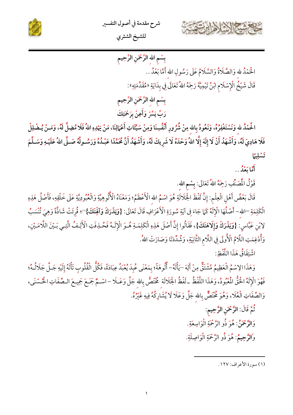



بِسْمِ الله الرَّحْمَنِ الرَّحِيمِ الْحَمْدُ لله وَالصَّلَاةُ وَالسَّلَامُ عَلَى رَسُولِ الله أَمَّا بَعْدُ .. قَالَ شَيْخُ الْإِسْلَامِ ابْنُ تَيْمِيَّةَ رَحِمَهُ اللهُ تَعَالَى فِي بِدَايَةِ «مُقَدِّمَتِهِ»:

بِسْمِ الله الرَّحْمَنِ الرَّحِيمِ رَبِّ يَسِّرْ وَأَعِنْ بِرَحْمَتِكَ

الْحُمْدُ لله وَنَسْتَغْفِرُهُ، وَنَعُودُ بِالله مِنْ شُرُورِ أَنْفُسِنَا وَمِنْ سَيِّئَاتِ أَعْمَالِنَا، مَنْ يَهْدِهِ اللهُ فَلَا مُضِلَّ لَهُ، وَمَـنْ يُـضْلِلْ فَلَا هَادِيَ لَهُ، وَأَشْهَدُ أَنْ لَا إِلَهَ إِلَّا اللهُ وَحْدَهُ لَا شَرِيكَ لَهُ، وَأَشْهَدُ أَنَّ مُحَمَّدًا عَبْدُهُ وَرَسُـولُهُ صَـلَّى اللهُ عَلَيْـهِ وَسَـلَّمَ تَسْلِيًا

ئ<br>أمَّا مَعْلَى..

قَوْلُ الْمَصَنِّفِ رَحِمَهُ اللهُ تَعَالَى: بِسْمِ الله.

قَالَ بَعْضُ أَهْلِ الْعِلْمِ: إِنَّ لَفْظَ الْجَلَالَةِ هُوَ اسْمُ اللَّا عَظَمُ؛ وَمَعْنَاهُ الْأَلُوهِيَّةِ وَالْعُبُودِيَّةِ عَلَى خَلْقِهِ، فَأَصْلُ هَذِهِ الْكَلِمَةِ <sup>ــ</sup>الله- أَصْلُهَا الْإِلَهُ كَمَا جَاءَ فِي آيَةِ سُورَةِ الْأَعْرَافِ قَالَ تَعَالَى: {وَ**يَذَرَكَ وَآلَهِتَكَ}**"؛ قُرِئَتْ شَاذَّةً وَهِيَ تُنْسَبُ لِإِبْنِ عَبَّاس: {وَيَذَرَكَ وَإِلَاهَتَكَ}، فَقَالُوا إِنَّ أَصْلَ هَذِهِ الْكَلِمَـةِ هُـوَ الْإِلَـهُ فَحُـذِفَتِ الْأَلِـفُ الَّتِـي بَـيْنَ اللَّامَـيْنِ، وَأُدْغِمَتِ اللَّامُ الْأُولَى فِي اللَّامِ الثَّانِيَةِ، وَشُدِّدَنَا وَصَارَتْ اللهُ.

اشْتِقَاقُ هَذَا اللَّفْظِ:

وَهَذَا الِاسْمُ الْعَظِيمُ مُشْتَقٌّ مِنْ أَلِهَ –يَأْلَهُ– أَلُوهَةً؛ بِمَعْنَى عُبِدَ يُعْبَدُ عِبَادَةً، فَكُلُّ الْقُلُوبِ تَأْلَهُ إِلَيْهِ جَـلَّ جَلَالُـهُ؛ فَهُوَ الْإِلَهُ الْحَقُّ الْمُبُودُ، وَهَذَا اللَّفْظُ ـ لَفْظُ الْجَلَالَة مُخْتَصٌّ بِالله جَلَّ وَعَـلَا - اسْـمٌ جَمَـعَ جَمِيـعَ الـصِّفَاتِ الْحُسْنَى، وَالصِّفَاتِ الْعُلَا، وَهُوَ مُخْتَصٌّ بِالله جَلَّ وَعَلَا لَا يُشَارِكُهُ فِيهِ غَيْرُهُ.

ثُمَّ قَالَ: الرَّحْمَنِ الرَّحِيمِ:

وَالرَّحْمَنُ: هُوَ ذُو الرَّحْمَةِ الْوَاسِعَةِ.

وا**لرَّحِيمُ**: هُوَ ذُو الرَّحْمَةِ الْوَاصِلَةِ.

(١) سورة الأعراف: ١٢٧.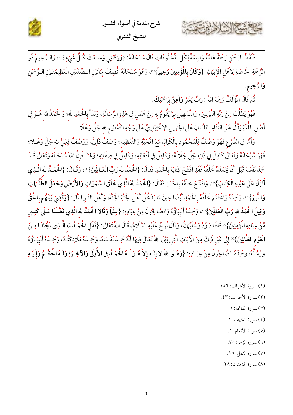





فَلَفْظُ الرَّحْمَنِ رَحْمَةٌ عَامَّةٌ وَاسِعَةٌ لِكُلِّ الْمُخْلُوقَاتِ قَالَ سُبْحَانَهُ: {وَرَحْمَتِي وَسِعَتْ كُلِّ شَيْءٍ}"، وَالـرَّحِيمُ ذُو الرَّحْمَةِ الْخَاصَّةِ لِأَهْلِ الْإِيَمَانِ: {وَكَانَ بِالْمُؤْمِنِينَ رَحِيماً}'"، وَهُوَ سُبْحَانَهُ اتُّصِفَ بِهَاتَيْنِ الـصِّفَتَيْنِ الْعَظِيمَتَيْنِ الـرَّحْمَنِ وَالرَّحِيمِ.

ثُمَّ قَالَ الْمُؤَلِّفُ رَحِمَهُ اللهُ : رَبِّ يَسِّرْ وَأَعِنْ بِرَحْمَتِكَ.

فَهْوَ يَطْلُبُ مِنْ رَبِّهِ التَّيْسِيرَ، وَالتَّسْهِيلَ بِبَا يَقُومُ بِهِ مِنْ عَمَلٍ فِى هَذِهِ الرِّسَالَةِ، وَبَدَأَ بِالْحُمْدِ لله؛ وَالْحَمْدُ لله هُـوَ فِي أَصْلِ اللُّغَةِ يَدُلُّ عَلَى الثَّنَاءِ بِاللِّسَانِ عَلَى الْجَمِيلِ الِاخْتِيَارِيٍّ عَلَى وَجْهِ التَّعْظِيم لله جَلَّ وَعَلَا .

وَأَمَّا فِي الشَّرْعِ فَهُوَ وَصْفٌ لِلْمَحْمُودِ بِالْكَمَالِ مَعَ الْمَحَبَّةِ وَالتَّعْظِيمِ؛ وَصْفٌ ذَاتِيٌّ، وَوَصْفٌ فِعْلِيٌّ لله جَلَّ وَعَـلَا؛ فَهُوَ سُبْحَانَهُ وَتَعَالَى كَامِلٌ فِي ذَاتِهِ جَلَّ جَلَالُهُ، وَكَامِلٌ فِي أَفْعَالِهِ، وَكَامِلٌ فِي صِفَاتِهِ؛ وَلِهَذَا فَإِنَّ اللهَ سُبْحَانَهُ وَتَعَالَى قَـدْ حَمِدَ نَفْسَهُ قَبْلَ أَنْ يَحْمَدَهُ خَلْقُهُ فَقَدِ افْتَتَحَ كِتَابَهُ بِالْحَمْدِ فَقَالَ: {الْحُمْدُ لله رَبِّ الْعَـالَمِينَ}'"، وَقَـالَ: {الْحُمْـدُ لله الَّـذِى أَنزَلَ عَلَى عَبْدِهِ الْكِتَابَ}®، وَافْتَتَحَ خَلْقُهُ بِالْحَمْدِ فَقَالَ: {الْحُمْدُ لله ّالَّذِي خَلَقَ السَّمَوَاتِ وَالأَرْضَ وَجَعَلَ الظُّلُــَمَاتِ وَالنُّورَ}"، وَحَمِدَهُ وَاخْتَتَمَ خَلْقُهُ بِالْحَمْدِ أَيْضًا حِينَ مَا يَدْخُلُ أَهْلُ الْجُنَّةِ الْجُنَّةَ، وَأَهْلُ النَّارِ النَّارَ: {وَقُضِيَ بَيْنَهُم بِالْحُقِّ وَقِيلَ الْحُمْدُ لله رَبِّ الْعَالَمِينَ}"، وَحَمِدَهُ أَنْبِيَاؤُهُ وَالصَّالِحُونَ مِنْ عِبَادِهِ: {عِلْماً وَقَالا الْحُمْدُ لله الَّذِي فَضَّلَنَا عَـلَى كَثِـيرٍ مِّنْ عِبَادِهِ الْمُؤْمِنِينَ}" قَالَمَا دَاوُدُ وَسُلَيْهَانُ، وَقَالَ نُوحٌ عَلَيْهِ السَّلَامُ، قَالَ اللهُ تَعَالَى: {فَقُلِ الْحُمْـدُ لله الَّـذِي نَجَّانَـا مِـنَ ا**لْقَوْمِ الظَّالِينَ}** ۞ إِلَى غَيْرِ ذَلِكَ مِنَ الْآيَاتِ الَّتِي بَيَّنَ اللهُ تَعَالَى فِيهَا أَنَّهُ حَمِـدَ نَفْسَهُ، وَحَمِـدَهُ مَلَائِكَتُـهُ، وَحَمِـدَهُ أَنْبِيَـاؤُهُ وَرُسُلُهُ، وَحَمِدَهُ الصَّالِحُونَ مِنْ عِبَـادِهِ: {وَهُـوَ اللهُ لا إِلَـهَ إِلاَّ هُـوَ لَـهُ الْحُمْـهُ وَالآخِـرَةِ وَلَـهُ الْحُكْـمُ وَإِلَيْـهِ

- (١) سورة الأعراف: ١٥٦.
	- (٢) سورة الأحزاب: ٤٣.
		- (٣) سورة الفاتحة: ١.
		- (٤) سورة الكهف: ١.
		- (٥) سورة الأنعام: ١.
		- (٦) سورة الزمر: ٧٥.
		- (٧) سورة النمل: ١٥.
	- (٨) سورة المؤمنون: ٢٨.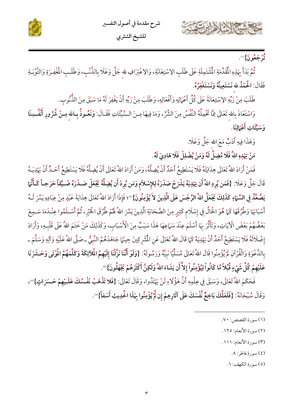





## و.<br>تر**ېجعُونَ}**®.

ثُمَّ بَدَأَ بِهَذِهِ الْمُقَدِّمَةِ الْمُشْتَمِلَةِ عَلَى طَلَبِ الِاسْتِعَانَةِ، وَالِاعْتِرَافِ للهِ جَلَّ وَعَلَا بِالذَّنْبِ، وَطَلَبِ الْمُغْفِرَةِ وَالتَّوْبَـةِ فَقَالَ: الْحُمْدُ لله نَسْتَعِينَهُ وَنَسْتَغْفِرُهُ.

طَلَبَ مِنْ رَبِّهِ الِاسْتِعَانَةَ عَلَى كُلِّ أَعْمَالِهِ وَأَفْعَالِهِ، وَطَلَبَ مِنْ رَبِّهِ أَنْ يَغْفِرَ لَهُ مَا سَبَقَ مِنَ النُّنُوبِ.

وَاسْتَعَاذَ بِاللهِ تَعَالَى مِمَّا تَحْمِلُهُ النَّفْسُ مِنَ الشَّرِّ، وَمَا فِيهَا مِـنَ الـسَّيِّئَاتِ فَقَـالَ: **وَنَعُـوذُ بِـالله مِـنْ شُرُورِ أَنْفُـ**سِنَا وَسَيِّئَاتِ أَعْمَالِنَا.

وَهَذَا فِيهِ أَدَبٌ مَعَ الله جَلَّ وَعَلَا .

مَنْ يَہْدِهِ اللّٰہُ فَلَا مُضِلَّ لَهُ وَمَنْ يُضْلِلْ فَلَا هَادِیَ لَهُ.

فَمَنْ أَرَادَ اللهُ تَعَالَى هِدَايَتَهُ فَلَا يَسْتَطِيعُ أَحَدٌ أَنْ يُضِلَّهُ، وَمَنْ أَرَادَ اللهُ تَعَالَى أَنْ يُضِلَّهُ فَلَا يَسْتَطِيعُ أَحَـدٌ أَنْ يَہْدِيَـهُ قَالَ جَلَّ وَعَلَا: {فَمَن يُرِدِ اللّهُ أَن يَهْدِيَهُ يَشْرَحْ صَدْرَهُ لِلإِسْلاَم وَمَن يُرِدْ أَن يُضِلّهُ يَجْعَلْ صَـدْرَهُ ضَـيِّقاً حَرَجـاً كَـأَنَّهَا يَ**صَّعِّدُ** فِي السَّبَاءِ كَذَلِكَ يَجْعَلُ اللهُ الرِّجْسَ عَلَى الَّذِينَ لاَ يُؤْمِنُونَ}'''؛ فَإِذَا أَرَادَ اللهُ تَعَالَى هِدَايَةَ عَبْدٍ مِنْ عِبَادِهِ يَسَّرَ لَـهُ أَسْبَابَهَا وَطُرُقَهَا كَمَا هُوَ الْحَالُ فِي إِسْلَام كَثِيرٍ مِنَ الصَّحَابَةِ الَّذِينَ يَسَّرَ اللهُ لَهُمْ طُرُقَ الْخَيْرِ، ثُمَّ أَسْـلَمُوا عِنْـلَمَا سَـمِعَ بَعْضُهُمْ بَعْضَ الْآيَاتِ، وَتَأَثَّرَ بِهَا أَسْلَمَ عِنْدَ سَمَاعِهَا هَذَا سَبَبٌ مِنَ الْأَسْبَاب، وَكَذَلِكَ مَنْ خَتَمَ اللهُ عَلَى قَلْبِهِ، وَأَرَادَ إِضْلَالَهُ فَلَا يَسْتَطِيعُ أَحَدٌ أَنْ يَهْدِيَهُ كَمَا قَالَ اللهُ تَعَالَى عَنِ الْمُشْرِكِينَ حِينَمَا جَاهَدَهُمُ النَّبِيُّ ـ صَلَّى اللهُ عَلَيْهِ وَآلِهِ وَسَلَّمَ ـ بِالدَّعْوَةِ وَالْقُرْآنِ لَمْ يُؤْمِنُوا قَالَ اللهُ تَعَالَى مُسَلِّيًا نَبِيَّهُ وَرَسُولَهُ: {وَلَوْ أَنَّنَا نَزَّلْنَا إِلَيْهِمُ الْمُلَائِكَةَ وَكَلَّمَهُمُ الْمُوْتَى وَحَشَرْنَا عَلَيْهِمْ كُلَّ شَيْءٍ قُبُلاً مَّا كَانُواْ لِيُؤْمِنُواْ إِلاَّ أَن يَشَاءَ اللهُ وَلَكِنَّ أَكْثَرَهُمْ يَجْهَلُونَ}'".

فَحَكَمَ اللهُ تَعَالَى، وَسَبَقَ فِي عِلْمِهِ أَنَّ هَؤُلَاءِ لَنْ يَهْتَدُوا، وَقَالَ تَعَالَى: {فَلا تَذْهَبْ نَفْسُكَ عَلَـيْهِمْ حَسَرَاتٍ}"، وَقَالَ سُبْحَانَهُ: {فَلَعَلَّكَ بَاخِعٌ نَّفْسَكَ عَلَى آثَارِهِمْ إِن لَّهُ يُؤْمِنُوا بِهَذَا الْحُدِيثِ أَسَفاً}' ْ .

- (٢) سورة الأنعام: ١٢٥.
- (٣) سورة الأنعام: ١١١.
	- (٤) سورة فاطر: ٨.

(٥) سورة الكهف: ٦.

<sup>(</sup>١) سورة القصص: ٧٠.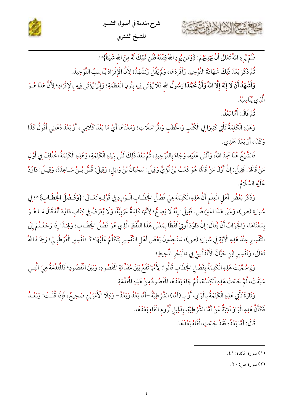

للشيخ الشثري

فَلَمْ يُرِدِ اللهُ تَعَالَى أَنْ يَهْدِيَهُمْ: {وَمَن يُرِدِ اللهُ فِتْنَتَهُ فَلَن تَمْلِكَ لَهُ مِنَ الله شَيْئاً}'''.

ثُمَّ ذَكَرَ بَعْدَ ذَلِكَ شَهَادَةَ التَّوْحِيدِ وَأَفْرَدَهَا، وَلَمْ يَقُلْ وَنَشْهَدُ؛ لِأَنَّ الْإِفْرَادَ يُنَاسِبُ التَّوْحِيدَ.

وَأَشْهَدُ أَنْ لَا إِلَهَ إِلَّا اللهُ وَأَنَّ مُحَمَّدًا رَسُولُ الله فَلَا يُؤْتَى فِيهِ بِنُونِ الْعَظَمَةِ؛ وَإِنَّ) يُؤْتَى فِيهِ بِالْإِفْرَادِ؛ لِأَنَّ هَذَا هُـوَ الَّذِي يُنَاسِبُهُ.

و<br>ثُبَّ قَالَ: أَمَّا بَعْدُ.

حافشة الشاهاية

وَهَذِهِ الْكَلِمَةُ تَأْتِي كَثِيرًا فِي الْكُتُبِ وَالْخُطَبِ وَالْمُرَاسَلَاتِ؛ وَمَعْنَاهَا أَيْ مَا بَعْدَ كَلَامِي، أَوْ بَعْدَ دُعَائِي أَقُولُ كَذَا وَكَذَا، أَوْ بَعْدَ حَمْدِي.

فَالشَّيْخُ هُنَا حَمِدَ اللهُ، وَأَثْنَى عَلَيْهِ، وَجَاءَ بِالتَّوْحِيدِ، ثُمَّ بَعْدَ ذَلِكَ ثَنَّى بِهَذِهِ الْكَلِمَةِ، وَهَذِهِ الْكَلِمَةُ اخْتُلِفَ فِي أَوَّلِ مَنْ قَالَهَا. فَقِيلَ: إِنَّ أَوَّلَ مَنْ قَالَهَا هُوَ كَعْبُ بْنُ لُؤَيٍّ وَقِيلَ: سَحْبَانُ بْنُ وَائِلٍ، وَقِيلَ: قُسُّ بْـنُ سَـاعِدَةَ، وَقِيـلَ: دَاوُدُ عَلَيْهِ السَّلَامُ.

وَذَكَرَ بَعْضُ أَهْلِ الْعِلْمِ أَنَّ هَذِهِ الْكَلِمَةَ هِيَ فَصْلُ الخِطَابِ الْوَارِدِ فِي قَوْلِهِ تَعَالَى: {وَفَصْلَ الخِطَابِ}'"؛ فِي سُورَةِ (ص)، وَعَلَى هَذَا اعْتِرَاضٌ. فَقِيلَ: إِنَّهُ لَا يَصِحُّ؛ لِأَنَّهَا كَلِمَةٌ عَرَبِيَّةٌ، وَلَا يُعْرَفُ فِي كِتَابِ دَاوُدَ أَنَّهُ قَالَ مَـا هُـوَ بِمَعْنَاهَا، وَالْجَوَابُ أَنْ يُقَالَ: إِنَّ دَاوُدَ أُوتِيَ لَفْظًا بِمَعْنَى هَذَا اللَّفْظِ الَّذِي هُوَ فَصْلُ الْخِطَـابِ؛ وَلِهَـذَا إِذَا رَجَعْـتُمْ إِلَى التَّفْسِيرِ عِنْدَ هَذِهِ الْآيَةِ فِي سُورَةِ (ص)، سَتَجِدُونَ بَعْضَ أَهْلِ التَّفْسِيرِ يَتَكَلَّمُ عَلَيْهَا؛ كَــ«تَفْسِيرِ الْقُرْطُبِـيِّ» رَجَـهُ اللهُ تَعَالَى، وَتَفْسِيرِ ابْنِ حَيَّانَ الْأَنْدَلْسِيِّ فِي «الْبَحْرِ الْمُحِيطِ».

وَلِمَ سُمِّيَتْ هَذِهِ الْكَلِمَةُ بِفَصْلِ الْخِطَابِ قَالُوا: لِأَنَّهَا تَقَعُ بَيْنَ مُقَدِّمَةِ الْقُصُودِ، وَبَيْنَ الْقُصُودِ؛ فَالْقَدِّمَةُ هِيَ الَّتِي سَبَقَتْ، ثُمَّ جَاءَتْ هَذِهِ ٱلْكِلَمُة، ثُمَّ جَاءَ بَعْدَهَا الْمُّصُّودُ مِنْ هَذِهِ الْمَّدِّمَةِ.

وَتَارَةً تَأْتِي هَذِهِ الْكَلِمَةُ بِالْوَاوِ، أَوْ بِـ (أَمَّا) الشَّرْطِيَّةُ –أَمَّا بَعْدُ وَبَعْدُ– وَكِلَا الْأَمْرَيْنِ صَحِيحٌ، فَإِذَا قُلْتَ: وَبَعْـدُ فَكَأَنَّ هَذِهِ الْوَاوَ نَائِبَةٌ عَنْ أَمَّا الشَّرْطِيَّةِ، بِدَلِيلِ لُزُومِ الْفَاءِ بَعْدَهَا.

قَالَ: أَمَّا بَعْدُ؛ فَقَدْ جَاءَتِ الْفَاءُ بَعْدَهَا.

(٢) سورة ص: ٢٠.

<sup>(</sup>١) سورة المائدة: ٤١.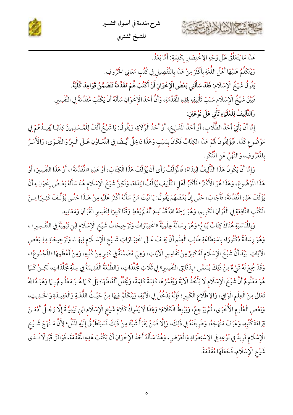





هَذَا مَا يَتَعَلَّقُ عَلَى وَجْهِ الِاخْتِصَارِ بِكَلِمَةِ: أَمَّا بَعْدُ. وَيَتَكَلَّمُ عَلَيْهَا أَهْلُ اللُّغَةِ بِأَكْثَرَ مِنْ هَذَا بِالتَّفْصِيلِ فِي كُتُبِ مَعَانِي الْحُرُوفِ. يَقُولُ شَيْخُ الْإِسْلَام: فَقَدْ سَأَلَنِي بَعْضُ الْإِخْوَانِ أَنْ أَكْتُبَ هُمْ مُقَدِّمَةً تَتَضَمَّنُ قَوَاعِدَ كُلِّيَّةً. فَبَيَّنَ شَيْخُ الْإِسْلَامِ سَبَبَ تَأْلِيفِهِ فِلِذِهِ الْمُقَدِّمَةِ، وَأَنَّ أَحَدَ الْإِخْوَانِ سَأَلَهُ أَنْ يَكْتُبَ مُقَدِّمَةً فِي التَّفْسِيرِ. وَالتَّالِيفُ لِلْعُلَمَاءِ تَأْتِي عَلَى نَوْعَيْنِ:

إِمَّا أَنْ يَأْتِيَ أَحَدُ الطُّلَّابِ، أَوْ أَحَدُ الْمَشَايِخ، أَوْ أَحَدُ الْوُلَاةِ، وَيَقُولُ: يَا شَيْخُ أَلِّفْ لِلْمُـسْلِمِينَ كِتَابًـا يُفِيـدُهُمْ فِي مَوْضُوعِ كَذَا. فَيُؤَلِفُونَ لَهُمْ هَذَا الكِتَابُ فَكَانَ بِسَبَبٍ وَهَذَا دَاخِلٌ أَيْـضًا فِي التَّعَـاوُنِ عَـلَى الْـبِرِّ وَالتَّقْـوَى، وَالْأَمْـرُ بِالْمُرُوفِ، وَالنَّهْيُ عَنِ الْمُنْكَرِ.

وَإِمَّا أَنْ يَكُونَ هَذَا التَّأْلِيفُ ابْتِدَاءً؛ فَالْمُؤَلِّفُ رَأَى أَنْ يُؤَلِّفَ هَذَا الْكِتَابَ، أَوْ هَذِهِ «الْمُقَدِّمَةَ»، أَوْ هَذَا التَّفْسِيرَ، أَوْ هَذَا الْمُوْضُوعَ، وَهَذَا هُوَ الْأَخْثَرُ ؛ فَأَكْثَرُ أَهْلِ التَّأْلِيفِ يُؤَلِّفُ ابْتِدَاءً، وَلَكِنَّ شَيْخَ الْإِسْلَام هُنَا سَأَلَهُ بَعْـضُ إِخْوَانِـهِ أَنْ يُؤَلِّفَ هَذِهِ الْمُقَدِّمَةَ، فَأَجَابَ، حَتَّى إِنَّ بَعْضَهُمْ يَقُولُ: يَا لَيْتَ مَنْ سَأَلَهُ أَكْثَرَ عَلَيْهِ مِنْ هَـذَا حَتَّـى يُؤَلِّـفَ كَثِـيرًا مِـنَ الْكُتُبِ النَّافِعَةِ فِي الْقُرْآنِ الْكَرِيم، وَهُوَ رَحِمَهُ اللهُ قَدْ نَدِمَ أَنَّهُ لَمْ يُعْطِ وَقْتًا كَبِيرًا لِتَفْسِيرِ الْقُرْآنِ وَمَعَانِيهِ.

وَبِالْمُاسَبَةِ هُنَاكَ كِتَابٌ يُبَاعُ؛ وَهُوَ رِسَالَةٌ عِلْمِيَّةٌ «اخْتِيَارَاتُ وَتَرْجِيحَاتُ شَيْخ الْإِسْلَام ابْنِ تَيْمِيَّةَ فِي التَّفْسِيرِ» ، وَهُوَ رِسَالَةُ دُكْتُورَاه بِاسْتِطَاعَةِ طَالِبِ الْعِلْمِ أَنْ يَقِـفَ عَـلَى اخْتِيَـارَاتِ شَـيْخِ الْإِسْـلَامِ فِيهَـا، وَتَرْجِيحَاتِـهِ لِـبَعْضِ الْآيَاتِ. بَيْدَ أَنَّ شَيْخَ الْإِسْلَام لَهُ كَثِيرٌ مِنْ تَفَاسِيرِ الْآيَاتِ، وَهِيَ مُضَمَّنَةٌ فِي كَثِيرٍ مِنْ كُتُبِهِ، وَمِنْ أَعْظَمِهَا «الْمُجْمُوعُ»، وَقَدْ جُمِعَ لَهُ شَيْءٌ مِنْ ذَلِكَ يُسَمَّى «بِدَقَائِقِ التَّفْسِيرِ» فِي ثَلَاثِ مُجَلَّدَاتٍ، وَالطَّبْعَةُ الْقَدِيمَةُ فِي سِتَّةِ مُجَلَّدَاتٍ، لَكِـنْ كَـهَا هُوَ مَعْلُومٌ أَنَّ شَيْخَ الْإِسْلَام لَا يَأْخُذُ الْآيَةَ وَيُفَسِّرُهَا كَلِمَةً كَلِمَةً، وَيُحَلَّلُ أَلْفَاظَهَا؛ بَلْ كَــَمَا هُـوَ مَعْلُـومٌ بِــَمَا وَهَبَـهُ اللهُ تَعَالَى مِنَ الْعِلْمِ الْوَافِي، وَالِاطِّلَاعِ الْكَبِيرِ؛ فَإِنَّهُ يَدْخُلُ فِي الْآيَةِ، وَيَتَكَلَّمُ فِيهَا مِنْ حَيْثُ اللُّغَـةِ وَالْعَقِيـدَةِ وَالْحَـٰدِيثِ، وَبَعْضِ الْعُلُومِ الْأُخْرَى، ثُمَّ يَرْجِعُ، وَيَرْبِطُ الْكَلَامَ؛ وَلِهَذَا لَا يُدْرِكُ كَلَامَ شَيْخِ الْإِسْلَامِ ابْنِ تَيْمِيَّـةَ إِلَّا رَجُـلٌ أَدْمَـنَ قِرَاءَةَ كُتُبِهِ، وَعَرَفَ مَنْهَجَهُ، وَطَرِيقَتَهُ فِي ذَلِكَ، وَإِلَّا فَمَنْ يَقْرَأُ شَيْئًا مِنْ ذَلِكَ فَسَيَتَطَرَّقُ إِلَيْهِ الْمَلَٰلُ؛ لِأَنَّ مَـنْهَجَ شَـيْخ الْإِسْلَام فَرِيدٌ فِي نَوْعِهِ فِي الِاسْتِطْرَادِ وَالْعَرْضِ، وَهُنَا سَأَلَهُ أَحَدُ الْإِخْوَانِ أَنْ يَكْتُبَ هَذِهِ الْمُقَدِّمَةَ، فَوَافَقَ قَبُولًا لَـدَى شَيْخِ الْإِسْلَامِ، فَجَعَلَهَا مُقَدِّمَةً.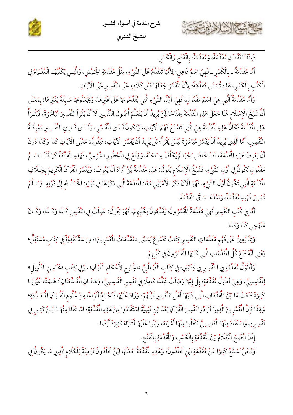



فَعِنْدَنَا لَفْظَانِ مُقَدَّمَةٌ، وَمُقَدِّمَةٌ؛ بِالْفَتْحِ وَالْكَسْرِ.

أَمَّا مُقَدِّمَةٌ \_بِالْكَسْرِ \_فَهِيَ اسْمُ فَاعِلِ؛ لِأَنَّهَا تَتَقَدَّمُ عَلَى الشَّيْءِ، مِثْلُ مُقَدِّمَةِ الْحَيْشِ، وَالَّتِـي يَكْنُبُهَـا الْعُلَـمَاءُ فِي الْكُتُبِ بِالْكَسْرِ، هَذِهِ تُسَمَّى مُقَدِّمَةً؛ لِأَنَّ الْمُشَّرَ جَعَلَهَا قَبْلَ كَلَامِهِ عَلَى التَّفْسِيرِ عَلَى الْآيَاتِ.

وَأَمَّا مُقَدَّمَةٌ الَّتِي هِيَ اسْمُ مَفْعُولٍ، فَهِيَ أَوَّلُ الشَّيْءِ الَّتِي يُقَدِّمُونَهَا عَلَى غَيْرِهَا، وَيَجْعَلُونَهَا سَابِقَةً لِغَيْرِهَا؛ بِمَعْنَى أَنَّ شَيْخَ الْإِسْلَام هُنَا جَعَلَ هَذِهِ الْمَقَدِّمَةَ مِفْتَاحًا لَمِنْ يُرِيدُ أَنْ يَتَعَلَّمَ أُصُولَ التَّفْسِيرِ لَا أَنْ يَقْرَأَ التَّفْسِيرَ مُبَاشَرَةً، فَيَقْـرَأُ هَذِهِ الْمُقَدَّمَةَ فَكَأَنَّ هَذِهِ الْمُقَدَّمَةَ هِيَ الَّتِي تَصْنَعُ فَهْمَ الْآيَاتِ، وَتَكُونُ لَـدَى الْمُفَسِّرِ، وَلَـدَى قَـارِئِ التَّفْسِيرِ مَعْرِفَـةُ التَّفْسِيرِ، أَمَّا الَّذِي يُرِيدُ أَنْ يُفَسِّرَ مُبَاشَرَةً لَيْسَ يَقْرَأُ؛ بَلْ يُرِيدُ أَنْ يُفَسِّرَ الْآيَاتِ، فَيَقُولُ: مَعْنَى الْآيَاتِ كَذَا وَكَذَا دُونَ أَنْ يَعْرِفَ هَذِهِ الْمُقَدَّمَةَ، فَقَدْ خَاضَ بَحْرًا لَمْ يُكَلَّفْ سِبَاحَتَهُ، وَوَقَعَ فِي الْمُخفُورِ الشَّرْعِيِّ، فَهَذِهِ الْمُقَدَّمَةُ كَمَا قُلْنَـا اسْـمُ مَفْعُولٍ تَكُونُ فِي أَوَّلِ الشَّيْءِ، فَشَيْخُ الْإِسْلَامِ يَقُولُ: هَذِهِ مُقَدَّمَةٌ لِنْ أَرَادَ أَنْ يَعْرِفَ، وَيُفَسِّرَ الْقُرْآنَ الْكَرِيمَ بِخِـلَافِ الْمُقَدِّمَةِ الَّتِي تَكُونُ أَوَّلَ الشَّيْءِ، فَهُوَ الْآنَ ذَكَرَ الْأَمْرَيْنِ مَعًا: الْمُقَدِّمَةَ الَّتِي ذَكَرَهَا فِي قَوْلِهِ: الْحَمْدُ لله إِلَى قَوْلِهِ: وَسَـلَّمْ تَسْلِيًا فَهَذِهِ مُقَدِّمَةً، وَبَعْدَهَا سَاقَ الْمُقَدَّمَةَ.

أَمَّا فِي كُتُبِ التَّفْسِيرِ فَهِيَ مُقَدِّمَةٌ الْمُفَسِّرُونَ؛ يُقَدِّمُونَ لِكُتُبِهِمْ، فَهُوَ يَقُولُ: عَمِلْتُ فِي التَّفْسِيرِ كَـذَا وَكَـذَا، وَكَـانَ مَنْهَجِي كَذَا وَكَذَا.

وَمِمَّا يُعِينُ عَلَى فَهْم مُقَدِّمَاتِ التَّفْسِيرِ كِتَابٌ مَجْمُوعٌ يُسَمَّى «مُقَدِّمَاتُ الْمُسِّرِينَ»؛ دِرَاسَةٌ نَقْدِيَّةٌ فِي كِتَابٍ مُسْتَقِلٍّ؛ يَعْنِي أَنَّهُ جَمَعَ كُلَّ الْمُقَدِّمَاتِ الَّتِي كَتَبَهَا الْمُفَسِّرُونَ فِي كُتُبِهِمْ.

وَأَطْوَلُ مُقَدِّمَةٍ فِي التَّفْسِيرِ فِي كِتَابَيْنِ؛ فِي كِتَابِ الْقُرْطُبِيِّ «الْجَامِعِ لِأَحْكَامِ الْقُرْآنِ»، وَفِي كِتَابِ «مَحَاسِنِ التَّأْوِيلِ» لِلْقَاسِمِيِّ، وَهِيَ أَطْوَلُ مُقَدِّمَةٍ؛ بِلْ إِنَّهَا وَصَلَتْ مُجَلَّدًا كَامِلًا فِي تَفْسِيرِ الْقَاسِمِيِّ، وَهَاتَـانِ الْمُقَدِّمَتَانِ تَـضَمَنَّتَا عُيُوبًـا كَثِيرَةً جَمَعَتْ مَا بَيْنَ الْمُقَدِّمَاتِ الَّتِي كَتَبَهَا أَهْلُ التَّفْسِيرِ قَبْلَهُمْ، وَزَادَ عَلَيْهَا فَتَجْمَعُ أَنْوَاعًا مِنْ عُلُوم الْقُـرْآنِ الْمُعَـدِّدَةِ؛ وَلِهَذَا فَإِنَّ الْمُفَسِّرِينَ الَّذِينَ أَرَادُوا تَفْسِيرَ الْقُرْآنِ بَعْدَ ابْنِ تَيْمِيَّةَ اسْتَفَادُوا مِنْ هَذِهِ الْمُقَدِّمَةِ؛ اسْتَفَادَ مِنْهَـا ابْـنُ كَثِـيرٍ فِي تَفْسِيرِهِ، وَاسْتَفَادَ مِنْهَا الْقَاسِمِيُّ فَنَقَلُوا مِنْهَا أَشْيَاءَ، وَبَنَوا عَلَيْهَا أَشْيَاءَ كَثِيرَةً أَيْضًا.

إِذَنْ اتَّضَحَ الْكَلَامُ بَيْنَ الْمُقَدِّمَةِ بِالْكَسْرِ، وَالْمُقَدَّمَةِ بِالْفَتْحِ.

وَنَحْنُ نَسْمَعُ كَثِيرًا عَنْ مُقَدِّمَةِ ابْنِ خَلْدُونَ؛ وَهَذِهِ الْمُقَدِّمَةُ جَعَلَهَا ابْنُ خَلْدُونَ تَوْطِئَةً لِلْكَلَام الَّذِي سَـيَكُونُ فِي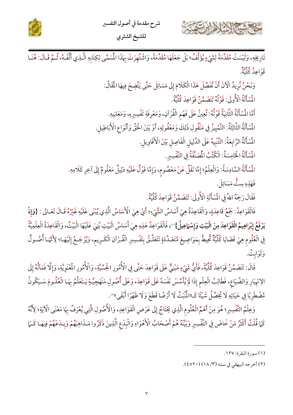



تَارِيخِهِ، وَلَيْسَتْ مُقَدَّمَةً لِشَيْءٍ يُؤَلَّفُ؛ بَلْ جَعَلَهَا مُقَدِّمَةً، وَاشْتُهِرَتْ بِهَذَا المُسَمَّى لِكِتَابِهِ الَّـذِي أَلَّفَـهُ، ثُمَّ قَـالَ: هُنَـا ء وسع<br>قواعد كلية.

- وَنَحْنُ نُرِيدُ الْآنَ أَنْ نُفَصِّلَ هَذَا الْكَلَامَ إِلَى مَسَائِلَ حَتَّى يَتَّضِحَ فِيهَا الْمَقَالُ:
	- الْمُسْأَلَةُ الْأُولَى: قَوْلُهُ تَنَضَّمَّنُ قَوَاعِدَ كُلِّيَّةً.
	- أَمَّا الْمُسْأَلَةُ الثَّانِيَةُ قَوْلُهُ: تُعِينُ عَلَى فَهْمِ الْقُرْآنِ، وَمَعْرِفَةِ تَفْسِيرِهِ، وَمَعَانِيهِ.
- المُسْأَلَةُ الثَّالِثَةُ: التَّمْيِيزُ فِي مَنْقُولِ ذَلِكَ وَمَعْقُولِهِ، أَوْ بَيْنَ الْحَقِّ وَأَنْوَاع الْأَبَاطِيلِ.
	- الْمُمْأَلَةُ الرَّابِعَةُ: التَّنْبِيهُ عَلَى الدَّلِيلِ الْفَاصِلِ بَيْنَ الْأَقَاوِيلِ.
		- المُسْأَلَةُ الْخَامِسَةُ: الْكُتُبُ الْمُصَنَّفَةُ فِي التَّفْسِيرِ.
- المُسْأَلَةُ السَّادِسَةُ: وَالْعِلْمُ؛ إِمَّا نَقْلٌ عَنْ مَعْصُوم، وَإِمَّا قَوْلٌ عَلَيْهِ دَلِيلٌ مَعْلُومٌ إِلَى آخِرِ كَلَامِهِ.
	- فَهَذِهِ سِتٌّ مَسَائِلَ.
	- فَقَالَ رَحِمَهُ اللهُ فِي الْمُسْأَلَةِ الْأُولَى: تَتَضَمَّنُ قَوَاعِدَ كُلِّيَّةً.

فَالْقَوَاعِدُ: جَمْعُ قَاعِدَةٍ، وَالْقَاعِدَةُ هِيَ أَسَاسُ الشَّيْءِ؛ أَيْ هِيَ الْأَسَاسُ الَّذِي يُبْنَى عَلَيْهِ غَيْرُهُ قَـالَ تَعَـالَى : {وَإِذْ يَرْفَعُ إِبْرَاهِيمُ الْقَوَاعِدَ مِنَ الْبَيْتِ وَإِسْهَاعِيلُ}"، فَالْقَوَاعِدُ هَذِهِ هِيَ أَسَاسُ الْبَيْتِ بُنِيَ عَلَيْهَا الْبَيْتُ، وَالْقَاعِدَةُ الْعِلْمِيَّةُ فِي الْعُلُومِ هِيَ قَضَايَا كُلِّيَّةٌ ثُحِيطُ بِمَوَاضِيعَ مُتَعَـدِّدَةٍ تَتَعَلَّـقُ بِتَفْسِيرِ الْقُـرْآنِ الْكَـرِيم، وَيُرْجَـعُ إِلَيْهَـا؛ لِأَنَّهَـا أُصُـولٌ ئرين فر<br>وثوابت.

قَالَ: تَنَضَمَّنُ قَوَاعِدَ كُلِّيَّةً، فَأَيُّ شَيْءٍ مَبْنِيٌّ عَلَى قَوَاعِدَ حَتَّى فِي الْأُمُورِ الْحِسِّيَّةِ، وَالْأُمُورِ الْمُنْوِيَّةِ، وَإِلَّا فَمَالُهُ إِلَى الِانْهِيَارِ وَالضَّيَاعِ، فَطَالِبُ الْعِلْمِ إِذَا لَمْ يُأَسِّسْ نَفْسَهُ عَلَى قَوَاعِدَ، وَعَلَى أُصُولٍ مَنْهَجِيَّـةٍ يَـتَعَلَّمُ بِهَـا الْعُلُـومَ سَـيَكُونُ مُضْطَرِبًا فِي حَيَاتِهِ لَا يُحَصِّلُ شَيْئًا كَـ«الْمُنْبَتِّ لَا أَرْضًا قَطَعَ وَلَا ظَهْرًا أَبْقَى»".

وَعِلْمُ التَّفْسِيرِ؛ هُوَ مِنْ أَهَمِّ الْعُلُوم الَّذِي يَخْتَاجُ إِلَى عَرْضِ الْقَوَاعِدِ، وَالْأُصُولِ الَّتِي يُعْرَفُ بِمَا مَعْنَى الْآيَةِ؛ لِأَنَّهُ كَمَا قُلْتُ أَكْثَرُ مَنْ خَاضَ فِي التَّفْسِيرِ وَبَيِّنَهُ هُمْ أَصْحَابُ الْأَهْوَاءِ وَالْبِدَعِ الَّذِينَ ذَكَرُوا مَـذَاهِبَهُمْ وَبِـدَعَهُمْ فِيهَـا كَـمَا

(٢) أخرجه البيهقي في سننه (٣/ ١٨) (٢٥٢٠).

<sup>(</sup>١) سورة البقرة: ١٢٧.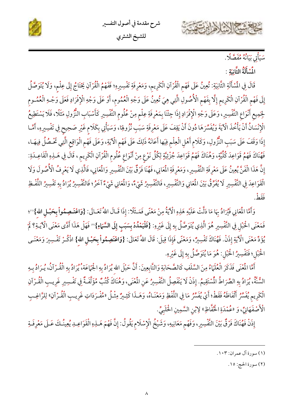





الْمُنَأَلَةُ الثَّانِيَةِ :

 $8.38727$ 

قَالَ فِي الْمُسْأَلَةِ الثَّانِيَةِ: تُعِينُ عَلَى فَهْمِ الْقُرْآنِ الْكَرِيمِ، وَمَعْرِفَةِ تَفْسِيرِهِ؛ فَفَهْمُ الْقُرْآنِ يَحْتَاجُ إِلَى عِلْمٍ، وَلَا يُتَوَصَّلُ إِلَى فَهْمِ الْقُرْآنِ الْكَرِيمِ إِلَّا بِفَهْمِ الْأُصُولِ الَّتِي هِيَ تُعِينُ عَلَى وَجْهِ الْعُمُومِ، أَوْ عَلَى وَجْهِ الْإِفْرَادِ فَعَلَى وَجْهِ الْعُمُومِ لْجِمِيعِ أَنْوَاعِ التَّفْسِيرِ، وَعَلَى وَجْهِ الْإِفْرَادِ إِذَا جِئْنَا بِمَعْرِفَةِ عِلْمٍ مِنْ عُلُومِ التَّفْسِيرِ كَأَسْبَابِ النُّزُولِ مَثَلًا، فَلَا يَسْتَطِيعُ الْإِنْسَانُ أَنْ يَأْخُذَ الْآيَةَ وَيُفَسِّرَهَا دُونَ أَنْ يَقِفَ عَلَى مَعْرِفَةِ سَبَبِ نُزُولِهَا، وَسَيَأْتِي بِكَلَامٍ غَيْرِ صَحِيحٍ فِي تَفْسِيرِهِ، أَمَّـا إِذَا وَقَفَ عَلَى سَبَبِ النُّزُولِ، وَكَلَامٍ أَهْلِ الْعِلْمِ فِيَها أَعَانَهُ ذَلِكَ عَلَى فَهْمِ الْآيَةِ، وَعَلَى فَهْمِ الْوَاقِعِ الَّتِي تَحْصُلُ فِيهَـا، فَهُنَاكَ فَهْمُ قَوَاعِدَ كُلِّيَّةٍ، وَهُنَاكَ فَهْمُ قَوَاعِدَ جُزْئِيَّةٍ لِكُلِّ نَوْعٍ مِنْ أَنْوَاعِ عُلُومِ الْقُرْآنِ الْكَرِيمِ ، قَالَ فِي هَـٰذِهِ الْقَاعِـدَةِ: إِنَّ هَذَا الْفَنَّ يُعِينُ عَلَى مَعْرِفَةِ التَّفْسِيرِ، وَمَعْرِفَةِ الْمَعَانِي، فَهُنَا فَرْقٌ بَيْنَ التَّفْسِيرِ وَالْمَعَانِي، فَالَّذِي لَا يَعْرِفُ الْأُصُولَ وَلَا الْقَوَاعِدَ فِي التَّفْسِيرِ لَا يُفَرِّقُ بَيْنَ الْمَانِي وَالتَّفْسِيرِ، فَالتَّفْسِيرُ شَيْءٌ، وَالْمَانِي شَيْءٌ آخَرُ؛ فَالتَّفْسِيرُ يُرَادُ بِهِ تَفْسِيرُ اللَّفْظِ فقط

وَأَمَّا الْمَعَانِي فَيُرَادُ بِهَا مَا دَلَّتْ عَلَيْهِ هَذِهِ الْآيَةُ مِنْ مَعْنًى فَمَـثَلًا: إِذَا قَـالَ اللهُ تَعَـالَى: {وَاعْتَـصِمُواْ بِحَبْـلِ الله}'''؛ فَمَعْنَى الْحَبْلِ فِي التَّفْسِيرِ هُوَ الَّذِي يُتَوَصَّلُ بِهِ إِلَى غَيْرِهِ: {فَ**لْيَمْدُدْ بِسَبَبٍ إِلَى السَّمَاءِ}**" فَهَلْ هَذَا أَدَّى مَعْنَى الْآيَـةِ؟ لَمْ يُؤَدِّ مَعْنَى الْآيَةِ إِذَنْ. فَهُنَاكَ تَفْسِيرٌ، وَمَعْنًى فَإِذَا قِيلَ: قَالَ اللهُ تَعَالَى: {وَاعْتَصِمُواْ بِحَبْـلِ الله} اذْكُـرْ تَفْـسِيرَ وَمَعْنَـى الْحُبْلِ؛ فَتَفْسِيرُ الْحُبْلِ: هُوَ مَا يُتَوَصَّلُ بِهِ إِلَى غَيْرِهِ.

أَمَّا الْمُنْى فَذَكَرَ الْعُلَهَاءُ مِنَ السَّلَفِ كَالصَّحَابَةِ وَالتَّابِعِينَ: أَنَّ حَبْلَ الله يُرَادُ بِهِ الْجَمَاعَة، يُرَادُ بِهِ الْقُـرْآنُ، يُـرَادُ بِـهِ السُّنَّة، يُرَادُ بِهِ الصِّرَاطُ المُسْتَقِيمُ. إِذَنْ لَا يَنْفَصِلُ التَّفْسِيرُ عَنِ المُعْنَى، وَهُنَاكَ كُتُبٌ مُؤَلَّفَ ةٌ فِي تَفْسِيرِ غَرِيبِ الْقُـرْآنِ الْكَرِيمِ يُفَسِّرُ أَلْفَاظَهُ فَقَطْ؛ أَيْ يُفَسِّرُ مَا فِي اللَّفْظِ وَمَعْنَاهُ، وَهَـذَا كَثِـيرٌ مِثْـلُ «مُفْـرَدَاتِ غَرِيـبِ الْقُـرْآنِ» لِلرَّاغِـبِ الْأَصْفَهَانِيِّ، وَ «عُمْدَةِ الْخُفَّاظِ» لِإِبْنِ السَّمِينِ الْحَلَبِيِّ.

إِذَنْ فَهُنَاكَ فَرْقٌ بَيْنَ التَّفْسِيرِ، وَفَهْمِ مَعَانِيهِ، وَشَيْخُ الْإِسْلَامِ يَقُولُ: إِنَّ فَهْمَ هَـلِهِ الْقَوَاعِـلِا يُعِينُـكَ عَـلَى مَعْرِفَـةِ

(٢) سورة الحج: ١٥.

<sup>(</sup>١) سورة آل عمران: ١٠٣.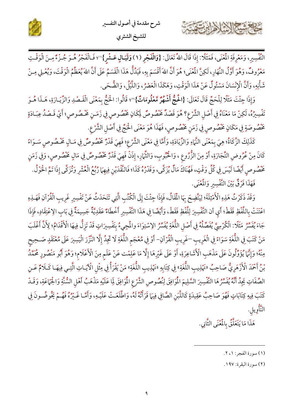

التَّفْسِيرِ، وَمَعْرِفَةِ الْمُنْى، فَمَثَلًا: إِذَا قَالَ اللهُ تَعَالَى: {وَالْفَجْرِ (١) وَلَيَـالٍ عَـشْرِ}'''؛ فَـالْفَجْرُ هُـوَ جُـزْءٌ مِـنَ الْوَقْتِ مَعْرُوفٌ، وَهُوَ أَوَّلُ النَّهَارِ، لَكِنَّ الْمُعْنَى؛ هُوَ أَنَّ اللهَ أَقْسَمَ بِهِ، فَيَدُلُّ هَذَا الْقَسَمُ عَلَى أَنَّ اللهَ يُعَظِّمُ الْوَقْتَ، وَيُعْـلِي مِـنْ شَأْنِهِ، وَأَنَّ الْإِنْسَانَ مَسْئُولٌ عَنْ هَذَا الْوَقْتِ، وَهَكَذَا الْعَصْرُ، وَاللَّيْلُ، وَالضُّحَى.

وَإِذَا جِئْتَ مَثَلًا لِلْحَجِّ قَالَ تَعَالَى: {الْحُجُّ أَشْهُرٌ مَّعْلُومَاتٌ}"؛ قَالُوا: الْحُجُّ بِمَعْنَى الْقَصْلِ وَالزِّيَـارَةِ، هَـذَا هُـوَ تَفْسِيرُهُ، لَكِنْ مَا مَعْنَاهُ فِي أَصْلِ الشَّرْعِ؟ هُوَ قَصْدٌ بَخْصُوصٌ لِكَانٍ بَخْصُوصٍ فِي زَمَـنٍ بَخْـصُوصٍ؛ أَيْ قَـصْدُ عِبَـادَةٍ تَخْصُوصَةٍ فِي مَكَانٍ يَخْصُوصٍ فِي زَمَنٍ يَخْصُوصٍ، فَهَذَا هُوَ مَعْنَى الْحَجِّ فِي أَصْلِ الشَّرْع.

كَذَلِكَ الزَّكَاةُ؛ هِيَ بِمَعْنَى النَّهَاءِ وَالزِّيَادَةِ، وَأَمَّا فِي مَعْنَى الشَّرْعِ؛ فَهِيَ قَدْرٌ مَخْصُوصٌ فِي مَـالٍ مَخْصُوصٍ سَـوَاءً كَانَ مِنْ عُرُوضِ التِّجَارَةِ، أَوْ مِنَ الزُّرُوعِ ، وَالْحُبُوبِ، وَالثُّمَارِ، إِذَنْ فَهِيَ قَدْرٌ خَصُوصٌ فِي مَالٍ خَصُوصٍ، وَفِي زَمَنٍ خَصُوصِ أَيْضًا لَيْسَ فِي كُلِّ وَقْتٍ، فَهُنَاكَ مَالٌ يُزَكَّى، وَقَدْرُهُ كَذَا؛ فَالنَّقْدَيْنِ فِيهِمَا رُبُعُ الْعُشْرِ وَتُزَكَّى إِذَا تَمَّ الْحَوْلُ. فَهَذَا فَرْقٌ بَيْنَ التَّفْسِيرِ وَالْمُعْنَى.

وَقَدْ ذَكَرْتُ هَذِهِ الْأَمْثِلَةَ؛ لِيَتَّضِحَ بِهَا الْمَقَالُ، فَإِذَا جِئْتَ إِلَى الْكُتُبِ الَّتِي تَتَحَدَثُ عَنْ تَفْسِيرِ غَرِيبِ الْقُرْآنِ فَهَـذِهِ اعْتَنَتْ بِاللَّفْظِ فَقَطْ؛ أَي أن التَّفْسِيرَ لِلَّفْظِ فَقَطْ، وَأَيْضًا فِي هَذَا التَّفْسِيرِ أَخْطَاءٌ عَقَدِيَّةٌ جَسِيمَةٌ فِي بَابِ الِاعْتِقَادِ، فَإِذَا جَاءَ يُفَسِّرُ مَثَلًا: الْكُرْسِيَّ يُفَصِّلُهُ فِي أَصْلِ اللُّغَةِ يُفَسِّرُ الِاسْتِوَاءَ والمُجِيءُ بِتَفْسِيرَاتٍ قَدْ تَزِلُّ فِيهَا الْأَقْدَامُ؛ لِأَنَّ أَغْلَبَ مَنْ كَتَبَ فِي اللُّغَةِ سَوَاءً فِي الْغَرِيبِ –غَرِيبِ الْقُرْآنِ– أَوْ فِي مُعْجَمِ اللُّغَةِ لَا تَجِدُ إِلَّا النَّزْرَ الْيَسِيرَ عَلَى مُعْتَقَدٍ صَـحِيحِ مِنْهُ؛ وَإِنَّهَا يُؤَوِّلُونَ عَلَى مَذْهَبِ الْأَشَاعِرَةِ، أَوْ عَلَى غَيْرِهَا إِلَّا مَا عَلِمْت عَنْ عَلَم مِنَ الْأَعْلَام؛ وَهُوَ أَبُو مَنْصُورٍ مُحَمَّدُ بْنُ أَحْمَدَ الْأَزْهَرِيُّ صَاحِبُ «تَهْذِيبِ اللُّغَةِ» فِي كِتَابِهِ «تَهْذِيبِ اللُّغَةِ» مَنْ يَقْرَأُ فِي مِثْلِ الْآيَاتِ الَّتِـي فِيهَـا كَـلَامٌ عَـنِ الصِّفَاتِ يَجِدُ أَنَّهُ يُفَسِّرُهَا التَّفْسِيرَ السَّلِيمَ الْمُوَافِقَ لِنُصُوصِ الشَّرْعِ الْمُوَافِقَ لِمَا عَلَيْهِ مَذْهَبُ أَهْلِ السُّنَّةِ وَالْجَمَاعَةِ، وَقَـدْ كَتَبَ فِيهِ كِتَابَاتٍ فَهُوَ صَاحِبُ عَقِيدَةٍ كَاللَّبَنِ الصَّافِي فِيهَا قَرَأْتُهُ لَهُ، وَاطَّلَعَتْ عَلَيْهِ، وَأَمَّـا غَـيْرُهُ فَهُـمْ يَخُوضُـونَ فِي التَّأْوِيلِ.

هَذَا مَا يَتَعَلَّقُ بِالْمُّنَى الثَّانِي.

حشيخ الشاها

(٢) سورة البقرة: ١٩٧.

<sup>(</sup>١) سورة الفجر: ١، ٢.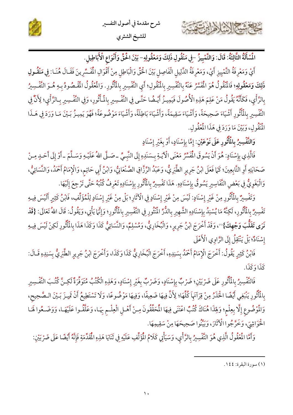





الْمُسْأَلَةُ الثَّالِثَةُ: قَالَ: وَالتَّمْيِيزُ –فِي مَنْقُولِ ذَلِكَ وَمَعْقُولِهِ– بَيْنَ اخُقِّ وَأَنْوَاع الْأَبَاطِيلِ.

أَيْ وَمَعْرِفَةُ التَّمْيِيزِ أَيْ، وَمَعْرِفَةُ الدَّلِيل الْفَاصِل بَيْنَ الْحَقِّ وَالْبَاطِل مِنْ أَقْوَالِ الْمُفَسِّرِينَ فَقَـالَ هُنَـا: فِي مَنْقُـولِ ذَلِكَ وَمَعْقُولِهِ؛ فَالْمُنْقُولُ هُوَ الْمَسَّرُ عَنْهُ بِالتَّفْسِيرِ بِالْمُنْقُولِ؛ أَي التَّفْسِيرِ بِالْمَأْثُورِ. وَالْمُعْقُولُ الْمَقْصُودُ بِـهِ هُـوَ التَّفْسِيرُ بِالرَّأْيِ، فَكَأَنَّهُ يَقُولُ مَنْ عَلِمَ هَذِهِ الْأُصُولَ فَيَمِيـزُ أَيْـضُا حَتَّـى فِي التَّفْسِيرِ بِالْمَأْثُورِ، وَفِي التَّفْسِيرِ بِالرَّأْيِ؛ لِأَنَّ فِي التَّفْسِير بِالْمَأْثُورِ أَشْيَاءَ صَحِيحَةً، وَأَشْيَاءَ سَقِيمَةً، وَأَشْيَاءَ بَاطِلَةً، وَأَشْيَاءَ مَوْضُوعَةً؛ فَهُوَ يَمِيـزُ بَـيْنَ مَـا وَرَدَ فِي هَـذَا الْمُنْقُولِ، وَبَيْنَ مَا وَرَدَ فِي هَذَا الْمُعْقُولِ.

وَالتَّفْسِيرُ بِالْمَأْثُورِ عَلَى نَوْعَيْنِ: إِمَّا بِإِسْنَادٍ، أَوْ بِغَيْرِ إِسْنَادٍ

فَالَّذِي بِإِسْنَادٍ: هُوَ أَنْ يَسُوقَ الْمُفَسِّرُ مَعْنَى الْآيَـةِ بِـسَنَدِهِ إِلَى النَّبِـيِّ ـ صَـلَّى اللهُ عَلَيْـهِ وَسَـلَّمَ ـ أَوْ إِلَى أَحَـدٍ مِـنْ صَحَابَتِهِ أَوِ التَّابِعِينَ؛ كَمَا فَعَلَ ابْنُ جَرِيرٍ الطَّبَرِيُّ، وَعَبْدُ الرَّزَّاقِ الصَّنْعَانِيُّ، وَابْنُ أَبِي حَاتِم، وَالْإِمَامُ أَحْمَدُ، وَالنَّسَائِيُّ، وَالْبَغَوِيُّ فِي بَعْضِ التَّفَاسِيرِ يَسُوقُ بِإِسْنَادِهِ. هَذَا تَفْسِيرٌ بِالْمَأْثُورِ بِإِسْنَادِهِ تَعْرِفُ كُتُبَهُ حَتَّى تَرْجِعَ إِلَيْهَا.

وَتَفْسِيرٌ بِالْمَأْثُورِ مِنْ غَيْرِ إِسْنَادٍ: لَيْسَ مِنْ غَيْرِ إِسْنَادٍ فِي الْأَثَارِ؛ بَلْ مِنْ غَيْرِ إِسْنَادٍ لِلْمُؤَلِّفِ، فَابْنُ كَثِيرٍ أَلَيْسَ فِيهِ تَفْسِيرٌ بِالْمَأْثُورِ، لَكِنَّهُ مَا يُسْنِدُ بِإِسْنَادِهِ الشَّهِيرِ بِالدُّرِّ الْمُنْثُورِ فِي التَّفْسِيرِ بِالمُأْثُورِ؛ وَإِنَّمَا يَأْتِي، وَيَقُولُ: قَالَ اللهُ تَعَالَى: {قَدْ نَرَى تَقَلُّبَ وَجْهِكَ}''، وَقَدْ أَخْرَجَ ابْنُ جَرِيرٍ، وَالْبُخَارِيُّ، وَمُسْلِمٌ، وَالنَّسَائِيُّ كَذَا وَكَذَا هَذَا بِالْمَأْثُورِ لَكِنْ لَيْسَ فِيهِ إِسْنَادٌ؛ بَلْ يَنْتَقِلُ إِلَى الرَّاوِي الْأَعْلَى

فَابْنُ كَثِيرٍ يَقُولُ: أَخْرَجَ الْإِمَامُ أَحْمَدُ بِسَنِدِهِ، أَخْرَجَ الْبُخَارِيُّ كَذَا وَكَذَا، وَأَخْرَجَ ابْنُ جَرِيرٍ الطَّبَرِيُّ بِسَنِدِهِ قَـالَ: كَذَا وَكَذَا.

فَالتَّفْسِيرُ بِالْمَأْثُورِ عَلَى ضَرْبَيْنِ؛ ضَرْبٌ بِإِسْنَادٍ، وَضَرْبٌ بِغَيْرِ إِسْنَادٍ، وَهَذِهِ الْكُتُبُ مُتَوَفِّرَةٌ لَكِنَّ كُتُبَ التَّفْسِيرِ بِالْمَأْثُورِ يَنْبَغِي أَيْضًا الْحَذَرُ مِنْ قِرَاتَهِا كُلِّهَا؛ لِأَنَّ فِيهَا ضَعِيفًا، وَفِيهَا مَوْضُوعًا، وَلَا تَسْتَطِيعُ أَنْ تَمِيزَ بَيْنَ الصَّحِيحِ، وَالْمُوْضُوعِ إِلَّا بِعِلْم؛ وَلِهَذَا هُنَاكَ كُتُبٌ اعْتَنَى فِيهَا الْمُحَقَّقُونَ مِـنْ أَهْـلِ الْعِلْـم بِهَـا، وَعَلَّقُـوا عَلَيْهَـا، وَوَضَـعُوا لَهَـا الْحَوَاشِيَ، وَخَرَّجُوا الْآثَارَ، وَبَيْنُوا صَحِيحَهَا مِنْ سَقِيمِهَا.

وَأَمَّا الْمُقُولُ الَّذِي هُوَ التَّفْسِيرُ بِالرَّأْيِ، وَسَيَأْتِي كَلَامُ الْمُؤَلِّفِ عَلَيْهِ فِي ثَنَايَا هَذِهِ الْمُقَدِّمَةِ فَإِنَّهُ أَيْضًا عَلَى ضَرْبَيْنِ:

<sup>(</sup>١) سورة البقرة: ١٤٤.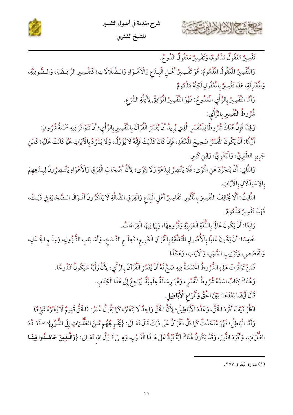



للشيخ الشثري

تَفْسِيرٌ مَعْقُولٌ مَذْمُومٌ، وَتَفْسِيرٌ مَعْقُولٌ مَدُوحٌ.

وَالتَّفْسِيرُ الْمُقُولُ الْمُذْمُومُ: هُوَ تَفْسِيرُ أَهْـلِ الْبِـدَعِ وَالْأَهْـوَاءِ وَالـضَّلَالَاتِ؛ كَتَفْسِيرِ الرَّافِـضَةِ، وَالـصُّوفِيَّةِ، وَالْمُتَزِلَةِ، هَذَا تَفْسِيرٌ بِالْمُعْفُولِ لَكِنَّهُ مَذْمُومٌ.

وَأَمَّا التَّفْسِيرُ بِالرَّأْيِ الْمُدُوحُ: فَهُوَ التَّفْسِيرُ الْمُوَافِقُ لِأَدِلَّةِ الشَّرْعِ.

شُرُوطُ التَّفْسِيرِ بِالرَّأْيِ:

وَلِهَذَا فَإِنَّ هُنَاكَ شُرُوطًا لِلْمُفَسِّرِ الَّذِي يُرِيدُ أَنْ يُفَسِّرَ الْقُرْآنَ بِالتَّفْسِيرِ بِالرَّأْيِ؛ أَنْ تَتَوَافَرَ فِيهِ خَمْسَةٌ شُرُوطٍ:

أَوَّهُا: أَنْ يَكُونَ الْمُشَرُّ صَحِيحَ الْمُتَقَدِ، فَإِنْ كَانَ كَذَلِكَ فَإِنَّهُ لَا يُؤَوِّلُ، وَلَا يَشْرُدُ بِالْآيَاتِ عَمَّا كَانَتْ عَلَيْهِ؛ كَابْنِ جَرِيرِ الطَّبَرِيٍّ، وَالْبَغَوِيٍّ، وَابْنِ كَثِيرٍ.

وَالثَّانِي: أَنْ يَتَجَرَّدَ عَنِ الْهَوَى، فَلَا يَنْتَصِرُ لِبِدْعَةٍ وَلَا لِهَوًى؛ لِأَنَّ أَصْحَابَ الْفِرَقِ وَالْأَهْوَاءِ يَنْتَـصِرُونَ لِبِـدَعِهِمْ بالإسْتِدْلَالِ بِالْآيَاتِ.

الثَّالِثُ: أَلَّا يُخَالِفَ التَّفْسِيرَ بِالْمَأْثُورِ. تَفَاسِيرُ أَهْلِ الْبِدَعِ وَالْفِرَقِ الضَّالَّةِ لَا يَذْكُرُونَ أَقْـوَالَ الـصَّحَابَةِ فِي ذَلِكَ، فَهَذَا تَفْسِيرٌ مَذْمُومٌ.

رَابِعًا: أَنْ يَكُونَ عَالِمًا بِاللُّغَةِ الْعَرَبِيَّةِ وَفُرُوعِهَا، وَبِهَا فِيهَا الْقِرَاءَاتُ.

خَامِسًا: أَنْ يَكُونَ عَالِمًا بِالْأُصُولِ الْمُتَعَلِّقَةِ بِالْقُرْآنِ الْكَرِيمِ؛ كَعِلْـمِ النَّـسْخِ، وَأَسْـبَابِ النُّـزُولِ، وَعِلْـمِ الْجَـدَلِ، وَالْقَصَصِ، وَتَرْتِيبِ السُّوَرِ، وَالْآيَاتِ، وَهَكَذَا

فَمَنْ تَوَفَّرَتْ هَذِهِ الشُّرُوطُ الْخَمْسَةُ فِيهِ صَحَّ لَهُ أَنْ يُفَسِّرَ الْقُرْآنَ بالرَّأْيِ؛ لِأَنَّ رَأْيَهُ سَيَكُونُ مَمْدُوحًا.

وَهُنَاكَ كِتَابٌ اسْمُهُ شُرُوطُ الْمُفَسِّرِ، وَهُوَ رِسَالَةٌ عِلْمِيَّةٌ. يُرْجِعُ إِلَى هَذَا الْكِتَابِ.

قَالَ أَيْضًا بَعْدَهَا: بَيْنَ الْحَقِّ وَأَنْوَاعِ الْأَبَاطِيلِ.

انْظُرْ كَيْفَ أَفْرَدَ الْحَقَّ، وَعَدَّدَ الْأَبَاطِيلَ؛ لِأَنَّ الْحَقَّ وَاحِدٌ لَا يَتَغَيَّرُ، كَمَا يَقُولُ عُمَرُ: (الْحَقُّ قَدِيمٌ لَا يُغَيِّرُهُ شَيْءٌ)

وَأَمَّا الْبَاطِلُ؛ فَهُوَ مُتَحَدِّثٌ كَمَا دَلَّ الْقُرْآنُ عَلَى ذَلِكَ قَالَ تَعَـالَى: {يُخْـرِجُهُم مِّـنَ الظُّلُـمَاتِ إِلَى النُّـوُرِ}"؛ فَعَـدَّدَ الظُّلُمَاتِ، وَأَفْرَدَ النُّورَ، وَقَدْ يَكُونُ هُنَاكَ آيَةٌ تَرُدُّ عَلَى هَـذَا الْقَـوْلِ، وَهِـيَ قَـوْلُ الله تَعَـالى: {وَالَّـٰذِينَ جَاهَـدُوا فِينَـا

<sup>(</sup>١) سورة البقرة: ٢٥٧.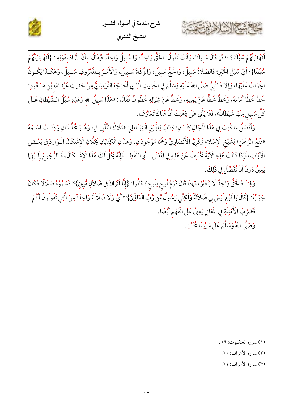

لَنَهْدِيَنَّهُمْ سُبُلَنَا}"؛ فَمَا قَالَ سَبِيلَنَا، وَأَنْتَ تَقُولُ: الْحَقُّ وَاحِدٌ، وَالسَّبِيلُ وَاحِدٌ. فَيُقَالُ: بِأَنَّ الْمَرَادَ بِقَوْلِهِ : {لَنَهْدِيَنَّهُمْ سُّبُلْنَا}؛ أَيْ سُبُّلَ الْخَيْرِ؛ فَالصَّلَاةُ سَبِيلٌ، وَالْحَجُّ سَبِيلٌ، وَاللَّهُمْ بِالْمُرُوفِ سَبِيلٌ، وَهَكَـذَا يَكُـونُ الْجَوَابُ عَلَيْهَا، وَإِلَّا فَالنَّبِيُّ صَلَّى اللهُ عَلَيْهِ وَسَلَّمَ فِي الْحَدِيثِ الَّذِي أَخْرَجَهُ التِّرْمِذِيُّ مِنْ حَدِيثِ عَبْدِ الله بْنِ مَسْعُودٍ: خَطَّ خَطًّا أَمَامَهُ، وَخَطَّ خَطًّا عَنْ يَمِينِهِ، وَخَطَّ عَنْ شِمَالِهِ خُطُّوطًا فَقَالَ : «هَذَا سَبِيلُ الله وَهَذِهِ سُبُلُ الـشَّيْطَانِ عَـلَى كُلِّ سَبِيلٍ مِنْهَا شَيْطَانٌّ»، فَلَا يَأْتِي عَلَى ذِهْنِكَ أَنَّ هُنَاكَ تَعَارُضًا.

وَأَفْضَلُ مَا كُتِبَ فِي هَذَا الْمَجَالِ كِتَابَانِ؛ كِتَابٌ لِلزُّبَيْرِ الْغِرْنَاطِيِّ «مَلَاكُ التّأْوِيـلِ» وَهُـوَ مُجَلَّـدَانِ وَكِتَـابٌ اسْـهُهُ «فَتْحُ الرَّحْمَنِ» لِشَيْخِ الْإِسْلَام زَكَرِيَّا الْأَنْصَارِيِّ وَهُمَا مَوْجُودَانِ. وَهَذَانِ الْكِتَابَانِ يَحْلَّانِ الْإِشْكَالَ الْـوَارِدَ فِي بَعْـضِ الْآيَاتِ، فَإِذَا كَانَتْ هَذِهِ الْآيَةُ تَخْتَلِفُ عَنْ هَذِهِ فِي الْمُعْنَى ـ أَوِ اللَّفْظِ ـ فَإِنَّهُ يَحُلُّ لَكَ هَذَا الْإِشْكَالَ، فَالزُّجُوعُ إِلَـيْهِمَا يُعِينُ دُونَ أَنْ نُفَصِّلَ في ذَلِكَ.

وَلِهَذَا فَالْحَقُّ وَاحِدٌ لَا يَتَغَيَّرُ، فَهَاذَا قَالَ قَوْمُ نُوحٍ لِنُوحٍ؟ قَالُوا: {إِنَّا لَنَرَاكَ فِي ضَلاَلٍ مُّبِينٍ}'' فَسَمَّوْهُ ضَلَالًا فَكَانَ جَوَابُهُ: {قَالَ يَا قَوْمِ لَيْسَ بِي ضَلاَلَةٌ وَلَكِنِّي رَسُولٌ مِّن رَّبِّ الْعَالَمِنَ}" أَيْ وَلَا ضَلَالَةَ وَاحِدَةً مِنَ الَّتِي تَقُولُونَ أَنْتُمْ فَضَرْبُ الْأَمْثِلَةِ فِي الْمَعَانِي يُعِينُ عَلَى الْفَهْمِ أَيْضًا.

وَصَلَّى اللهُ وَسَلَّمَ عَلَى سَيِّدِنَا مُحَمَّدٍ.

1337 - 13 - 13 - 13

<sup>(</sup>١) سورة العنكبوت: ٦٩.

<sup>(</sup>٢) سورة الأعراف: ٦٠.

<sup>(</sup>٣) سورة الأعراف: ٦١.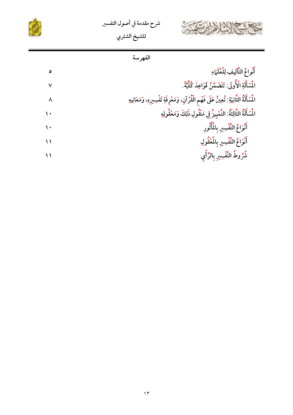





|               | الفهرسة                                                                                             |
|---------------|-----------------------------------------------------------------------------------------------------|
| ٥             | أَنْوامُ التَّآلِيفِ لِلْعُلَمَاءِ                                                                  |
| ٧             | الْمُسْأَلَةِ الْأُولَى: تَتَضَمَّنُ قَوَاعِدَ كُلِّيَّةً.                                          |
| ٨             | الْمُسْأَلَةُ الثَّانِيَةِ: تُعِينُ عَلَى فَهْمِ الْقُرْآنِ، وَمَعْرِفَةِ تَفْسِيرِهِ، وَمَعَانِيهِ |
|               | الۡسُٰأَلَةُ الثَّالِثَةُ: التَّمْيِيزُ فِي مَنْقُولِ ذَلِكَ وَمَعْقُولِهِ                          |
| $\mathcal{L}$ | أَنْوَاعُ التَّفْسِيرِ بِالْمَأْثُورِ                                                               |
| $\setminus$   | أَنْوَاعُ التَّفْسِيرِ بِالْمُعْقُولِ                                                               |
| $\lambda$     | شُرُوطُ التَّفْسِيرِ بِالرَّأْيِ                                                                    |
|               |                                                                                                     |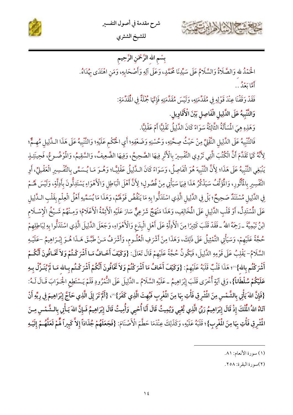



بِسْمِ الله الرَّحْمَنِ الرَّحِيمِ

الْحَمْدُ لله وَالصَّلَاةُ وَالسَّلَامُ عَلَى سَيِّدِنَا مُحَمَّدٍ، وَعَلَى آلِهِ وَأَصْحَابِهِ، وَمَنِ اهْتَدَى بِهُدَاهُ.

أَمَّا رَوْمٌ . .

فَقَدْ وَقَفْنَا عِنْدَ قَوْلِهِ فِي مُقَدِّمَتِهِ، وَلَيْسَ مُقَدَّمَتِهِ فَإِنَّهَا جُمْلَةٌ فِي الْمَقَدِّمَةِ:

وَالتَّنْبِيهُ عَلَى الدَّلِيلِ الْفَاصِلِ بَيْنَ الْأَقَاوِيلِ.

وَهَذِهِ هِيَ الْمَسَأَلَةُ الثَّالِثَةُ سَوَاءً كَانَ الذَّلِيلُ نَقْلِيًّا أَمْ عَقْلِيًّا.

فَالتَّنْبِيهُ عَلَى الدَّلِيل النَّقْلِيِّ مِنْ حَيْثُ صِحَّتِهِ، وَحُسْنِهِ وَضَعْفِهِ؛ أَي الْحُكْم عَلَيْهِ؛ وَالتَّنْبِيهُ عَلَى هَذَا الـدَّلِيلِ مُهِمٌّ؛ لِأَنَّهُ كَمَا تَقَدَّمَ أَنَّ الْكُتُبَ الَّتِي تَرْوِي التَّفْسِيرَ بِالْأَثْرِ فِيهَا الصَّحِيحُ، وَفِيهَا الضَّعِيفُ، وَالسَّقِيمُ، وَالمُوْضُـوعُ، فَحِينَئِـذٍ يَنْبَغِي التَّنْبِيهُ عَلَى هَذَا؛ لِأَنَّ التَّنْبِيهَ هُوَ الْفَاصِلُ، وَسَوَاءً كَانَ الـدَّلِيلُ عَقْلِيًّا؛ وَهُـوَ مَـا يُـسَمَّى بِالتَّفْسِيرِ الْعَقْـِلِيِّ، أَوِ التَّفْسِيرِ بِالْمَأْتُورِ، وَالْمَؤَلِّفُ سَيَذْكُرُ هَذَا فِيهَا سَيَأْتِي مِنْ فُصُولٍ؛ لِأَنَّ أَهْلَ الْبَاطِلِ وَالْأَهْوَاءِ يَسْتَدِلُّونَ بِأَدِلَّةٍ، وَلَيْسَ لَهُـمْ فِي الدَّلِيل مُسْتَنَدٌ صَحِيحٌ؛ بَلْ فِي الدَّلِيلِ الَّذِي اسْتَدَلُّوا بِهِ مَا يَنْقُضُ قَوْلَهُمْ، وَهَذَا مَا يُسَمِّيهِ أَهْلُ الْعِلْمِ بِقَلْبِ الـدَّلِيلِ عَلَى الْمُسْتَدِلِّ، أَوْ قَلْبِ الدَّلِيلِ عَلَى الْمُخَالِفِ، وَهَذَا مَنْهَجٌ شَرْعِيٌّ سَارَ عَلَيْهِ الْأَغَدَّمُ الْأَعْلَامُ؛ وَمِـنْهُمْ شَـيْخُ الْإِسْـلَام ابْنُ تَيْمِيَّةَ ـ رَحِمَهُ اللهُ ـ فَقَدْ قَلَبَ كَثِيرًا مِنَ الْأَدِلَّةِ عَلَى أَهْلِ الْبِدَعِ وَالْأَهْوَاءِ، وَجَعَلَ الدَّلِيلَ الَّذِي اسْتَدَلُّوا بِهِ لِبَاطِلِهِمْ حُجَّةً عَلَيْهِمْ، وَسَيَأْتِي التَّمْثِيلُ عَلَى ذَلِكَ، وَهَذَا مِنْ أَشْرَفِ الْعُلُـومِ، وَأَشْرَفُ مَـنْ طَبَّـقَ هَـذَا هُـوَ إِبْـرَاهِيمُ –عَلَيْـهِ السَّلَامُ- يَقْلِبُ عَلَى قَوْمِهِ الدَّلِيلَ، فَيَكُونُ حُجَّةً عَلَيْهِمْ قَالَ تَعَالَى: {وَكَيْفَ أَخَـافُ مَـا أَشْرَكْـتُمْ وَلاَ تَخَـافُونَ أَنَّكُـمْ أَشْرَكْتُم بِالله}'' ۚ؛ هَذَا قَلْبٌ قَلَبَهُ عَلَيْهِمْ: {وَكَيْفَ أَخَافُ مَا أَشْرَكْتُمْ وَلاَ تَخَافُونَ أَنَّكُمْ أَشْرَكْتُم بِـالله مَـا لَمْ يُنَـزِّلْ بِـهِ عَلَيْكُمْ سُلْطَاناً}، وَفِي آيَةٍ أُخْرَى قَلَبَ إِبْرَاهِيمُ ـ عَلَيْهِ السَّلَامُ ـ الذَّلِيلَ عَلَى النُّمْرُودِ فَلَمْ يَـسْتَطِعِ الجُـوَابَ قَـالَ لَـهُ: {فَإِنَّ اللّهَ يَأْتِي بِالشَّمْسِ مِنَ الْمُشْرِقِ فَأْتِ بِهَا مِنَ الْمُغْرِبِ فَبُهِتَ الَّذِي كَفَرَ}"، {أَلَمْ تَرَ إِلَى الَّذِي حَآجَ إِبْرَاهِيمَ فِي رِبِّهِ أَنْ آتَاهُ اللهُ المُّلْكَ إِذْ قَالَ إِبْرَاهِيمُ رَبِّيَ الَّذِي يُحْيِي وَيُمِيتُ قَالَ أَنَا أُحْيِي وَأُمِيتُ قَالَ إِبْرَاهِيمُ فَـإِنَّ اللهَ يَـأْتِي بِالـشَّمْسِ مِـنَ المُشْرِقِ فَأْتِ بِهَا مِنَ الْمُغْرِبِ}؛ قَلَبَهُ عَلَيْهِ، وَكَذَلِكَ عِنْدَمَا حَطَّمَ الْأَصْنَامَ: {فَجَعَلَهُمْ جُذَاذاً إِلاَّ كَبِيراً لَّمَمْ لَعَلَّهُمْ إِلَيْهِ

<sup>(</sup>١) سورة الأنعام: ٨١.

<sup>(</sup>٢)سورة البقرة: ٢٥٨.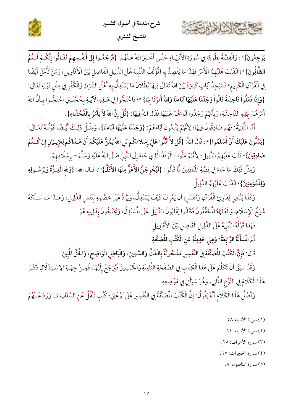





يَرْجِعُونَ}"، وَالْقِصَّةُ بِطُوفِا فِي سُورَةِ الْأَنْبِيَـاءِ حَتَّـى أَخْبَرَ اللهُ عَـنْهُمْ: {فَرَجَعُوا إِلَى أَنفُسِهِمْ فَقَـالُوا إِنَّكُـمْ أَنـتُمُ ا**لظَّالُونَ}**"؛ انْقَلَبَ عَلَيْهِمُ الْأَمْرُ فَهَذَا مَا يَقْصِدُ بِهِ الْمُؤَلِّفُ التَّنْبِيهَ عَلَى الدَّلِيلِ الْفَاصِلِ بَيْنَ الْأَقَاوِيل، وَمَنْ تَأَمَّلَ أَيْضًا فِي الْقُرْآنِ الْكَرِيمِ؛ فَسَيَجِدُ آيَاتٍ كَثِيرَةً بَيَّنَ اللهُ تَعَالَى فِيهَا بُطْلَانَ مَا يَسْتَدِلُّ بِهِ أَهْلُ الشِّرْكِ وَالْكُفْرِ فِي مِثْل قَوْلِهِ تَعَالَى: {وَإِذَا فَعَلُواْ فَاحِشَةً قَالُواْ وَجَدْنَا عَلَيْهَا آبَاءنَا وَاللهُ أَمَرَنَا بِهَا}"؛ فَاحْتَجُّوا فِي هَــٰذِهِ الْآيَـةِ بِحُجَّتَـيْنِ احْتَجُّـوا بِـأَنَّ اللهَ أَمَرَهُمْ بِهَذِهِ الْفَاحِشَةِ، وَبِأَنَّهُمْ وَجَدُوا آبَاءَهُمْ عَلَيْهَا فَقَالَ اللهُ فِيهَا: {قُلْ إِنَّ اللهَ لاَ يَأْمُرُ بِالْفَحْشَاءِ}.

أَمَّا الثَّانِيَةُ: فَهُمْ صَادِقُونَ فِيهَا؛ لِأَنَّهُمْ يَتَّبِعُونَ آبَاءَهُمْ: {وَجَلْنَا عَلَيْهَا آبَاءنَا}، وَمِثْلُ ذَلِكَ أَيْـضًا قَوْلُـهُ تَعَـالَى: {يَمُنُّونَ عَلَيْكَ أَنْ أَسْلَمُوا}"، قَالَ اللهُ: {قُل لاَّ تَمُنُّوا عَلَىَّ إِسْلامَكُم بَل اللهُ يَمُنُّ عَلَيْكُمْ أَنْ هَـدَاكُمْ لِلإِيـمَانِ إِن كُنـتُمْ صَادِقِينَ}؛ قَلَبَ عَلَيْهِمُ الدَّلِيلَ؛ لِأَنَّهُمْ مَنُّوا –الْوَفْدُ الَّذِي جَاءَ إِلَى النَّبِيِّ صَلَّى اللهُ عَلَيْهِ وَسَلَّمَ– بِإِسْلَامِهِمْ.

وَمِثْلُ ذَلِكَ مَا جَاءَ فِي قِصَّةِ الْمُنَافِقِينَ لَّا قَالُوا: {لَيُخْرِجَنَّ الأَعَزُّ مِنْهَا الأَذَلَّ}' ، قـال الله: {وَلله الْعِـزَّةُ وَلِرَسُـولِهِ وَلِلْمُؤْمِنِينَ}؛ انْقَلَبَ عَلَيْهِمُ الدَّلِيلُ.

وَكَذَا يَنْبَغِي لِقَارِئِ الْقُرْآنِ وَمُفَسِّرِهِ أَنْ يَعْرِفَ كَيْفَ يَسْتَدِلُّ، وَيَرُدُّ عَلَى خَصْمِهِ بِنَفْسِ الدَّلِيلِ، وَهَــذَا مَـا سَــلَكَهُ شَيْخُ الْإِسْلَامِ، وَالْعُلَهَاءُ الْمُحَقِّقُونَ فَكَانُوا يَقْلِبُونَ الدَّلِيلَ عَلَى الْمُسْتَدِلِّ، وَيَخْتَجُّونَ بِدَلِيلِهِ هُوَ.

فَهَذَا قَوْلُهُ التَّنْبِيهُ عَلَى الدَّلِيلِ الْفَاصِلِ بَيْنَ الْأَقَاوِيلِ.

نُمّ المُسْأَلَةُ الرَّابِعَةُ: وَهِيَ حَدِيثُهُ عَنِ الْكُتُبِ المُصَنَّفَةِ.

قَالَ: فَإِنَّ الْكُتُبَ الْمُصَنَّفَةَ فِي التَّفْسِيرِ مَشْحُونَةٌ بِالْغَثِّ وَالسَّمِينِ، وَالْبَاطِلِ الْوَاضِح، وَاخُقِّ الْمُبِينِ.

وَقَدْ سَبَقَ أَنْ تَكَلَّمَ عَلَى هَذَا الْكِتَابِ فِي الصَّفْحَةِ الثَّامِنَةِ وَالْخَمْسِينَ فَيُرْجَعُ إِلَيْهَا، فَمِـنْ جِهَـةِ الِاسْـتِدْلَالِ ذَكَـرَ هَذَا الْكَلَامَ فِي النَّوْعِ الثَّانِي، وَهُوَ سَيَأْتِي فِي مَوْضِعِهِ.

وَأَصْلُ هَذَا الْكَلَامِ أَنَّهُ يَقُولُ: إِنَّ الْكُتُبَ الْمُصَنَّفَةَ فِي التَّفْسِيرِ عَلَى نَوْعَيْنِ؛ كُتُبٍ تَنْقُلُ عَنِ السَّلَفِ مَـا وَرَدَ عَـنْهُمْ

(٣) سورة الأعراف: ٢٨.

(٤) سورة الحجرات: ١٧.

(٥) سورة المنافقون: ٨.

<sup>(</sup>١) سورة الأنبياء:٥٨.

<sup>(</sup>٢) سورة الأنبياء: ٦٤.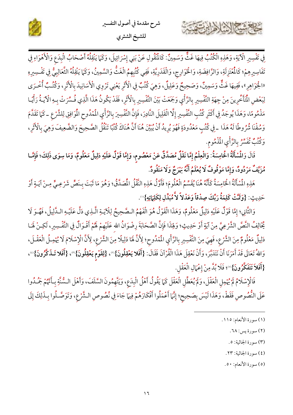





ِ<br>فِي تَفْسِيرِ الْآيَةِ، وَهَذِهِ الْكُتُبُ فِيهَا غَثٌّ وَسَمِينٌّ: كَالْمُنْقُولِ عَنْ بَنِي إِسْرَائِيلَ، وَكَمَا يَنْقِلُهُ أَصْحَابُ الْبِدَعِ وَالْأَهْوَاءِ فِي تَفَاسِيرِهِمْ؛ كَالْمُعْتَزِلَةِ، وَالرَّافِضَةِ، وَالْحَوَارِجِ، وَالْقَدَرِيَّةِ، فَفِي كُتُبِهِمُ الْغَثُّ وَالسَّمِينُ، وَكَمَا يَنْقِلُهُ الثَّعَالِبِيُّ فِي تَفْسِيرِهِ «الجُوَاهِرِ»، فَفِيهَا غَثٌّ وَسَمِينٌ، وَصَحِيحٌ وَعَلِيلٌ، وَهِيَ كُتُبٌ فِي الْأَثَرِ يَعْنِي تَرْوِي الْأَسَانِيدَ بِالْأَثَرِ، وَكُتُبٌ أُخْرَى لِبَعْضِ الْمَتَأَخّْرِينَ مِنْ جِهَةِ التَّفْسِيرِ بِالرَّأْيِ وَجَمَعْتْ بَيْنَ التَّفْسِيرِ بِالْأَثَرِ، فَقَدْ يَكُونُ هَذَا الَّذِي فُسِّرَتْ بِـهِ الْآيَـةُ رَأْيَـا مَذْمُومًا، وَهَذَا يُوجَدُ فِي أَكْثَرِ كُتُبِ التَّفْسِيرِ إِلَّا الْقَلِيلَ النَّادِرَ، فَإِنَّ التَّفْسِيرَ بِالرَّأْيِ الْمُدُوحِ الْمُوَافِقِ لِلشَّرْعِ ـ كَمَا تَقَدَّمَ وَسُقْنَا شُرُوطًا لَهُ هَذَا \_فِي كُتُبٍ مَعْدُودَةٍ فَهُوَ يُرِيدُ أَنْ يُبَيِّنَ هُنَا أَنَّ هُنَاكَ كُتُبًا تَنْقُلُ الصَّحِيحَ وَالضَّعِيفَ وَهِيَ بِالْأَثَرِ، وَكُتُبٌ تُفَسِّرُ بِالرَّأْيِ الْمُذْمُومِ.

قَالَ وَالْمُسْأَلَةُ الْخَامِسَةُ: وَالْعِلْمُ إِمَّا نَقْلٌ مُصَدَّقٌ عَنْ مَعْصُومٍ، وَإِمَّا قَوْلٌ عَلَيْهِ دَلِيلٌ مَعْلُومٌ، وَمَا سِوَى ذَلِكَ؛ فَإِمَّـا مُزَيَّفٌ مَرْدُودٌ، وَإِمَّا مَوْقُوفٌ لَا يُعْلَمُ أَنَّهُ بَهْرَجٌ وَلَا مَنْقُودٌ.

هَذِهِ الْمُسْأَلَةُ الْخَامِسَةُ كَأَنَّهُ هُنَا يُقَسِّمُ الْعُلُومَ؛ فَأَوَّلُ هَذِهِ النَّقْلُ المُصَدَّقُ؛ وَهُوَ مَا ثَبَتَ بِـنَصِّ شَرْعِـيٍّ مِـنْ آيَـةٍ أَوْ حَدِيثٍ: {وَثَمَّتْ كَلِمَةُ رَبِّكَ صِدْقاً وَعَدْلاً لاَّ مُبَدِّلِ لِكَلِمَاتِهِ}''.

وَالثَّانِي؛ إِمَّا قَوْلٌ عَلَيْهِ دَلِيلٌ مَعْلُومٌ، وَهَذَا الْقَوْلُ هُوَ الْفَهْمُ الصَّحِيحُ لِلْآيةِ الَّذِي دَلَّ عَلَيْهِ الـدَّلِيلُ، فَهُـوَ لَا يُخَالِفُ النَّصَّ الشَّرْعِيَّ مِنْ آيَةٍ أَوْ حَدِيثٍ؛ وَلِهَذَا فَإِنَّ الصَّحَابَةَ رِضْوَانُ الله عَلَيْهِمْ لَهُمْ أَقْـوَالٌ فِي التَّفْـسِيرِ، لَكِـنْ لَهَـا دَلِيلٌ مَعْلُومٌ مِنَ الشَّرْعِ، فَهِيَ مِنَ التَّفْسِيرِ بِالرَّأْيِ الْمُدُوحِ؛ لِأَنَّ لَهَا دَلِيلًا مِنَ الشَّرْعِ، لِأَنَّ الْإِسْلَامَ لَا يُهْمِـلُ الْعَقْـلَ، وَاللهُ تَعَالَى قَدْ أَمَرَنَا أَنْ نَتَدَبَّرَ، وَأَنْ نَعْقِلَ هَذَا الْقُرْآنَ فَقَالَ: {أَفَلا يَعْقِلُونَ}"، {لِقَوْم يَعْقِلُونَ}"، {أَفَلا تَـذَكَّرُونَ}"، {أَفَلاَ تَتَفَكَّرُونَ}"؛ فَلَا بُدَّ مِنْ إِعْمَالِ الْعَقْلِ.

فَالْإِسْلَامُ لَمْ يُهْمِلِ الْعَقْلَ، وَلَمْ يُعَطِّلِ الْعَقْلَ كَمَا يَقُولُ أَهْلُ الْبِدَعِ، وَيَتَّهِمُونَ السَّلَفَ، وَأَهْلَ السُّنَّةِ بِأَنَّهُمْ جَمْدُوا عَلَى النُّصُوصِ فَقَطْ، وَهَذَا لَيْسَ بِصَحِيحٍ؛ إِنَّهَا أَعْمَلُوا أَفْكَارَهُمْ فِيهَا جَاءَ فِي نُصُوصِ الـشَّرْعِ، وَتَوَصَّـلُوا بِـذَلِكَ إِلَى

- (٢) سورة يس: ٦٨.
- (٣) سورة الجاثية: ٥.
- (٤) سورة الجاثية: ٢٣.

(٥) سورة الأنعام: ٥٠.

<sup>(</sup>١) سورة الأنعام: ١١٥.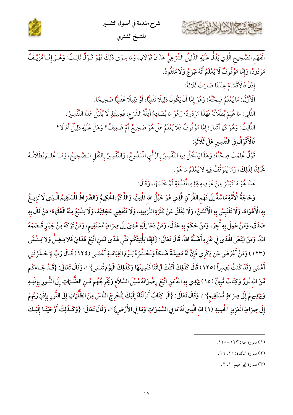



الْفَهْمِ الصَّحِيحِ الَّذِي يَدُلُّ عَلَيْهِ الدَّلِيلُ الشَّرْعِيُّ هَذَانَ قَوْلَانِ، وَمَا سِوَى ذَلِكَ فَهُوَ قَـوْلٌ ثَالِثٌ: وَهُـوَ إِمَّـا مُزَيَّـفٌ مَرْدُودٌ، وَإِمَّا مَوْقُوفٌ لَا يُعْلَمُ أَنَّهُ بَهْرَجٌ وَلَا مَنْقُودٌ.

إِذَنْ فَالْأَقْسَامُ عِنْدَنَا صَارَتْ ثَلَاثَةً:

حشيج الأزادان

الْأَوَّلُ: مَا يُعْلَمُ صِحَّتُهُ؛ وَهُوَ إِمَّا أَنْ يَكُونَ دَلِيلًا نَقْلِيًّا، أَوْ دَلِيلًا عَقْلِيًّا صَحِيحًا.

الثَّانِي: مَا عُلِمَ بُطْلَانُهُ فَهَذَا مَرْدُودٌ؛ وَهُوَ مَا يُصَادِمُ أَدِلَّةَ الشَّرْعِ، فَحِينَئِذٍ لَا يُقْبَلُ هَذَا التَّفْسِيرُ.

الثَّالِثُ: وَهُوَ كَمَا أَشَارَ؛ إِمَّا مَوْقُوفٌ فَلَا يُعْلَمُ هَلْ هُوَ صَحِيحٌ أَمْ ضَعِيفٌ؟ وَهَلْ عَلَيْهِ دَلِيلٌ أَمْ لَا؟

فَالْأَقْوَالُ فِي التَّفْسِيرِ عَلَى ثَلَاثَةٍ:

قَوْلٌ عُلِمَتْ صِحَّتُهُ؛ وَهَذَا يَدْخُلُ فِيهِ التَّفْسِيرُ بِالرَّأْيِ الْمُدُوحُ، وَالتَّفْسِيرُ بِالنَّقْلِ الـصَّحِيحُ، وَمَـا عُلِـمَ بُطْلَانُـهُ ثْخَالِفًا لِذَلِكَ، وَمَا يُتَوَقَّفُ فِيهِ لَا يُعْلَمُ مَا هُوَ.

هَذَا هُوَ مَا تَيَسَّرَ مِنْ عَرْضِهِ لِهَذِهِ الْمُقَدِّمَةِ ثُمَّ خَتَمَهَا، وَقَالَ:

وَحَاجَةُ الْأُمَّةِ مَاسَّةٌ إِلَى فَهْمِ الْقُرْآنِ الَّذِي هُوَ حَبْلُ الله الْمَتِينُ، وَالذِّكْرُ،اخُكِيمُ وَالصِّرَاطُ المُسْتَقِيمُ الَّـذِي لَا تَزِيـغُ بِهِ الْأَهْوَاءُ، وَلَا تَلْتَبِسُ بِهِ الْأَلْسُنُ، وَلَا يَخْلَقُ عَنْ كَثْرَةِ التَّرْدِيدِ، وَلَا تَنْقَضِي عَجَائِبُهُ، وَلَا يَشْبَعُ مِنْهُ الْعُلَمَاءُ؛ مَنْ قَالَ بِهِ صَدَقَ، وَمَنْ عَمِلَ بِهِ أُجِرَ، وَمَنْ حَكَمَ بِهِ عَدَلَ، وَمَنْ دَعَا إلَيْهِ هُدِيَ إلَى صِرَاطٍ مُسْتَقِيم، وَمَنْ تَرَكَهُ مِنْ جَبَّارٍ قَـصَمَهُ اللهُ، وَمَنْ ابْتَغَى الْهُدَى فِي غَيْرِهِ أَضَلَّهُ اللهُ، قَالَ تَعَالَى: {فَإِمَّا يَأْتِيَنَّكُم مِّنِّي هُدًى فَمَنِ اتَّبَعَ هُدَايَ فَلا يَـضِلُّ وَلا يَـشْقَى (١٢٣) وَمَنْ أَعْرَضَ عَن ذِكْرِي فَإِنَّ لَهُ مَعِيشَةً ضَنكاً وَنَحْشُرُهُ يَـوْمَ الْقِيَامَـةِ أَعْمَـى (١٢٤) قَـالَ رَبِّ لِمَحَـشَرْتَنِي أَعْمَى وَقَدْ كُنتُ بَصِيراً (١٢٥) قَالَ كَذَلِكَ أَتَتْكَ آيَاتُنَا فَنَسِيتَهَا وَكَذَلِكَ الْيَوْمَ تُنسَى}'''، وَقَالَ تَعَالَى: {قَـدْ جَـاءكُم مِّنَ اللهِ نُورٌ وَكِتَابٌ مُّبِينٌ (١٥) يَهْدِي بِهِ اللهُ مَنِ اتَّبَعَ رِضْوَانَهُ سُبُلَ السَّلاَم وَيُخْرِجُهُم مِّـنِ الظُّلُّـمَاتِ إِلَى النُّـورِ بِإِذْنِـهِ وَيَهْدِيهِمْ إِلَى صِرَاطٍ مُّسْتَقِيمٍ}"، وَقَالَ تَعَالَى: {الَر كِتَابٌ أَنزَلْنَاهُ إِلَيْكَ لِتُخْرِجَ النَّاسَ مِنَ الظُّلُمَاتِ إِلَى النُّورِ بِإِذْنِ رَبِّهِمْ إِلَى صِرَاطِ الْعَزِيزِ الْحُمِيدِ (١) الله الَّذِي لَهُ مَا فِي السَّمَوَاتِ وَمَا فِي الأَرْضِ}"، وَقَالَ تَعَالَى: {وَكَـذَلِكَ أَوْحَيْنَـا إِلَيْـكَ

(٣) سورة إبراهيم: ١، ٢.

<sup>(</sup>١) سورة طه: ١٢٣-١٢٥.

<sup>(</sup>٢) سورة المائدة: ١٥، ١٦.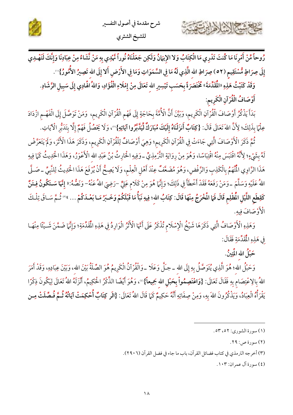





رُوحاً مِّنْ أَمْرِنَا مَا كُنتَ تَدْرِي مَا الْكِتَابُ وَلا الإِيمَانُ وَلَكِن جَعَلْنَاهُ نُوراً نَّهْدِي بِهِ مَنْ نَّشَاءُ مِنْ عِبَادِنَا وَإِنَّكَ لَتَهْدِي إِلَى صِرَاطٍ مُّسْتَقِيم (٥٢) صِرَاطِ الله الَّذِي لَهُ مَا فِي السَّمَوَاتِ وَمَا فِي الأَرْضِ أَلا إِلَى الله تَصِيرُ الأُمُورُ}'".

وَقَدْ كَتَبْتُ هَذِهِ «الْمُقَدِّمَةَ» مُخْتَصَرَةً بِحَسَبِ تَيْسِيرِ الله تَعَالَى مِنْ إِمْلَاءِ الْفُؤَادِ، وَاللهُ الْهَادِي إِلَى سَبِيلِ الرَّشَادِ. أَوْصَافُ الْقُرْآنِ الْكَرِيمِ:

بَدَأَ يَذْكُرُ أَوْصَافَ الْقُرْآنِ الْكَرِيمِ، وَبَيَّنَ أَنَّ الْأُمَّةَ بِحَاجَةٍ إِلَى فَهْمِ الْقُرْآنِ الْكَرِيمِ، وَمَنْ تَوَصَّلَ إِلَى الْفَهْـمِ ازْدَادَ عِلْمًا بِذَلِكَ؛ لِأَنَّ اللهَ تَعَالَى قَالَ: {كِتَابٌ أَنزَلْنَاهُ إِلَيْكَ مُبَارَكٌ لِّيَدَّبَّرُوا آيَاتِهِ}"، وَلَا يَحْصُلُ فَهْمٌ إِلَّا بِتَدَبَّرِ الْآيَاتِ.

نُّمَّ ذَكَرَ الْأَوْصَافَ الَّتِي جَاءَتْ فِي الْقُرْآنِ الْكَرِيم؛ وَهِيَ أَوْصَافٌ لِلْقُرْآنِ الْكَرِيم، وَذَكَرَ هَذَا الْأَثَرَ، وَلَمْ يَتَعَرَّضْ لَهُ بِشَيْءٍ؛ لِأَنَّهُ اقْتَبَسَ مِنْهُ اقْتِبَاسًا، وَهُوَ مِنْ رِوَايَةِ التَّرْمِذِيِّ ـ وَفِيهِ الْحَارِثُ بْنُ عَبْدِ الله الْأَعْوَرُ، وَهَذَا الْحَدِيثُ كَمَا فِيهِ هَذَا الزَّاوِي الْمُتَّهَمُ بِالْكَذِبِ وَالرَّفْضِ، وَهُوَ مُضَعَّفٌ عِنْدَ أَهْلِ الْعِلْمِ، وَلَا يَصِحُّ أَنْ يُرْفَعَ هَذَا الْحَدِيثُ لِلنَّبِيِّ ـ صَلَّى اللهُ عَلَيْهِ وَسَلَّمَ ـ وَمَنْ رَفَعَهُ فَقَدْ أَخْطَأَ فِي ذَلِكَ؛ وَإِنَّهَا هُوَ مِنْ كَلَامٍ عَلِيٍّ –رَضِيَ اللهُ عَنْهُ– وَنَصُّهُ:« إِنَّهَا سَـتَكُونُ فِـتَنٌ كَقِطَعِ اللَّيْلِ الْمُظْلِمِ قَالَ فَمَا الْمُخْرَجُ مِنْهَا قَالَ: كِتَابُ الله؛ فِيهِ نَبَأُ مَا قَبْلَكُمْ وَخَبَرُ مَـا بَعْـدَكُمْ ... »" ثُـمَّ سَـاقَ تِلْـكَ الْأَوْصَافَ فِيهِ.

وَهَذِهِ الْأَوْصَافُ الَّتِي ذَكَرَهَا شَيْخُ الْإِسْلَامِ تُذْكَرُ عَلَى أَنَّهَا الْأَثْرُ الْوَارِدُ فِي هَذِهِ الْمُقَدِّمَةِ؛ وَإِنَّهَا ضَمَّنَ شَـيْئًا مِنْهَـا فِي هَذِهِ الْمُقَدِّمَةِ فَقَالَ:

حَبْلُ الله المُتِينُ.

كاحشة الشاهايرج

وَحَبْلُ الله؛ هُوَ الَّذِي يُتَوَصَّلُ بِهِ إِلَى الله ــ جـلَّ وَعَلَا ــ وَالْقُرْآنُ الْكَرِيمُ هُوَ الصِّلَةُ بَيْنَ الله، وَبَيْنَ عِبَادِهِ، وَقَدْ أَمَرَ اللهُ بِالِاعْتِصَامِ بِهِ فَقَالَ تَعَالَى: {وَ<mark>اعْتَصِمُواْ بِحَبْلِ الله جَمِيعاً}</mark>''، وَهُوَ أَيْضًا الذِّكْرُ الْحَكِيمُ، أَنْزَلَهُ اللهُ تَعَالَى لِيَكُونَ ذِكْرًا يَقْرَأُهُ الْعِبَادُ، وَيَذْكُرُونَ اللهَ بِهِ، وَمِنْ صِفَاتِهِ أَنَّهُ حَكِيمٌ كَمَا قَالَ اللهُ تَعَالَى: {الَر كِتَابٌ أُحْكِمَتْ آيَاتُهُ ثُـمَّ فُـصِّلَتْ مِـن

(٤) سورة آل عمران: ١٠٣.

<sup>(</sup>١) سورة الشوري: ٥٢، ٥٣.

<sup>(</sup>٢) سورة ص: ٢٩.

<sup>(</sup>٣) أخرجه الترمذي في كتاب فضائل القرآن، باب ما جاء في فضل القرآن (٢٩٠٦).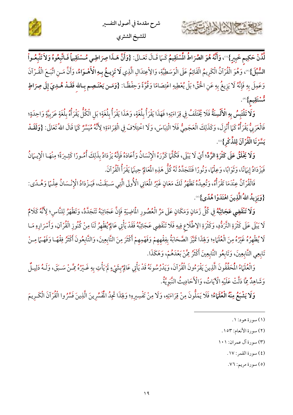



وَلَا تَلْتَبِسُ بِهِ الْأَلْسِنَةُ فَلَا يُخْتَلَفُ فِي قِرَاءَتِهِ؛ فَهَذَا يَقْرَأُ بِلُغَةٍ، وَهَذَا يَقْرَأُ بِلُغَةٍ؛ بَلِ الْكُلُّ يَقْرَأُهُ بِلُغَةٍ عَرَبِيَّةٍ وَاحِدَةٍ؛ فَالْعَرَبِيُّ يَقْرَأُهُ كَمَا أُنْزِلَ، وَكَذَلِكَ الْعَجَمِيُّ فَلَا الْتِبَاسَ، وَلَا اخْتِلَافَ فِي الْقِرَاءَةِ؛ لِأَنَّهُ مُيَسَّرٌ كَمَا قَالَ اللهُ تَعَالَى: {وَلَقَــٰد يَسَّرْنَا الْقُرْآنَ لِلذِّكْرِ}".

وَلَا يَخْلَقُ عَلَى كَثْرَةِ الرَّدِّ؛ أَيْ لَا يَبْلَى، فَكُلَّهَا كَرَّرَهُ الْإِنْسَانُ وَأَعَادَهُ فَإِنَّهُ يَزْدَادُ بِذَلِكَ أُمُورًا كَثِيرَةً؛ مِنْهَـا الْإِيـهَانُ فَيَزْدَادُ إِيهَانًا، وَثَوَابًا، وَعِلْمًا، وَنُورًا فَتَتَجَدَّدُكَهُ كُلُّ هَذِهِ الْمَعَالِمُ حِينَها يَقْرَأُ الْقُرْآنَ.

فَالْقُرْآنُ عِنْدَمَا تَقْرَأُهُ، وَتُعِيدُهُ تَظْهَرُ لَكَ مَعَانٍ غَيْرُ الْمَعَانِي الْأُولَى الَّتِي سَـبَقَتْ، فَيَـزْدَادُ الْإِنْـسَانُ عِلْـمًا وَهُـدًى: {وَيَزِيدُ اللهُ الَّذِينَ اهْتَدَوْا هُدًى}(6).

وَلَا تَنْقَضِي عَجَائِبُهُ فِي كُلِّ زَمَانٍ وَمَكَانٍ عَلَى مَرِّ الْعُصُورِ الْمَاضِيَةِ فَإِنَّ عَجَائِبَهُ تَتَجَدَّدُ، وَتَظْهَرُ لِلنَّاسِ؛ لِأَنَّهُ كَلامٌ لَا يَبْلَى عَلَى كَثْرَةِ التَّرَدُّدِ، وَكَثْرَةِ الِاطَّلَاعِ فِيهِ فَلَا تَنْقَضِي عَجَائِبُهُ فَقَدْ يَأْتِي عَالِمُ يُظْهِرُ لَنَا مِنْ كُنُوزِ الْقُرْآنِ، وَأَسْرَارِهِ مَـا لَا يُظْهِرُهُ غَيْرُهُ مِنَ الْعُلَمَاءِ؛ وَلِهَذَا تَمَيَّزَ الصَّحَابَةُ بِفِقْهِهِمْ وَفَهْمِهِمْ أَكْثَرَ مِنَ التَّابِعِينَ، وَالتَّابِعُونَ أَكْثَرُ فِقْهًـا وَفَهْـمًا مِـنْ تَابِعِي التَّابِعِينَ، وَتَابِعُو التَّابِعِينَ أَكْثَرُ مِمَّنْ بَعْدَهُمْ، وَهَكَذَا.

وَالْعُلَهَاءُ الْمُحَقَّقُونَ الَّذِينَ يَقْرَءُونَ الْقُرْآنَ، وَيَدْرُسُونَهُ قَدْ يَأْتِي عَالِمٌ بِشَيْءٍ لَمْ يَأْتِ بِهِ غَـيْرُهُ مِمَّـنْ سَـبَقَ، وَلَـهُ دَلِيـلٌ وَشَاهِدٌ مِمَّا دَلَّتْ عَلَيْهِ الْآيَاتُ، وَالْأَحَادِيثُ النَّبُويَّةُ.

و**َلَا يَشْبَعُ مِنْهُ الْعُلَيَاءُ**؛ فَلَا يَمَلُّونَ مِنْ قِرَاءَتِهِ، وَلَا مِنْ تَفْسِيرِهِ؛ وَلِهَذَا تَجِدُ الْمُفَسِّرِينَ الَّذِينَ فَسَّرُوا الْقُرْآنَ الْكَـرِيمَ

(٢) سورة الأنعام: ١٥٣.

٢

- (٣) سورة آل عمران: ١٠١
	- (٤) سورة القمر: ١٧.

(٥) سورة مريم: ٧٦.

<sup>(</sup>١) سورة هود: ١.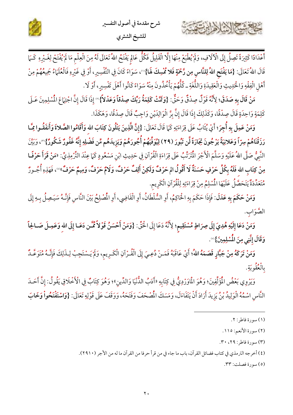



مَنْ قَالَ بِهِ صَدَقَ؛ لِأَنَّهُ قَوْلٌ صِدْقٌ وَحَقٌّ: {وَمَّتَتْ كَلِمَةُ رَبِّكَ صِدْقاً وَعَدْلاً} " إِذَا قَالَ إِنَّ اجْتِهَاعَ الْمُسْلِمِينَ عَـلَى كَلِمَةٍ وَاحِدَةٍ قَالَ صِدْقًا، وَكَذَلِكَ إِذَا قَالَ إِنَّ بِرَّ الْوَالِدَيْنِ وَاجِبٌ قَالَ صِدْقًا، وَهَكَذَا.

وَمَنْ عَمِلَ بِهِ أُجِرَ؛ أَيْ يُثَابُ عَلَى قِرَاءَتِهِ كَمَا قَالَ تَعَالَى: {إِنَّ الَّذِينَ يَتْلُونَ كِتَابَ الله وَأَقَامُوا الصَّلاةَ وَأَنفَقُـوا مِمَّـا رَزَقْنَاهُمْ سِرّاً وَعَلانِيَةً يَرْجُونَ تِجَارَةً لَّن تَبُورَ (٢٩) لِيُوَفِّيَهُمْ أُجُورَهُمْ وَيَزِيدَهُم مِّن فَضْلِهِ إِنَّهُ غَفُورٌ شَكُورٌ}'"، وَبَيَّنَ النَّبِيُّ صَلَّى اللهُ عَلَيْهِ وَسَلَّمَ الْأَجْرَ الْمُتَرَمِّّبُ عَلَى قِرَاءَةِ الْقُرْآنِ فِي حَدِيثِ ابْنِ مَسْعُودٍ كَمَا عِنْدَ التِّرْمِذِيِّ: «مَنْ قَرَأَ حَرْفًـا مِنْ كِتَابِ الله فَلَهُ بِكُلِّ حَرْفٍ حَسَنَةٌ لَا أَقُولُ الم حَرْفٌ وَلَكِنْ أَلِفٌ حَرْفٌ، وَلامٌ حَرْفٌ، وَمِيمٌ حَرْفٌ» ، فَهَذِهِ أُجُـورٌ مُتَعَدِّدَةٌ يَتَحَصَّلُ عَلَيْهَا الْمُسْلِمُ مِنْ قِرَاءَتِهِ لِلْقُرْآنِ الْكَرِيم.

وَمَنْ حَكَمَ بِهِ عَدَلَ: فَإِذَا حَكَمَ بِهِ الْحَاكِمُ، أَوِ السُّلْطَانُ، أَوِ الْقَاضِي، أَوِ المُصْلِحُ بَيْنَ النَّاسِ فَإِنَّـهُ سَيَـصِلُ بِـهِ إِلَى الصَّوَابِ.

وَمَنْ دَعَا إِلَيْهِ هُدِيَ إِلَى صِرَاطٍ مُسْتَقِيمٍ؛ لِأَنَّهُ دَعَا إِلَى اخْتٍّ: {وَمَنْ أَحْسَنُ قَوْلاً مِّمَّن دَعَـا إِلَى اللهِ وَعَمِـلَ صَـالحِاً وَقَالَ إِنَّنِي مِنَ الْمُسْلِمِينَ}®.

وَمَنْ تَرَكَهُ مِنْ جَبَّارٍ قَصَمَهُ اللهُ؛ أَيْ عَاقَبَهُ فَمَـنْ دُعِـيَ إِلَى الْقُـرْآنِ الْكَـرِيمِ، وَلَمْ يَـسْتَجِبْ لِـذَلِكَ فَإِنَّـهُ مُتَوَعَّـدٌ و<u>وو</u><br>بالعقوبةِ.

وَيَرْوِي بَعْضُ الْمُؤَلِّفِينَ؛ وَهُوَ الْمَاوَرْدِيُّ فِي كِتَابِهِ «أَدَبُ الدُّنْيَا وَالدِّينِ»؛ وَهُوَ كِتَابٌ فِي الْأَخْلَاقِ يَقُولُ: إِنَّ أَحَـدَ النَّاسِ اسْمُهُ الْوَلِيدُ بْنُ يَزِيدَ أَرَادَ أَنْ يَتَفَاءَلَ، وَمَسَكَ الْمُصْحَفَ وَفَتَحَهُ، وَوَقَفَ عَلَى قَوْلِهِ تَعَالَى: {وَاسْتَفْتَحُواْ وَخَابَ

كاحمشة الشاهام تخد

- (٣) سورة فاطر: ٢٩، ٣٠.
- (٤) أخرجه الترمذي في كتاب فضائل القرآن، باب ما جاء في من قرأ حرفا من القرآن ما له من الأجر (٢٩١٠).

(٥) سورة فصلت: ٣٣.

<sup>(</sup>١) سورة فاطر: ٢.

<sup>(</sup>٢) سورة الأنعم: ١١٥.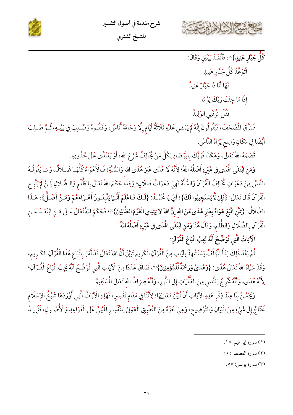

للشيخ الشثري

شرح مقدمة في أصول التفسير

ر<br>كُلُّ جَبَّارِ عَنِيدٍ}'''، فَأَنْشَدَ بَيْتَيْنِ وَقَالَ:

أَتَوَعَّدَ كُلَّ جَبَّارِ عَنِيدٍ

فَهَا أَنَا ذَا جَبَّارٌ عَنِيدٌ

إِذَا مَا جِئْتَ رَبَّكَ يَوْمًا

فَقُلْ مَزَّقَنِي الوَلِيدُ

فَمَزَّقَ الْمُصْحَفَ، فَيَقُولُونَ إِنَّهُ لَمْ يَمْضِ عَلَيْهِ ثَلَاثَةُ أَيَّامٍ إِلَّا وَجَاءَهُ أُنَاسٌ، وَقَتَلُوهُ وَصُـلِبَ فِي بَيْتِهِ، ثُـمَّ صُـلِبَ أَيْضًا فِي مَكَانٍ وَاسِعٍ يَرَاهُ النَّاسُ.

قَصَمَهُ اللهُ تَعَالَى، وَهَكَذَا فَرَبُّكَ بِالْمِرْصَادِ لِكُلِّ مَنْ يُخَالِفُ شَرْعَ الله، أَوْ يَعَتَدَّى عَلَى حُدُودِهِ.

وَمَنِ ابْتَغَى الْهُدَى فِي غَيْرِهِ أَضَلَّهُ اللهُ؛ لِأَنَّهُ لَا هُدَى غَيْرَ هُدَى الله وَالسُّنَّةِ؛ فَـالْأَهْوَاءُ كُلُّهَـا ضَـلَالٌ، وَمَـا يَقُولُـهُ النَّاسُ مِنْ دَعَوَاتٍ ثْخَالِفُ الْقُرْآنَ وَالسُّنَّةَ فَهِيَ دَعَوَاتُ ضَلَالٍ؛ وَلِهَذَا حَكَمَ اللهُ تَعَالَى بِالظُّلْمِ وَالـضَّلَالِ لَمِـنْ لَمْ يَتَّبِـع الْقُرْآنَ قَالَ تَعَالَى: {فَإِن لَّمْ يَسْتَجِيبُوا لَكَ}؛ أَيْ يَا مُحَمَّدُ: {لَمكَ فَـاعْلَمْ أَنَّـمَا يَتَّبِعُـونَ أَهْـوَاءهُمْ وَمَـنْ أَضَـلُّ}؛ هَـذَا الضَّلَالُ: {يُمَّنِ اتَّبَعَ هَوَاهُ بِغَيْرِ هُدًى مِّنَ الله إِنَّ اللهَ لا يَهْدِي الْقَوْمَ الظَّالِينَ}'"؛ فَحَكَمَ اللهُ نَعَالَى عَـلَى مَـنِ ابْتَعَــدَ عَـنِ الْقُرْآنِ بِالضَّلَالِ وَالظُّلْمِ، وَقَالَ هُنَا وَمَنِ ابْتَغَى الْهُدَى فِي غَيْرِهِ أَضَلَّهُ اللهُ.

الْآيَاتُ الَّتِي تُوَضِّحُ أَنَّهُ يَجِبُ اتِّبَاعُ الْقُرْآنِ:

ثُمَّ بَعْدَ ذَلِكَ بَدَأَ الْمَوَلِّفُ يَسْتَشْهِدُ بِآيَاتٍ مِنْ الْقُرْآنِ الْكَرِيمِ تَبَيَّنَ أَنَّ اللهَ تَعَالَى قَدْ أَمَرَ بِاتِّبَاعِ هَذَا الْقُرْآنِ الْكَـرِيمِ، وَقَدْ سَمَّاهُ اللهُ تَعَالَى هُدًى: {وَهُدىً وَرَحْمَةٌ لِّلْمُؤْمِنِينَ}'"، فَسَاقَ عَدَدًا مِنَ الْآيَاتِ الَّتِي تُوَضِّحُ أَنَّهُ يَجِبُ اتِّبَاعُ الْقُـرْآنِ؛ لِأَنَّهُ هُدًى، وَأَنَّهُ مُخْرِجٌ لِلنَّاسِ مِنَ الظُّلُمَاتِ إِلَى النُّورِ، وَأَنَّهُ صِرَاطُ الله تَعَالَى المُسْتَقِيمُ.

وَيَحْسُنُ بِنَا عِنْدَ ذِكْرِ هَذِهِ الْآيَاتِ أَنْ نُبَيِّنَ مَعَانِيَهَا؛ لِأَنَّنَا فِي مَقَامٍ تَفْسِيرٍ، فَهَذِهِ الْآيَاتُ الَّتِي أَوْرَدَهَا شَيْخُ الْإِسْلَامِ تَحْتَاجُ إِلَى شَيْءٍ مِنَ الْبَيَانِ وَالتَّوْضِيحِ، وَهِيَ جُزْءٌ مِنَ التَّطْبِيقِ الْعَمَلِيِّ لِلتَّفْسِيرِ الْمُبْنِيِّ عَلَى الْقَوَاعِدِ وَالْأُصُـولِ، فَنُرِيـدُ

- (١) سورة إبراهيم: ١٥.
- (٢) سورة القصص: ٥٠.
	- (٣) سورة يونس: ٥٧.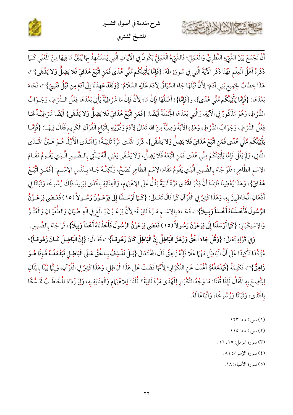





ذَكَرَهُ أَهْلُ الْعِلْمِ فَهُنَا ذَكَرَ الْآيَةَ الَّتِي فِي سُورَةِ طَهَ: {فَإِمَّا يَأْتِيَنَّكُم مِّنِّي هُدًى فَمَن اتَّبَعَ هُدَايَ فَلا يَضِلُّ وَلا يَشْقَى}'') هَذَا خِطَابٌ لِجَمِيع بَنِي آدَمَ؛ لِأَنَّ قَبْلَهَا جَاءَ السِّيَاقُ لِآدَمَ عَلَيْهِ السَّلَامُ: {و**َلَقَدْ عَهِدْنَا إِلَى آدَمَ مِن قَبْلُ فَنَسِيَ}**"، فَجَاءَ بَعْدَهَا: {فَإِمَّا يَأْتِيَنَّكُم مِّنِّي هُدًى}، و{فَإِمَّا}؛ أَصْلُهَا فَإِنَّ مَاا: لِأَنَّ فَإِنَّ مَا شَرْطِيَّةٌ يَأْتِي بَعْدَهَا فِعْلُ الـشَّرْطِ، وَجَـوَابُ الشَّرْطِ، وَهُوَ مَذْكُورٌ فِي الْآيَةِ، وَالَّتِي بَعْدَهَا الْجُمْلَةُ أَيْضًا: {فَمَنِ اتَّبَعَ هُدَايَ فَلا يَضِلُّ وَلا يَشْقَى} أَيْضًا شَرْطِيَّةٌ لَهَـا فِعْلُ الشَّرْطِ، وَجَوَابُ الشَّرْطِ، وَهَذِهِ الْآيَةُ وَصِيَّةٌ مِنَ الله تَعَالَى لِآدَمَ وَذُرِّيَّتِهِ بِاتِّبَاعِ الْقُرْآنِ الْكَرِيم فَقَالَ فِيهَـا: {فَإِمَّـا يَأْتِيَنَّكُم مِّنِّي هُدًى فَمَنِ اتَّبَعَ هُدَايَ فَلا يَضِلُّ وَلا يَشْقَى}، كَرَّرَ اهْٰدَى مَرَّةً ثَانِيَـةً؛ وَالْهُدَى الْأَوَّلُ هُـوَ عَـيْنُ الْهُدَى الثَّانِي، وَلَمْ يَقُلْ فَإِمَّا يَأْتِيَنَّكُمْ مِنِّي هُدًى فَمَنِ اتَّبَعَهُ فَلَا يَضِلُّ، وَلَا يَشْقَى يَعْنِي أَنَّهُ يَـأْتِي بِالـضَّمِيرِ الَّـذِي يَقُـومُ مَقَـامَ الِإِسْمِ الظَّاهِرِ، فَلَوْ جَاءَ بِالضَّمِيرِ الَّذِي يَقُومُ مَقَامَ الِإِسْمِ الظَّاهِرِ لَصَحَّ، وَلَكِنَّهُ جَـاءَ بِـنَفْسِ الِإِسْـم: {فَمَـنِ اتَّبَـعَ هُمَدَايَ}، وَهَذَا يُعْطِينَا فَائِدَةً أَنَّ ذِكْرَ الْهُدَى مَرَّةً ثَانِيَةً يَدُلُّ عَلَى الِاهْتِهَام، وَالْعِنَايَةِ بِالْهُدَى لِيَزِيدَ ذَلِكَ رُسُوخًا وَثَبَاتًا فِي أَذْهَانِ الْمُخَاطَبِينَ بِهِ، وَهَذَا كَثِيرٌ فِي الْقُرْآنِ كَمَا قَالَ تَعَـالَى: {كَـَمَا أَرْسَـلْنَا إِلَى فِرْعَـوْنَ رَسُـولاً (١٥) فَعَـصَى فِرْعَـوْنُ الرَّسُولَ فَأَخَذْنَاهُ أَخْذاً وَبِيلاً}"، فَجَاءَ بِالِاسْمِ مَرَّةً ثَانِيَةً؛ لِأَنَّ فِرْعَـوْنَ بَـالَغَ فِي الْعِـصْيَانِ وَالطُّغْيَـانِ وَالْعُتْوِّ وَالِاسْتِكْبَارِ: {كَمَا أَرْسَلْنَا إِلَى فِرْعَوْنَ رَسُولاً (١٥) فَعَصَى فِرْعَوْنُ الرَّسُولَ فَأَخَذْنَاهُ أَخْذاً وَبِيلاً}، فَمَا جَاءَ بِالضَّمِيرِ.

وَفِي قَوْلِهِ تَعَالَى: {وَقُلْ جَاءَ الْحَقُّ وَزَهَقَ الْبَاطِلُ إِنَّ الْبَاطِلَ كَانَ زَهُوقـاً}"، فَقَـالَ: {إِنَّ الْبَاطِـلَ كَـانَ زَهُوقـاً}؛ مُؤَكِّدًا تَأْكِيدًا عَلَى أَنَّ الْبَاطِلَ مَهْمَا عَلَا فَإِنَّهُ زَاهِقٌ قَالَ اللهُ تَعَالَى {بَـلْ نَقْـلِفُ بِـالْحَقِّ عَـلَى الْبَاطِـلِ فَيَدْمَغُـهُ فَـإِذَا هُـوَ زَاهِقٌ}' ، فَكَلِمَةُ {فَيَدْمَغُهُ} أَغْنَتْ عَنِ التَّكْرَارِ ؛ لِأَتَّهَا قَضَتْ عَلَى هَذَا الْبَاطِلِ، وَهَذَا كَثِيرٌ فِي الْقُرْآنِ، وَإِنَّمَا بَيِّنَا بِالْثَالِ لِيَتَّضِحَ بِهِ الْمَقَالُ فَإِذَا قُلْنَا: مَا وَجْهُ التَّكْرَارِ لِلْهُدَى مَرَّةً ثَانِيَةً؟ قُلْنَا: لِلاهْتِهَام وَالْعِنَايَةِ بِهِ، وَلِيَـزْدَادَ الْمُخَاطَـبُ تَمَسُّكًا بِالْهُدَى، وَثَبَاتًا وَرُسُوخًا، وَاتَّبَاعًا لَهُ.

- (١) سورة طه: ١٢٣.
- (٢) سورة طه: ١١٥.
- (٣) سورة المزمل: ١٦، ١٦.
	- (٤) سورة الإسراء: ٨١.
	- (٥) سورة الأنبياء: ١٨.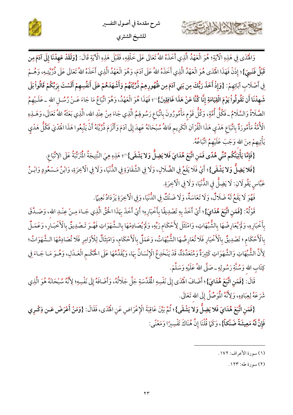



وَالْهُدَى فِي هَذِهِ الْآيَةِ؛ هُوَ الْعَهْدُ الَّذِي أَخَذَهُ اللهُ تَعَالَى عَلَى خَلْقِهِ، فَقَبْلَ هَذِهِ الْآيَةِ قَالَ: {وَلَقَدْ عَهِدْنَا إِلَى آدَمَ مِن قَبْلُ فَنَسِيَ}؛ إِذَنْ فَهَذَا الْهُدَى هُوَ الْعَهْدُ الَّذِي أَخَذَهُ اللهُ عَلَى آدَمَ، وَهُوَ الْعَهْدُ الَّذِي أَخَذَهُ اللهُ تَعَالَى عَلَى ذُرِّيَّتِهِ، وَهُـمْ فِي أَصْلَابِ آبَائِهِمْ: {وَإِذْ أَخَذَ رَبُّكَ مِن بَنِي آدَمَ مِن ظُهُورِهِمْ ذُرِّيَّتَهُمْ وَأَشْهَدَهُمْ عَلَى أَنفُسِهِمْ أَلَسْتَ بِرَبِّكُمْ قَالُواْ بَلَى شَهِدْنَا أَن تَقُولُواْ يَوْمَ الْقِيَامَةِ إِنَّا كُنَّا عَنْ هَذَا غَافِلِينَ}'')؛ فَهَذَا هُوَ الْعَهْدُ، وَهُوَ اتِّبَاعُ مَا جَاءَ عَـنْ رُسُـلِ الله ــ عَلَـيْهِمُ الصَّلَاةُ وَالسَّلَامُ ـ فَكُلُّ أُمَّةٍ، وَكُلُّ قَوْمٍ مَأْمُورُونَ بِاتِّبَاعِ رَسُولِهُمُ الَّذِي جَاءَ مِنْ عِنْدِ اللهِ، الَّذِي بَعَثَهُ اللهُ تَعَالَى، وَهَـذِهِ الْأُمَّةُ مَأْمُورَةٌ بِاتِّبَاعِ هَدْيِ هَذَا الْقُرْآنِ الْكَرِيمِ فَاللهُ سُبْحَانَهُ عَهِدَ إِلَى آدَمَ وَأَلْزَمَ ذُرِّيَّتَهُ أَنْ يَتَّبِعُوا هَذَا الْهَدْيَ فَكُلُّ هَدْيٍ يَأْتِيهِمْ مِنَ الله وَجَبَ عَلَيْهِمُ اتِّبَاعُهُ.

{فَإِمَّا يَأْتِيَنَّكُم مِّنِّي هُدًى فَمَنِ اتَّبَعَ هُدَايَ فَلا يَضِلُّ وَلا يَشْقَى}"؛ هَذِهِ هِيَ النَّتِيجَةُ الْمُرَنِّبَةُ عَلَى الِاتِّبَاعِ.

{فَلا يَضِلُّ وَلا يَشْقَى}؛ أَيْ فَلَا يَقَعُ فِي الضَّلَالِ، وَلَا فِي الشَّقَاوَةِ فِي الدُّنْيَا، وَلَا فِي الْآخِرَةِ، وَابْنُ مَسْعُودٍ وَابْنُ عَبَّاسِ يَقُولَانِ: لَا يَضِلُّ فِي الدُّنْيَا، وَلَا فِي الْآخِرَةِ.

فَهُوَ لَا يَقَعُ لَهُ ضَلَالٌ، وَلَا تَعَاسَةٌ، وَلَا ضَنْكٌ فِي الدُّنْيَا، وَفِي الْآخِرَةِ يَزْدَادُ نَعِيمًا.

قَوْلُهُ: {فَمَنِ اتَّبَعَ هُدَايَ}؛ أَيْ أَخَذَ بِهِ تَصْدِيقًا بِأَخْبَارِهِ؛ أَيْ أَخَذَ بِهَذَا الْحَقِّ الَّذِي جَـاءَ مِـنْ عِنْـدِ الله، وَصَـدَّقَ بِأَخْبَارِهِ، وَلَمْ يُعَارِضْهَا بِالشُّبْهَاتِ، وَامْتَثَلَ لِأَحْكَامِ رَبِّهِ، وَلَمْ يُصَادِمْهَا بِالشَّهَوَاتِ فَهُـوَ تَـصْدِيقٌ بِالْأَخْبَـارِ، وَعَمَـلٌ بِالْأَحْكَامِ ؛ تَصْدِيقٌ بِالْأَخْبَارِ فَلَا تُعَارِضُهَا الشُّبُهَاتُ، وَعَمَلٌ بِالْأَحْكَامِ، وَامْتِثَالٌ لِلْأَوَامِرِ فَلَا تُصَادِمُهَا الشَّهَوَاتُ؛ لِأَنَّ الشُّبُهَاتِ وَالشَّهَوَاتِ كَثِيرَةٌ وَمُتَعَدِّدَةٌ، قَدْ يَنْخَدِعُ الْإِنْسَانُ بِهَا، وَيُقَدِّمُهَا عَلَى الْحُكْـمِ الْعَـدْلِ، وَهُـوَ مَـا جَـاءَ فِي كِتَابِ الله وَسُنَّةِ رَسُولِهِ ــ صَلَّى اللهُ عَلَيْهِ وَسَلَّمَ.

قَالَ: {فَمَنِ اتَّبَعَ هُدَايَ}؛ أَضَافَ الْهُدَى إِلَى نَفْسِهِ الْمُقَدَّسَةِ جَلَّ جَلَالُهُ، وَأَضَافَهُ إِلَى نَفْسِهِ؛ لِأَنَّهُ سُبْحَانَهُ هُوَ الَّذِي شَرَعَهُ لِعِبَادِهِ، وَلِأَنَّهُ الْمُوَصِّلُ إِلَى الله تَعَالَى.

{فَمَنِ اتَّبَعَ هُدَايَ فَلا يَضِلُّ وَلا يَشْقَى}؛ ثُمَّ بَيَّنَ عَاقِبَةَ الْإِعْرَاضِ عَنِ الْمُدَى، فَقَالَ: {وَمَنْ أَعْرَضَ عَـن ذِكْـرِي فَإِنَّ لَهُ مَعِيشَةً ضَنْكاً}، وَكَمَا قُلْنَا إِنَّ هُنَاكَ تَفْسِيرًا وَمَعْنًى:

(١) سورة الأعراف: ١٧٢.

حشيج الشاهاين

(٢) سورة طه: ١٢٣.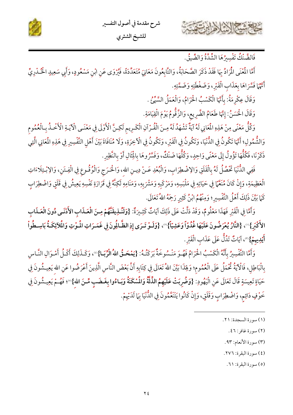



فَالضَّنْكُ تَفْسِيرُهَا الشُّدَّةُ وَالضَّيقُ.

أَمَّا الْمُنْى الْمَرَادُ بِهَا فَقَدْ ذَكَرَ الصَّحَابَةُ، وَالتَّابِعُونَ مَعَانِيَ مُتَعَدِّدَةً، فَيُرْوَى عَنِ ابْنِ مَسْعُودٍ، وَأَبِي سَعِيدٍ الْخُـدْرِيِّ أَنَّهُمْ فَسَّرَاهَا بِعَذَابِ الْقَبْرِ، وَضَغْطَتِهِ وَضَمَّتِهِ.

وَقَالَ عِكْرِمَةُ: بِأَنَّهَا الْكَسْبُ الْحَرَامُ، وَالْعَمَلُ السَّيِّئُ .

وَقَالَ الْحَسَنُ: إِنَّهَا طَعَامُ الضَّرِيعِ، وَالزَّقُّومُ يَوْمَ الْقِيَامَةِ.

وَكُلُّ مَعْنًى مِنْ هَذِهِ الْمَانِي لَهُ آيَةٌ تَشْهَدُ لَهُ مِـنَ الْقُـرْآنِ الْكَـرِيم لَكِـنَّ الْأَوْلَى فِي مَعْنَـى الْآيَـةِ الْأَحْـذُ بِـالْعُمُوم وَالشُّمُولِ؛ أَنَّهَا تَكُونُ فِي الدُّنْيَا، وَتَكُونُ فِي الْقَبْرِ، وَتَكُونُ فِي الْآخِرَةِ، وَلَا مُنَافَاةَ بَيْنَ أَهْلِ التَّفْسِيرِ فِي هَذِهِ الْمَانِي الَّتِي ذَكَرْنَا، فَكُلُّهَا تَؤُولُ إِلَى مَعْنًى وَاحِدٍ، وَكُلُّهَا ضَنْكٌ، وَفَسَّرُوهَا بِالْثَالِ أَوْ بِالنَّظِيرِ.

فَفِي الدُّنْيَا تَحْصُلُ لَهُ بِالْقَلَقِ وَالِاضْطِرَابِ، وَالْبُعْدِ عَـنْ دِيـنِ الله، وَالْحَـرَج وَالْوُقُـوعِ فِي الْفِـتَنِ، وَالِإبْـتِلَاءَاتِ الْعَظِيمَةِ، وَإِنْ كَانَ مُنَعَّمَا فِي حَيَاتِهِ فِي مَلْبَسِهِ، وَمَرْكَبِهِ وَمَشْرَبِهِ، وَمَنَامِهِ لَكِنَّهُ فِي قَرَارَةِ نَفْسِهِ يَعِيشُ فِي قَلَقٍ وَاضْطِرَابٍ كَمَا بَيَّنَ ذَلِكَ أَهْلُ التَّفْسِيرِ؛ وَمِنْهُمُ ابْنُ كَثِيرٍ رَجِمَهُ اللهُ تَعَالَى.

وَأَمَّا فِي الْقَبْرِ فَهَذَا مَعْلُومٌ، وَقَدْ دَلَّتْ عَلَى ذَلِكَ آيَاتٌ كَثِيرَةٌ: {وَلَنُـلِيقَنَّهُمْ مِـنَ الْعَـذَابِ الأَدْنَـى دُونَ الْعَـذَابِ الأَكْبَرِ}''، {النَّارُ يُعْرَضُونَ عَلَيْهَا غُدُوّاً وَعَشِيّاً}''، {وَلَـوْ تَـرَى إِذِ الظَّـالِمُونَ فِي غَمَـرَاتِ الْمُوْتِ وَالْملآئِكَـةُ بَاسِـطُواْ أَيْلِيهِمْ}"، آيَاتٌ تَدُلُّ عَلَى عَذَابِ الْقَبْرِ.

وَأَمَّا التَّفْسِيرُ بِأَنَّهُ الْكَسْبُ الْحَرَامُ فَهُوَ مَنْسُوخَةٌ بَرَكَتُهُ: {يَمْحَـقُ اللهُ الْرِّبَـا}"، وَكَـذَلِكَ أَكْـلُ أَمْـوَالِ النَّـاس بِالْبَاطِلِ، فَالْآيَةُ ثُخْمَلُ عَلَى الْعُمُوم؛ وَلِهَذَا بَيَّنَ اللهُ تَعَالَى فِي كِتَابِهِ أَنَّ بَعْضَ النَّاسِ الَّذِينَ أَعْرَضُوا عَنِ الله يَعِيشُونَ فِي حَيَاةٍ تَعِيسَةٍ قَالَ تَعَالَى عَنِ الْيَهُودِ: {وَضُرِبَتْ عَلَيْهِمُ الذِّلَّةُ وَالْمُسْكَنَةُ وَبَـاءُوا بِغَـضَبٍ مِّـنَ الله}®؛ فَهُـمْ يَعِيـشُونَ فِي خَوْفٍ دَائِمٍ، وَاضْطِرَابٍ وَقَلَقٍ، وَإِنْ كَانُوا يَتَنَعَّمُونَ فِي الدُّنْيَا بِمَا لَدَيْهِمْ.

(٤) سورة البقرة: ٢٧٦.

(٥) سورة البقرة: ٦١.

<sup>(</sup>١) سورة السجدة: ٢١.

<sup>(</sup>٢) سورة غافر: ٤٦.

<sup>(</sup>٣) سورة الأنعام: ٩٣.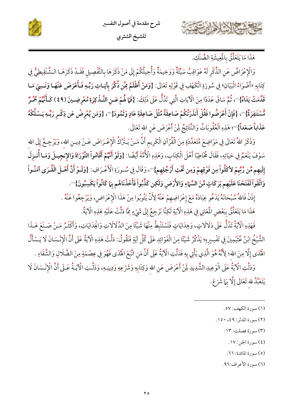



هَذَا مَا يَتَعَلَّقُ بِالْمِيشَةِ الضَّنْكِ.

وَالْإِعْرَاضُ عَنِ الذِّكْرِ لَهُ عَوَاقِبُ سَيِّئَةٌ وَوَخِيمَةٌ وَأُحِيلُكُمْ إِلَى مَنْ ذَكَرَهَا بالتَّفْصِيل فَقَـدْ ذَكَرَهَـا الـشَّنْقِيطِيُّ فِي كِتَابِهِ «أَضْوَاءُ الْبَيَانِ» فِي سُورَةِ الْكَهْفِ فِي قَوْلِهِ تَعَالَى: {وَمَنْ أَظْلَمُ مِمَّن ذُكِّرَ بِآيَـاتِ رَبِّـهِ فَـأَعْرَضَ عَنْهَـا وَنَـسِيَ مَـا قَلَّمَتْ يَدَاهُ}'')، ثُمَّ سَاقَ عَدَدًا مِنَ الْآيَاتِ الَّتِي تَدُلُّ عَلَى ذَلِكَ: {فَمَا هُمْ عَـنِ التَّـذْكِرَةِ مُعْرِضِـينَ (٤٩) كَـأَمَّهُمْ مُحُـرٌ مُّسْتَنِفِرَةٌ}"، {فَإِنْ أَعْرَضُوا فَقُلْ أَنذَرْتُكُمْ صَاعِقَةً مِّثْلَ صَاعِقَةِ عَادٍ وَثَمُودَ}"، {وَمَن يُعْرِضْ عَن ذِكْـرِ رَبِّـهِ يَـسْلُكْهُ عَذَاباً صَعَداً}"؛ هَذِهِ الْعُقُوبَاتُ وَالنَّتَائِجُ لَمِنْ أَعْرَضَ عَنِ الله تَعَالَى.

وَذَكَرَ اللهُ تَعَالَى فِي مَوَاضِعَ مُتَعَدِّدَةٍ مِنَ الْقُرْآنِ الْكَرِيم أَنَّ مَـنْ يَـتْرُكُ الْإِعْـرَاضَ عَـنْ دِيـنِ الله، وَيَرْجِـعُ إِلَى الله سَوْفَ يَنْعَمُ فِي حَيَاتِهِ، فَقَالَ مُخَاطِبًا أَهْلَ الْكِتَابِ، وَهَذِهِ الْأُمَّةَ أَيْضًا: {وَلَوْ أَنَّهُمْ أَقَامُواْ التَّوْرَاةَ وَالإِنجِيلَ وَمَـا أُنـزِلَ إِلَيهِم مِّن رَّبِّمْ لأكَلُواْ مِن فَوْقِهِمْ وَمِن تَحْتِ أَرْجُلِهِم}"، وَقَالَ فِي سُـورَةِ الْأَعْـرَافِ: {وَلَـوْ أَنَّ أَهْـلَ الْقُـرَى آمَنُـواْ وَاتَّقَواْ لَفَتَحْنَا عَلَيْهِم بَرَكَاتٍ مِّنَ السَّمَاءِ وَالأَرْضِ وَلَكِن كَذَّبُواْ فَأَخَذْنَاهُم بَمَا كَانُواْ يَكْسِبُونَ}'".

إذَنْ فَاللَّهُ سُبْحَانَهُ يَدْعُو عِبَادَهُ مَعَ إعْرَاضِهِمْ عَنْهُ لِأَنْ يَتُوبُوا مِنْ هَذَا الْإغْرَاض، وَيَرْجِعُوا عَنْهُ .

هَذَا مَا يَتَعَلَّقُ بِبَعْضِ الْمَعَانِي فِي هَذِهِ الْآيَةِ لَكِنَّا نَرْجِعُ إِلَى شَيْءٍ مِّاَ دَلَّتْ عَلَيْهِ هَذِهِ الْآيَةُ.

فَهَذِهِ الْآيَةُ تَدُلُّ عَلَى دَلَالَاتٍ، وَهِدَايَاتٍ فَنَسْتَنْبِطُ مِنْهَا شَيْئًا مِنَ الذَّلَالَاتِ وَالْحِدَايَاتِ، وَأَكْثَـرُ مَـنْ صَـنَعَ هَـذَا الشَّيْخُ ابْنُ عُثَيْمِينَ فِي تَفْسِيرِهِ؛ يَذْكُرُ شَيْئًا مِنَ الْفَوَائِدِ عَلَى كُلِّ آيَةٍ فَنَقُولُ: دَلَّتْ هَذِهِ الْآيَةُ عَلَى أَنَّ الْإِنْسَانَ لَا يَسْأَلُ اهْْدَى إِلَّا مِنَ الله؛ لِأَنَّهُ هُوَ الَّذِي يَأْتِي بِهِ فَدَلَّتِ الْآيَةُ عَلَى أَنَّ مَنِ اتَّبَعَ اهْٰدَى فَهُوَ فِي عِصْمَةٍ مِنَ الضَّلَالِ وَالشَّقَاءِ .

وَدَلَّتِ الْآيَةُ عَلَى الْوَعِيدِ الشَّدِيدِ لِمَنْ أَعْرَضَ عَنِ الله وَكِتَابِهِ وَشَرْعِهِ وَدِينِـهِ، وَدَلَّـتِ الْآيَـةُ عَـلَى أَنَّ الْإِنْـسَانَ لَا يَتَعَبَّدُ لله تَعَالَى إِلَّا بِهَا شَرَعَ.

- (١) سورة الكهف: ٥٧.
- (٢) سورة المدثر: ٤٩، ١٥٠.
	- (٣) سورة فصلت: ١٣.
		- (٤) سورة الجن: ١٧.

(٥) سورة المائدة: ٦٦.

(٦) سورة الأعراف:٩٦.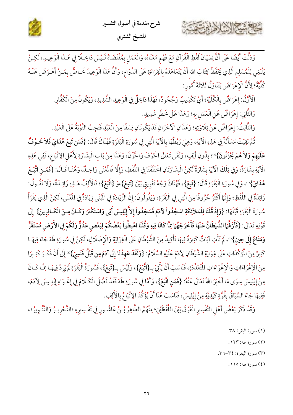



وَدَلَّتْ أَيْضًا عَلَى أَنَّ نِسْيَانَ لَفْظِ الْقُرْآنِ مَعَ فَهْم مَعْنَاهُ، وَالْعَمَلِ بِمُقْتَضَاهُ لَـيْسَ دَاخِـلًا فِي هَـذَا الْوَعِيـدِ، لَكِـنْ يَنْبَغِي لِلْمُسْلِم الَّذِي يَحْفَظُ كِتَابَ الله أَنْ يَتَعَاهَدَهُ بِالْقِرَاءَةِ عَلَى الدَّوَام، وَأَنَّ هَذَا الْوَعِيدَ خَـاصٌّ بِمَـنْ أَعْـرَضَ عَنْـهُ كُلِّيَّةً؛ لِأَنَّ الْإِعْرَاضَ يَتَنَاوَلُ ثَلَاثَةَ أُمُورٍ:

الْأَوَّلُ: إِعْرَاضٌ بِالْكُلِّيَّةِ؛ أَيْ تَكْذِيبٌ وَجُحُودٌ، فَهَذَا دَاخِلٌ فِي الْوَعِيدِ الشَّدِيدِ، وَيَكُونُ مِنَ الْكُفَّارِ.

وَالثَّانِي: إِعْرَاضٌ عَنِ الْعَمَلِ بِهِ؛ وَهَذَا عَلَى خَطَرٍ شَدِيدٍ.

حشيج الشاهايت

وَالثَّالِثُ: إعْرَاضٌ عَنْ تِلَاوَتِهِ؛ وَهَذَانِ الْأَخَرَانِ قَدْ يَكُونَانِ فِسْقًا مِنَ الْعَبْدِ فَتَجِبُ التَّوْبَةُ عَلَى الْعَبْدِ.

ثُمَّ بَقِيَتْ مَسْأَلَةٌ فِي هَذِهِ الْآيَةِ، وَهِيَ رَبْطُهَا بِالْآيَةِ الَّتِي فِي سُورَةِ الْبَقَرَةِ فَهُنَاكَ قَالَ: {فَمَن تَبِعَ هُدَايَ فَلاَ خَـوْفٌ عَلَيْهِمْ وَلاَهُمْ يَحْزَنُونَ}''؛ بِدُونِ أَلِفٍ، وَنَفَى تَعَالَى الْخَوْفَ وَالْحُزْنَ، وَهَذَا مِنْ بَابِ الْبِشَارَةِ لِأَهْلِ الِاتِّبَاعِ، فَفِي هَذِهِ الْآيَةِ بِشَارَةٌ، وَفِي تِلْكَ الْآيَةِ بِشَارَةٌ لَكِنْ الْبِشَارَتَانِ اخْتَلَفَتَا فِي اللَّفْظِ، وَإِلَّا فَالْمُنَى وَاحِدٌ، وَهُنَا قَـالَ: {فَمَـنِ اتَّبَـعَ هُدَايَ}'"، وَفِي سُورَةِ الْبَقَرَةِ قَالَ: {تَبِعَ}، فَهُنَاكَ وَجْهُ تَفْرِيقِ بَيْنَ {تَبِعَ}،وَ {اتَّبَعَ}؛ فَالْأَلِفُ هَــٰذِهِ زَائِـدَةٌ، وَلَا نَقُـولُ: زَائِدَةٌ فِي اللَّفْظِ؛ وَإِنَّمَا أَكْثَرُ حُرُوفًا مِنَ الَّتِي فِي الْبَقَرَةِ، وَيَقُولُونَ: إِنَّ الزِّيَادَةَ فِي الْبُنَى زِيَادَةٌ فِي الْعُنَى، لَكِنَّ الَّذِي يَقْرَأُ سُورَةَ الْبَقَرَةِ قَبْلَهَا: {وَإِذْ قُلْنَا لِلْمَلاَئِكَةِ اسْجُدُواْ لاَدَمَ فَسَجَدُواْ إِلاَّ إِبْلِيسَ أَبَى وَاسْتَكْبَرَ وَكَـانَ مِـنَ الْكَـافِرِينَ} إِلَى قَوْلِهِ تَعَالَى: {فَأَزَلَّمَ الشَّيْطَانُ عَنْهَا فَأَخْرَجَهُمَا مِمَّا كَانَا فِيهِ وَقُلْنَا اهْبِطُواْ بَعْضُكُمْ لِبَعْضِ عَدُوٌّ وَلَكُمْ فِي الأَرْضِ مُسْتَقَرٌّ وَمَتَامٌ إِلَى حِينِ}"، لَمْ تَأْتِ آيَاتٌ كَثِيرَةٌ فِيهَا تَأْكِيدٌ مِنَ الشَّيْطَانِ عَلَى الْغِوَايَةِ وَالْإِضْلَالِ، لَكِنْ فِي سُورَةِ طَهَ جَاءَ فِيهَـا كَثِيرٌ مِنَ الْمُؤَكِّدَاتِ عَلَى غِوَايَةِ الشَّيْطَانِ لِآدَمَ عَلَيْهِ السَّلَامُ: {وَلَقَدْ عَهِدْنَا إِلَى آدَمَ مِن قَبْلُ فَنَسِيَ}'" إِلَى أَنْ ذَكَـرَ كَثِـيرًا مِنَ الْإِغْرَاءَاتِ وَالْإِغْوَاءَاتِ الْمُتَعَدِّدَةِ، فَنَاسَبَ أَنْ يَأْتِيَ بِـ{اتَّبَعَ}، وَلَيْسَ بِـ{تَبِعَ}، فَسُورَةُ الْبَقَرَةِ لَمْ يَرِدْ فِيهَـا مِمَّـا كَـانَ مِنْ إِبْلِيسَ سِوَى مَا أَخْبَرَ اللهُ تَعَالَى عَنْهُ: {فَمَنِ اتَّبَعَ}، وَأَمَّا فِي سُورَةِ طَهَ فَقَدْ فَصَّلَ الْكَلَامَ فِي إغْـوَاءِ إبْلِـيسَ لِأَدَمَ، فَفِيهَا جَاءَ السِّيَاقُ بِقُوَّةٍ كَيْدِيَّةٍ مِنْ إِبْلِيسَ، فَنَاسَبَ هُنَا أَنْ يُؤَكَّدَ الِاتِّبَاعُ بالْأَلِفِ.

وَقَدْ ذَكَرَ بَعْضُ أَهْلِ التَّفْسِيرِ الْفَرْقَ بَيْنَ اللَّفْظَيْنِ؛ مِنْهُمُ الطَّاهِرُ بْـنُ عَاشُــورٍ فِي تَفْسِيرِهِ «التَّحْرِيـرُ وَالتَّنْـوِيرُ»،

(٤) سورة طه: ١١٥.

<sup>(</sup>١) سورة البقرة:٣٨.

<sup>(</sup>٢) سورة طه: ١٢٣.

<sup>(</sup>٣) سورة البقرة: ٣٤-٣٦.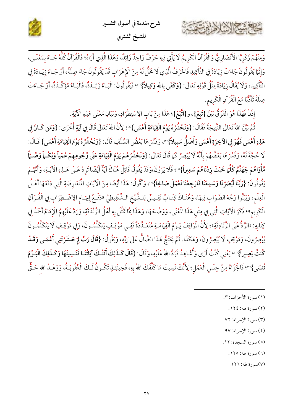





وَمِنْهُمْ زَكَرِيَّا الْأَنْصَارِيُّ وَالْقُرْآنُ الْكَرِيمُ لَا يَأْتِي فِيهِ حَرْفٌ وَاحِدٌ زَائِدٌ، وَهَذَا الَّذِي أَرَاهُ؛ فَالْقُرْآنُ كُلُّهُ جَـاءَ بِمَعْنًـى، وَإِنَّمَا يَقُولُونَ جَاءَتْ زِيَادَةً فِي التَّأْكِيدِ فَالْحَرْفُ الَّذِي لَا مَحَلَّ لَهُ مِنَ الْإِعْرَابِ قَدْ يَقُولُونَ جَاءَ صِلَةً، أَوْ جَـاءَ زِيَـادَةً فِي التَّأْكِيدِ، وَلَا يُقَالُ زِيَادَةً مِثْلُ قَوْلِهِ تَعَالَى: {**وَكَفَى بِالله وَكِيلاً}**'''؛ فَيَقُولُونَ: الْبَـاءُ زَائِـدَةٌ، فَالْبَـاءُ مُؤَكِّـدَةٌ، أَوْ جَـاءَتْ صِلَةً تَأَدُّبًا مَعَ الْقُرْآنِ الْكَرِيم.

إِذَنْ فَهَذَا هُوَ الْفَرْقُ بَيْنَ {تَبِعَ}، و{اتَّبَعَ}؛ هَذَا مِنْ بَابِ الِاسْتِطْرَادِ، وَبَيَانِ مَعْنَى هَذِهِ الْآيَةِ.

ثُمَّ بَيَّنَ اللهُ تَعَالَى النَّتِيجَةَ فَقَالَ: {وَنَحْشُرُهُ **يَوْمَ الْقِيَامَةِ أَعْمَى}**"؛ لِأَنَّ اللهَ تَعَالَى قَالَ فِي آيَةٍ أُخْرَى: {وَمَن كَـانَ فِي هَذِهِ أَعْمَى فَهُوَ فِي الآخِرَةِ أَعْمَى وَأَضَلُّ سَبِيلاً}"، وَفَسَّرَهَا بَعْضُ السَّلَفِ قَالَ: {وَنَحْشُرُهُ يَوْمَ الْقِيَامَةِ أَعْمَى} قَـالَ: لَا حُجَّةَ لَهُ، وَفَسَّرَهَا بَعْضُهُمْ بِأَنَّهُ لَا يُبْصِرُ كَمَا قَالَ تَعَالَى: {وَنَعْشُرُهُمْ يَوْمَ الْقِيَامَةِ عَلَى وُجُوهِهِمْ عُمْياً وَبُكْماً وَصُمّاً مَّأْوَاهُمْ جَهَنَّمُ كُلَّمَا خَبَتْ زِدْنَاهُمْ سَعِيراً}®؛ فَلَا يَرَوْنَ،وَقَدْ يَقُولُ قَائِلٌ هُنَاكَ آيَةٌ أَيْضًا تَرِدُ عَـلَى هَـٰذِهِ الْآيَـةِ، وَأَنَّهُمْ يَقُولُونَ: {رَبَّنَا أَبْصَرْنَا وَسَمِعْنَا فَارْجِعْنَا نَعْمَلْ صَالِحاً}"، وَأَقُولُ: هَذَا أَيْضًا مِنَ الْآيَاتِ الْمَعَارِضَةِ الَّتِي دَفَعَهَا أَهْـلُ الْعِلْمِ، وَبَيِّنُوا وَجْهَ الصَّوَابِ فِيهَا، وَهُنَـاكَ كِتَـابٌ نَفِـيسٌ لِلـشَّيْخِ الـشِّنْقِيطِيِّ «دَفْـعُ إِيهَـام الإضْـطِرَابِ فِي الْقُـرْآنِ الْكَرِيمِ»؛ ذَكَرَ الْآيَاتِ الَّتِي فِي مِثْلِ هَذَا الْمُعْنَى، وَوَضَّحَهَا، وَهَذَا مِمَّا تَمَثَّلَ بِهِ أَهْلُ الزَّنْدَقَةِ، وَرَدَّ عَلَيْهِمُ الْإِمَامُ أَحْمَدُ فِي كِتَابِهِ: «الرَّدُّ عَلَى الزَّنَادِقَةِ»؛ لِأَنَّ الْمَوَاقِفَ يَـوْمَ الْقِيَامَـةِ مُتَعَـدِّدَةٌ فَفِـى مَوْقِـفٍ يَتكَلَّمُـونَ، وَفِي مَوْقِـفٍ لَا يَتَكَلَّمُـونَ يُبْصِرُونَ، وَمَوْقِفٍ لَا يُبْصِرُونَ، وَهَكَذَا. ثُمَّ يَحْتَجْ هَذَا الضَّالُّ عَلَى رَبِّهِ، وَيَقُولُ: {قَالَ رَبِّ لِمَ حَشَرْتَنِي أَعْمَى وَقَـدْ كُنتُ بَصِيراً}"؛ يَعْنِي كُنْتُ أَرَى وَأُشَاهِدُ فَرَدَّ اللهُ عَلَيْهِ، وَقَالَ: {قَالَ كَـذَلِكَ أَتَتْكَ آيَاتُنَـا فَنَـسِيتَهَا وَكَـذَلِكَ الْيَـوْمَ تُّنسَى}™؛ فَالْجَزَاءُ مِنْ جِنْس الْعَمَل؛ لِأَنَّكَ نَسِيتَ مَا كَلَّفَكَ اللهُ بِهِ، فَحِينَئِـذٍ تَكُـونُ لَـكَ الْعُقُوبَـةُ، وَوَعْـدُ الله حَـقٌّ

- (١) سورة الأحزاب: ٣.
	- (٢) سورة طه: ١٢٤.
- (٣) سورة الإسراء: ٧٢.
- (٤) سورة الإسراء: ٩٧.
- (٥) سورة السجدة: ١٢.
	- (٦) سورة طه: ١٢٥.
	- (٧)سورة طه: ١٢٦.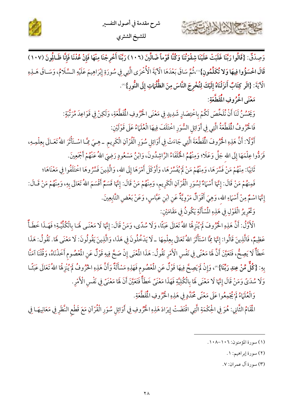



وَصِدْقٌ: {قَالُوا رَبَّنَا غَلَبَتْ عَلَيْنَا شِقْوَتُنَا وَكُنَّا قَوْماً ضَالِّينَ (١٠٢) رَبَّنَا أَخْرِجْنَا مِنْهَا فَإِنْ عُدْنَا فَإِنَّا ظَـالُونَ (١٠٧) قَالَ اخْسَؤُوا فِيهَا وَلا تُكَلِّمُونِ}'''،ثُمَّ سَاقَ بَعْدَهَا الْآيَةَ الْأُخْرَى الَّتِي فِي سُورَةِ إِبْرَاهِيمَ عَلَيْهِ السَّلَامُ، وَسَـاقَ هَـلِهِ الْآيَةَ: {الَر كِتَابٌ أَنزَلْنَاهُ إِلَيْكَ لِتُخْرِجَ النَّاسَ مِنَ الظُّلُمَاتِ إِلَى النُّورِ}".

مَعْنَى الْحُرُوفِ الْمُقَطَّعَةِ:

كالاستعال الماماس

وَيَحْسُنُ لَنَا أَنْ نُلَخِّصَ لَكُمْ بِاخْتِصَارٍ شَدِيدٍ فِي مَعْنَى الْحُرُوفِ الْمُقَطَّعَةِ، وَلَكِنْ فِي قَوَاعِدَ مُرَتَّبَةٍ:

فَالْحُرُوفُ الْمُقَطَّعَةُ الَّتِي فِي أَوَائِلِ السُّوَرِ اخْتَلَفَ فِيهَا الْعُلَمَاءُ عَلَى قَوْلَيْنِ:

أَوَّلًا: أَنَّ هَذِهِ الْحُرُّوفَ الْمُقَطَّعَةَ الَّتِي جَاءَتْ فِي أَوَائِل سُوَرِ الْقُرْآنِ الْكَرِيم -هِـيَ مِمَّـا اسْتَأْثَرَ اللهُ تَعَـالَى بِعِلْمِـهِ، فَرَدُّوا عِلْمَهَا إِلَى الله جَلَّ وَعَلَا؟ وَمِنْهُمُ الْخُلَفَاءُ الرَّاشِدُونَ، وَابْنُ مَسْعُودٍ رَضِيَ اللهُ عَنْهُمْ أَجْمَعِينَ.

ثَانِيًا: مِنْهُمْ مَنْ فَسَّرَهَا، وَمِنْهُمْ مَنْ لَمْ يُفَسِّرْهَا، وَأَوْكَلَ أَمْرَهَا إِلَى الله، وَالَّذِينَ فَسَّرُوهَا اخْتَلَفُوا فِي مَعْنَاهَا؛

فَمِنهُمْ مَنْ قَالَ: إِنَّهَا أَسْهَاءٌ لِسُوَرِ الْقُرْآنِ الْكَرِيم، وَمِنْهُمْ مَنْ قَالَ: إِنَّهَا قَسَمٌ أَقْسَمَ اللهُ تَعَالَى بِهِ، وَمِنْهُمْ مَنْ قَـالَ: إِنَّهَا اسْمٌ مِنْ أَسْهَاءِ الله، وَهِيَ أَقْوَالٌ مَرْوِيَّةٌ عَنِ ابْنِ عَبَّاسٍ، وَعَنْ بَعْضِ التَّابِعِينَ.

وَتَخْرِيرُ الْقَوْلِ فِي هَذِهِ الْمُسْأَلَةِ يَكُونُ فِي مَقَامَيْنِ:

الْأَوَّلُ: أَنَّ هَذِهِ الْحُرُوفَ لَمْ يُنْزِهُا اللهُ تَعَالَى عَبَثًا، وَلَا سُدًى، وَمَنْ قَالَ: إِنَّهَا لَا مَعْنَـى لَهَـا بِالْكُلِّيَّـةِ؛ فَهَــذَا خَطَأٌ عَظِيمٌ، فَالَّذِينَ قَالُوا: إِنَّهَا مِمَّا اسْتَأْثَرَ اللهُ تَعَالَى بِعِلْمِهَا \_ لَا يَدْخُلُونَ فِي هَذَا، وَالَّذِينَ يَقُولُونَ: لَا مَعْنَى لَهَا. نَقُولُ: هَذَا خَطَأٌ لَا يَصِحُّ، فَتَعَيَّنَ أَنَّ هَا مَعْنًى فِي نَفْسِ الْأَمْرِ نَقُولُ: هَذَا الْمُغْي إِنْ صَحَّ فِيهِ قَوْلٌ عَنِ الْمُصُومِ أَخَذْنَاهُ، وَقُلْنَا آمَنَّا بِهِ: {كُلٌّ مِّنْ عِندِ رَبِّنَا}'"، وَإِنْ لَمْ يَصِحَّ فِيهَا قَوْلٌ عَنِ الْمُصُوم فَهَذِهِ مَسْأَلَةٌ وَأَنَّ هَذِهِ الحُرُوفُ لَمْ يُنْزِهُا اللهُ تَعَالَى عَبَثًـا وَلَا سُدَيَّ وَمَنْ قَالَ إِنَّهَا لَا مَعْنَى لَهَا بِالْكُلِيَّةِ فَهَذَا مَعْنَيَّ خَطَأٌ فَتَعَيَّنَ أَنَ لَهَا مَعْنَيّ فِي نَفْس الْأَمْرِ .

وَالْعُلَهَاءُ لَمْ يُجْمِعُوا عَلَى مَعْنًى مُحَدَّدٍ فِي هَذِهِ الْحُرُّوفِ الْمُقَطَّعَةِ.

الْمَقَامُ الثَّانِي: هُوَ فِي الْحِكْمَةِ الَّتِي اقْتَضَتْ إِيرَادَ هَذِهِ الْحُرُوفِ فِي أَوَائِلِ سُوَرِ الْقُرْآنِ مَعَ قَطْعِ النَّظَرِ فِي مَعَانِيهَـا فِي

(٢) سورة إبراهيم: ١.

(٣) سورة آل عمران: ٧.

<sup>(</sup>١) سورة المؤمنون: ١٠٦-١٠٨.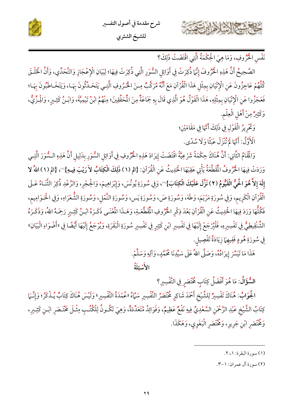



نَفْسِ الْخُرُوفِ، وَمَا هِيَ الْحِكْمَةُ الَّتِي اقْتَضَتْ ذَلِكَ؟

الصَّحِيحُ أَنَّ هَذِهِ الْحُرُوفَ إِنَّهَا ذُكِرَتْ فِي أَوَائِلِ السُّوَرِ الَّتِي ذُكِرَتْ فِيهَا؛ لِبَيَانِ الْإِعْجَازِ وَالتَّحَدِّي، وَأَنَّ الْخَلْـقَ كُلَّهُمْ عَاجِزُونَ عَنِ الْإِتْيَانِ بِمِثْلِ هَذَا الْقُرْآنِ مَعَ أَنَّهُ مُرَكَّبٌ مِنَ الْحُرُوفِ الَّتِي يَتَحَـلَّثُونَ بِهَـا، وَيَتَخَـاطَبُونَ بِهَـا؛ فَعَجَزُوا عَنِ الْإِتْيَانِ بِمِثْلِهِ، هَذَا الْقَوْلُ هُوَ الَّذِي قَالَ بِهِ جَمَاعَةٌ مِنَ الْمَحَقِّقِينَ؛ مِنْهُمُ ابْنُ تَيْمِيَّةَ، وَابْـنُ كَثِـيرٍ، وَالْـزِّيُّ، وَكَثِيرٌ مِنْ أَهْلِ الْعِلْمِ.

وَكَّرِيرُ الْقَوْلِ فِي ذَلِكَ أَنَّهَا فِي مَقَامَيْنِ؛

الْأَوَّلُ: أَنَّهَا لَمْ تُنْزَلْ عَبَثًا وَلَا سُدًى.

وَالْمَقَامُ الثَّانِي: أَنَّ هُنَاكَ حِكْمَةً شَرْعِيَّةً اقْتَضَتْ إِيرَادَ هَذِهِ الْحُرُوفِ فِي أَوَائِلِ السُّوَرِ بِدَلِيلِ أَنَّ هَذِهِ السُّوَرَ الَّتِـي وَرَدَتْ فِيهَا الْحُرُوفُ الْمَقَطَّعَةُ يَأْتِي عَقِبَهَا الْحَدِيثُ عَنِ الْقُرْآنِ: {الم (١) ذَلِكَ الْكِتَابُ لاَ رَيْبَ فِيهِ}"، {الم (١) اللهُ لا إِلَهَ إِلاَّ هُوَ الْحَيُّ الْقَيُّومُ (٢) نَزَّلَ عَلَيْكَ الْكِتَابَ}"، وَفِي سُورَةِ يُونُسَ، وَإِبْرَاهِيمَ، وَالْحِجْرِ، وَالرَّعْدِ ذُكِرَ الثَّنَاءُ عَـلَى الْقُرْآنِ الْكَرِيم، وَفِي سُورَةِ مَرْيَمَ، وَطَهَ، وَسُورَةِ صَ، وَسُورَةِ يَس، وَسُورَةِ النَّمْل، وَسُورَةِ الشُّعَرَاءِ، وَفِي الْحَـوَامِيم، فَكُلُّهَا وَرَدَ فِيهَا الْحَدِيثُ عَنِ الْقُرْآنِ بَعْدَ ذِكْرِ الْحُرُوفِ الْمُقَطَّعَـةِ، وَهَــذَا الْمُعْنَى ذَكَـرَهُ ابْـنُ كَثِـيرٍ رَحِمَـهُ اللهُ، وَذَكَـرَهُ الشُّنْقِيطِيُّ فِي تَفْسِيرِهِ، فَلْيُرْجَعْ إِلَيْهَا فِي تَفْسِيرِ ابْنِ كَثِيرٍ فِي تَفْسِيرِ سُورَةِ الْبَقَرَةِ، وَيُرْجَعُ إِلَيْهَا أَيْضًا فِي «أَضْوَاءِ الْبَيَانِ» فِي سُورَةِ هُودٍ فَفِيهِمَا زِيَادَةُ تَفْصِيل.

هَذَا مَا تَيَسَّرَ إِيرَادُهُ، وَصَلَّى اللهُ عَلَى سَيِّدِنَا مُحَمَّدٍ، وَآلِهِ وَسَلِّمْ.

الأَسْئِلَةُ

السُّؤَالُ: مَا هُوَ أَفْضَلُ كِتَابٍ مُخْتَصَرِ فِي التَّفْسِيرِ؟

الجُوَابُ: هُنَاكَ تَفْسِيرٌ لِلشَّيْخِ أَحْمَدَ شَاكِرٍ مُخْتَصَرُ التَّفْسِيرِ سَمَّاهُ «عُمْدَةُ التَّفْسِيرِ» وَلَيْسَ هُنَاكَ كِتَابٌ يُـذْكَرُ؛ وَإِنَّـمَا كِتَابُ الشَّيْخِ عَبْدِ الرَّحْمَنِ السَّعْدِيِّ فِيهِ نَفْعٌ عَظِيمٌ، وَفَوَائِدُ مُتَعَدِّدَةٌ، وَهِيَ تَكُونُ لِلْكُتُبِ مِثْـلَ مَخْتَـصَرِ ابْـنِ كَثِـيرِ، وَمُخْتَصَرِ ابْنِ جَرِيرِ، وَمُخْتَصَرِ الْبَغَوِي، وَهَكَذَا.

(١) سورة البقرة: ١، ٢.

(٢) سورة آل عمران: ١-٣.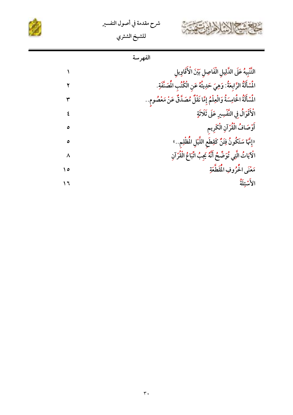





| الفهرسه |
|---------|
|         |

| التَّنْبِيهُ عَلَى الدَّلِيلِ الْفَاصِلِ بَيْنَ الْأَقَاوِيلِ              |     |
|----------------------------------------------------------------------------|-----|
| المُسْأَلَةُ الرَّابِعَةُ: وَهِيَ حَدِيثُهُ عَنِ الْكُتُبِ المُصَنَّفَةِ.  |     |
| المُسْأَلَةُ اخْامِسَةُ وَالْعِلْمُ إِمَّا نَقْلٌ مُصَدَّقٌ عَنْ مَعْصُومِ |     |
| الْأَقْوَالُ فِي التَّفْسِيرِ عَلَى ثَلَاثَةٍ                              |     |
| أَوْصَافُ الْقُرْآنِ الْكَرِيم                                             | ٥   |
| «إِنَّهَا سَتَكُونُ فِتَنٌّ كَقِطَعِ اللَّيْلِ المُظْلِمِ»                 | ٥   |
| الْآيَاتُ الَّتِي ثُوَضِّحْ أَنَّهُ يَجِبُ اتَّبَاعُ الْقُرْآنِ            | ٨   |
| مَعْنَى الْحُرُوفِ الْمُقَطَّعَةِ                                          | ه ۱ |
| الأَسْئلَةُ                                                                |     |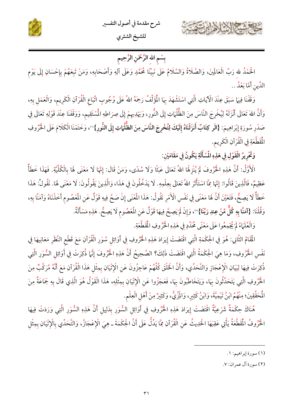



## بِسْمِ الله الرَّحْمَنِ الرَّحِيمِ

الْحَمْدُ لله رَبِّ الْعَالَمِينَ، وَالصَّلَاةُ وَالسَّلَامُ عَلَى نَبِيِّنَا مُحَمَّدٍ وَعَلَى آلِهِ وَأَصْحَابِهِ، وَمَنْ تَبِعَهُمْ بِإِحْسَانٍ إِلَى يَوْم الدِّين أَمَّا بَعْدُ ..

وَقَفْنَا فِيهَا سَبَقَ عِنْدَ الْآيَاتِ الَّتِي اسْتَشْهَدَ بِهَا الْمُؤَلِّفُ رَحِمَهُ اللهُ عَلَى وُجُوبِ اتِّبَاع الْقُرْآنِ الْكَرِيم، وَالْعَمَلِ بِهِ، وَأَنَّ اللهَ تَعَالَى أَنْزَلَهُ لِيُخْرِجَ النَّاسَ مِنَ الظُّلُمَاتِ إِلَى النُّورِ، وَيَهْدِيهِمْ إِلَى صِرَاطِهِ المُسْتَقِيم، وَوَقْفَنَا عِنْدَ قَوْلِهِ تَعَالَى فِي صَدْرِ سُورَةِ إِبْرَاهِيمَ: {الَر كِتَابٌ أَنزَلْنَاهُ إِلَيْكَ لِتُخْرِجَ النَّاسَ مِنَ الظُّلُمَاتِ إِلَى النُّورِ}"، وَخَتَمْنَا الْكَلَامَ عَلَى الْخُرُوفِ الْمَقَطَّعَةِ فِي الْقُرْآنِ الْكَرِيمِ.

وَثَّحْرِيرُ الْقَوْلِ في هَذِهِ الْمُسْأَلَةِ يَكُونُ في مَقَامَيْن:

الْأَوَّلُ: أَنَّ هَذِهِ الْحُرُوفَ لَمْ يُنْزِهْا اللهُ تَعَالَى عَبَثًا وَلَا سُدًى، وَمَنْ قَالَ: إنَّهَا لَا مَعْنَى لَهَا بِالْكُلِّيَّةِ. فَهَذَا خَطَأٌ عَظِيمٌ، فَالَّذِينَ قَالُوا: إِنَّهَا مِمَّا اسْتَأْثَرَ اللهُ تَعَالَى بِعِلْمِهِ. لَا يَدْخُلُونَ فِي هَذَا، وَالَّذِينَ يَقُولُونَ: لَا مَعْنَى لَهَا. نَقُولُ: هَذَا خَطَأٌ لَا يَصِحُّ، فَتَعَيَّنَ أَنَّ هَا مَعْنًى فِي نَفْسِ الْأَمْرِ نَقُولُ: هَذَا الْمُغْنَى إِنْ صَحَّ فِيهِ قَوْلٌ عَنِ الْمُصُومِ أَخَذْنَاهُ وَآمَنَّا بِهِ، وَقُلْنَا: {آمَنَّا بِهِ كُلٌّ مِّنْ عِندِ رَبِّنَا}'"، وَإِنْ لَمْ يَصِحَّ فِيهَا قَوْلٌ عَنِ الْعُصُوم لَا يَصِحُّ. هَذِهِ مَسْأَلَةٌ.

وَالْعُلَمَاءُ لَمْ يُجْمِعُوا عَلَى مَعْنًى مُحَدَّدٍ فِي هَذِهِ الْحُرُوفِ الْمُقَطَّعَةِ.

الْمَقَامُ الثَّانِي: هُوَ فِي الْحِكْمَةِ الَّتِي اقْتَضَتْ إِيرَادَ هَذِهِ الْخُرُوفِ فِي أَوَائِل سُوَرِ الْقُرْآنِ مَعَ قَطْعِ النَّظَر مَعَانِيهَا فِي نَفْس الْحُرُوفِ، وَمَا هِيَ الْحِكْمَةُ الَّتِي اقْتَضَتْ ذَلِكَ؟ الصَّحِيحُ أَنَّ هَذِهِ الْحُرُوفَ إِنَّهَا ذُكِرَتْ فِي أَوَائِلِ السُّوَرِ الَّتِي ذُكِرَتْ فِيهَا لِبَيَانِ الْإعْجَازِ وَالتَّحَدِّي، وَأَنَّ الْخَلْقَ كُلَّهُمْ عَاجِزُونَ عَنِ الْإِتْيَانِ بمِثْل هَذَا الْقُرْآنِ مَعَ أَنَّهُ مُرَكَّبٌ مِنَ الْحُرُوفِ الَّتِي يَتَحَدَّثُونَ بِهَا، وَيَتَخَاطَبُونَ بِهَا، فَعَجَزُوا عَنِ الْإِثْيَانِ بِمِثْلِهِ، هَذَا الْقَوْلُ هُوَ الَّذِي قَالَ بِهِ جَمَاعَةٌ مِنَ الْمُحَقِّقِينَ؛ مِنْهُمُ ابْنُ تَيْمِيَّةَ، وَابْنُ كَثِيرٍ، وَالْمِزِّيُّ، وَكَثِيرٌ مِنْ أَهْلِ الْعِلْمِ.

هُنَاكَ حِكْمَةٌ شَرْعِيَّةٌ اقْتَضَتْ إِيرَادَ هَذِهِ الْحُرُوفِ فِي أَوَائِلِ السُّوَرِ بِدَلِيلٍ أَنَّ هَذِهِ السُّوَرِ الَّتِي وَرَدَتْ فِيهَا الْحُرُوفُ الْمَقَطَّعَةُ يَأْتِي عَقِبَهَا الْحَدِيثُ عَنِ الْقُرْآنِ مِمَّا يَدُلُّ عَلَى أَنَّ الْحِكْمَةَ ـ هِيَ الْإِعْجَازُ، وَالتَّحَدِّي بِالْإِتْيَانِ بِمِثْل

(٢) سورة آل عمران: ٧.

<sup>(</sup>١) سورة إبراهيم: ١.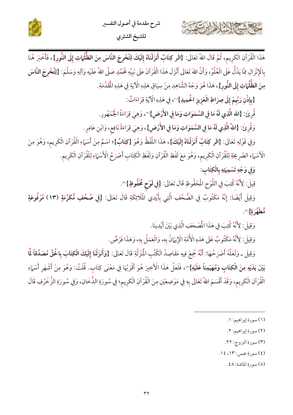

هَذَا الْقُرْآنِ الْكَرِيم، ثُمَّ قَالَ اللهُ تَعَالَى: {الَر كِتَابٌ أَنزَلْنَاهُ إِلَيْكَ لِتُخْرِجَ النَّاسَ مِنَ الظُّلُمَاتِ إِلَى النُّورِ}، فَأَخْبَرَ هُنَا بِالْإِنْزَالِ مِمَّا يَدُلُّ عَلَى الْعُلُوِّ، وَأَنَّ اللهَ تَعَالَى أَنْزَلَ هَذَا الْقُرْآنَ عَلَى نَبِيِّهِ مُحَمَّدٍ صَلَّى اللهُ عَلَيْهِ وَآلِهِ وَسَلَّمَ: {لِتُخْرِجَ النَّاسَ مِنَ الظُّّلُمَاتِ إِلَى النُّورِ}، هَذَا هُوَ وَجْهُ الشَّاهِدِ مِنْ سِيَاقِ هَذِهِ الْآيَةِ فِي هَذِهِ الْمَقَدِّمَةِ.

{بِإِذْنِ رَبِّهِمْ إِلَى صِرَاطِ الْعَزِيزِ الْحُمِيدِ}"، فِي هَذِهِ الْآيَةِ قِرَاءَاتٌ:

قُرِئَ: {الله الَّذِي لَهُ مَا فِي السَّمَوَاتِ وَمَا فِي الأَرْضِ}'"، وَهِيَ قِرَاءَةُ اجُّمْهُورِ.

وَقُرِئَ: {اللهُ الَّذِي لَهُ مَا فِي السَّمَوَاتِ وَمَا فِي الأَرْضِ}، وَهِيَ قِرَاءَةُ نَافِع، وَابْنِ عَامِرٍ.

وَفِي قَوْلِهِ تَعَالَى: {الَر كِتَابٌ أَنزَلْنَاهُ إِلَيْكَ}، هَذَا اللَّفْظُ وَهُوَ {كِتَابٌ}؛ اسْمٌ مِنْ أَسْهَاءِ الْقُرْآنِ الْكَرِيم، وَهُوَ مِنَ الْأَسْهَاءِ الصَّرِيحَةِ لِلْقُرْآنِ الْكَرِيمِ، وَهُوَ مَعَ لَفْظِ الْقُرْآنِ وَلَفْظِ الْكِتَابِ أَصْرَحُ الْأَسْهَاءِ لِلْقُرْآنِ الْكَرِيمِ.

وَفِي وَجْهِ تَسْمِيَتِهِ بِالْكِتَابِ:

Sellen ?

قِيلَ: لِأَنَّهُ كُتِبَ فِي اللَّوْحِ الْمُحْفُوظِ قَالَ تَعَالَى: {فِي لَوْحِ مَحْفُوظٍ}".

وَقِيلَ أَيْضًا: إِنَّهُ مَكْتُوبٌ فِي الصُّحُفِ الَّتِي بِأَيْدِي الْمَلَائِكَةِ قَالَ تَعَالَى: {فِي صُحُفٍ مُّكَرَّمَةٍ (١٣) مَّرْفُوعَةٍ ة م*طلق*رة}<sup>(؛)</sup>.

وَقِيلَ: لِأَنَّهُ كُتِبَ فِي هَذَا الْمُصْحَفِ الَّذِي بَيْنَ أَيْدِينَا.

وَقِيلَ: لِأَنَّهُ مَكْتُوبٌ عَلَى هَذِهِ الْأُمَّةِ الْإِيَانُ بِهِ، وَالْعَمَلُ بِهِ، وَهَذَا فَرْضٌ.

وَقِيلَ ـ وَلَعَلَّهُ أَصْرَحُهَا: أَنَّهُ جُمِعَ فِيهِ مَقَاصِدُ الْكُتُبِ الْمُنَزَّلَّةِ قَالَ تَعَالَى: {وَأَنزَلْنَا إِلَيْكَ الْكِتَابَ بِالْحَقِّ مُصَدِّقاً لِّمّ بَيْنَ يَدَيْهِ مِنَ الْكِتَابِ وَمُهَيْمِناً عَلَيْهِ}''، فَلَعَلَّ هَذَا الْأَخِيرَ هُوَ أَقْرَبُهَا فِي مَعْنَى كِتَابٍ. قُلْتُ: وَهُوَ مِنْ أَشْهَرِ أَسْهَاءِ الْقُرْآنِ الْكَرِيم، وَقَدْ أَقْسَمَ اللهُ تَعَالَى بِهِ فِي مَوْضِعَيْنِ مِنَ الْقُرْآنِ الْكَرِيم؛ فِي سُورَةِ الذُّخَانِ، وَفِي سُورَةِ الزُّخْرُفِ قَالَ

(٣) سورة البروج: ٢٢.

(٤) سورة عبس: ١٣، ١٤.

(٥) سورة المائدة: ٤٨.

<sup>(</sup>١) سورة إبراهيم: ١.

<sup>(</sup>٢) سورة إبراهيم: ٢.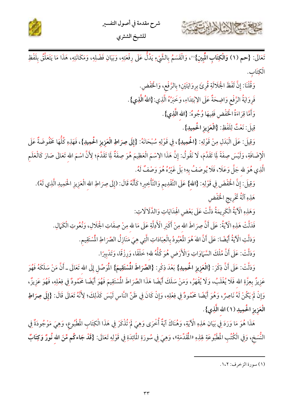



تَعَالَى: {حم (١) وَالْكِتَابِ الْمُبِينِ}'')، وَالْقَسَمُ بِالشَّيْءِ يَدُلُّ عَلَى رِفْعَتِهِ، وَبَيَانِ فَضْلِهِ، وَمَكَانَتِهِ، هَذَا مَا يَتَعَلَّقُ بِلَفْظِ الْكِتَابِ.

> وَقُلْنَا: إِنَّ لَفْظَ الْجَلَالَةِ قُرِئَ بِرِوَايَتَيْنِ؛ بِالرَّفْعِ، وَالْخَفْض. فَروَايَةُ الرَّفْعِ وَاضِحَةٌ عَلَى الِإِبْتِدَاءِ، وَخَبَرُهُ الَّذِي:{اللهُ الَّذِي}. وَأَمَّا قِرَاءَةُ الْخَفْضِ فَفِيهَا وُجُوهٌ: {الله الَّذِي}.

قِيلَ: نَعْتٌ لِلَفْظِ: {الْعَزِيزِ الْحَمِيلِ}.

وَقِيلَ: عَلَى الْبَدَلِ مِنْ قَوْلِهِ: {الْحُمِيلِ}، فِي قَوْلِهِ سُبْحَانَهُ: {إِلَى صِرَاطِ الْعَزِيزِ الْحُمِيلِ}، فَهَذِهِ كُلُّهَا مَخْفُوضَةٌ عَلَى الْإِضَافَةِ، وَلَيْسَ صِفَةً لِمَا تَقَدَّمَ، لَا نَقُولُ: إِنَّ هَذَا الِاسْمَ الْعَظِيمَ هُوَ صِفَةٌ لِمَا تَقَدَّمَ؛ لِأَنَّ اسْمَ الله تَعَالَى صَارَ كَالْعَلَم الَّذِي هُوَ لله جَلَّ وَعَلَا، فَلَا يُوصَفُ بِهِ؛ بَلْ غَيْرُهُ هُوَ وَصْفٌ لَهُ.

- وَقِيلَ: إِنَّ الْخَفْضَ فِي قَوْلِهِ: {الله } عَلَى التَّقْدِيم وَالتَّأْخِيرِ؛ كَأَنَّهُ قَالَ: (إِلَى صِرَاطِ الله الْعَزِيزِ الْحَمِيدِ الَّذِي لَهُ). هَذِهِ آلَةٌ تَخْرِيجِ الْخَفْض
	- وَهَذِهِ الْآيَةُ الْكَرِيمَةُ دَلَّتْ عَلَى بَعْضِ الْهِدَايَاتِ وَالذَّلَالَاتِ:
	- فَدَلَّتْ هَذِهِ الْآيَةُ: عَلَى أَنَّ صِرَاطَ الله مِنْ أَكْبَرِ الْأَدِلَّةِ عَلَى مَا لله مِنْ صِفَاتِ الْحَلالِ، وَنُعُوتِ الْكَمَالِ. وَدَلَّتِ الْآيَةُ أَيْضًا: عَلَى أَنَّ اللهَ هُوَ الْمُبْودُ بِالْعِبَادَاتِ الَّتِي هِيَ مَنَازِلُ الصِّرَاطِ المُسْتَقِيم.

وَدَلَّتْ: عَلَى أَنَّ مُلْكَ السَّمَاوَاتِ وَالْأَرْضِ هُوَ كُلُّهُ لله؛ خَلْقًا، وَرِزْقًا، وَتَدْبِيرًا.

وَدَلَّتْ: عَلَى أَنَّ ذِكْرَ: {الْعَزِيزِ الْحُمِيلِ} بَعْدَ ذِكْرِ: {الصِّرَاطَ الْمُسْتَقِيمَ} الْمُوَصِّل إِلَى الله تَعَالَى ـ أَنَّ مَنْ سَلَكَهُ فَهُوَ عَزِيزٌ بِعِزَّةِ الله فَلَا يُغْلَبُ، وَلَا يُقْهَرُ، وَمَنْ سَلَكَ أَيْضًا هَذَا الصِّرَاطَ المُسْتَقِيمَ فَهُوَ أَيْضًا مَحْمُودٌ فِي فِعْلِهِ، فَهُوَ عَزِيزٌ، وَإِنْ لَمْ يَكُنْ لَهُ نَاصِرٌ، وَهُوَ أَيْضًا مَحْمُودٌ فِي فِعْلِهِ، وَإِنْ كَانَ فِي ظَنِّ النَّاس لَيْسَ كَذَلِكَ؛ لِأَنَّهُ تَعَالَى قَالَ: {إِلَى صِرَاطِ الْعَزِيزِ الْحَمِيدِ (١) الله الَّذِي}.

هَذَا هُوَ مَا وَرَدَ فِي بَيَانِ هَذِهِ الْآيَةِ، وَهُنَاكَ آيَةٌ أُخْرَى وَهِيَ لَمْ تُذْكَرْ فِي هَذَا الْكِتَاب المُطْبُوع، وَهِيَ مَوْجُودَةٌ فِي النُّسَخ، وَفِي الْكُتُبِ الْمَطْبُوعَةِ لِهَذِهِ «الْمُقَدِّمَةِ»، وَهِيَ فِي سُورَةِ الْمَائِدَةِ فِي قَوْلِهِ تَعَالَى: {قَ**دْ جَاءكُم مِّنَ الله نُورٌ وَكِتَابٌ** 

<sup>(</sup>١) سورة الزخرف: ١،٢.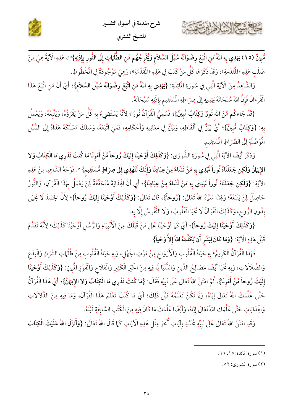

مُّبِينٌ (١٥) يَهْدِي بِهِ اللهُ مَنِ اتَّبَعَ رِضْوَانَهُ سُبُلَ السَّلاَم وَيُخْرِجُهُم مِّنِ الظُّلُمَاتِ إِلَى النُّورِ بِإِذْنِهِ}'')، هَذِهِ الْآيَةُ هِيَ مِنْ صُلْب هَذِهِ «الْمَقَدِّمَةِ»، وَقَدْ ذَكَرَهَا كُلُّ مَنْ كَتَبَ فِي هَذِهِ «الْمَقَدِّمَةِ»، وَهِيَ مَوْجُودَةٌ في المُخْطُوطِ.

وَالشَّاهِدُ مِنَ الْآيَةِ الَّتِي فِي سُورَةِ المُائِدَةِ: {يَهْدِي بِهِ اللهُ مَنِ اتَّبَعَ رِضْوَانَهُ سُبُلَ السَّلاَمِ}؛ أَيْ أَنَّ مَنِ اتَّبَعَ هَذَا الْقُرْءَانَ فَإِنَّ اللهَ سُبْحَانَهُ يَهْدِيهِ إِلَى صِرَاطِهِ الْمُسْتَقِيم بِإِذْنِهِ سُبْحَانَهُ.

{قَدْ جَاءكُم مِّنَ الله نُورٌ وَكِتَابٌ مُّبِينٌ}؛ فَسُمِيَّ الْقُرْآنُ نُورًا؛ لِأَنَّهُ يَسْتَضِيءُ بِهِ كُلّ مَنْ يَقْرَؤُهُ، وَيَتَّبعُهُ، وَيَعْمَلُ بِهِ: {وَكِتَابٌ مُّبِينٌ}؛ أَيْ بَيِّنٌ فِي أَلْفَاظِهِ، وَبَيِّنٌ فِي مَعَانِيهِ وَأَحْكَامِهِ، فَمَنِ اتَّبَعَهُ، وَسَلَكَ مَسْلَكَهُ هَدَاهُ إِلَى السُّبُلِ الْمُوَصِّلَةِ إِلَى الصِّرَاطِ الْمُسْتَقِيمِ.

وَذَكَرَ أَيْضًا الْآيَةَ الَّتِي فِي سُورَةِ الشُّورَى: {وَكَذَلِكَ أَوْحَيْنَا إِلَيْكَ رُوحاً مِّنْ أَمْرِنَا مَا كُنتَ تَدْرِي مَا الْكِتَابُ وَلا الإِيَمَانُ وَلَكِن جَعَلْنَاهُ نُوراً مَّهْدِي بِهِ مَنْ نَّشَاءُ مِنْ عِبَادِنَا وَإِنَّكَ لَتَهْدِي إِلَى صِرَاطٍ مُّسْتَقِيم}'". فَوَجْهُ الشَّاهِدِ مِنْ هَذِهِ الْآيَةِ: {وَلَكِن جَعَلْنَاهُ نُوراً نَّهْدِي بِهِ مَنْ نَّشَاءُ مِنْ عِبَادِنَا}؛ أَي أَنَّ الْهِدَايَةَ مُتَحَقَّقَةٌ لِمَنْ يَعْمَلُ بِهَذَا الْقُرْآنِ، وَالنُّورُ حَاصِلٌ لَمِنْ يَتْبَعُهُ؛ وَلِهَذَا سَمَّاهُ اللهُ تَعَالَى: {رُوحاً}، قَالَ تَعَالَى: {وَكَذَلِكَ أَوْحَيْنَا إلَيْكَ رُوحاً}؛ لِأَنَّ الْجَسَدَ لَا يَخْيَى بِدُونِ الرُّوحِ، وَكَذَلِكَ الْقُرْآنُ لَا تَخْيَا الْقُلُوبُ، وَلَا النُّفُوسُ إِلَّا بِهِ.

{وَكَذَلِكَ أَوْحَيْنَا إِلَيْكَ رُوحاً}؛ أَيْ كَمَا أَوْحَيْنَا عَلَى مَنْ قَبْلَكَ مِنَ الْأَنْبِيَاءِ وَالرُّسُل أَوْحَيْنَا كَذَلِكَ؛ لِأَنَّهُ تَقَدَّمَ قَبْلَ هَذِهِ الْآيَةِ: {وَمَا كَانَ لِبَشَرِ أَن يُكَلِّمَهُ اللهُ إِلاَّ وَحْياً}

فَهَذَا الْقُرْآنُ الْكَرِيمُ؛ بِهِ حَيَاةُ الْقُلُوبِ وَالْأَرْوَاحِ مِنْ مَوْتِ الْجَهْلِ، وَبِهِ حَيَاةُ الْقُلُوبِ مِنْ ظُلُّهَاتِ الشِّرْكِ وَالْبِدَعِ وَالضَّلَالَاتِ، وَبِهِ تَحْيَا أَيْضًا مَصَالِحُ الدِّينِ وَالدُّنْيَا لِمَا فِيهِ مِنَ الْخَيْرِ الْكَثِيرِ وَالْفَلَاحِ وَالْفَوْزِ الْمُبِينِ: {وَكَذَلِكَ أَوْحَيْنَا إِلَيْكَ رُوحاً مِّنْ أَمْرِنَا}، ثُمَّ امْتَنَّ اللهُ تَعَالَى عَلَى نَبِيِّهِ فَقَالَ: {مَا كُنتَ تَدْرِى مَا الْكِتَابُ وَلا الإِيَمَانُ}؛ أَيْ هَذَا الْقُرْآنُ حَتَّى عَلَّمَكَ اللهُ تَعَالَى إِيَّاهُ، وَلَمْ تَكُنْ تَعْلَمُهُ قَبْلَ ذَلِكَ؛ أَيْ مَا كُنْتَ تَعْلَمُ هَذَا الْقُرْآنَ، وَمَا فِيهِ مِنَ الدَّلَالَاتِ وَافِْدَايَاتِ حَتَّى عَلَّمَكَ اللهُ تَعَالَى إِيَّاهُ، وَأَيْضًا عَلَّمَكَ مَا كَانَ فِيهِ مِنَ الْكُتُب السَّابقَةِ قَبْلَهُ.

وَقَدِ امْتَنَّ اللهُ تَعَالَى عَلَى نَبِيِّهِ مُحَمَّدٍ بِآيَاتٍ أُخَرَ مِثْل هَذِهِ الْآيَاتِ كَمَا قَالَ اللهُ تَعَالَى: {وَأَنزَلَ اللهُ عَلَيْكَ الْكِتَابَ

اشكالشلاها

<sup>(</sup>١) سورة المائدة: ١٥، ١٦.

<sup>(</sup>٢) سورة الشوري: ٥٢.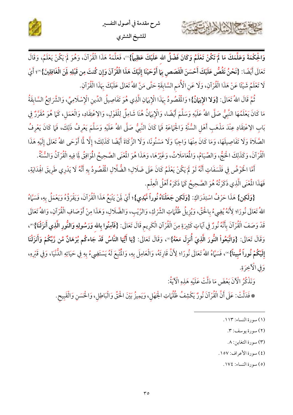

وَالْحِكْمَةَ وَعَلَّمَكَ مَا لَمْ تَكُنْ تَعْلَمُ وَكَانَ فَضْلُ الله عَلَيْكَ عَظِيماً}'''، فَعَلَّمَهُ هَذَا الْقُرْآنَ، وَهُوَ لَمْ يَكُنْ يَعْلَمُ، وَقَالَ تَعَالَى أَيْضًا: {نَحْنُ نَقُصُّ عَلَيْكَ أَحْسَنَ الْقَصَصِ بِمَا أَوْحَيْنَا إِلَيْكَ هَذَا الْقُرْآنَ وَإِن كُنتَ مِن قَبْلِهِ لِنَ الْغَافِلِينَ}'"؛ أَيْ لَا تَعْلَمُ شَيْئًا عَنْ هَذَا الْقُرْآنِ، وَلَا عَنِ الْأُمَمِ السَّابِقَةِ حَتَّى مَنَّ اللهُ تَعَالَى عَلَيْكَ بِهَذَا الْقُرْآنِ.

ثُمَّ قَالَ اللهُ تَعَالَى: {وَلا الإِيَانُ}؛ وَالمُقْصُودُ بِهَذَا الْإِيَانِ الَّذِي هُوَ تَفَاصِيلُ الدِّينِ الْإِسْلَامِيِّ، وَالشَّرَائِعُ السَّابِقَةُ مَا كَانَ يَعْلَمُهَا النَّبِيُّ صَلَّى اللهُ عَلَيْهِ وَسَلَّمَ أَيْضًا، وَالْإِيمَانُ هُنَا شَامِلٌ لِلْقَوْلِ، وَالإعْتِقَادِ، وَالْعَمَل، كَمَا هُوَ مُقَرَّرٌ فِي بَابِ الِاعْتِقَادِ عِنْدَ مَذْهَبِ أَهْلِ السُّنَّةِ وَالْجَهَاعَةِ فَمَا كَانَ النَّبِيُّ صَلَّى اللهُ عَلَيْهِ وَسَلَّمَ يَعْرِفُ ذَلِكَ، فَمَا كَانَ يَعْرِفُ الصَّلَاةَ وَلَا تَفَاصِيلَهَا، وَمَا كَانَ مِنْهَا وَاجِبًا وَلَا مَسْنُونًا، وَلَا الزَّكَاةَ أَيْضًا كَذَلِكَ؛ إلَّا لَمَّا أَوْحَى اللهُ تَعَالَى إِلَيْهِ هَذَا الْقُرْآنَ، وَكَذَلِكَ اخْجُّ، وَالصِّيَامُ، وَالْمَعَامَلَاتُ، وَغَيْرُهَا، وَهَذَا هُوَ الْعْنَى الصَّحِيحُ الْمُوافِقُ لِمَا فِيهِ الْقُرْآنُ وَالسُّنَّةُ.

أَمَّا الْخَوْضُ فِي فَلْسَفَاتٍ أَنَّهُ لَوْ لَمْ يَكُنْ يَعْلَمُ كَانَ عَلَى ضَلَالٍ؛ الضُّلَّالِ الْقُصُودُ بِهِ أَنَّهُ لَا يَدْرِي طَرِيقَ الْهِدَايَةِ، فَهَذَا الْمُعْنَى الَّذِي ذَكَرْتُهُ هُوَ الصَّحِيحُ كَمَا ذَكَرَهُ أَهْلُ الْعِلْمِ.

{وَلَكِنٍ} هَذَا حَرْفُ اسْتِدْرَاكٍ: {وَلَكِن جَعَلْنَاهُ نُوراً نَّهْدِي}؛ أَيْ لِنْ يَتْبَعُ هَذَا الْقُرْآنَ، وَيَقْرَؤُهُ وَيَعْمَلُ بِهِ، فَسَمَّاهُ اللهُ تَعَالَى نُورًا؛ لِأَنَهُ يُضِيءُ بِالْحَقِّ، وَيُزِيلُ ظُلُّهَاتِ الشَّرْكِ، وَالزَّيْبِ، وَالضَّلَالِ، وَهَذَا مِنْ أَوْصَافِ الْقُرْآنِ، وَاللهُ تَعَالَى قَدْ وَصَفَ الْقُرْآنَ بِأَنَّهُ نُورٌ فِي آيَاتٍ كَثِيرَةٍ مِنَ الْقُرْآنِ الْكَرِيم قَالَ تَعَالَى: {فَآمِنُوا بِالله وَرَسُولِهِ وَالنُّورِ الَّذِي أَنزَلْنَا}'"، وَقَالَ تَعَالَى: {وَاتَّبَعُواْ النُّورَ الَّذِىَ أُنزِلَ مَعَهُ}'"، وَقَالَ تَعَالَى: {يَا أَيُّهَا النَّاسُ قَدْ جَاءكُم بُرْهَانٌ مِّن رَّبِّكُمْ وَأَنزَلْنَا إِلَيْكُمْ نُوراً مُّبِيناً}'°، فَسَمَّاهُ اللهُ تَعَالَى نُورًا؛ لِأَنَّ قَارِئَهُ، وَالْعَامِلَ بِهِ، وَالْمَتَبَعَ لَهُ يَسْتَضِىءُ بِهِ فِي حَيَاتِهِ الدُّنْيَا، وَفِي قَبْرِهِ، وَفِي الْآخِرَةِ.

وَنَذْكُرُ الْآنَ بَعْضَ مَا دَلَّتْ عَلَيْهِ هَذِهِ الْآيَةُ:

\* فَدَلَّتْ: عَلَى أَنَّ الْقُرْآنَ نُورٌ يَكْشِفُ ظُلُّهَاتِ الْجَهْلِ، وَيَمِيزُ بَيْنَ الْحَقِّ وَالْبَاطِلِ، وَالْحَسَنِ وَالْقَبِيحِ.

- (٢) سورة يوسف: ٣.
	- (٣) سورة التغابن: ٨.
- (٤) سورة الأعراف: ١٥٧.

(٥) سورة النساء: ١٧٤.

<sup>(</sup>١) سورة النساء: ١١٣.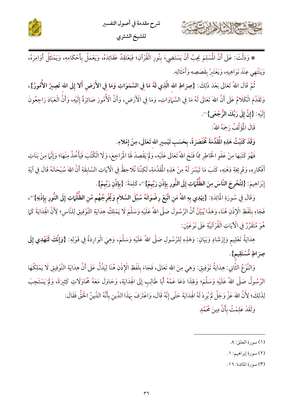

\* وَدَلَّتْ: عَلَى أَنَّ الْمُسْلِمَ يَجِبُ أَنْ يَسْتَضِيءَ بِنُورِ الْقُرْآنِ؛ فَيَعْتَقِدُ عَقَائِدَهُ، وَيَعْمَلُ بِأَحْكَامِهِ، وَيَمْتَثِلُ أَوَامِرَهُ، وَيَنْتَهِي عِنْدَ نَوَاهِيهِ، وَيَعْتَبِرُ بِقَصَصِهِ وَأَمْثَالِهِ.

ثُمَّ قَالَ اللهُ تَعَالَى بَعْدَ ذَلِكَ: {صِرَاطِ الله الَّذِي لَهُ مَا فِي السَّمَوَاتِ وَمَا فِي الأَرْض أَلا إِلَى الله تَصِيرُ الأُمُّورُ}، وَتَقَدَّمَ الْكَلَامُ عَلَى أَنَّ اللهَ تَعَالَى لَهُ مَا فِي السَّمَاوَاتِ، وَمَا فِي الْأَرْضِ، وَأَنَّ الْأُمُورَ صَائِرَةٌ إِلَيْهِ، وَأَنَّ الْعَبَادَ رَاجِعُونَ إِلَيْهِ: {إِنَّ إِلَى رَبِّكَ الرُّجْعَى}<sup>09</sup>.

قَالَ الْمُؤَلِّفُ رَحِمَهُ اللهُ:

Emile Valle

وَقَدْ كَتَبْتُ هَذِهِ الْمَقَدِّمَةَ مُخْتَصَرَةً، بِحَسَبِ تَيْسِيرِ الله تَعَالَى، مِنْ إِمْلاءِ.

فَهُوَ كَتَبَهَا مِنْ عَفْوِ الْخَاطِرِ مِمَّا فَتَحَ اللهُ تَعَالَى عَلَيْهِ، وَلَمْ يَقْصِدْ لَهَا الْمَراجِعَ، وَلَا الْكُتُبَ فَيَأْخُذُ مِنْهَا؛ وَإِنَّهَا مِنْ بَنَاتِ أَفْكَارِهِ، وَقَرِيحَةٍ ذِهْنِهِ، كَتَبَ مَا تَيَسَّرَ لَهُ مِنْ هَذِهِ الْمُقَدِّمَةِ، لَكِنَّنَا نُلَاحِظُ في الْآيَاتِ السَّابِقَةِ أَنَّ اللهَ سُبْحَانَهُ قَالَ في آيَةِ إِبْرَاهِيمَ: {لِتُخْرِجَ النَّاسَ مِنَ الظُّلُمَاتِ إِلَى النُّورِ بِإِذْنِ رَبِّهِمْ}'"، كَلِمَةَ: {بِإِذْنِ رَبِّهِمْ}.

وَقَالَ فِي سُورَةِ المَائِدَةِ: {يَهْدِي بِهِ اللهُ مَنِ اتَّبَعَ رِضْوَانَهُ سُبُلَ السَّلاَم وَيُخْرِجُهُم مِّنِ الظَّلُمَاتِ إِلَى النُّورِ بِإِذْنِهِ}'"، فَجَاءِ بِلَفْظِ الْإِذْنِ هُنَا، وَهَذَا يُبَيِّنُ أَنَّ الرَّسُولَ صَلَّى اللهُ عَلَيْهِ وَسَلَّمَ لَا يَمْلِكُ هِدَايَةِ التَّوْفِيقِ لِلنَّاسِ؛ لِأَنَّ الْهِدَايَةَ كَمَا هُوَ مُتَقَرِّرٌ فِي الْآيَاتِ الْقُرْآنِيَّةِ عَلَى نَوْعَيْن:

هِدَايَةُ تَعْلِيمٍ وَإِرْشَادٍ وَبَيَانٍ: وَهَذِهِ لِلرَّسُولِ صَلَّى اللهُ عَلَيْهِ وَسَلَّمَ، وَهِيَ الْوَارِدَةُ فِي قَوْلِهِ: {وَإِنَّكَ لَتَهْدِي إِلَى صِرَاطٍ مُّسْتَقِيمٍ}.

وَالنَّوْعُ الثَّانِي: هِدَايَةُ تَوْفِيقٍ: وَهِيَ مِنَ الله تَعَالَى، فَجَاءَ بِلَفْظِ الْإِذْنِ هُنَا لِيَدُلَّ عَلَى أَنَّ هِدَايَةِ التَّوْفِيقِ لَا يَمْلِكُهَا الرَّسُولُ صَلَّى اللهُ عَلَيْهِ وَسَلَّمَ؛ وَلِهَذَا دَعَا عَمَّهُ أَبَا طَالِبٍ إِلَى الْهِدَايَةِ، وَحَاوَلَ مَعَهُ مُحَاوَلَاتٍ كَثِيرَةً، وَلَمْ يَسْتَجِبْ لِذَلِكَ؛ لِأَنَّ اللهَ عَزَّ وَجَلَّ لَمْ يُرِدْ لَهُ افْحِدَايَةَ حَتَّى إِنَّهُ قَالَ، وَاعْتَرَفَ بِهَذَا الدِّين بأَنَّهُ الدِّينُ اخْقُّ فَقَالَ:

وَلَقَدْ عَلِمْتُ بِأَنَّ دِينَ مُحَمَّدٍ

(۳) سورة المائدة: ١٦.

<sup>(</sup>١) سورة العلق: ٨.

<sup>(</sup>٢) سورة إبراهيم: ١.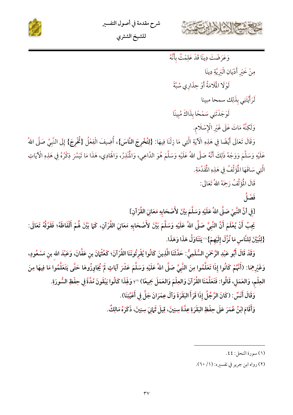



للشيخ الشثري

وَعَرَضْتَ دِينًا قَدْ عَلِمْتُ بِأَنَّهُ

مِنْ خَيْرِ أَدْيَانِ الْبَرِيَّةِ دِينَا

لَوْ لَا الْمَلَامَةُ أَوْ حِذَارِي سُبَّةً

لَرَأَيْتَنِي بذَلِك سمحا مبينا

لَوَجَدْتَنِي سَمْحًا بِذَاكَ مُبِينًا

وَلَكِنَّهُ مَاتَ عَلَى غَيْرِ الْإِسْلَامِ.

وَقَالَ تَعَالَى أَيْضًا فِي هَذِهِ الْآيَةِ الَّتِي مَا زِلْنَا فِيهَا: {لِتُخْرِجَ النَّاسَ}، أُضِيفَ الْفِعْلُ {ثُخْرِجَ} إِلَى النَّبِيِّ صَلَّى اللهُ عَلَيْهِ وَسَلَّمَ وَوَجْهُ ذَلِكَ أَنَّهُ صَلَّى اللهُ عَلَيْهِ وَسَلَّمَ هُوَ الذَّاعِي، وَالْمَنْذِرُ، وَالْهَادِي، هَذَا مَا تَيَسَّرَ ذِكْرُهُ فِي هَذِهِ الْآيَاتِ الَّتِي سَاقَهَا الْمُؤَلِّفُ فِي هَذِهِ الْمُقَدِّمَةِ.

قَالَ الْمُؤَلِّفُ رَحِمَهُ اللهُ تَعَالَى:

فَضْلُ

[فِي أَنَّ النَّبِيِّ صَلَّى اللهُ عَلَيْهِ وَسَلَّمَ بِيِّنَ لأَصْحَابِهِ مَعَانِيَ القُرْآنِ]

يَجِبُ أَنْ يُعْلَمَ أَنَّ النَّبِيَّ صَلَّى اللهُ عَلَيْهِ وَسَلَّمَ بَيَّنَ لأَصْحَابِهِ مَعَانِيَ القُرْآنِ، كَما بَيَّنَ هُمْ أَلْفَاظَهُ؛ فَقَوْلُهُ تَعَالَى: {لِتُبَيِّنَ لِلنَّاسِ مَا نُزِّلَ إِلَيْهِمْ}''' يَتَنَاوَلُ هَذَا وَهَذَا.

وَقَدْ قَالَ أَبُو عَبْدِ الرَّحْمَنِ السُّلَمِىُّ: حَدَّثَنَا الَّذِينَ كَانُوا يُقْرِئُونَنَا القُرْآنَ؛ كَعُثْهانَ بن عَفَّانَ، وَعَبْدَ الله بن مَسْعُودٍ، وَغَيْرِهِمَا: (أَنَّهُمْ كَانُوا إذَا تَعَلَّمُوا مِنَ النَّبِيِّ صَلَّى اللهُ عَلَيْهِ وَسَلَّمَ عَشْرَ آيَاتٍ لَمْ يُجَاوِزُوهَا حَتَّى يَتَعَلَّمُوا مَا فِيهَا مِنَ العِلْمِ، وَالعَمَلِ، قَالُوا: فَتَعَلَّمْنَا القُرْآنَ وَالعِلْمَ وَالعَمَلَ جَمِيعًا) "؛ وَلِهَذَا كَانُوا يَبْقَونَ مُدَّةً فِى حِفْظِ السُّورَةِ.

وَقَالَ أَنَسٌّ : (كَانَ الرَّجُلُ إِذَا قَرَأَ البَقَرَةَ وَآلَ عِمْرَانَ جَلَّ فِى أَعْيُنِنَا).

وَأَقَامَ ابْنُ عُمَرَ عَلَى حِفْظِ البَقَرَةِ عِدَّةَ سِنِينَ، قِيلَ ثَمَانَ سِنِينَ، ذَكَرَهُ مَالِكٌ.

<sup>(</sup>١) سورة النحل: ٤٤.

<sup>(</sup>۲) رواه ابن جرير في تفسيره: (۱/ ۲۰).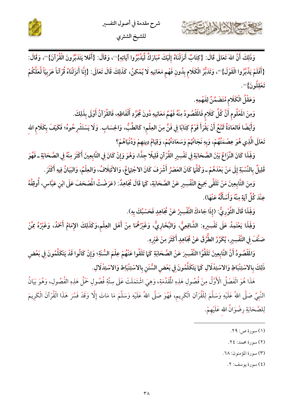



وَعَقْلُ الْكَلَامِ مُتَضَمِّنٌ لِفَهْمِهِ.

وَمِنَ المَعْلُومِ أَنَّ كُلَّ كَلَامٍ فَالمَقْصُودُ مِنْهُ فَهْمُ مَعَانِيهِ دُونَ مُجَرَّدِ أَلْفَاظِهِ، فَالقُرْآنُ أَوْلَى بِذَلِكَ.

وَأَيْضًا فَالعَادَةُ تَمْنَعُ أَنْ يَقْرَأَ قَوْمٌ كِتَابًا فِي فَنٍّ مِنَ العِلْمِ؛ كَالطِّبُّ، وَالحِسَابِ. وَلَا يَسْتَشْرِحُوهُ؛ فَكَيْفَ بِكَلَام الله تَعَالَى الَّذِي هُوَ عِصْمَتُهُمْ، وَبِهِ نَجَاتُهُمْ وَسَعَادَتُهُمْ، وَقِيَامُ دِينِهِمْ وَدُنْيَاهُمْ؟

وَلِهَذَا كَانَ النَّزَاعُ بَيْنَ الصَّحَابَةِ فِي تَفْسِيرِ القُرْآنِ قَلِيلًا جِلًّا، وَهُوَ وَإِنْ كَانَ فِي التَّابِعِينَ أَكْثَرَ مِنْهُ فِي الصَّحَابَةِ ـ فَهُوَ قَلِيلٌ بِالنِّسْبَةِ إِلَى مَنْ بَعْدَهُمْ ـ وَكُلَّهَا كَانَ العَصْرُ أَشْرَفَ كَانَ الاجْتِهَاعُ، وَالائْتِلَافُ، وَالعِلْمُ، وَالبَيَانُ فِيهِ أَكْثَرَ .

وَمِنَ التَّابِعِينَ مَنْ تَلَقَّى جَمِيعَ التَّفْسِيرِ عَنْ الصَّحَابَةِ، كَمَا قَالَ مُجَاهِدٌ: (عَرَضْتُ المُصْحَفَ عَلَى ابْن عَبَّاس، أُوقِفُهُ عِنْدَ كُلِّ آيَةٍ مِنْهُ وَأَسْأَلُهُ عَنْهَا).

وَلِهِذَا قَالَ الثَّوْرِيُّ: (إذَا جَاءَكَ التَّفْسِيرُ عَنْ مُجَاهِدٍ فَحَسْبُكَ بِهِ).

وَلَهِذَا يَعْتَمِدُ عَلَى تَفْسِيرِهِ: الشَّافِعِيُّ، وَالبُخَارِيُّ، وَغَيْرُهُمَا مِنْ أَهْلِ العِلْمِ،وَكَذَلِكَ الإِمَامُ أَحْمَدُ، وَغَيْرُهُ مِمَّنْ صَنَّفَ فِي التَّفْسِيرِ، يُكَرِّرُ الطُّرُقَ عَنْ مُجَاهِدٍ أَكْثَرَ مِنْ غَيْرِهِ.

وَالَمَّصُودُ أَنَّ التَّابِعِينَ تَلَقَّوُا التَّفْسِيرَ عَنْ الصَّحَابَةِ كَمَا تَلَقَّوا عَنْهُمْ عِلْمَ السُّنَةِ؛ وَإِنْ كَانُوا قَدْ يَتَكَلَّمُونَ فِي بَعْضِ ذَلِكَ بالاسْتِنْبَاطِ وَالاسْتِدْلَالِ كَمَا يَتَكَلَّمُونَ فِي بَعْض السُّنَن بالاسْتِنْبَاط وَالاسْتِدْلَالِ.

هَذَا هُوَ الْفَصْلُ الْأَوَّلُ مِنْ فُصُولِ هَذِهِ الْمُقَدِّمَةِ، وَهِيَ اشْتَمَلَتْ عَلَى سِتَّةِ فُصُولِ حَمْلُ هَذِهِ الفُصُولِ، وَهُوَ بَيَانُ النَّبِيِّ صَلَّى اللهُ عَلَيْهِ وَسَلَّمَ لِلْقُرْآنِ الْكَرِيمِ، فَهُوَ صَلَّى اللهُ عَلَيْهِ وَسَلَّمَ مَا مَاتَ إِلَّا وَقَدْ فَسَّرَ هَذَا الْقُرْآنَ الْكَرِيمَ لِلصَّحَابَةِ رِضْوَانُ الله عَلَيْهِمْ.

- (١) سورة ص: ٢٩.
- (٢) سورة محمد: ٢٤.
- (٣) سورة المؤمنون: ٦٨.
	- (٤) سورة يوسف: ٢.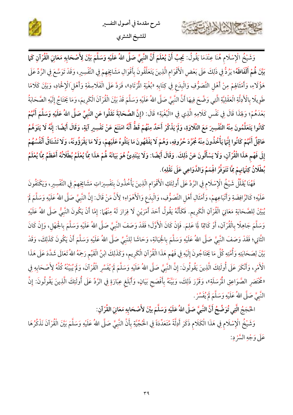



1 Tuni

وَشَيْخُ الْإِسْلَامِ هُنَا عِنْدَمَا يَقُولُ: يَجِبُ أَنْ يُعْلَمَ أَنَّ النَّبِيَّ صَلَّى اللهُ عَلَيْهِ وَسَلَّمَ بَيَّنَ لِأَصْحَابِهِ مَعَانِيَ الْقُرْآنِ كَمَا بَيِّنَ هُمْ أَلْفَاظَهُ؛ يَرُدُّ فِي ذَلِكَ عَلَى بَعْضِ الْأَقْوَامِ الَّذِينَ يَتَعَلَّقُونَ بِأَقْوَالِ مَشَايِخِهِمْ فِي التَّفْسِيرِ، وَقَدْ تَوَسَّعَ فِي الزَّدِّ عَلَى هَؤُلَاءِ، وَأَمْثَالِهِمْ مِنْ أَهْلِ التَّصَوُّفِ وَالْبِدَعِ فِي كِتَابِهِ «بُغْيَةِ الْمُرْتَادِ»، فَرَدَّ عَلَى الْفَلَاسِفَةِ وَأَهْل الْإِخْادِ، وَبَيَّنَ كَلَامًا طَوِيلًا بِالْأَدِلَّةِ الْعَقْلِيَّةِ الَّتِي وَضَّحَ فِيهَا أَنَّ النَّبِيَّ صَلَّى اللهُ عَلَيْهِ وَسَلَّمَ قَدْ بَيَّنَ الْقُرْآنَ الْكَرِيمَ، وَمَا يَخْتَاجُ إِلَيْهِ الصَّحَابَةُ بَعْدَهُمْ؛ وَلِهَذَا قَالَ فِي نَفْسٍ كَلَامِهِ الَّذِي فِي «الْبُغْيَةِ» قَالَ: (إِنَّ الصَّحَابَةَ نَقَلُوا عَنِ النَّبِيِّ صَلَّى اللهُ عَلَيْهِ وَسَلَّمَ أَنَّهُمْ كَانُوا يَتَعَلَّمُونَ مِنْهُ التَّفْسِيرَ مَعَ التَّلَاوَةِ، وَلَمْ يَذْكُرْ أَحَدٌ مِنْهُمْ قَطُّ أَنَّهُ امْتَنَعَ عَنْ تَفْسِيرِ آيَةٍ، وَقَالَ أَيْضًا: إِنَّهُ لَا يَتَوَهَّمُ عَاقِلٌ أَنَّهُمْ كَانُوا إِنَّمَا يَأْخُذُونَ مِنْهُ مُجَرَّدَ حُرُوفِهِ، وَهُمْ لَا يَفْقَهُونَ مَا يَتْلُوهُ عَلَيْهِمْ، وَلَا مَا يَقْرَؤُونَهُ، وَلَا تَشْتَاقُ أَنْفُسُهُمْ إِلَى فَهْم هَذَا الْقُرْآنِ، وَلَا يَسْأَلُونَ عَنْ ذَلِكَ. وَقَالَ أَيْضًا: وَلَا يَبْتَدِئُ هُوَ بَيَانَهُ لُهُمْ هَذَا مِّاً يُعْلَمُ بُطْلَانُهُ أَعْظَمُ مِمَّا يُعْلَمُ بُطْلَانُ كِتْهَانِهِمْ مِمَّا تَتَوَفَّرُ الْهِمَمُ وَالذَّوَاعِي عَلَى نَقْلِهِ).

فَهُنَا يُقَلِّلُ شَيْخُ الْإِسْلَامِ فِي الرَّدِّ عَلَى أُولِئَكِ الْأَقْوَامِ الَّذِينَ يَأْخُذُونَ بِتَفْسِيرَاتِ مَشَايِخِهِمْ فِي التَّفْسِيرِ، وَيَكْتَفُونَ عَلَيْهِ؛ كَالرَّافِضَةِ وَأَتْبَاعِهِمْ، وَأَمْثَالِ أَهْلِ التَّصَوُّفِ، وَالْبِدَعِ وَالْأَهْوَاءِ؛ لِأَنَّ مَنْ قَالَ: إِنَّ النَّبِيَّ صَلَّى اللهُ عَلَيْهِ وَسَلَّمَ لَمْ يُبَيِّنْ لِلصَّحَابَةِ مَعَانِيَ الْقُرْآنِ الْكَرِيم. فَكَأَنَّهُ يَقُولُ أَحَدَ أَمْرَيْنِ لَا فِرَارَ لَهُ مِنْهُمَا: إِمَّا أَنْ يَكُونَ النَّبِيُّ صَلَّى اللهُ عَلَيْهِ وَسَلَّمَ جَاهِلًا بِالْقُرْآنِ، أَوْ كَاتِمًا لِمَا عَلِمَ. فَإِنْ كَانَ الْأَوَّلَ؛ فَقَدْ وَصَفَ النَّبَيَّ صَلَّى اللهُ عَلَيْهِ وَسَلَّمَ بِالْجَهْلِ، وَإِنْ كَانَ الثَّانِي؛ فَقَدْ وَصَفَ النَّبِيَّ صَلَّى اللهُ عَلَيْهِ وَسَلَّمَ بِالْخِيَانَةِ، وَحَاشَا لِلنَّبِيِّ صَلَّى اللهُ عَلَيْهِ وَسَلَّمَ أَنْ يَكُونَ كَذَلِكَ، وَقَدْ بَيَّنَ لِصَحَابَتِهِ وَأُمَّتِهِ كُلَّ مَا يَخْتَاجُونَ إِلَيْهِ فِي فَهْم هَذَا الْقُرْآنِ الْكَرِيم، وَكَذَلِكَ ابْنُ الْقَيِّم رَحِمَهُ اللهُ تَعَالَى شَدَّدَ عَلَى هَذَا الْأَمْرِ، وَأَنْكَرَ عَلَى أُولَئِكَ الَّذِينَ يَقُولُونَ: إِنَّ النَّبِيَّ صَلَّى اللهُ عَلَيْهِ وَسَلَّمَ لَمْ يُفَسِّرِ الْقُرْآنَ، وَلَمْ يُبَيِّنْهُ كُلَّهُ لِأَصْحَابِهِ فِي «مُخْتَصَرِ الصَّوَاعِقِ الْمُرْسَلَةِ»، وَقَرَّرَ ذَلِكَ، وَبَيَّنَهُ بِأَفْصَح بَيَانٍ، وَأَبْلَغ عِبَارَةٍ فِي الرَّدِّ عَلَى أُولَئِكَ الَّذِينَ يَقُولُونَ: إِنَّ النَّبِيَّ صَلَّى اللهُ عَلَيْهِ وَسَلَّمَ لَمْ يُفَسِّرْ .

الْحُجَجُ الَّتِي تُوَضِّحُ أَنَّ النَّبِيَّ صَلَّى اللهُ عَلَيْهِ وَسَلَّمَ بِيِّنَ لأَصْحَابِهِ مَعَانِيَ القُرْآنِ:

وَشَيْخُ الْإِسْلَامِ فِي هَذَا الْكَلَامِ ذَكَرَ أَدِلَّةً مُتَعَدِّدَةً فِي الْحُجِّيَّةِ بِأَنَّ النَّبِيَّ صَلَّى اللهُ عَلَيْهِ وَسَلَّمَ بَيَّنَ الْقُرْآنَ نَذْكُرُهَا عَلَى وَجْهِ السَّرْد: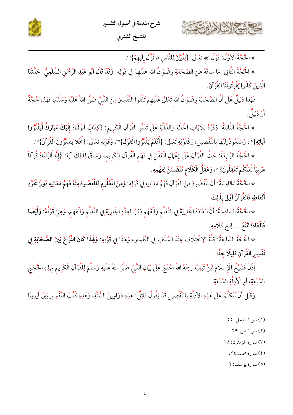

كالاشتران الحامرت

\* الْحُجَّةُ الْأَوَّلُ: قَوْلُ الله تَعَالَى: {لِتُبَيِّنَ لِلنَّاسِ مَا نُزِّلَ إِلَيْهِمْ}'".

\* اخْجَةُ الثَّانِي: مَا سَاقَهُ عَنِ الصَّحَابَةِ رِضْوَانُ الله عَلَيْهِمْ فِي قَوْلِهِ: **وَقَدْ قَالَ أَبُو عَبْدِ الرَّحْمَنِ السُّلَمِيُّ: حَلَّثَنَا** الَّذِينَ كَانُوا يُقْرِئُونَنَا الْقُرْآنَ.

فَهَذَا دَلِيلٌ عَلَى أَنَّ الصَّحَابَةَ رِضْوَانُ الله تَعَالَى عَلَيْهِمْ تَلَقَّوْا التَّفْسِيرَ مِنَ النَّبِيِّ صَلَّى اللهُ عَلَيْهِ وَسَلَّمَ، فَهَذِهِ حُجَّةٌ أَوْ دَلِيلٌ.

\* الْحُجَّةُ الثَّالِثَةُ: ذِكْرُهُ لِلْآيَاتِ الْحَاثَّةِ وَالدَّالَّةِ عَلَى تَدَبُّرِ الْقُرْآنِ الْكَرِيم: {كِتَابٌ أَنزَلْنَاهُ إِلَيْكَ مُبَارَكٌ لِّيَدَّبَّرُوا آيَاتِهِ}'"، وَسَنَعُودُ إِلَيْهَا بِالتَّفْصِيلِ، وَكَقَوْلِهِ تَعَالَى: {أَفَلَمْ يَلَّبَرُوا الْقَوْلَ}'"، وَقَوْلِهِ تَعَالَى: {أَفَلا يَتَدَبَّرُونَ الْقُرْآنَ}'".

\* الْحُجَّةُ الرَّابِعَةُ: حَثَّ الْقُرْآنِ عَلَى إِعْمَالِ الْعَقْلِ فِي فَهْمِ الْقُرْآنِ الْكَرِيمِ، وَسَاقَ لِذَلِكَ آيَةَ: {إِنَّا أَنزَلْنَاهُ قُرْآناً عَرَبِيّاً لَّعَلَّكُمْ تَعْقِلُونَ}"، وَعَقْلُ الْكَلَام مُتَضَمِّنٌ لِفَهْمِهِ.

\* الْحُجَّةُ الْخَامِسَةُ: أَنَّ الْمُقْصُودَ مِنَ الْقُرْآنِ فَهْمُ مَعَانِيهِ فِي قَوْلِهِ: وَمِنَ الْمُعْلُوم فَالْمُقْصُودُ مِنْهُ فَهْمُ مَعَانِيهِ دُونَ مُجَرَّدِ أَلْفَاظِهِ فَالْقُرْآنُ أَوْلَى بِذَلِكَ.

\* الْحُجَّةُ السَّادِسَةُ: أَنَّ الْعَادَةَ الْجَارِيَةَ فِي التَّعَلُّمِ وَالْفَهْمِ ذِكْرُ الْعِدَّةِ الْجَارِيَةِ فِي التَّعَلُّمِ وَالْفَهْمِ، وَهِيَ قَوْلُهُ: وَأَيْضًا فَالْعَادَةُ تَمْنَعُ ... إِلَخٍ كَلَامِهِ.

\* الْحُجَّةُ السَّابِعَةُ: قِلَّةُ الِاخْتِلَافِ عِنْدَ السَّلَفِ فِي التَّفْسِيرِ، وَهَذَا فِي قَوْلِهِ: وَلَهِذَا كَانَ النِّزَاعُ بَيْنَ الصَّحَابَةِ فِي تَفْسِير الْقُرْآنِ قَلِيلًا جِلًّا.

إِذَنْ فَشَيْخُ الْإِسْلَام ابْنُ تَيْمِيَّةَ رَحِمَهُ اللهُ احْتَجَّ عَلَى بَيَانِ النَّبِيِّ صَلَّى اللهُ عَلَيْهِ وَسَلَّمَ لِلْقُرْآنِ الْكَرِيم بِهَذِهِ الْحُجَج السَّبْعَةِ، أَوِ الْأَدِلَّةِ السَّبْعَةِ.

وَقَبْلَ أَنْ نَتَكَلَّمَ عَلَى هَذِهِ الْأَدِلَّةِ بِالتَّفْصِيلِ قَدْ يَقُولُ قَائِلٌ: هَذِهِ دَوَاوِينُ السُّنَّةِ، وَهَذِهِ كُتُبُ التَّفْسِيرِ بَيْنَ أَيْدِينَا

- (١) سورة النحل: ٤٤.
	- (٢) سورة ص: ٢٩.
- (٣) سورة المؤمنون: ٦٨.
	- (٤) سورة محمد:٢٤.
	- (٥) سورة يوسف: ٢.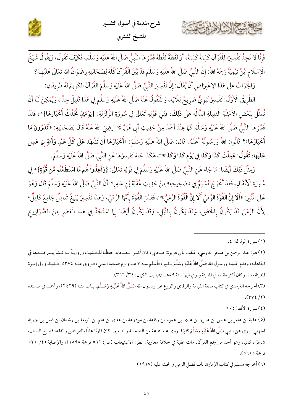

شرح مقدمة في أصول التفسير للشيخ الشثري

فَإِنَّا لَا نَجِدُ تَفْسِيرًا لِلْقُرْآنِ كَلِمَةً كَلِمَةً، أَوْ لَفْظَةً فَشَرَهَا النَّبِيُّ صَلَّى اللهُ عَلَيْهِ وَسَلَّمَ، فَكَيْفَ تَقُولُ، وَيَقُولُ شَيْخُ الْإِسْلَامِ ابْنُ تَيْمِيَّةَ رَحِمَهُ اللهُ: إِنَّ النَّبِيَّ صَلَّى اللهُ عَلَيْهِ وَسَلَّمَ قَدْ بَيَّنَ الْقُرْآنَ كُلَّهَ لِصَحَابَتِهِ رضْوَانُ الله تَعَالَى عَلَيْهِمْ؟

وَالْجَوَابُ عَلَى هَذَا الِاعْتِرَاضِ أَنْ يُقَالَ: إِنَّ تَفْسِيرَ النَّبِيِّ صَلَّى اللهُ عَلَيْهِ وَسَلَّمَ الْقُرْآنَ الْكَرِيمَ لَهُ طَرِيقَانِ:

الطَّرِيقُ الْأَوَّلُ: تَفْسِيرٌ نَبَوِيٌّ صَرِيحٌ لِلْآيَةِ، وَالْمُنْقُولُ عَنْهُ صَلَّى اللهُ عَلَيْهِ وَسَلَّمَ فِي هَذَا قَلِيلٌ جِدًّا، وَيُمْكِنُ لَنَا أَنْ نُمَثِّلَ بِبَعْضِ الْأَمْثِلَةِ الْقَلِيلَةِ الدَّالَّةِ عَلَى ذَلِكَ، فَفِي قَوْلِهِ تَعَالَى فِي سُورَةِ الزَّلْزَلَةِ: {يَوْمَئِذٍ ثُحَدِّثُ أَخْبَارَهَا}''، فَقَدْ فَسَّرَهَا النَّبِيُّ صَلَّى اللهُ عَلَيْهِ وَسَلَّمَ كَمَا عِنْدَ أَحْمَدَ مِنْ حَدِيثِ أَبِي هُرَيْرَةَ''' رَضِيَ اللهُ عَنْهُ قَالَ لِصَحَابَتِهِ: «أَتَدْرُونَ مَا أَخْبَارُهَا»؟ قَالُوا: اللهُ وَرَسُولُهُ أَعْلَمُ. قَالَ: صَلَّى اللهُ عَلَيْهِ وَسَلَّمَ: «أَخْبَارُهَا أَنْ تَشْهَدَ عَلَى كُلِّ عَبْدٍ وَأَمَةٍ بِمَا عَمِلَ عَلَيْهَا؛ تَقُولُ: عَمِلْتَ كَذَا وَكَذَا فِي يَوْم كَذَا وَكَذَا»"، هَكَذَا جَاءَ تَفْسِيرُهَا عَنِ النَّبِيِّ صَلَّى اللهُ عَلَيْهِ وَسَلَّمَ.

وَمِثْلُ ذَلِكَ أَيْضًا: مَا جَاءَ عَنِ النَّبِيِّ صَلَّى اللهُ عَلَيْهِ وَسَلَّمَ فِي قَوْلِهِ تَعَالَى: {وَأَعِدُّواْ هُم مَّا اسْتَطَعْتُم مِّن قُوَّةٍ}'" فِي سُورَةِ الْأَنْفَالِ، فَقَدْ أَخْرَجَ مُسْلِمٌ فِي «صَحِيحِهِ» مِنْ حَدِيثِ عُقْبَةَ بْنِ عَامِرٍ٬º أَنَّ النَّبِيِّ صَلَّى اللهُ عَلَيْهِ وَسَلَّمَ قَالَ وَهُوَ عَلَى الْمُنْبَرِ : «أَلَا إِنَّ الْقُوَّةَ الرَّمْيُ أَلَا إِنَّ الْقُوَّةَ الرَّمْيُ» »، فَفَسَّرَ الْقُوَّةَ بِأَنَّهَا الرَّمْيُ، وَهَذَا تَفْسِيرٌ بَلِيغٌ شَامِلٌ جَامِعٌ كَامِلٌ؛ لِأَنَّ الرَّمْيَ قَدْ يَكُونُ بِالْحَصَى، وَقَدْ يَكُونُ بِالنَّبْلِ، وَقَدْ يَكُونُ أَيْضًا بِهَا اسْتَجَدَّ فِي هَذَا الْعَصْرِ مِنَ الصَّوَارِيخ

(٤) سورة الأنفال: ٦٠.

<sup>(</sup>١) سورة الزلزلة: ٤.

<sup>(</sup>٢) هو: عبد الرحمن بن صخر الدوسي، الملقب بأبي هريرة: صحابي، كان أكثـر الـصحابة حفظًـا للحـديث وروايـةً لـه.نـشأ يتـيما ضـعيفا في الجاهلية، وقدم المدينة ورسول الله صَلَّى اللهُ عَلَيْهِ وَسَلَّمَ بخيبر، فأسلم سنة ٧ هـ، ولزم صحبة النبــي، فـروى عنــه ٥٣٧٤ حــديثا، وولي إمــرة المدينة مدة. وكان أكثر مقامه في المدينة وتوفي فيها سنة ٥٩هـ. (تهذيب الكمال: ٣٤/ ٣٦٦).

<sup>(</sup>٣) أخرجه الترمذي في كتاب صفة القيامة والرقائق والورع عن رســول الله صَــلَّى اللهُ عَلَيْـهِ وَسَــلَّمَ، بــاب منــه (٢٤٢٩)، وأحمــد في مــسنده  $.(\forall V\xi/Y)$ 

<sup>(</sup>٥) عقبة بن عامر بن عبس بن عمرو بن عدي بن عمرو بن رفاعة بن مودوعة بن عدي بن غنم بن الربعة بن رشدان بن قيس بن جهينة الجهني. روى عن النبي صَلَّى اللهُ عَلَيْهِ وَسَلَّمَ كثيرًا. روى عنه جماعة من الصحابة والتابعين. كان قارئًا عالمًا بالفرائض والفقه، فصيح اللسان، شاعرًا، كاتبًا، وهو أحد من جمع القرآن. مات عقبة في خلافة معاوية. انظر: الاستيعاب (ص: ٥٦١ ترجمة ١٨٩٨)، والإصابة (٤/ ٥٢٠ ترجمة ٢٠٥).

<sup>(</sup>٦) أخرجه مسلم في كتاب الإمارة، باب فضل الرمي والحث عليه (١٩١٧).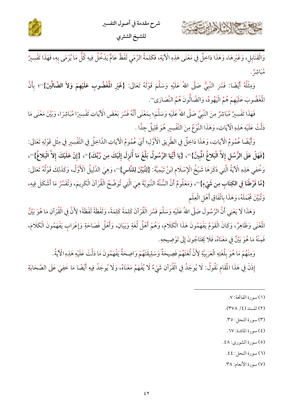



وَالْقَنَابِلِ، وَغَيْرِهَا، وَهَذَا دَاخِلٌ فِي مَعْنَى هَذِهِ الْآيَةِ، فَكَلِمَةُ الرَّمْيِ لَفْظٌ عَامٌّ يَدْخُلُ فِيهِ كُلُّ مَا يُرْمَى بِهِ، فَهَذَا تَفْسِيرٌ <sup>وب</sup>اش<sup>و</sup> .

وَمِثْلُهُ أَيْضًا: فَسَّرَ النَّبِيُّ صَلَّى اللهُ عَلَيْهِ وَسَلَّمَ قَوْلَهُ تَعَالَى: {غَيْرِ ا**لْغْضُوبِ عَلَيْهِمْ وَلاَ الضَّالِّي**نَ}''؛ بِأَنَّ الْمَغْضُوبَ عَلَيْهِمْ هُمُ الْيَهُودُ، وَالضَّالُّونَ هُمُ النَّصَارَى'".

فَهَذَا تَفْسِيرٌ مُبَاشِرٌ مِنَ النَّبِيِّ صَلَّى اللهُ عَلَيْهِ وَسَلَّمَ؛ بِمَعْنَى أَنَّهُ فَسَّرَ بَعْضَ الْآيَاتِ تَفْسِيرًا مُبَاشِرًا، وَبَيَّنَ مَعْنَى مَا دَلَّتْ عَلَيْهِ هَذِهِ الْآيَاتِ، وَهَذَا النَّوْعُ مِنَ التَّفْسِيرِ هُوَ قَلِيلٌ جِدًّا .

وَأَيْضًا عُمُومُ الْآيَاتِ، وَهَذَا دَاخِلٌ فِي الطَّرِيقِ الْأَوَّلِ؛ أَيْ عُمُومُ الْآيَاتِ الدَّاخِلُ فِي التَّفْسِيرِ فِي مِثْلِ قَوْلِهِ تَعَالَى: {فَهَلْ عَلَى الرُّسُلِ إِلاَّ الْبَلاغُ الْمُبِينُ}"، {يَا أَيُّهَا الرَّسُولُ بَلِّغْ مَا أُنزِلَ إِلَيْكَ مِن رَّبِّكَ}"، {إِنْ عَلَيْكَ إِلاَّ الْبَلاغُ}"، وَخُفى هَذِهِ الْآيَةُ الَّتِي ذَكَرَهَا شَيْخُ الْإِسْلَامِ ابْنُ تَيْمِيَّةَ: {لِتُبَيِّنَ لِلنَّاس}"، وَهِيَ الدَّلِيلُ الْأَوَّلُ، وَكَذَلِكَ قَوْلُهُ تَعَالَى: {مَّا فَرَّطْنَا فِي الكِتَابِ مِن شَيْءٍ}'"، وَمَعْلُومٌ أَنَّ السُّنَّةَ النَّبَوِيَّةَ هِيَ الَّتِي تُوَضِّحُ الْقُرْآنَ الْكَرِيمَ، وَتُفَسِّرُ مَا أَشْكَلَ فِيهِ، وَتُبَيِّنَ مُجْمَلَهُ، وَهَذَا بِاتَّفَاقِ أَهْلِ الْعِلْمِ

وَهَذَا لَا يَعْنِي أَنَّ الرَّسُولَ صَلَّى اللهُ عَلَيْهِ وَسَلَّمَ فَسَّرَ الْقُرْآنَ كَلِمَةً كَلِمَةً، وَلَفْظَةً لَفْظَةً؛ لِأَنَّ فِي الْقُرْآنِ مَا هُوَ بَيِّنُ المُعْنَى وَظَاهِرٌ، وَكَانَ الْقَوْمُ يَفْهَمُونَ هَذَا الْكَلَامَ، وَهُمْ أَهْلُ لُغَةٍ وَبَيَانٍ، وَأَهْلُ فَصَاحَةٍ وَإِعْرَابٍ يَفْهَمُونَ الْكَلَامَ، فَمِنْهُ مَا هُوَ بَيِّنٌ فِي مَعْنَاهُ، فَلَا يَحْتَاجُونَ إِلَى تَوْضِيحِهِ.

وَمِنْهُمْ مَا هُوَ بِلُغَتِهِ الْعَرَبِيَّةِ لِأَنَّ لُغَتَهُمْ فَصِيحَةٌ وَسَلِيقَتَهُمْ وَاضِحَةٌ يَفْهَمُونَ مَا دَلَّتْ عَلَيْهِ هَذِهِ الْآيَةُ.

إِذَنْ فِي هَذَا الْمَقَام نَقُولُ: لَا يُوجَدُ فِي الْقُرْآنِ شَيْءٌ لَا يُفْهَمُ مَعْنَاهُ، وَلَا يُوجَدُ فِيهِ أَيْضًا مَا خَفِيَ عَلَى الصَّحَابَةِ

- (١) سورة الفاتحة: ٧.
- (٢) المسند (٤/ ٣٧٨).
- (٣) سورة النحل: ٣٥.
- (٤) سورة المائدة: ٦٧.
- (٥) سورة الشوري: ٤٨.

(٦) سورة النحل: ٤٤.

(٧) سورة الأنعام: ٣٨.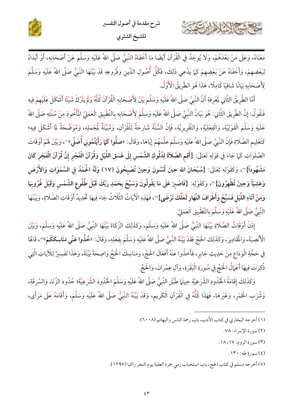



مَعْنَاهُ، وَعَلَى مَنْ بَعْدَهُمْ، وَلَا يُوجَدُ فِي الْقُرْآنِ أَيْضًا مَا أَخْفَاهُ النَّبِيُّ صَلَّى اللهُ عَلَيْهِ وَسَلَّمَ عَنْ أَصْحَابِهِ، أَوْ أَبْدَاهُ لِبَعْضِهِمْ، وَأَخْفَاهُ عَنْ بَعْضِهِمْ كَمَا يَدَّعِي ذَلِكَ، فَكُلُّ أُصُولِ الدِّينِ وَفُرُوعِهِ قَدْ بَيّنَهَا النَّبِيُّ صَلَّى اللهُ عَلَيْهِ وَسَلَّمَ لِأَصْحَابِهِ بَيَانًا شَافِيًا كَامِلًا، هَذَا هُوَ الطَّرِيقُ الْأَوَّلُ.

أَمَّا الطَّرِيقُ الثَّانِي لِعْرِفَةِ أَنَّ النَّبِيَّ صَلَّى اللهُ عَلَيْهِ وَسَلَّمَ بَيَّنَ لِأَصْحَابِهِ الْقُرْآنَ كُلَّهُ وَلَمْ يَتْرُكْ شَيْئًا أَشْكَلَ عَلَيْهِمْ فِيهِ فَنَقُولُ: إنَّ الطَّرِيقَ الثَّانِيَ: هُوَ بَيَانُ النَّبِيِّ صَلَّى اللهُ عَلَيْهِ وَسَلَّمَ لِأَصْحَابِهِ بالتَّطْبِيق الْعَمَلِيِّ المُأْخُوذِ مِنْ سُنَّتِهِ صَلَّى اللهُ عَلَيْهِ وَسَلَّمَ الْقَوْلِيَّةِ، وَالْفِعْلِيَّةِ، وَالتَّقْرِيرِيَّةِ، فَإِنَّ السُّنَّةَ شَارِحَةٌ لِلْقُرْآنِ، وَمُبَيِّنَةٌ لِمُجْمَلِهِ، وَمُوَضَّحَةٌ لَمِا أَشْكَلَ فِيهِ؛ كَتَعْلِيم الصَّلَاةِ فَإِنَّ النَّبِيَّ صَلَّى اللهُ عَلَيْهِ وَسَلَّمَ عَلَّمَهُمْ إِيَّاهَا، وَقَالَ: «صَلُّوا كَمَا رَأَيْتُمُونِي أُصَلِّي»''، وَبَيَّنَ لَهُمْ أَوْقَاتَ الصَّلَوَاتِ كَمَا جَاءَ فِي قَوْلِهِ تَعَالَى: {أَقِم الصَّلاَةَ لِلْلُوكِ الشَّمْسِ إِلَى غَسَقِ اللَّيْلِ وَقُرْآنَ الْفَجْرِ إِنَّ قُرْآنَ الْفَجْرِ كَانَ مَشْهُوداً}'"، وَكَفَوْلِهِ تَعَالَى: {سُبْحَانَ الله حِينَ تُمْسُونَ وَحِينَ تُصْبِحُونَ (١٧) وَلَهُ الْحُمْدُ في السَّمَوَاتِ وَالأَرْض وَعَشِيّاً وَحِينَ تُظْهِرُونَ}®، وَكَقَوْلِهِ: {فَاصْبِرْ عَلَى مَا يَقُولُونَ وَسَبِّحْ بِحَمْدِ رَبِّكَ قَبْلَ طُلُوعِ الشَّمْس وَقَبْلَ غُرُوبِهَا وَمِنْ آنَاءِ اللَّيْلِ فَسَبِّحْ وَأَطْرَافَ النَّهَارِ لَعَلَّكَ تَرْضَى}'"، فَهَذِهِ الْآيَاتُ الثَّلَاثُ جَاءَ فِيهَا تَحْدِيدُ أَوْقَاتِ الصَّلَاةِ، وَبَيَّنَهَا النَّبِيُّ صَلَّى اللهُ عَلَيْهِ وَسَلَّمَ بِالتَّطْبِيقِ الْعَمَلِيِّ.

إِذَنْ أَوْقَاتُ الصَّلَاةِ بَيِّنَهَا النَّبِيُّ صَلَّى اللهُ عَلَيْهِ وَسَلَّمَ، وَكَذَلِكَ الزَّكَاةَ بَيِّنَهَا النَّبِيُّ صَلَّى اللهُ عَلَيْهِ وَسَلَّمَ، وَبَيَّنَ الْأَنْصِبَةَ، وَالْمَّادِيرَ، وَكَذَلِكَ الْحَجَّ فَقَدْ بَيَّنَهُ النَّبِيُّ صَلَّى اللهُ عَلَيْهِ وَسَلَّمَ بفِعْلِهِ، وَقَالَ: «خُذُوا عَنِّي مَنَاسِكَكُمْ» ، قَالَهَا فِي حَجَّةِ الْوَدَاعِ مِنْ حَدِيثِ جَابِرٍ، فَأَخَذُوا عَنْهُ أَفْعَالَ الْحَجِّ، وَمَنَاسِكَ الْحَجّ وَاضِحَةً بَيِّنَةً، وَهَذَا تَفْسِيرُ لِلْآيَاتِ الَّتِي ذُكِرَتْ فِيهَا أَعْمَالُ الْحُجِّ فِي سُورَةِ الْبَقَرَةِ، وَآلِ عِمْرَانَ، وَالْحُجِّ.

وَكَذَلِكَ إقَامَةُ الْحُدُودِ الشَّرْعِيَّةِ حِينَهَا طَبَّقَ النَّبِيُّ صَلَّى اللهُ عَلَيْهِ وَسَلَّمَ الْحُدُودَ الشَّرْعِيَّةَ؛ حُدُودَ الزِّنَا، وَالسَّرقَةِ، وَشُرْبِ الْخَمْرِ، وَغَيْرِهَا، فَهَذَا كُلُّهُ فِي الْقُرْآنِ الْكَرِيمِ، وَقَدْ بَيَّنَهُ النَّبِيُّ صَلَّى اللهُ عَلَيْهِ وَسَلَّمَ، وَأَقَامَهُ عَلَى مَرْأَى،

- (٢) سورة الإسراء: ٧٨.
- (٣) سورة الروم: ١٧، ١٨.
	- (٤) سورة طه: ١٣٠.
- (٥) أخرجه مسلم في كتاب الحج، باب استحباب رمي جمرة العقبة يوم النحر راكبا (١٢٩٧).

<sup>(</sup>١) أخرجه البخاري في كتاب الأدب، باب رحمة الناس والبهائم (٢٠٠٨).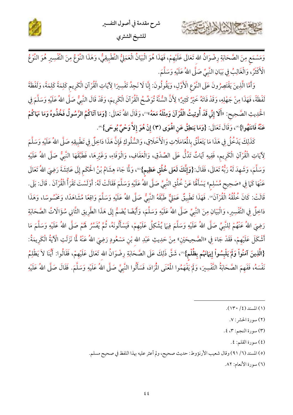





وَمَسْمَعٍ مِنَ الصَّحَابَةِ رِضْوَانُ الله تَعَالَى عَلَيْهِمْ، فَهَذَا هُوَ الْبَيَانُ الْعَمَلِيُّ التَّطْبِيقِيُّ، وَهَذَا النَّوْعُ مِنَ التَّفْسِيرِ هُوَ النَّوْعُ الْأَكْثَرُ، وَالْغَالِبُ فِي بَيَانِ النَّبِيِّ صَلَّى اللهُ عَلَيْهِ وَسَلَّمَ.

وَأَمَّا الَّذِينَ يَقْتَصِرُونَ عَلَى النَّوْعِ الْأَوَّلِ، وَيَقُولُونَ: إِنَّا لَا نَجِدُ تَفْسِيرًا لِآيَاتِ الْقُرْآنِ الْكَرِيم كَلِمَةً كَلِمَةً، وَلَفْظَةً لَفْظَةً، فَهَذَا مِنْ جَهْلِهِ، وَقَدْ فَاتَهُ خَيْرٌ كَثِيرٌ؛ لِأَنَّ السُّنَّةَ تُوَضِّحُ الْقُرْآنَ الْكَريمَ، وَقَدْ قَالَ النَّبِيُّ صَلَّى اللهُ عَلَيْهِ وَسَلَّمَ فِي الْحَدِيثِ الصَّحِيحِ: «أَلَا إِنِّي قَدْ أُوتِيتُ الْقُرْآنَ وَمِثْلَهُ مَعَهُ» وَقَالَ اللهُ تَعَالَى: {وَمَا آتَاكُمُ الرَّسُولُ فَخُذُوهُ وَمَا نَهَاكُمْ عَنْهُ فَانتَهُوا}"، وَقَالَ تَعَالَى: {وَمَا يَنطِقُ عَنِ الْهُوَى (٣) إِنْ هُوَ إِلاَّ وَحْيٌ يُوحَى}".

كَذَلِكَ يَدْخُلُ فِي هَذَا مَا يَتَعَلَّقُ بِالْمَعَامَلاتِ وَالْأَخْلَاقِ، وَالسُّلُوكِ فَإِنَّ هَذَا دَاخِلٌ فِي تَطْبِيقِهِ صَلَّى اللهُ عَلَيْهِ وَسَلَّمَ لِآيَاتِ الْقُرْآنِ الْكَرِيم، فَفِيهِ آيَاتٌ تَدُلُّ عَلَى الصِّدْقِ، وَالْعَفَافِ، وَالْوَفَاءِ، وَغَيْرِهَا، فَطَبَّقَهَا النَّبِيُّ صَلَّى اللهُ عَلَيْهِ وَسَلَّمَ، وَشَهِدَ لَهُ رَبُّهُ تَعَالَى، فَقَالَ:{وَإِنَّكَ لَعَلى خُلُقٍ عَظِيم}'"، وَلَمَّا جَاءَ هِشَامُ بْنُ الْحَكَم إِلَى عَائِشَةَ رَضِيَ اللهُ تَعَالَى عَنْهَا كَمَا فِي «صَحِيح مُسْلِم» يَسْأَلُهَا عَنْ خُلُقِ النَّبِيِّ صَلَّى اللهُ عَلَيْهِ وَسَلَّمَ فَقَالَتْ لَهُ: أَوْلَسْتَ تَقْرَأُ الْقُرْآنَ . قَالَ: بَلَى. قَالَتْ: كَانَ خُلُقُهُ الْقُرْآنَ". فَهَذَا تَطْبِيقٌ عَمَلِيٌّ طَبَّقَهُ النَّبِيُّ صَلَّى اللهُ عَلَيْهِ وَسَلَّمَ وَاقِعًا مُشَاهَدًا، وَمَحْسُوسًا، وَهَذَا دَاخِلٌ فِي التَّفْسِيرِ، وَالْبَيَانِ مِنَ النَّبِيِّ صَلَّى اللهُ عَلَيْهِ وَسَلَّمَ، وَأَيْضًا يُضَمُّ إِلَى هَذَا الطَّريقِ الثَّانِي سُؤَالَاتُ الصَّحَابَةِ رَضِيَ اللهُ عَنْهُمْ لِلنَّبِيِّ صَلَّى اللهُ عَلَيْهِ وَسَلَّمَ فِيهَا يُشْكِلُ عَلَيْهِمْ، فَيَسْأَلُونَهُ، ثُمَّ يُفَسِّرُ لَهُمْ صَلَّى اللهُ عَلَيْهِ وَسَلَّمَ مَا أَشْكَلَ عَلَيْهِمْ، فَقَدْ جَاءَ فِي «الصَّحِيحَيْنِ» مِنْ حَدِيثِ عَبْدِ الله بْن مَسْعُودٍ رَضِيَ اللهُ عَنْهُ لَمَا نَزَلَتِ الْآيَةُ الْكَرِيمَةُ: {الَّذِينَ آمَنُواْ وَلَمْ يَلْبِسُواْ إِيَمَانَهُم بِظُلْم}"، شَقَّ ذَلِكَ عَلَى الصَّحَابَةِ رِضْوَانُ الله تَعَالَى عَلَيْهِمْ، فَقَالُوا: أَيُّنَا لاَ يَظْلِمُ نَفْسَهُ، فَفَهِمَ الصَّحَابَةُ التَّفْسِيرَ، وَلَمْ يَفْهَمُوا الْمُغْنَى الْمُرَادَ، فَسَأَلُوا النَّبِيَّ صَلَّى اللهُ عَلَيْهِ وَسَلَّمَ. فَقَالَ صَلَّى اللهُ عَلَيْهِ

- (٤) سورة القلم: ٤.
- (٥) المسند (٦/ ٩١) وقال شعيب الأرنؤوط: حديث صحيح، ولم أعثر عليه بهذا اللفظ في صحيح مسلم.

(٦) سورة الأنعام: ٨٢.

 $(1)$ المسند (٤/ ١٣٠).

<sup>(</sup>٢) سورة الحشر : ٧.

<sup>(</sup>٣) سورة النجم: ٣، ٤.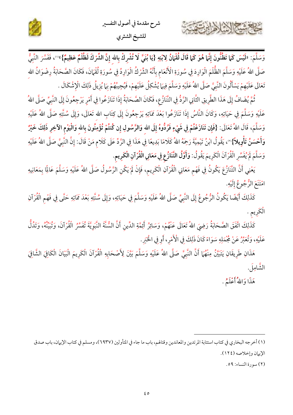

شرح مقدمة في أصول التفسير للشيخ الشثري

وَسَلَّمَ: «لَيْسَ كَمَا تَظُنُّونَ إِنَّمَا هُوَ كَمَا قَالَ لُقْمَانُ لِابْنِهِ {يَا بُنَيَّ لَا تُشْرِكْ بِالله إِنَّ الشَّرْكَ لَظُلْمٌ عَظِيمٌ}»(0) فَفَسَّرَ النَّبِيُّ صَلَّى اللهُ عَلَيْهِ وَسَلَّمَ الظُّلْمَ الْوَارِدَ فِي سُورَةِ الْأَنْعَامِ بِأَنَّهُ الشِّرْكُ الْوَارِدُ فِي سُورَةِ لُقْهَانَ، فَكَانَ الصَّحَابَةُ رِضْوَانُ الله تَعَالَى عَلَيْهِمْ يَسْأَلُونَ النَّبِيَّ صَلَّى اللهُ عَلَيْهِ وَسَلَّمَ فِيهَا يُشْكِلُ عَلَيْهِمْ، فَيُجِيبُهُمْ بِهَا يُزِيلُ ذَلِكَ الْإِشْكَالَ .

ثُمَّ يُضَافُ إِلَى هَذَا الطَّرِيقِ الثَّانِي الرَّدُّ فِي التَّنَازُعِ، فكَانَ الصَّحَابَةُ إِذَا تَنَازَعُوا فِي أَمْرِ يَرْجِعُونَ إِلَى النَّبِيِّ صَلَّى اللهُ عَلَيْهِ وَسَلَّمَ فِي حَيَاتِهِ، وَكَانَ النَّاسُ إِذَا تَنَازَعُوا بَعْدَ مَمَاتِهِ يَرْجِعُونَ إِلَى كِتَاب الله تَعَالَى، وَإِلَى سُنَّتِهِ صَلَّى اللهُ عَلَيْهِ وَسَلَّمَ، قَالَ اللهُ تَعَالَى: {فَإِن تَنَازَعْتُمْ فِي شَيْءٍ فَرُدُّوهُ إِلَى الله وَالزَّسُولِ إِن كُنتُمْ تُؤْمِنُونَ بِالله وَالْيَوْمِ الآخِرِ ذَلِكَ خَيْرٌ وَأَحْسَنُ تَأْوِيلاً}'"، يَقُولُ ابْنُ تَيْمِيَّةَ رَحِمَهُ اللهُ كَلامًا بَدِيعًا فِي هَذَا فِي الزَّدِّ عَلَى كَلام مَنْ قَالَ: إِنَّ النَّبِيَّ صَلَّى اللهُ عَلَيْهِ وَسَلَّمَ لَمْ يُفَسِّرِ الْقُرْآنَ الْكَرِيمَ يَقُولُ: وَأَوَّلُ التَّنَازُعِ فِي مَعَانِي الْقُرْآنِ الْكَرِيم.

يَعْنِي أَنَّ التَّنَازُعَ يَكُونُ فِي فَهْم مَعَانِي الْقُرْآنِ الْكَرِيم، فَإِنْ لَمْ يَكُنِ الرَّسُولُ صَلّ اللهُ عَلَيْهِ وَسَلَّمَ عَالِمًا بِمَعَانِيهِ امْتَنَعَ الرّْجُوعُ إِلَيْهِ.

كَذَلِكَ أَيْضًا يَكُونُ الرُّجُوعُ إِلَى النَّبِيِّ صَلَّى اللهُ عَلَيْهِ وَسَلَّمَ فِي حَيَاتِهِ، وَإِلَى سُنَّتِهِ بَعْدَ مَمَاتِهِ حَتَّى فِي فَهْم الْقُرْآنِ الْكَرِيم .

كَذَلِكَ اتَّفَقَ الصَّحَابَةُ رَضِيَ اللهُ تَعَالَى عَنْهُمْ، وَسَائِرُ أَئِمَّةِ الدِّينِ أَنَّ السُّنَّةَ النَّبَوِيَّةَ تُفَسِّرُ الْقُرْآنَ، وَتُبَيِّنُهُ، وَتَدُلُّ عَلَيْهِ، وَتُعَبِّرُ عَنْ مُجْمَلِهِ سَوَاءً كَانَ ذَلِكَ فِي الْأَمْرِ، أَو فِي الْخَبَرِ.

هَذَانِ طَرِيقَانِ يَتَبَيَّنُ مِنْهُمَا أَنَّ النَّبِيَّ صَلَّى اللهُ عَلَيْهِ وَسَلَّمَ بَيَّنَ لِأَصْحَابِهِ الْقُرْآنَ الْكَرِيمَ الْبَيَانَ الْكَافِيَ الشَّافِيَ الشَّامِلَ.

هَذَا وَاللهُ أَعْلَمُ .

 $|a| = \sqrt{2}$ 

(٢) سورة النساء: ٥٩.

<sup>(</sup>١) أخرجه البخاري في كتاب استتابة المرتدين والمعاندين وقتالهم، باب ما جاء في المتأولين (٦٩٣٧)، ومسلم في كتاب الإيهان، باب صدق الإيهان وإخلاصه (١٢٤).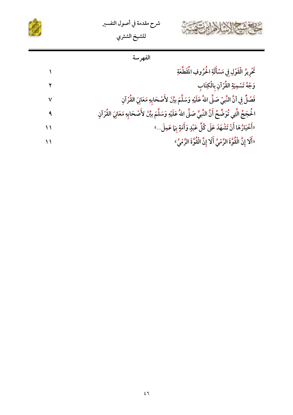





| فغب | الفهر |
|-----|-------|
|     |       |

|              | تَّرِيرُ الْقَوْلِ فِي مَسْأَلَةِ الْحُرُوفِ الْمُقَطَّعَةِ                                                           |
|--------------|-----------------------------------------------------------------------------------------------------------------------|
|              | وَجْهُ تَسْمِيَةِ القُرْآنِ بِالْكِتَابِ                                                                              |
| $\checkmark$ | فَصْلٌ فِي أنَّ النَّبِيّ صَلَّى اللهُ عَلَيْهِ وَسَلَّمَ بيِّنَ لأَصْحَابِهِ مَعَانِيَ القُرْآنِ                     |
|              | الْحُجَجُ الَّتِي تُوَضِّحُ أَنَّ النَّبِيَّ صَلَّى اللهُ عَلَيْهِ وَسَلَّمَ بِيِّنَ لأَصْحَابِهِ مَعَانِيَ القُرْآنِ |
| ۱۱           | «أَخْبَارُهَا أَنْ تَشْهَدَ عَلَى كُلِّ عَبْدٍ وَأَمَةٍ بِمَا عَمِلَ…»                                                |
| ۱۱           | «أَلَا إِنَّ الْقُوَّةَ الرَّمْيُ أَلَا إِنَّ الْقُوَّةَ الرَّمْيُ»                                                   |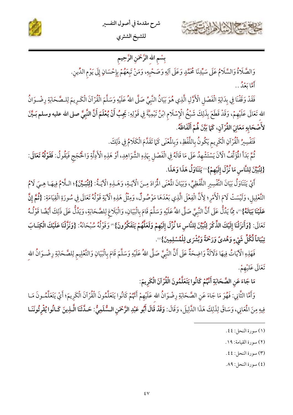



## بِسْم الله الرَّحْمَنِ الرَّحِيم

وَالصَّلَاةُ وَالسَّلَامُ عَلَى سَيِّدِنَا مُحَمَّدٍ وَعَلَى آلِهِ وَصَحْبِهِ، وَمَنْ تَبِعَهُمْ بِإِحْسَانٍ إِلَى يَوْمِ الدِّينِ. أمَّا رَوْ ٌ. .

فَقَدْ وَقَفْنَا فِي بِدَايَةِ الْفَصْلِ الْأَوَّلِ الَّذِي هُوَ بَيَانُ النَّبِيِّ صَلَّى اللهُ عَلَيْهِ وَسَلَّمَ الْقُرْآنَ الْكَـرِيمَ لِلـصَّحَابَةِ رِضْـوَانُ الله تَعَالَى عَلَيْهِمْ، وَقَدْ قَطَعَ بِذَلِكَ شَيْخُ الْإِسْلَامِ ابْنُ تَيْمِيَّةَ فِي قَوْلِهِ: يَجِبُ أَنْ يُعْلَمَ أَنَّ النَّبِيَّ صلى الله عليه وسلم بَـيَّنَ لأَصْحَابِهِ مَعَانِيَ القُرْآنِ، كَمَا بَيَّنَ هُمْ أَلْفَاظَهُ.

فَتَفْسِيرُ الْقُرْآنِ الْكَرِيم يَكُونُ بِاللَّفْظِ، وَبِالْمُغْنَى كَمَا تَقَلَّمَ الْكَلَامُ فِي ذَلِكَ.

ثُمَّ بَدَأَ الْمَوَلِّفُ الْآنَ يَسْتَشْهِدُ عَلَى مَا قَالَهُ فِي الْفَصْلِ بِهَذِهِ الشَّوَاهِدِ، أَوْ هَذِهِ الْأَدِلَّةِ وَالْحُجَج فَيَقُولُ: فَقَوْلُهُ تَعَالَى: {لِتُبَيِّنَ لِلنَّاسِ مَا نُزِّلَ إِلَيْهِمْ}''' يَتَنَاوَلُ هَذَا وَهَذَا.

أَيْ يَتَنَاوَلُ بَيَانَ التَّفْسِيرِ اللَّفْظِيِّ، وَبَيَانَ الْمُعْنَى الْمُرَادَ مِنَ الْآيَةِ، وَهَـذِهِ الْآيَـةُ: {لِمَبِيِّنَ}؛ الـلَّامُ فِيهَـا هِـيَ لَامُ التَّعْلِيلِ، وَلَيْسَتْ لَامَ الْأَمْرِ؛ لِأَنَّ الْفِعْلَ الَّذِي بَعْدَهَا مَوْصُولٌ، وَمِثْلُ هَذِهِ الْآيَةِ قَوْلُهُ تَعَالَى فِي سُورَةِ الْقِيَامَةِ: {ثُمَّ إِنَّ عَلَيْنَا بَيَانَهُ}'"، مِمَّا يَدُلُّ عَلَى أَنَّ النَّبِيَّ صَلَّى اللهُ عَلَيْهِ وَسَلَّمَ قَامَ بِالْبَيَانِ، وَالْبَلَاغِ لِلصَّحَابَةِ، وَيَدُلُّ عَلَى ذَلِكَ أَيْضًا قَوْلُـهُ تَعَالَى: {وَأَنزَلْنَا إِلَيْكَ الذِّكْرَ لِتُبَيِّنَ لِلنَّاسِ مَا نُزِّلَ إِلَيْهِمْ وَلَعَلَّهُمْ يَتَفَكَّرُونَ}'" وَقَوْلُهُ سُبْحَانَهُ: {وَنَزَّلْنَا عَلَيْكَ الْكِتَـابَ تِبْيَاناً لِّكُلِّ شَيْءٍ وَهُدىً وَرَحْمَةً وَبُشْرَى لِلْمُسْلِمِينَ}®.

فَهَذِهِ الْآيَاتُ فِيهَا دَلَالَةٌ وَاضِحَةٌ عَلَى أَنَّ النَّبِيَّ صَلَّى اللهُ عَلَيْهِ وَسَلَّمَ قَامَ بِالْبَيَانِ وَالتَّعْلِيمِ لِلصَّحَابَةِ رِضْـوَانُ الله تَعَالَى عَلَيْهِمْ.

مَا جَاءَ عَنِ الصَّحَابَةِ أَنَّهُمْ كَانُوا يَتَعَلَّمُونَ الْقُرْآنَ الْكَرِيمَ:

وَأَمَّا الثَّانِي: فَهُوَ مَا جَاءَ عَنِ الصَّحَابَةِ رِضْوَانُ الله عَلَيْهِمْ أَتَهُمْ كَانُوا يَتَعَلَّمُونَ الْقُرْآنَ الْكَرِيمَ؛ أَيْ يَتَعَلَّمُونَ مَـا فِيهِ مِنَ الْمَعَانِي، وَسَاقَ لِذَلِكَ هَذَا الدَّلِيلَ، وَقَالَ: وَقَدْ قَالَ أَبُو عَبْدِ الرَّحْمَنِ السُّلَمِيُّ: حَـدَّثَنَا الَّـذِينَ كَـانُوا يُقْرِئُونَنَـا

- (٢) سورة القيامة: ١٩.
- (٣) سورة النحل: ٤٤.
- (٤) سورة النحل: ٨٩.

<sup>(</sup>١) سورة النحل: ٤٤.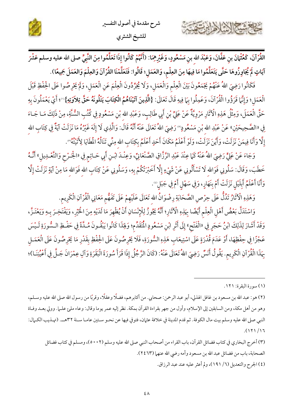شرح مقدمة في أصول التفسير للشيخ الشثري



القُرْآنَ، كَعُثْهَانَ بنِ عَفَّانَ، وَعَبْدَ الله بنِ مَسْعُودٍ، وَغَيْرِهِمَا: (أَنَّهُمْ كَانُوا إِذَا تَعَلَّمُوا مِنَ النَّبِيِّ صلى الله عليه وسلم عَشْرَ آيَاتٍ لَمْ يُجَاوِزُوهَا حَتَّى يَتَعَلَّمُوا مَا فِيهَا مِنَ العِلْمِ، وَالعَمَلِ؛ قَالُوا: فَتَعَلَّمْنَا القُرْآنَ وَالعِلْمَ وَالعَمَلَ جَمِيعًا).

فَكَانُوا رَضِيَ اللهُ عَنْهُمْ يَجْمَعُونَ بَيْنَ الْعِلْمِ وَالْعَمَلِ، وَلَا يُجَرِّدُونَ الْعِلْمَ عَنِ الْعَمَلِ، وَلَمْ يَحْرِصُوا عَلَى الْحِفْظِ قَبْلَ الْعَمَلِ؛ وَإِنَّهَا قَرَؤُوا الْقُرْآنَ، وَعَمِلُوا بِمَا فِيهِ قَالَ تَعَالَى: {الَّذِينَ آتَيْنَاهُمُ الْكِتَابَ يَتْلُونَهُ حَقَّ تِلاَوَتِهِ}'''؛ أَيْ يَعْمَلُونَ بِهِ حَقَّ الْعَمَلَ، وَمِثْلُ هَذِهِ الْآثَارِ مَرْوِيَّةٌ عَنْ عَلِيٍّ بْنِ أَبِي طَالِبٍ، وَعَبْدِ الله بْنِ مَسْعُودٍ فِي كُتُبِ السُّنَّةِ، مِنْ ذَلِكَ مَـا جَـاءَ فِي «الصَّحِيحَيْنِ» عَنْ عَبْدِ الله بْنِ مَسْعُودٍ'' رَضِيَ اللهُ تَعَالَى عَنْهُ أَنَّهُ قَالَ: وَالَّذِي لَا إِلَهَ غَيْرُهُ مَا نَزَلَتْ آيَةٌ فِي كِتَابِ الله إِلَّا وَأَنَا فِيمَنْ نَزَلَتْ، وَأَيْنَ نَزَلَتْ، وَلَوْ أَعْلَمُ مَكَانَ أَحَدٍ أَعْلَمُ بِكِتَابِ الله مِنِّي تَنَالُهُ الْمِطَايَا لِأَتَيْتُهُ".

وَجَاءَ عَنْ عَلِيٍّ رَضِيَ اللهُ عَنْهُ كَمَا عِنْدَ عَبْدِ الرَّزَّاقِ الصَّنْعَانِيِّ، وَعِنْدَ ابْنِ أَبِي حَـاتِمٍ فِي «الْجَـرْحِ وَالتَّعْـدِيلِ» أَنَّـهُ خَطَبَ، وَقَالَ: سَلُونِي فَوَالله لَا تَسْأَلُونِي عَنْ شَيْءٍ إِلَّا أَخَبْرَتْكُمْ بِهِ، وَسَلُونِي عَنْ كِتَابِ الله فَوَالله مَا مِنْ آيَةٍ نَزَلَتْ إِلَّا وَأَنَا أَعْلَمُ أَبِلَيْلِ نَزَلَتْ أَمْ بِنَهَارٍ، وَفِي سَهْلِ أَمْ فِي جَبَلِ".

وَهَذِهِ الْآثَارُ تَدُلُّ عَلَى حِرْصِ الصَّحَابَةِ رِضْوَانُ الله تَعَالَى عَلَيْهِمْ عَلَى تَفَهُّم مَعَانِي الْقُرْآنِ الْكَرِيم.

وَاسْتَدَلَّ بَعْضُ أَهْلِ الْعِلْمِ أَيْضًا بِهَذِهِ الْآثَارِ؛ أَنَّهُ يَجُوزُ لِلْإِنْسَانِ أَنْ يُظْهِرَ مَا لَدَيْهِ مِنَ الْخَيْرِ، وَيَفْتَخِـرَ بِـهِ وَيَعْتَـزَّ، وَقَدْ أَشَارَ لِذَلِكَ ابْنُ حَجَرٍ فِي «الْفَتْحِ» إِلَى أَثَرِ ابْنِ مَسْعُودٍ الْمُتَقَدِّمِ؛ وَلِهَذَا كَانُوا يَبْقُـونَ مُـدَّةً فِي حَفْـظِ الـسُّورَةِ لَـيْسَ عَجْزًا فِي حِفْظِهَا، أَوْ عَدَمَ قُدْرَةٍ عَلَى اسْتِيعَابِ هَذِهِ السُّورَةِ، فَلَا يَحْرِصُونَ عَلَى الْحِفْظِ بِقَدْرِ مَا يَحْرِصُونَ عَلَى الْعَمَـلِ بِهَذَا الْقُرْآنِ الْكَرِيمِ. يَقُولُ أَنَسٌ رَضِيَ اللهُ تَعَالَى عَنْهُ: (كَانَ الرَّجُلُ إِذَا قَرَأَ سُورَةَ الْبَقَرَةِ وَآلِ عِمْرَانَ جَـلَّ فِي أَعْيُنِنَـا)؛

حسم الشاهامة

(٢) هو: عبد الله بن مسعود بن غافل الهذلي، أبو عبد الرحمن: صحابي. من أكابرهم، فضلًا وعقلًا، وقربًا من رسول الله صلى الله عليه وسـلم، وهو من أهل مكة، ومن السابقين إلى الإسلام، وأول من جهر بقراءة القرآن بمكة. نظر إليه عمر يوما وقال: وعاء ملئ علـما. وولي بعـد وفـاة النبي صلى الله عليه وسلم بيت مال الكوفة. ثم قدم المدينة في خلافة عثمان، فتوفي فيها عن نحـو سـتين عامـا سـنة ٣٢هــ. (تهـذيب الكـمال:  $. (111)/17$ 

(٣) أخرج البخاري في كتاب فضائل القرآن، باب القراء من أصحاب النبي صلى الله عليه وسلم (٥٠٠٢)، ومسلم في كتاب فضائل الصحابة، باب من فضائل عبد الله بن مسعود وأمه رضي الله عنهما (٢٤٦٣). (٤) الجرح والتعديل (٦/ ١٩١)، ولم أعثر عليه عند عبد الرزاق.

<sup>(</sup>١) سورة البقرة: ١٢١.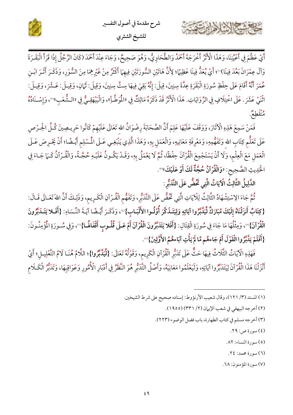

أَيْ عَظُمَ فِي أَعْيُنِنَا، وَهَذَا الْأَنْزُ أَخْرَجَهُ أَحْمَدُ وَالطَّحَاوِيُّ، وَهُوَ صَحِيحٌ، وَجَاءَ عِنْدَ أَحْمَدَ (كَانَ الرَّجُلُ إِذَا قَرَأَ الْبَقَـرَةَ وَآلَ عِمْرَانَ بَعُدَ فِينَا)''؛ أَيْ يُعَدُّ فِينَا عَظِيمًا؛ لِأَنَّ هَاتَيْنِ السُّورَتَيْنِ فِيهِمَا أَكْثَرُ مِنْ غَيْرِهِمَا مِنَ السُّوَرِ، وَذَكَـرَ أَثَـرَ ابْـنِ عُمَرَ أَنَّهُ أَقَامَ عَلَى حِفْظِ سُورَةِ الْبَقَرَةِ عِدَّةَ سِنِينَ، قِيلَ: إِنَّهُ بَقِيَ فِيهَا سِتَّ سِنِينَ، وَقِيلَ: ثَمَانِ، وَقِيلَ: عَـشْرَ، وَقِيلَ: اثْنَيْ عَشَرَ . عَلَى اخْتِلَافٍ فِي الرِّوَايَاتِ. هَذَا الْأَثْرُ قَدْ ذَكَرَهُ مَالِكٌ فِي «الْمُوطَّأِ»، وَالْبَيْهَقِيُّ فِي «الشُّعَبِ» »، وَإِسْـنَادُهُ و<sup>ە</sup> كىلگىر

فَمَنْ سَمِعَ هَذِهِ الْآثَارَ، وَوَقَفَ عَلَيْهَا عَلِمَ أَنَّ الصَّحَابَةَ رِضْوَانُ الله تَعَالَى عَلَيْهِمْ كَانُوا حَرِيـصِينَ كُـلَّ الحِـرْصِ عَلَى تَعَلُّم كِتَابِ الله وَتَفَهُّمِهِ، وَمَعْرِفَةِ مَعَانِيهِ، وَالْعَمَلِ بِهِ، وَهَذَا الَّذِي يَنْبَغِي عَـلَى الْمُسْلِم أَيْـضًا؛ أَنْ يَحْرِصَ عَـلَى الْعَمَلِ مَعَ الْعِلْمِ، وَلَا أَنْ يَسْتَجْمِعَ الْقُرْآنَ حِفْظًا، ثُمَّ لَا يَعْمَلُ بِهِ، وَقَـدْ يَكُـونُ عَلَيْـهِ حُجَّـةً، وَالْقُـرْآنُ كَـمَا جَـاءَ فِي الْحَدِيثِ الصَّحِيحِ: «وَالْقُرْآنُ حُجَّةٌ لَكَ أَوْ عَلَيْكَ» ».

الدَّلِيلُ الثَّالِثُ الْآيَاتُ الَّتِي ثَحُضُّ عَلَى التَّذَبُّرِ :

٢

ثُمَّ جَاءَ الِاسْتِشْهَادُ الثَّالِثُ لِلْآيَاتِ الَّتِي تَحُضُّ عَلَى التَّدَبُّرِ، وَتَفَهُّمِ الْقُـرْآنِ الْكَـرِيمِ، وَذَلِكَ أَنَّ اللهَ تَعَـالَى قَـالَ: {كِتَابٌ أَنزَلْنَاهُ إِلَيْكَ مُبَارَكٌ لِّيَدَّبَّرُوا آيَاتِهِ وَلِيَتَـذَكَّرَ أُوْلُـوا الأَلْبَـابِ}®، وَذَكَـرَ أَيْـضًا آيَـةَ النِّـسَاءِ: {أَفَـلا يَتَـدَبَّرُونَ الْقُرْآنَ} (0) وَمِثْلُهَا مَا جَاءَ فِي سُورَةِ الْقِتَالِ: {أَفَلا يَتَدَبَّرُونَ الْقُرْآنَ أَمْ عَـلَى قُلُـوبِ أَقْفَاهُما} (0) وَفِي سُـورَةِ الْمُؤْمِنُـونَ: {أَفَلَمْ يَدَّبَّرُوا الْقَوْلَ أَمْ جَاءهُم مَّا لَمْ يَأْتِ آبَاءهُمُ الأَوَّلِينَ} ```.

فَهَذِهِ الْآيَاتُ الثَّلَاثُ فِيهَا حَثٌّ عَلَى تَدَبُّرِ الْقُرْآنِ الْكَرِيمِ، وَقَوْلُهُ تَعَالَى: {لِّيَدَّبَّرُوا}؛ اللَّامُ هُنَـا لَامُ التَّعْلِيـلِ؛ أَيْ أَنْزَلْنَا هَذَا الْقُرْآنَ لِيَتَدَبَّرُوا آيَاتِهِ، وَلَيَعْلَمُوا مَعَانِيَهُ، وَأَصْلُ التَّدَبُّرِ هُوَ النَّظَرُ فِي أَدْبَارِ الْأُمُورِ وَعَوَاقِبِهَا، وَتَدَبَّرُ الْكَلَامِ

- (١) المسند (٣/ ١٢١)، وقال شعيب الأرنؤوط: إسناده صحيح على شرط الشيخين.
	- (٢) أخرجه البيهقي في شعب الإيهان (٢/ ٣٣١) (١٩٥٥).
	- (٣) أخرجه مسلم في كتاب الطهارة، باب فضل الوضوء (٢٢٣).
		- (٤) سورة ص: ٢٩.
		- (٥) سورة النساء: ٨٢.
		- (٦) سورة محمد: ٢٤.
		- (٧) سورة المؤمنون: ٦٨.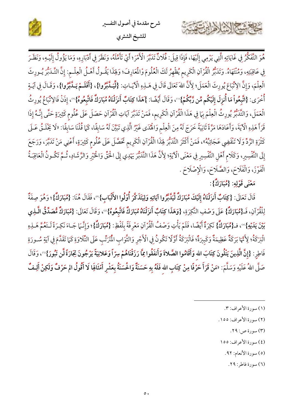



هُوَ التَّفَكُّرُ فِي غَايَاتِهِ الَّتِي يَرْمِي إِلَيْهَا، فَإِذَا قِيلَ: فُلَانٌ تَدَبَّرَ الْأَمْرَ؛ أَيْ تَأَمَّلَهُ، وَنَظَرَ فِي أَدْبَارِهِ، وَمَا يَؤُولُ إِلَيْهِ، وَنَظَرَ فِي عَاقِبَتِهِ، وَمُنْتَهَاهُ. وَتَدَبُّرُ الْقُرْآنِ الْكَرِيم يُظْهِرُ لَكَ الْعُلُومَ وْالْمَارِفَ؛ وَلِجَذَا يَقُـولُ أَهْـلُ الْعِلْـمِ: إِنَّ التَّـدَبُّرَ يُـورِثَ الْعِلْمَ، وَإِنَّ الِاتِّبَاعَ يُورِثَ الْعَمَلَ؛ لِأَنَّ اللهَ تَعَالَى قَالَ فِي هَـلِهِ الْآيَـاتِ: {لِّيَـلَّبَّرُوا}، {أَفَلَـمْ يَـلَّبَّرُوا}، وَقَـالَ فِي آيَـةٍ أُخْرَى: {اتَّبِعُواْ مَا أُنزِلَ إِلَيْكُم مِّن رَّبِّكُمْ}"، وَقَالَ أَيْضًا: }هَلَاا كِتَابٌ أَنزَلْنَاهُ مُبَارَكٌ فَاتَّبِعُوهُ}"، إِذَنْ فَالِاتِّبَاعُ يُورِثُ الْعَمَلَ، وَالتَّدَبُّرُ يُورِثُ الْعِلْمَ بِبَا فِي هَذَا الْقُرْآنِ الْكَرِيمِ، فَمَنْ تَدَبَّرَ آيَاتِ الْقُرْآنِ حَصَلَ عَلَى عُلُوم كَثِيرَةٍ حَتَّى إِنَّـهُ إِذَا قَرَأَ هَذِهِ الْآيَةَ، وَأَعَادَهَا مَرَّةً ثَانِيَةً خَرَجَ لَهُ مِنَ الْعِلْمِ وَالْمُدَى غَيْرُ الَّذِي تَبَيَّنَ لَهُ سَابِقًا، كَمَا قُلْنَا سَابِقًا: «لَا يَخْلَـقُ عَـلَى كَثْرَةِ الرَّدِّ وَلَا تَنْقَضِي عَجَائِبُهُ"، فَمَنْ أَكْثَرَ التَّدَبُّرَ لِهَذَا الْقُرْآنِ الْكَرِيم تَحَصَّلَ عَلَى عُلُوم كَثِيرَةٍ، أَعْنِي مَنْ تَدَبَّرَ، وَرَجَعَ إِلَى التَّفْسِيرِ، وَكَلَام أَهْلِ التَّفْسِيرِ فِي مَعْنَى الْآيَةِ؛ لِأَنَّ هَذَا التَّدَبُّرَ يَهْدِي إِلَى الْحَقِّ وَالْخَيْرِ وَالرَّشَادِ، ثُمَّ تَكُـونُ الْعَاقِبَـةُ الْفَوْزَ، وَالْفَلَاحَ، وَالصَّلَاحَ، وَالْإِصْلَاحَ .

مَعْنَى قَوْلِهِ: {مُبَارَكٌ}:

كالحشيج الشاهاين

قَالَ تَعَالَى: {كِتَابٌ أَنزَلْنَاهُ إِلَيْكَ مُبَارَكٌ لِّيَدَّبَّرُوا آيَاتِهِ وَلِيَتَذَكَّرَ أُوْلُوا الأَلْبَابِ}"، فَقَالَ هُنَا: {مُبَارَكٌ}؛ وَهُوَ صِفَةٌ لِلْقُرْآنِ، فَـ{مُبَارَكٌ} عَلَى وَصْفِ النَّكِرَةِ، {وَهَذَا كِتَابٌ أَنزَلْنَاهُ مُبَارَكٌ فَاتَّبِعُوهُ}"، وَقَالَ تَعَالَى: {مُبَارَكٌ مُّصَدِّقُ الَّـذِي بَيْنَ يَدَيْهِ} ( )، فـ{مُبَارَكٌ} نَكِرَةٌ أَيْضًا، فَلَمْ يَأْتِ وَصْفُ الْقُرْآنِ مَعْرِفَةً بِلَفْظِ: {مُبَارَكٌ}؛ وَإِنَّـمَا جَـاءَ نَكِـرَةً لَـتَعُمَّ هَـلِهِ الْبَرَكَةُ؛ لِأَنَّهَا بَرَكَةٌ عَظِيمَةٌ وَكَبِيرَةٌ؛ فَالْبَرَكَةُ أَوَّلًا تَكُونُ فِي الْأَجْرِ وَالثَّوَابِ الْمُتَرَتِّبِ عَلَى التِّلَاوَةِ كَمَا تَقَدَّمَ فِي آيَةِ سُـورَةِ فَاطِرٍ: {إِنَّ الَّذِينَ يَتْلُونَ كِتَابَ الله وَأَقَامُوا الصَّلاةَ وَأَنفَقُوا مِمَّا رَزَقْنَاهُمْ سِرّاً وَعَلانِيَةً يَرْجُونَ نِجَارَةً لَّن تَبُورَ}''، وَقَالَ صَلَّى اللهُ عَلَيْهِ وَسَلَّمَ: «مَنْ قَرَأَ حَرْفًا مِنْ كِتَابِ الله فَلَهُ بِهِ حَسَنَةٌ وَالْحُسَنَةُ بِعَشْرِ أَمْثَالِهَا لَا أَقُولُ الم حَرْفٌ وَلَكِنْ أَلِـفٌ

- (١) سورة الأعراف: ٣.
- (٢) سورة الأعراف: ١٥٥.
	- (٣) سورة ص: ٢٩.
	- (٤) سورة الأعراف: ١٥٥
		- (٥) سورة الأنعام: ٩٢.
			- (٦) سورة فاطر: ٢٩.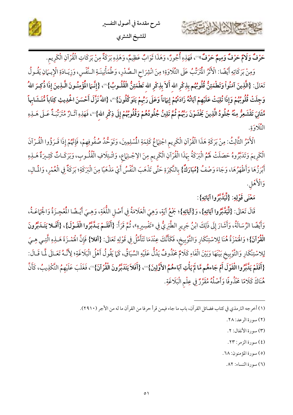





حَرْفٌ **وَلَامٌ حَرْفٌ وَمِيمٌ حَرْفٌ**»'')، فَهَذِهِ أُجُورٌ، وَهَذَا ثَوَابٌ عَظِيمٌ، وَهَذِهِ بَرَكَةٌ مِنْ بَرَكَاتِ الْقُرْآنِ الْكَرِيم.

وَمِنْ بَرَكَاتِهِ أَيْضًا: الْأَثَرُ الْمُرَتِّبُ عَلَى التِّلَاوَةِ؛ مِنَ انْشِرَاحِ الصَّدْرِ، وَطُمَأْنِينَةِ النَّفْسِ، وَزِيَـادَةِ الْإِيــَانِ يَقُـولُ تَعَالَى: {الَّذِينَ آمَنُواْ وَتَطْمَئِنُّ قُلُوبُهُم بِذِكْرِ الله أَلاَ بِذِكْرِ الله تَطْمَئِنُّ الْقُلُـوبُ}'"، {إِنَّـمَا الْمُؤْمِنُـونَ الَّـذِينَ إِذَا ذُكِـرَ اللهُ وَجِلَتْ قُلُوبُهُمْ وَإِذَا تُلِيَتْ عَلَيْهِمْ آيَاتُهُ زَادَتْهُمْ إِيهَاناً وَعَلَى رَبِّهِمْ يَتَوَكَّلُونَ}'"، {اللهُ نَزَّلَ أَحْسَنَ الْحُدِيثِ كِتَاباً مُّتَـشَابِهاً مَّتَانِيَ تَقْشَعِرُّ مِنْهُ جُلُودُ الَّذِينَ يَخْشَوْنَ رَبَّهُمْ ثُمَّ تَلِينُ جُلُودُهُمْ وَقُلُوبُهُمْ إِلَى ذِكْرِ الله}''، فَهَذِهِ آثَـارٌ مُتَرَبِّـةٌ عَـلَى هَــذِهِ التَّلَاوَةِ.

الْأَمْرُ الثَّالِثُ: مِنْ بَرَكَةِ هَذَا الْقُرْآنِ الْكَرِيم اجْتِهَاعُ كَلِمَةِ الْمُسْلِمِينَ، وَتَوَحُّدُ صُفُوفِهِمْ، فَإِنَّهُمْ إِذَا قَـرَؤُوا الْقُـرْآنَ الْكَرِيمَ وَتَدَبَّرُوهُ حَصَلَتْ لَهُمُ الْبَرَكَةُ بِهَذَا الْقُرْآنِ الْكَرِيمِ مِنَ الِإجْتِهَاعِ، وَائْتِلَافِ الْقُلُوبِ، وَبَرَكَـاتٌ كَثِـيرَةٌ هَـذِهِ أَبْرَزُهَا وَأَظْهَرُهَا، وَجَاءَ وَصْفُ {مُبَارَكٌ} بِالنَّكِرَةِ حَتَّى تَذْهَبَ النَّفْسُ أَيْ مَذْهَبًا مِنَ الْبَرَكَةِ؛ بَرَكَةٌ فِي الْعُمْرِ، وَالْمَالِ، وَالْأَهْلِ.

مَعْنَى قَوْلِهِ: {لِّيَدَّبَّرُوا آيَاتِهِ}:

قَالَ تَعَالَى: {لِّيَلَّبَّرُوا آيَاتِهِ}، وَ{آيَاتِهِ}؛ جَمْعُ آيَةٍ، وَهِيَ الْعَلَامَةُ فِي أَصْل اللُّغَةِ، وَهِيَ أَيْـضًا الْمُعْجِـزَةُ وَالْجَهَاعَـةُ، وَأَيْضًا الرِّسَالَةُ، وَأَشَارَ إِلَى ذَلِكَ ابْنُ جَرِيرٍ الطَّبَرِيُّ فِي «تَفْسِيرِهِ»، ثُمَّ قَرَأَ: {أَفَلَمْ يَـلَّبَّرُوا الْقَـوْلَ}، {أَفَلا يَتَـلَبَّرُونَ الْقُرْآنَ}؛ وَاهُمْزَةُ هُنَا لِلاسْتِنْكَارِ وَالتَّوْبِيخ، فَكَأَنَّكَ عِنْدَمَا تَتَأَمَّلُ فِي قَوْلِهِ تَعَالَى: {أفلا} فَإِنَّ اهُمْـزَةَ هَـلِدِهِ الَّتِـي هِـيَ لِلاسْتِنْكَارِ وَالتَّوْبِيخ بَيْنَهَا وَبَيْنَ الْفَاءِ كَلَامٌ مَخْذُوفٌ يَدُلُّ عَلَيْهِ السِّيَاقُ، كَمَا يَقُولُ أَهْلُ الْبَلَاغَةِ؛ لِأَنَّـهُ تَعَـالَى لَّمَا قَـالَ: {أَفَلَمْ يَدَّبَّرُوا الْقَوْلَ أَمْ جَاءهُم مَّا لَمْ يَأْتِ آبَاءهُمُ الأَوَّلِينَ}"، {أَفَلاَ يَتَدَبَّرُونَ الْقُرْآنَ}"، فَغَلَبَ عَلَيْهِمُ التَّكْذِيبُ، كَأَنَّ هُنَاكَ كَلَامًا مَحْذُوفًا وَأَصْلُهُ مُقَرَّرٌ فِي عِلْمِ الْبَلَاغَةِ.

- (٢) سورة الرعد: ٢٨.
- (٣) سورة الأنفال: ٢.
- (٤) سورة الزمر: ٢٣.

(٥) سورة المؤمنون: ٦٨.

(٦) سورة النساء: ٨٢.

<sup>(</sup>١) أخرجه الترمذي في كتاب فضائل القرآن، باب ما جاء فيمن قرأ حرفا من القرآن ما له من الأجر (٢٩١٠).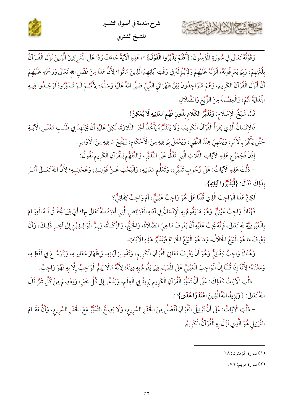



وَقَوْلُهُ تَعَالَى فِي سُورَةِ الْمُؤْمِنُونَ: {أَفَلَمْ يَلَّبَرُوا الْقَوْلَ}"، هَذِهِ الْآيَةُ جَاءَتْ رَدًّا عَلَى الْمُشْرِكِينَ الَّذِينَ نَزَلَ الْقُـرْآنُ بِلُغَتِهِمْ، وَبِهَا يَعْرِفُونَهُ، أَنْزَلَهُ عَلَيْهِمْ وَلَمْ يُنْزِلْهُ فِي وَقْتِ آبَائِهِمُ الَّذِينَ مَاتُوا؛ لِأَنَّ هَذَا مِنْ فَضْل الله تَعَالَى وَرَحْمَتِهِ عَلَيْهِمْ أَنْ أَنْزَلَ الْقُرْآنَ الْكَرِيمَ، وَهُمْ مُتَوَاجِدُونَ بَيْنَ ظَهْرَانَيِ النَّبِيِّ صَلَّى اللهُ عَلَيْهِ وَسَلَّمَ؛ لِأَنَّهُـمْ لَـوْ تَـدَبَّرُوهُ لَوَجَـدُوا فِيـهِ الْهِدَايَةَ لَهُمْ، وَالْعِصْمَةَ مِنَ الزَّيْغِ وَالضَّلَالِ.

قَالَ شَيْخُ الْإِسْلَامِ: وَتَدَبُّرُ الكَلَامِ بِدُونِ فَهْمِ مَعَانِيهِ لَا يُمْكِنُ!

كاحمشة الشاهاسة

فَالْإِنْسَانُ الَّذِي يَقْرَأُ الْقُرْآنَ الْكَرِيمَ، وَلَا يَتَدَبَّرُهُ يَأْخُذُ أَجْرَ التِّلَاوَةَ، لَكِنْ عَلَيْهِ أَنْ يَجْتَهِدَ فِي طَلَبِ مَعْنَى الْآيَـةِ حَتَّى يَأْتَمِرَ بِالْأَمْرِ، وَيَنْتَهِيَ عِنْدَ النَّهْيِ، وَيَعْمَلَ بِهَا فِيهِ مِنَ الْأَحْكَامِ، وَيَتَّبِعَ مَا فِيهِ مِنَ الْأَوَامِرِ.

إِذَنْ فَجَمْوُعِ هَذِهِ الْآيَاتِ الثَّلَاثِ الَّتِي تَدُلُّ عَلَى التَّدَبُّرِ، وَالتَّفَهُّمِ لِلْقُرْآنِ الْكَرِيمِ نَقُولُ:

– دَلَّتْ هَذِهِ الْآيَاتُ: عَلَى وُجُوبِ تَدَبُّرِهِ، وَتَعَلُّم مَعَانِيهِ، وَالْبَحْثِ عَـنْ فَوَائِـدِهِ وَعَجَائِبِهِ؛ لِأَنَّ اللهَ تَعَـالَى أَمَـرَ بِذَلِكَ فَقَالَ: {لِّيَدَّبَّرُوا آيَاتِهِ}.

لَكِنَّ هَذَا الْوَاجِبَ الَّذِي قُلْنَا هَلْ هُوَ وَاجِبٌ عَيْنِيٌّ، أَمْ وَاجِبٌ كِفَائِيٌّ؟

فَهُنَاكَ وَاجِبٌ عَيْنِيٌّ وَهُوَ مَا يَقُومُ بِهِ الْإِنْسَانُ فِي آدَاءِ الْفَرَائِضِ الَّتِي أَمَرَهُ اللهُ تَعَالَى بِهَا؛ أَيْ فِيهَا يُحَقَّـقُ لَـهُ الْقِيَـامَ بِالْعُبُودِيَّةِ لله تَعَالَى، فَإِنَّهُ يَجِبُ عَلَيْهِ أَنْ يَعْرِفَ مَا هِيَ الصَّلَاةُ، وَالْحَجُّ، وَالزَّكَـاةُ، وَبِـرُّ الْوَالِـدِيْنِ إِلَى آخِـرِ ذَلِـكَ، وَأَنْ يَعْرِفَ مَا هُوَ الْبَيْعُ الْحَلَالُ، وَمَا هُوَ الْبَيْعُ الْحَرَامُ فَيَتَدَبَّرُ هَذِهِ الْآيَاتِ.

وَهُنَاكَ وَاجِبٌ كِفَائِيٌّ وَهُوَ أَنْ يَعْرِفَ مَعَانِيَ الْقُرْآنِ الْكَرِيمِ، وَتَفْسِيرَ آيَاتِهِ، وَإِظْهَارَ مَعَانِيـهِ، وَيَتَوَسَّـعَ فِي لَفْظِـهِ، وَمَعْنَاهُ؛ لِأَنَّهُ إِذَا قُلْنَا إِنَّ الْوَاجِبَ الْعَيْنِيَّ عَلَى الْمُسْلِمِ فِيهَا يَقُومُ بِهِ دِينُهُ؛ لِأَنَّهُ مَالَا يَتِمُّ الْوَاجِبُ إِلَّا بِهِ فَهُوَ وَاجِبٌ.

ـ دَلَّتِ الْآيَاتُ كَذَلِكَ: عَلَى أَنَّ تَدَبُّرَ الْقُرْآنِ الْكَرِيمِ يَزِيدُ فِي الْعِلْمِ، وَيَدْعُو إِلَى كُلِّ خَيْرٍ، وَيَعْصِمَ مِنْ كُلِّ شَرٍّ قَالَ اللهُ تَعَالَى: {وَيَزِيدُ اللهُ الَّذِينَ اهْتَدَوْا هُدًى}".

- دَلَّتِ الْآيَاتُ: عَلَى أَنَّ تَرْتِيلَ الْقُرْآنِ أَفْضَلُ مِنَ الْحَدْرِ السَّرِيعِ، وَلَا يَصِحُّ التَّدَبُّرُ مَعَ الْحَدْرِ السَّرِيعِ، وَأَنَّ مَقَـامَ التَّرْتِيل هُوَ الَّذِي نَزَلَ بِهِ الْقُرْآنُ الْكَرِيمُ.

(١) سورة المؤمنون: ٦٨.

(٢) سورة مريم: ٧٦.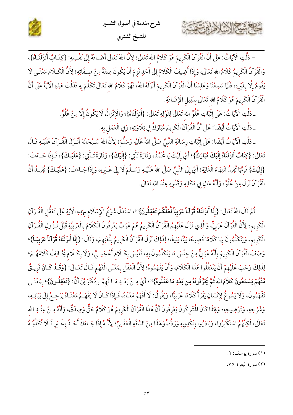

– دَلَّتِ الْآيَاتُ: عَلَى أَنَّ الْقُرْآنَ الْكَرِيمَ هُوَ كَلَامُ الله تَعَالَى؛ لِأَنَّ اللهَ تَعَالَى أَضَـافَهُ إِلَى نَفْسِهِ: {كِتَـابٌ أَنزَلْنَـاهُ}، وَالْقُرْآنُ الْكَرِيمُ كَلَامُ الله تَعَالَى، وَإِذَا أُضِيفَ الْكَلَامُ إِلَى أَحَدٍ لَزِمَ أَنْ يَكُونَ صِفَةً مِنْ صِـفَاتِهِ؛ لِأَنَّ الْكَـلَامَ مَعْنًـى لَا يَقُومُ إِلَّا بِغَيْرِهِ، فَلَمَّا سَمِعْنَا وَعَلِمْنَا أَنَّ الْقُرْآنَ الْكَرِيمَ أَنْزَلَهُ اللهُ، فَهُوَ كَلامُ الله تَعَالَى تَكَلَّمَ بِهِ فَدَلَّتْ هَذِهِ الْآيَةُ عَلَى أَنَّ الْقُرْآنَ الْكَرِيمَ هُوَ كَلَامُ الله تَعَالَى بِدَلِيلِ الْإِضَافَةِ.

ـ دَلَّتِ الْآيَاتُ: عَلَى إِثْبَاتِ عُلُوٍّ الله تَعَالَى لِقَوْلِهِ تَعَالَى: {أَنزَلْنَاهُ}؛ وَالْإِنْزَالُ لَا يَكُونُ إِلَّا مِنْ عُلُوٍّ.

ـ دَلَّتِ الْآيَاتُ أَيْضًا: عَلَى أَنَّ الْقُرْآنَ الْكَرِيمَ مُبَارَكٌ فِي تِلَاوَتِهِ، وَفِي الْعَمَلِ بِهِ.

Stan / Cal

ـ دَلَّتِ الْآيَاتُ أَيْضًا: عَلَى إِثْبَاتِ رِسَالَةِ النَّبِيِّ صَلَّى اللهُ عَلَيْهِ وَسَلَّمَ؛ لِأَنَّ اللهَ سُـبْحَانَهُ أَنْـزَلَ الْقُـرْآنَ عَلَيْـهِ قَـالَ تَعَالَى: {كِتَابٌ أَنزَلْنَاهُ إِلَيْكَ مُبَارَكٌ}؛ أَيْ إِلَيْكَ يَا مُحَمَّدُ، وَتَارَةً تَأْتِي: {إِلَيْكَ}، وَتَارَةً تَـأْتِي: {عَلَيْـكَ}، فَـإِذَا جَـاءَتْ: {إِلَيْكَ} فَإِنَّهَا تُفِيدُ انْتِهَاءَ الْغَايَةِ؛ أَيْ إِلَى النَّبِيِّ صَلَّى اللهُ عَلَيْـهِ وَسَلَّمَ لَا إِلَى غَـيْرِهِ، وَإِذَا جَـاءَتْ: {عَلَيْـكَ} تُفِيـدُ أَنَّ الْقُرْآنَ نَزَلَ مِنْ عُلُوٍّ، وَأَنَّهُ عَالٍ فِي مَكَانِهِ وَقَدْرِهِ عِنْدَ الله تَعَالَى.

ثُمَّ قَالَ اللهُ تَعَالَى: {إِنَّا أَنزَلْنَاهُ قُرْآناً عَرَبِيّاً لَّعَلَّكُمْ تَعْقِلُونَ}"، اسْتَدَلّ شَيْخُ الْإِسْلَام بِهَذِهِ الْآيَةِ عَلَى تَعَقُّلِ الْقُـرْآنِ الْكَرِيم؛ لِأَنَّ الْقُرْآنَ عَرَبِيٌّ، وَالَّذِي نَزَلَ عَلَيْهِمُ الْقُرْآنُ الْكَرِيمُ هُمْ عَرَبٌ يَعْرِفُونَ الْكَلَامَ بِالْعَرَبِيَّةِ قَبْلَ نُـزُولِ الْقُـرْآنِ الْكَرِيم، وَيَتَكَلَّمُونَ بِهَا كَلَامًا فَصِيحًا بَيِّنًا بَلِيغًا؛ لِذَلِكَ نَزَلَ الْقُرْآنُ الْكَرِيمُ بِلُغَتِهِمْ، وَقَالَ: {إِنَّا أَنزَلْنَاهُ قُرْآناً عَرَبِيّـاً}؛ وَصَفَ الْقُرْآنَ الْكَرِيمَ بِأَنَّهُ عَرَبِيٌّ مِنْ جِنْسَ مَا يَتَكَلَّمُونَ بِهِ، فَلَيْسَ بِكَـلَامِ أَعْجَمِـيٍّ، وَلَا بِكَـلَامِ ثَخَـالِفُ كَلَامَهُـمْ؛ لِذَلِكَ وَجَبَ عَلَيْهِمْ أَنْ يَتَعَقَّلُوا هَذَا الْكَلَامَ، وَأَنْ يَفْهَمُوهُ؛ لِأَنَّ الْعَقْلَ بِمَعْنَى الْفَهْم قَـالَ تَعَـالَى: {وَقَـدْ كَـانَ فَرِيـقٌ مِّنْهُمْ يَسْمَعُونَ كَلاَمَ الله ثُمَّ يُحَرِّفُونَهُ مِن بَعْدِ مَا عَقَلُوهُ}"؛ أَيْ مِـنْ بَعْـدِ مَـا فَهِمُـوهُ فَتَبَيَّنَ أَنَّ: {تَعْقِلُـونَ}؛ بمَعْنَـى تَفْهَمُونَ، وَلَا يَسُوغُ لِإِنْسَانٍ يَقْرَأُ كَلَامًا عَرَبِيًّا، وَيَقُولُ: لَا أَفْهَمُ مَعْنَاهُ، فَإِذَا كَـانَ لَا يَفْهَـمُ مَعْنَـاهُ يَرْجِـعُ إِلَى بَيَانِـهِ، وَشَرْحِهِ، وَتَوْضِيحِهِ؛ وَلِهَذَا كَانَ الْمُشْرِكُونَ يَعْرِفُونَ أَنَّ هَذَا الْقُرْآنَ الْكَرِيمَ هُوَ كَلَامٌ حَقٌّ وَصِدْقٌ، وَأَنَّهُ مِـنْ عِنْـلِا الله تَعَالَى، لَكِنَّهُمُ اسْتَكْبَرُوا، وَبَادَرُوا بِتكْذِيبِهِ وَرَدُّه، وَهَذَا مِنَ السَّفَهِ الْعَقْـلِيِّ؛ لِأَنَّـهُ إِذَا جَـاءَكَ أَحَـدٌ بِخَـبَرٍ فَـلَا تُكَذِّبُـهُ

<sup>(</sup>١) سورة يوسف: ٢.

<sup>(</sup>٢) سورة البقرة: ٧٥.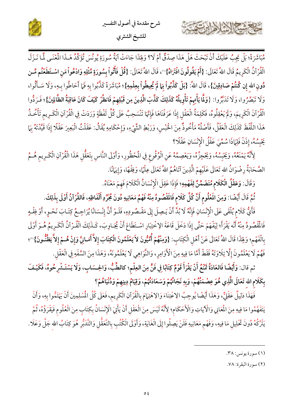



مُبَاشَرَةً؛ بَلْ يَجِبُ عَلَيْكَ أَنْ تَبْحَثَ هَلْ هَذَا صِدْقٌ أَمْ لَا؟ وَلِهَذَا جَاءَتْ ايَةُ سُورَةِ يُونُسَ تُؤَكِّدُ هَـذَا الْمُنْـي لَمَّا نَـزَلَ الْقُرْآنُ الْكَرِيمُ قَالَ اللهُ تَعَالَى: {أَمْ يَقُولُونَ افْتَرَاهُ}'''، قَالَ اللهُ تَعَالَى: {قُلْ فَأْتُواْ بِسُورَةٍ مِّثْلِهِ وَادْعُواْ مَن اسْتَطَعْتُم مِّـن دُونِ الله إِن كُنتُمْ صَادِقِينَ}، قَالَ اللهُ: {بَلْ كَذَّبُواْ بِمَا لَمْ يُحِيطُواْ بِعِلْمِهِ}؛ مُبَاشَرَةً كَذَّبُوا بِهِ فَمَا أَحَاطُوا بِـهِ، وَلَا سَـأَلُوا، وَلَا تَبَصَّرُوا، وَلَا تَدَبَّرُوا: {وَلَمَّا يَأْتِهِمْ تَأْوِيلُهُ كَذَلِكَ كَذَّبَ الَّذِينَ مِن قَبْلِهِمْ فَانظُرْ كَيْفَ كَانَ عَاقِبَةُ الظَّالِينَ}؛ فَرَدُّوا الْقُرْآنَ الْكَرِيمَ، وَلَمْ يَعْقِلُوهُ، فَكَلِمَةُ الْعَقْلِ إِذَا عَرَفْنَاهَا فَإِنَّهَا تَنْسَحِبُ عَلَى كُلِّ لَفْظَةٍ وَرَدَتْ فِي الْقُرْآنِ الْكَـرِيم تَأْخُـذُ هَذَا اللَّفْظَ كَذَلِكَ الْعَقْلُ، فَأَصْلُهُ مَأْخُوذٌ مِنَ اخْبْسِ، وَرَبْطِ الشَّيْءِ، وَإِحْكَامِهِ يُقَالُ: عَقَلْتُ الْبَعِيرَ عَقْلًا إِذَا قَيَّدْتَهُ بِهَا يَحْبِسُهُ، إِذَنْ فَلِهَاذَا سُمِّيَ عَقْلُ الْإِنْسَانِ عَقْلًا؟

لِأَنَّهُ يَمْنَعُهُ، وَيَحْبِسُهُ، وَيَحْجِزُهُ، وَيَعْصِمُهُ عَنِ الْوُقُوعِ فِي الْمُحْظُورِ، وَأَوْلَى النَّاسِ بِتَعَقُّلِ هَذَا الْقُرْآنِ الْكَـرِيمِ هُـمُ الصَّحَابَةُ رِضْوَانُ الله تَعَالَى عَلَيْهِمْ الَّذِينَ آتَاهُمُ اللهُ تَعَالَى عِلْمًا، وَفِقْهًا، وَإِيهَانًا.

وَقَالَ: وَعَقْلُ الْكَلَام مُتَضَمِّنٌ لِفَهْمِهِ؛ فَإِذَا عَقِلَ الْإِنْسَانُ الْكَلَامَ فَهِمَ مَعْنَاهُ.

ثُمَّ قَالَ أَيْضًا: وَمِنَ المَعْلُوم أَنَّ كُلَّ كَلَام فَالَمّْصُودُ مِنْهُ فَهْمُ مَعَانِيهِ دُونَ مُجَرَّدِ أَلْفَاظِهِ، فَالقُرْآنُ أَوْلَى بِذَلِكَ.

فَأَيٌّ كَلام يُلْقَى عَلَى الْإِنْسَانِ فَإِنَّهُ لَا بُدَّ أَنْ يَـصِلَ إِلَى مَقْـصُودِهِ، فَلَـوْ أَنَّ إِنْـسَانًا يُرَاجِـعُ كِتَـابَ نَحْـوٍ، أَوْ فِقْـهٍ فَالْمُفْصُودُ مِنْهُ أَنْه يَقْرَأْ؛ لِيَفْهَمَ حَتَّى إِذَا دَخَلَ قَاعَةَ الِاخْتِبَارِ اسْتَطَاعَ أَنْ يُجَاوِبَ، كَـذَلِكَ الْقُـرْآنُ الْكَـرِيمُ هُـوَ أَوْلَى بِالْفَهْمِ؛ وَلِهَذَا قَالَ اللهُ تَعَالَى عَنْ أَهْلِ الْكِتَابِ: {وَمِنْهُمْ أُمِّيُّونَ لاَ يَعْلَمُونَ الْكِتَابَ إِلاَّ أَمَـانِيَّ وَإِنْ هُـمْ إِلاَّ يَظُنُّونَ}"؛ فَهُمْ لَا يَعْلَمُونَ إِلَّا تِلَاوَتَهُ فَقَطْ أَمَّا مَا فِيهِ مِنَ الْأَوَامِرِ، وَالنَّوَاهِي لَا يَعْلَمُونَهُ، وَهَذَا مِنَ السَّفَهِ فِي الْعَقْلِ.

ثم قال: وَأَيْضًا فَالعَادَةُ مَّنْعُ أَنْ يَقْرَأَ قَوْمٌ كِتَابًا فِي فَنٍّ مِنَ العِلْمِ؛ كالطِّبُّ، وَالحِسَابِ، وَلَا يَسْتَشْرِحُوهُ، فَكَيْفَ بِكَلَام الله تَعَالَى الَّذِي هُوَ عِصْمَتُهُمْ، وَبِهِ نَجَاتُهُمْ وَسَعَادَتُهُمْ، وَقِيَامُ دِينِهِمْ وَدُنْيَاهُمْ؟

فَهَذَا دَلِيلٌ عَقْلِيٌّ، وَهَذَا أَيْضًا يُوجِبُ الِاعْتِنَاءَ وَالِاهْتِهَامَ بِالْقُرْآنِ الْكَرِيم، فَعَلَى كُلِّ المُسْلِمِينَ أَنْ يَهْتَمُّوا بِهِ، وَأَنْ يَتَفَهَّمُوا مَا فِيهِ مِنَ الْمَعَانِي وَالْأَيَاتِ وَالْأَحْكَامِ؛ لِأَنَّهُ لَيْسَ مِنَ الْعَقْلِ أَنْ يَأْتِيَ الْإِنْسَانُ بِكِتَابٍ مِنَ الْعُلُوم فَيَقْرَؤُهُ، ثُمَّ يَتْرُكُهُ دُونَ تَحْلِيلِ مَا فِيهِ، وَفَهْم مَعَانِيهِ فَلَنْ يَصِلُوا إِلَى الْغَايَةِ، وَأَوْلَى الْكُتْبِ بِالتَّعَقُّلِ وَالتَّدَبُّرِ هُوَ كِتَابُ الله جَلَّ وَعَلَا .

بخشيج الشاهر

(٢) سورة البقرة: ٧٨.

<sup>(</sup>١) سورة يونس: ٣٨.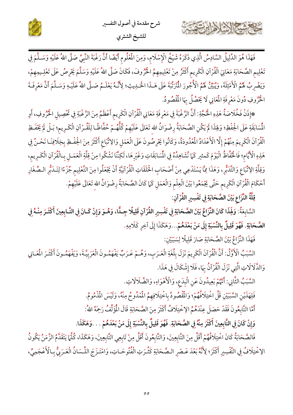



فَهَذَا هُوَ الدَّلِيلُ السَّادِسُ الَّذِي ذَكَرَهُ شَيْخُ الْإِسْلَامِ، وَمِنَ الْمُعْلُومِ أَيْضًا أَنَّ رَغْبَةَ النَّبِيِّ صَلَّى اللهُ عَلَيْهِ وَسَـلَّمَ فِي تَعْلِيم الصَّحَابَةِ مَعَانِيَ الْقُرْآنِ الْكَرِيم أَكْثَرُ مِنْ تَعْلِيمِهِمُ الْحُرُوفَ، فَكَانَ صَلَّى اللهُ عَلَيْهِ وَسَلَّمَ يَحْرِصُ عَلَى تَعْلِـيمِهِمْ، وَيَضْرِبُ لَهُمُ الْأَمْثِلَةَ، وَيُبَيِّنُ لَهُمُ الْأُجُورَ الْمَرَتَّبَةَ عَلَى هَـذَا الْحَـٰدِيثِ؛ لِأَنَّـهُ يَعْلَـمُ صَـلَّى اللهُ عَلَيْـهِ وَسَـلَّمَ أَنَّ مَعْرِفَةَ الْخُرُوفِ دُونَ مَعْرِفَةِ الْمَعَانِي لَا يَحْصُلُ بِهَا الْمُقْصُودُ.

\*إِذَنْ فَخُلَاصَةُ هَذِهِ الْحُجَّةِ: أَنَّ الرَّغْبَةَ فِي مَعْرِفَةِ مَعَانِي الْقُرْآنِ الْكَرِيمِ أَعْظَمُ مِنَ الرَّغْبَةِ فِي تَحْصِيلِ الْحُرُوفِ، أَوِ المُّسَابَقَةِ عَلَى الْحِفْظِ؛ وَلِهَذَا لَمْ يَكُنِ الصَّحَابَةُ رِضْوَانُ الله تَعَالَى عَلَيْهِمْ كُلُّهُـمْ حُفَّاظًـا لِلْقُـرْآنِ الْكَـرِيم؛ بَـلْ لَمْ يَحْفَـظِ الْقُرْآنَ الْكَرِيمَ مِنْهُمْ إِلَّا الْأَعْدَادُ الْمُدُودَةُ، وَكَانُوا يَحْرِصُونَ عَلَى الْعَمَل وَالِاتّباع أَكْثَرَ مِنَ الْحِفْظِ بِخِلَافِنَا نَحْـنُ فِي هَذِهِ الْأَيَّامِ؛ فَالْحُفَّاظُ الْيَوْمَ كَمثير كَمَا نُشَاهِدُهُ فِي الْمُسَابَقَاتِ وَغَيْرِهَا، لَكِنَّنَا نَشْكُوا مِنْ قِلَّةِ الْعَمَـلِ بِـالْقُرْآنِ الْكَـرِيمِ، وَقِلَّةِ الِاتِّبَاعِ وَالتَّدَبُّرِ، وَهَذَا مِمَّا يَسْتَدْعِي مِنْ أَصْحَابِ الْحَلَقَاتِ الْقُرْآنِيَّةِ أَنْ يَجْعَلُوا مِنَ التَّعْلِيم جُزْءًا لِتَـدَبُّرِ الـصِّغَارِ أَحْكَامَ الْقُرْآنِ الْكَرِيمِ حَتَّى يَجْمَعُوا بَيْنَ الْعِلْمِ وَالْعَمَلِ كَمَا كَانَ الصَّحَابَةُ رِضْوَانُ الله تَعَالَى عَلَيْهِمْ.

قِلَّةُ النِّزَاعِ بَيْنَ الصَّحَابَةِ فِي تَفْسِيرِ القُرْآنِ:

٢

السَّابِعَةُ: وَلِهَذَا كَانَ النِّزَاعُ بَيْنَ الصَّحَابَةِ فِي تَفْسِيرِ القُرْآنِ قَلِيلًا جِئًّا، وَهُـوَ وَإِنْ كَـانَ فِي التَّـابِعِينَ أَكْثَـرَ مِنْـهُ فِي الصَّحَابَةِ. فَهُوَ قَلِيلٌ بِالنِّسْبَةِ إِلَى مَنْ بَعْدَهُمْ...وَهَكَذَا إِلَى آخِرِ كَلَامِهِ.

فَهَذَا النِّزَاعُ بَيْنَ الصَّحَابَةِ صَارَ قَلِيلًا لِسَبَيِّنِ:

السَّبَبُ الْأَوَّلُ: أَنَّ الْقُرْآنَ الْكَرِيمَ نَزَلَ بِلُغَةِ الْعَـرَبِ، وَهُـمْ عَـرَبٌ يَفْهَمُـونَ الْعَرَبِيَّـةَ، وَيَفْهَمُـونَ أَكْثَـرَ الْمَحَانِي وَالذَّلَالَاتِ الَّتِي نَزَلَ الْقُرْآنُ بِهَا، فَلَا إِشْكَالَ فِي هَذَا.

السَّبَبُ الثَّانِي: أَنَّهُمْ بَعِيدُونَ عَنِ الْبِدَعِ، وَالْأَهْوَاءِ، وَالضَّلَالَاتِ.

فَلِهَذَيْنِ السَّبَيّْنِ قَلَّ اخْتِلَافُهُمْ؛ وَالْمُقْصُودُ بِاخْتِلَافِهِمُ الْمُدُوحُ مِنْهُ، وَلَيْسَ الْمُذْمُومُ.

أَمَّا التَّابِعُونَ فَقَدْ حَصَلَ عِنْدَهُمُ الِاخْتِلَافُ أَكْثَرَ مِنَ الصَّحَابَةِ قَالَ الْمُؤَلِّفُ رَحِمً اللهُ:

وَإِنْ كَانَ فِي التَّابِعِينَ أَكْثَرَ مِنْهُ فِي الصَّحَابَةِ. فَهُوَ قَلِيلٌ بِالنِّسْبَةِ إِلَى مَنْ بَعْدَهُمْ . . .وَهَكَذَا.

فَالصَّحَابَةُ كَانَ اخْتِلَافُهُمْ أَقَلَّ مِنَ التَّابِعِينَ، وَالتَّابِعُونَ أَقَلَّ مِنْ تَابِعِي التَّابِعِينَ، وَهَكَذَا، كُلَّمَا يَتَقَدَّمُ الزَّمَنُ يَكُونُ الِاخْتِلَافُ فِي التَّفْسِيرِ أَكْثَرَ؛ لِأَنَّهُ بَعْدَ عَـصْرِ الـصَّحَابَةِ كَثُـرَتِ الْفُتُوحَـاتِ، وَامْتَـزَجَ اللِّـسَانُ الْعَـرَبِيُّ بِـالْأَعْجَمِيِّ،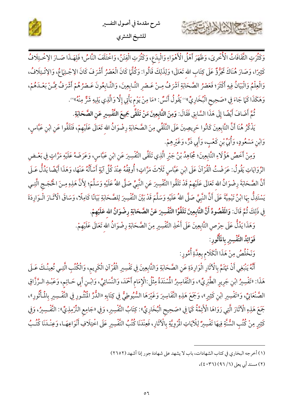

شرح مقدمة في أصول التفسير للشيخ الشثري



ثُمَّ أَضَافَ أَيْضًا إِلَى هَذَا السَّابِقِ فَقَالَ: وَمِنَ التَّابِعِينَ مَنْ تَلَقَّى جَمِيعَ التَّفْسِيرِ عَنِ الصَّحَابَةِ.

يَذْكُرُ هُنَا أَنَّ التَّابِعِينَ كَانُوا حَرِيصِينَ عَلَى التَّلَقِّي مِنَ الصَّحَابَةِ رِضْوَانُ الله تَعَالَى عَلَيْهِمْ، فَتَلَقَّوا عَنِ ابْنِ عَبَّاسٍ، وَابْنِ مَسْعُودٍ، وَأُبَيٍّ بْنِ كَعْبٍ، وَأَبِي ذَرٍّ، وَغَيْرِهِمْ.

وَمِنْ أَخَصٌّ هَؤُلَاءِ التَّابِعِينَ؛ مُجَاهِدُ بْنُ جَبْرِ الَّذِي تَلَقَّى التَّفْسِيرَ عَنِ ابْنِ عَبَّاسٍ، وَعَرَضَهُ عَلَيْهِ مَرَّاتٍ فِي بَعْـضِ الرِّوَايَاتِ يَقُولُ: عَرَضْتُ الْقُرْآنَ عَلَى ابْنِ عَبَّاسٍ ثَلَاثَ مَرَّاتٍ؛ أُوقِفُهُ عِنْدَ كُلِّ آيَةٍ أَسْأَلُهُ عَنْهَا، وَهَذَا أَيْضًا يَدُلُّ عَـلَى أَنَّ الصَّحَابَةَ رِضْوَانُ الله تَعَالَى عَلَيْهِمْ قَدْ تَلَقُّوا التَّفْسِيرَ عَنِ النَّبِيِّ صَلَّى اللهُ عَلَيْهِ وَسَلَّمَ؛ لِأَنَّ هَذِهِ مِـنَ الْحُجَـجِ الَّتِـي يَسْتَدِلُّ بِهَا ابْنُ تَيْمِيَّةَ عَلَى أَنَّ النَّبِيَّ صَلَّى اللهُ عَلَيْهِ وَسَلَّمَ قَدْ بَيَّنَ التَّفْسِيرَ لِلصَّحَابَةِ بَيَانًا كَامِلًا، وَسَاقَ الْآثَـارَ الْـوَارِدَةَ فِي ذَلِكَ ثُمَّ قَالَ: وَاللَّقْصُودُ أَنَّ التَّابِعِينَ تَلَقَّوُا التَّفْسِيرَ عَنْ الصَّحَابَةِ رِضْوَانُ الله عَلَيْهِمْ.

وَهَذَا يَدُلُّ عَلَى حِرْصِ التَّابِعِينَ عَلَى أَخْذِ التَّفْسِيرِ مِنَ الصَّحَابَةِ رِضْوَانُ الله تَعَالَى عَلَيْهِمْ.

فَوَائِدُ التَّفْسِيرِ بِالمَأْثُورِ:

N-VITT

وَنَخْلُصُ مِنْ هَذَا الْكَلَامِ بِعِدَّةِ أُمُورٍ:

أَنَّهُ يَنْبَغِي أَنْ نَهْتَمَّ بِالْآثَارِ الْوَارِدَةِ عَنِ الصَّحَابَةِ وَالتَّابِعِينَ فِي تَفْسِيرِ الْقُرْآنِ الْكَرِيمِ، وَالْكُتُبِ الَّتِـي تُعِينُكَ عَـلَى هَذَا: «تَفْسِيرُ ابْنِ جَرِيرٍ الطَّبَرِيِّ»، وَالتَّفَاسِيرُ الْمُسْنَدَةُ مِثْلُ:الْإِمَام أَحْمَدَ، وَالنَّسَائِيِّ، وَابْـنِ أَبِي حَـاتِم، وَعَبْـدِ الـرَّزَّاقِ الصَّنْعَانِيِّ، وَ«تَفْسِيرِ ابْنِ كَثِيرٍ»، وَجَمَعَ هَذِهِ التَّفَاسِيرَ وَغَيْرَهَا السُّيُوطِيُّ فِي كِتَابِهِ «الدُّرِّ المُنْثُورِ فِي التَّفْسِيرِ بِالْمَأْثُورِ»، جَمَعَ هَذِهِ الْآثَارَ الَّتِي رَوَاهَا الْأَئِمَّةُ كَمَا فِي «صَحِيح الْبُخَارِيٍّ»: كِتَابُ التَّفْسِيرِ، وَفِي «جَامِع التِّرْمِذِيِّ»: التَّفْسِيرُ، وَفِي كَثِيرٍ مِنْ كُتُبِ السُّنَّةِ فِيهَا تَفْسِيرٌ لِلْآيَاتِ الْمُرْوِيَّةِ بِالْآثَارِ، فَعِنْدَنَا كُتُبُ التَّفْسِيرِ عَلَى اخْتِلَافِ أَنْوَاعِهَـا، وَعِنْـدَنَا كُتُـبُ

<sup>(</sup>١) أخرجه البخاري في كتاب الشهادات، باب لا يشهد على شهادة جور إذا أشهد (٢٦٥٢)

<sup>(</sup>٢) مسند أبي يعلي (٦/ ٩٦) (٤٠٣٦)،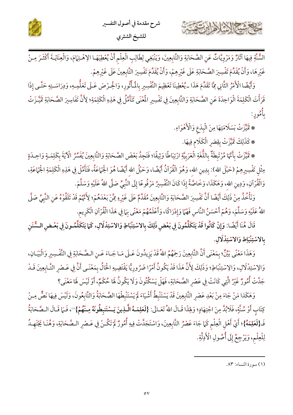

السُّنَّةِ فِيهَا آثَارٌ وَمَرْوِيَّاتٌ عَنِ الصَّحَابَةِ وَالتَّابِعِينَ، وَيَنْبَغِي لِطَالِبِ الْعِلْمِ أَنْ يُعْطِيَهَـا الِاهْـتِهَامَ، وَالْعِنَايَـةَ أَكْثَـرَ مِـنْ غَيْرِهَا، وَأَنْ يُقَدِّمَ تَفْسِيرَ الصَّحَابَةِ عَلَى غَيْرِهِمْ، وَأَنْ يُقَدِّمَ تَفْسِيرَ التَّابِعِينَ عَلَى غَيْرِهِمْ.

وَأَيْضًا الْأَمْرُ الثَّانِي مِمَّا تَقَدَّمَ هَذَا ـ يُعْطِينَا تَعْظِيمَ التَّفْسِيرِ بِالْمَأْثُورِ، وَالْحِرْصَ عَـلَى تَعَلُّمِـهِ، وَدِرَاسَـتِهِ حَتَّـى إِذَا قَرَأْتَ الْكَلِمَةَ الْوَاحِدَةَ عَنِ الصَّحَابَةِ وَالتَّابِعِينَ فِي تَفْسِيرِ الْمُعْنَى تَتَأَمَّلُ فِي هَذِهِ الْكَلِمَةِ؛ لِأَنَّ تَفَاسِيرَ الصَّحَابَةِ تَمَيَّـزَتْ و<br>بأمورٍ:

\* تَمَيَّزَتْ بَسَلَامَتِهَا مِنَ الْبِدَعِ وَالْأَهْوَاءِ.

\* كَذَلِكَ تَمَيَّزَتْ بِقِصَرِ الْكَلَامِ فِيهَا.

حشيج الشلاهابين

\* تَمَيَّزَتْ بِأَنَّهَا مُرْتَبِطَةٌ بِاللُّغَةِ الْعَرَبِيَّةِ ارْتِبَاطًا وَثِيقًا؛ فَتَجِدُ بَعْضَ الصَّحَابَةِ وَالتَّابِعِينَ يُفَسِّرُ الْآيَةَ بِكَلِمَـةٍ وَاحِـدَةٍ مِثْل تَفْسِيرِهِمْ (حَبْلَ الله): بِدِينِ الله، وَهُوَ الْقُرْآنُ أَيْضًا، وَحَبْلُ الله أَيْضًا هُوَ الْجَمَاعَةُ، فَتَأَمَّلْ فِي هَذِهِ الْكَلِمَةِ الْجَمَاعَةِ، وَالْقُرْآنِ، وَدِينِ اللهِ، وَهَكَذَا، وَخَاصَّةً إِذَا كَانَ التَّفْسِيرُ مَرْفُوعًا إِلَى النَّبِيِّ صَلَّى اللهُ عَلَيْهِ وَسَلَّمَ.

وَنَأْخُذُ مِنْ ذَلِكَ أَيْضًا أَنَّ تَفْسِيرَ الصَّحَابَةِ وَالتَّابِعِينَ مُقَدَّمٌ عَلَى غَيْرِهِ مِمَّنْ بَعْدَهُمْ؛ لِأَنَّهُمْ قَدْ تَلَقَّوْهُ عَنِ النَّبِيِّ صَلَّى اللهُ عَلَيْهِ وَسَلَّمَ، وَهُمْ أَحْسَنُ النَّاسِ فَهْمًا وَإِدْرَاكًا، وَأَعْلَمُهُمْ مَعْنًى بِهَا فِي هَذَا الْقُرْآنِ الْكَرِيم.

قَالَ هُنَا أَيْضًا: وَإِنْ كَانُوا قَدْ يَتَكَلَّمُونَ فِي بَعْضٍ ذَلِكَ بِالاسْتِبْاطِ وَالاسْتِدْلَالِ، كَمَا يَتَكَلَّمُـونَ فِي بَعْـضِ الـسُّنَنِ بِالاسْتِنْبَاط وَالاسْتِدْلَالِ.

وَهَذَا مَعْنًى بَيِّنٌّ؛ بِمَعْنَى أَنَّ التَّابِعِينَ رَحِمَهُمُ اللهُ قَدْ يَزِيدُونَ عَـلَى مَـا جَـاءَ عَـنِ الـصَّحَابَةِ فِي التَّفْـسِيرِ وَالْبَيَـانِ، وَالِاسْتِدْلَالِ، وَالِاسْتِنْبَاطِ؛ وَذَلِكَ لِأَنَّ هَذَا قَدْ يَكُونُ أَمْرًا ضَرُورِيًّا يَقْتَضِيهِ الْحَالُ بِمَعْنَـى أَنَّ فِي عَـصْرِ التَّـابِعِينَ قَـدْ جَدَّتْ أُمُّورٌ غَيْرُ الَّتِي كَانَتْ فِي عَصْرِ الصَّحَابَةِ، فَهَلْ يَسْكُنُونَ وَلَا يَكُونُ هَا حُكْمٌ، أَوْ لَيْسَ هَا مَعْنَى؟

وَهَكَذا مَنْ جَاءَ مِنْ بَعْدِ عَصْرِ التَّابِعِينَ قَدْ يَسْتَنْبِطُ أَشْيَاءَ لَمْ يَسْتَنْبِطْهَا الصَّحَابَةُ وَالتَّابِعُونَ، وَلَيْسَ فِيهَا نَصٌّ مِنْ كِتَابِ أَوْ مُنَّةٍ، فَلَابُدَّ مِنَ اجْتِهَادٍ؛ وَلِهَذَا قَـالَ اللهُ تَعَـالَى: {لَعَلِمَـهُ الَّـٰذِينَ يَـسْتَنبِطُونَهُ مِـنْهُمْ}"، فَـَمَا قَـالَ الـصَّحَابَةُ فَـ{لَعَلِمَهُ}؛ أَيْ أَهْلِ الْعِلْمِ كَمَا جَاءَ عَصْرُ التَّابِعِينَ، وَاسْتَجَلَّتْ فِيهِ أُمُورٌ لَمْ تَكُـنْ فِي عَـصْرِ الـصَّحَابَةِ، وَهُنَـا يَجْتَهِـدُ لِلْعِلْمِ، وَيَرْجِعُ إِلَى أُصُولِ الْأَدِلَّةِ.

<sup>(</sup>١) سورة النساء: ٨٣.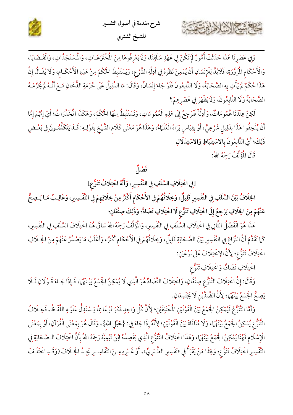



وَفِي عَصْرِنَا هَذَا حَدَثَتْ أُمُورٌ لَمْ تَكُنْ فِي عَهْدِ سَلَفِنَا، وَلَمْ يَعْرِفُوهَا مِنَ الْمُخْتَرَعَـاتِ، وَالْمُسْتَجَدَّاتِ، وَالْقَـضَايَا، وَالْأَحْكَامِ الْمُزَوَّرَةِ، فَلَابُدَّ لِلْإِنْسَانِ أَنْ يُمْعِنَ نَظَرَهُ فِي أَدِلَّةِ الشَّرْعِ، وَيَسْتَنْبِطَ الْحُكْمَ مِنْ هَذِهِ الْأَحْكَـامِ، وَلَا يُقَـالُ إِنَّ هَذَا حُكْمٌ لَمْ يَأْتِ بِهِ الصَّحَابَةُ، وَلَا التَّابِعُونَ فَلَوْ جَاءَ إِنْسَانٌ، وَقَالَ: مَا الدَّلِيلُ عَلَى حُرْمَةِ الدُّخَانِ مَعَ أَنَّـهُ لَمْ يُحَرِّمْـهُ الصَّحَابَةُ وَلَا التَّابِعُونَ، وَلَمْ يَظْهَرْ فِي عَصْرِهِمْ؟

لَكِنْ عِنْدَنَا عُمُومَاتٌ، وَأَدِلَّةٌ فَنَرْجِعُ إِلَى هَذِهِ الْعُمُومَاتِ، وَنَسْتَنْبِطُ مِنْهَا الْحُكْمَ، وَهَكَذَا الْمُخَدِّرَاتُ؛ أَيْ إِنَّهُمْ إِمَّا أَنْ يُلْحِقُوا هَذَا بِدَلِيلِ شَرْعِيٍّ، أَوْ بِقِيَاسٍ يَرَاهُ الْعُلَمَاءُ، وَهَذَا هُوَ مَعْنَى كَلامِ الشَّيْخِ بِقَوْلِهِ: قَــلْـ يَتَكَلَّمُــونَ فِي بَعْــضِ ذَلِكَ؛ أَيْ التَّابِعُونَ بِالاسْتِنْبَاطِ وَالاسْتِذْلَالِ

قَالَ الْمُؤَلِّفُ رَحِمَهُ اللهُ:

كالاشتعال الأراوين

## فَضَلَ

[فِي اخْتِلَافِ السَّلَفِ فِي التَّفْسِيرِ، وَأَنَّهُ اخْتِلَافُ تَنَوُّعٍ]

الخِلَافُ بَيْنَ السَّلَفِ فِي التَّفْسِيرِ قَلِيلٌ، وَخِلَافُهُمْ فِي الأَحْكَام أَكْثَرُ مِنْ خِلَافِهِمْ فِي التَّفْسِيرِ، وَغَالِبُ مَـا يَـصِحُّ عَنْهُمْ مِنَ الخِلَافِ يَرْجِعُ إِلَى اخْتِلَافِ تَنَوُّعِ لَا اخْتِلَافِ تَضَادٍّ؛ وَذَلِكَ صِنْفَانِ؛

هَذَا هُوَ الْفَصْلُ الثَّانِي فِي اخْتِلَافِ السَّلَفِ فِي التَّفْسِيرِ، وَالْمَؤَلِّفُ رَحِمَهُ اللهُ سَاقَ هُنَا اخْتِلَافَ السَّلَفِ فِي التَّفْسِيرِ، كَمَا تَقَدَّمَ أَنَّ النِّزَاعَ فِي التَّفْسِيرِ بَيْنَ الصَّحَابَةِ قَلِيلٌ، وَخِلَافُهُمْ فِي الْأَحْكَامِ أَكْثَرُ، وَأَغْلَبُ مَا يَصْدُرُ عَنْهُمْ مِنَ الْخِلَافِ اخْتِلَافُ تَنَوُّع؛ لِأَنَّ الِاخْتِلَافَ عَلَى نَوْعَيْنِ:

اخْتِلَافِ تَضَادًّ، وَاخْتِلَافِ تَنَوُّع

وَقَالَ: إِنَّ اخْتِلَافَ التَّنَوُّعِ صِنْفَانِ، وَاخْتِلَافَ التَّضَادِّ هُوَ الَّذِي لَا يُمْكِنُ الجُمْعُ بَيْنَهُمَا، فَإِذَا جَـاءَ قَـوْلَانِ فَـلَا يَصِحُّ الْجَمْعُ بَيْنَهُمَا؛ لِأَنَّ الضِّدَّيْنِ لَا يَجْتَمِعَانِ.

وَأَمَّا التَّنَوُّعُ فَيُمْكِنُ الْجَمْعُ بَيْنَ الْقَوْلَيْنِ الْمُخْتَلِفَيْنِ؛ لِأَنَّ كُلّ وَاحِدٍ ذَكَرَ نَوْعًا مِمَّا يَسْتَدِلُّ عَلَيْـهِ اللَّفْـظُ، فَخِـلَافُ التَّنَوُّعِ يُمْكِنُ الْجَمْعُ بَيْنَهُمَا، وَلَا مُنَافَاةَ بَيْنَ الْقَوْلَيْنِ؛ لِأَنَّهُ إِذَا جَاءَ فِي: {حَبْلِ الله}، وَقَالَ هُوَ بِمَعْنَى الْقُرْآنِ، أَوْ بِمَعْنَى الْإِسْلَامِ فَهُنَا يُمْكِنُ الْجَمْعُ بَيْنَهُمَا، وَهَذَا اخْتِلَافُ التَّنَوُّعِ الَّذِي يَقْصِدُهُ ابْنُ تَيْمِيَّةَ رَحِمَهُ اللهُ بِأَنَّ اخْتِلَافَ الصَّحَابَةِ فِي التَّفْسِيرِ اخْتِلَافُ تَنَوُّع؛ وَلِهَذَا مَنْ يَقْرَأُ فِي «تَفْسِيرِ الطَّبَرِيِّ»، أَوْ غَـيْرِهِ مِـنَ التَّفَاسِـيرِ يَجِـدُ الْخِـلَافَ (وَقَـدِ اخْتَلَـفَ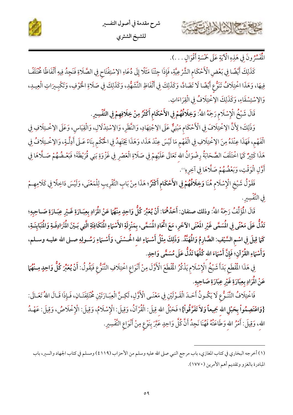



الْمُشِّرُونَ فِي هَذِهِ الْآيَةِ عَلَى خَمْسَةِ أَقْوَالٍ . . . ).

كَذَلِكَ أَيْضًا فِي بَعْضِ الْأَحْكَامِ الشَّرْعِيَّةِ، فَإِذَا جِئْنَا مَثَلًا إِلَى دُعَاءِ الِاسْتِفْتَاح فِي الصَّلَاةِ فَنَجِدُ فِيهِ أَلْفَاظًا مُخْتَلَفًـا فِيهَا، وَهَذَا اخْتِلَافُ تَنَوُّع أَيْضًا لَا تَضَادَّ، وَكَذَلِكَ فِي أَلْفَاظِ التَّشَهُّدِ، وَكَذَلِكَ فِي صَلَاةِ الخُوْفِ، وَتَكْبِيرَاتِ الْعِيدِ، وَالِاسْتِسْقَاءِ، وَكَذَلِكَ الِاخْتِلَافُ فِي الْقِرَاءَاتِ.

قَالَ شَيْخُ الْإِسْلَامِ رَحِمَهُ اللهُ: وَخِلَافُهُمْ فِي الأَحْكَامِ أَكْثَرُ مِنْ خِلَافِهِمْ فِي التَّفْسِيرِ.

وَذَلِكَ؛ لِأَنَّ الِاخْتِلَافَ فِي الْأَحْكَام مَبْنِيٌّ عَلَى الِاجْتِهَادِ، وَالنَّظَرِ، وَالِاسْتِدْلَالِ، وَالْقِيَاسِ، وَعَلَى الِاخْتِلَافِ فِي الْفَهْم، فَهَذَا عِنْدَهُ مِنَ الِاخْتِلَافِ فِي الْفَهْمِ مَا لَيْسَ عِنْدَ هَذَا، وَهَذَا يَجْتَهِدُ فِي الْحُكْمِ بِنَاءً عَـلَى أَدِلَّـةٍ، وَالِاخْـتِلَافُ فِي هَذَا كَثِيرٌ كَمَا اخْتَلَفَ الصَّحَابَةُ رِضْوَانُ الله تَعَالَى عَلَيْهِمْ فِي صَلَاةِ الْعَصْرِ فِي غَزْوَةِ بَنِي قُرَيْظَةَ؛ فَبَعْـضُهُمْ صَــلَّاهَا فِي أَوَّلِ الْوَقْتِ، وَبَعْضُهُمْ صَلَّاهَا فِي آخِرِهِ".

فَقَوْلُ شَيْخِ الْإِسْلَامِ هُنَا وَخِلَافُهُمْ فِي الأَحْكَامِ أَكْثَرُ؛ هَذَا مِنْ بَابِ التَّقْرِيبِ لِلْمَعْنَى، وَلَيْسَ دَاخِلًا فِي كَلَامِهِمْ في التَّفْسِيرِ.

قَالَ الْمُؤَلِّفُ رَحِمَهُ اللهُ: وذلك صنفان: أَحَدُهُمَا: أَنْ يُعَبِّرَ كُلُّ وَاحِدٍ مِنْهُمَا عَنْ الْمَرَادِ بِعِبَـارَةِ غَـيْرِ عِبَـارَةِ صَـاحِبِهِ؛ تَدُلُّ عَلَى مَعْنًى فِي الْمَسَمَّى غَيْرِ المَعْنَى الآخَرِ، مَعَ اتِّحَادِ الْمُسَمَّى، بِمَنْزِلَةِ الأَسْمَاءِ الْمُتَكَافِئَةِ الَّتِي بَـيْنَ الْمُرَادِفَـةِ وَالْمُبَايِنَـةِ، كَمَا قِيلَ فِي اسْمِ السَّيْفِ: الصَّارِمُ وَالْمُهَنَّدُ. وَذَلِكَ مِثْلُ أَسْـمَاءِ الله الْحُـسْنَى، وَأَسْـمَاءِ رَسُـولِهِ صـلى الله عليـه وسـلم، وَأَسْمَاءِ القُرْآنِ؛ فَإِنَّ أَسْمَاءَ الله كُلَّهَا تَدُلُّ عَلَى مُسَمًّى وَاحِدٍ.

فِي هَذَا الْمُقْطَعِ بَدَأَ شَيْخُ الْإِسْلَامِ يَذْكُرُ الْمُقْطَعَ الْأَوَّلَ مِنْ أَنْوَاعِ اخْتِلَافِ التَّنَوُّعِ فَيَقُولُ: أَنْ يُعَبِّرَ كُلُّ وَاحِدٍ مِـنْهُمَا عَنْ الْمَرَادِ بِعِبَارَةِ غَيْرِ عِبَارَةِ صَاحِبِهِ.

فَاخْتِلَافُ التَّنَـوُّعِ لَا يَكُـونُ أَحَـدَ الْقَـوْلَيْنِ فِي مَعْنَـى الْأَوَّلِ، لَكِـنَّ الْعِبَـارَتَيْنِ مُخْتَلِفَتَـانِ، فَـإِذَا قَـالَ اللهُ تَعَـالَى: {وَاعْتَصِمُواْ بِحَبْلِ الله جَمِيعاً وَلاَ تَفَرَّقُواْ}؛ فَحَبْلُ الله قِيلَ: الْقُرْآنُ، وَقِيلَ: الْإِسْلَامُ، وَقِيلَ: الْإِخْلَاصُ، وَقِيلَ: عَهْـدُ الله، وَقِيلَ: أَمْرُ الله وَطَاعَتُهُ فَهُنَا نَجِدُ أَنَّ كُلَّ وَاحِدٍ عَبَّرَ بِنَوْعٍ مِنْ أَنْوَاعِ التَّفْسِيرِ.

<sup>(</sup>١) أخرجه البخاري في كتاب المغازي، باب مرجع النبي صلى الله عليه وسلم من الأحزاب (٤١١٩) ومسلم في كتاب الجهاد والسير، باب المبادرة بالغزو وتقديم أهم الأمرين (١٧٧٠).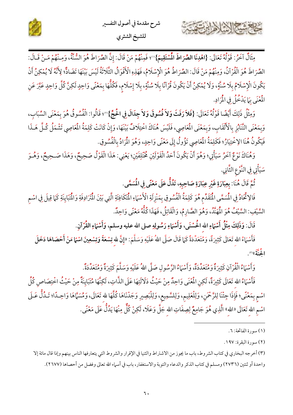



مِثَالٌ آخَرُ: قَوْلُهُ تَعَالَى: {اهْدِنَا الصِّرَاطَ الْمُسْتَقِيمَ}"؛ فَمِنْهُمْ مَنْ قَالَ: إِنَّ الصِّرَاطَ هُوَ السُّنَّةُ، وَمِنْهُمْ مَـنْ قَـالَ: الصِّرَاطَ هُوَ الْقُرْآنُ، وَمِنْهُمْ مَنْ قَالَ: الصِّرَاطُ هُوَ الْإِسْلَامُ، فَهَذِهِ الْأَقْوَالُ الثَّلَاثَةُ لَيْسَ بَيْنَهَا تَضَادٌّ؛ لِأَنَّهُ لَا يُمْكِنُ أَنْ يَكُونَ الْإِسْلَامُ بِلَا سُنَّةٍ، وَلَا يُمْكِنُ أَنْ يَكُونَ قُرْآنًا بِلَا سُنَّةٍ، بِلَا إِسْلَامٍ، فَكُلُّهَا بِمَعْنًى وَاحِدٍ لَكِنَّ كُلَّ وَاحِدٍ عَبَّرَ عَنِ الْمُنِّي بِمَا يَدْخُلُ فِي الْمُرَادِ.

وَمِثْلُ ذَلِكَ أَيْضًا قَوْلُهُ تَعَالَى: {فَلاَ رَفَثَ وَلاَ فُسُوقَ وَلاَ جِدَالَ فِي الْحُجِّ}"؟ قَالُوا: الْفُسُوقُ هُوَ بِمَعْنَى السِّبَابِ، وَبِمَعْنَى التَّنَابُزِ بِالْأَلْقَابِ، وَبِمَعْنَى الْمَاصِي، فَلَيْسَ هُنَاكَ اخْتِلَافٌ بَيْنَهَا، وَإِنْ كَانَتْ كَلِمَةُ الْمَاصِي تَشْمَلُ كُلَّ هَـذَا فَيَكُونُ هُنَا الِاخْتِيَارُ؛ فَكَلِمَةُ الْمَعَاصِي تَؤُولُ إِلَى مَعْنًى وَاحِدٍ، وَهُوَ الْمَرَادُ بِالْفُسُوقِ.

وَهُنَاكَ نَوْعٌ اَخَرُ سَيَأْتِي؛ وَهُوَ أَنْ يَكُونَ أَحَدُ الْقَوْلَيْنِ مُخْتَلِفَيْنِ؛ يَعْنِي: هَذَا الْقَوْلُ صَحِيحٌ، وَهَذَا صَحِيحٌ، وَهُـوَ سَيَأْتِي فِي النَّوْعِ الثَّانِي.

ثُمَّ قَالَ هُنَا: بِعِبَارَةِ غَيْرِ عِبَارَةِ صَاحِبِهِ، تَدُلُّ عَلَى مَعْنًى فِي الْمُسَمَّى.

٢

فَالِاتِّحَادُ فِي الْمُسَمَّى الْمُقَلِّم هُوَ كَلِمَةُ الْفُسُوقِ بِمَنْزِلَةِ الْأَسْمَاءِ الْمُتَكافِئَةِ الَّتِي بَيْنَ الْمُتَرَادِفَةِ وَالْمُتبَايِنَةِ كَمَا قِيلَ فِي اسْمِ السَّيْفِ: السَّيْفُ هُوَ الْمَهَنَّدُ، وَهُوَ الصَّارِمُ، وَالْقَاتِلُ، فَهَذَا كُلُّهُ مَعْنًى وَاحِدٌ.

قَالَ: وَذَلِكَ مِثْلُ أَسْمَاءِ الله الْحُسْنَى، وَأَسْمَاءِ رَسُولِهِ صلى الله عليه وسلم، وَأَسْمَاءِ القُرْآنِ.

فَأَسْهَاءُ الله تَعَالَى كَثِيرَةٌ، وَمُتَعَدِّدَةٌ كَمَا قَالَ صَلَّى اللهُ عَلَيْهِ وَسَلَّمَ: «إِنَّ للهِ تِسْعَةً وَتِسْعِينَ اسْمًا مَنْ أَحْصَاهَا دَخَلَ المتوت<sub>ق)</sub>ن

وَأَسْهَاءُ الْقُرْآنِ كَثِيرَةٌ وَمُتَعَدِّدَةٌ، وَأَسْهَاءُ الرَّسُولِ صَلَّى اللهُ عَلَيْهِ وَسَلَّمَ كَثِيرَةٌ وَمُتَعَدِّدَةٌ.

فَأَسْهَاءُ الله تَعَالَى كَثِيرَةٌ، لَكِنِ الْمُعْنَى وَاحِدٌ مِنْ حَيْثُ دَلَالَتِهَا عَلَى الذَّاتِ، لَكِنَّهَا مُتبَايِنَةٌ مِنْ حَيْثُ اخْتِصَاصِ كُلِّ اسْمٍ بِمَعْنًى؛ فَإِذَا جِئْنَا لِلرَّحْمَنِ، وَلِلْعَلِيمِ، وَلِلسَّمِيعِ، وَلِلْبَصِيرِ وَجَدْنَاهَا كُلَّهَا للهِ تَعَالَى، وَمُسَمَّاهَا وَاحِدًا؛ تَـدُلُّ عَـلَى اسْمِ الله تَعَالَى «الله» الَّذِي هُوَ جَامِعٌ لِصِفَاتِ الله جَلَّ وَعَلَا، لَكِنْ كُلٌّ مِنْهَا يَدُلُّ عَلَى مَعْنًى.

(٣) أخرجه البخاري في كتاب الشروط، باب ما يجوز من الاشتراط والثنيا في الإقرار والشروط التي يتعارفها الناس بينهم وإذا قال مائة إلا واحدة أو ثنتين (٢٧٣٦) ومسلم في كتاب الذكر والدعاء والتوبة والاستغفار، باب في أسماء الله تعالى وفضل من أحصاها (٢٦٧٧).

<sup>(</sup>١) سورة الفاتحة: ٦.

<sup>(</sup>٢) سورة البقرة: ١٩٧.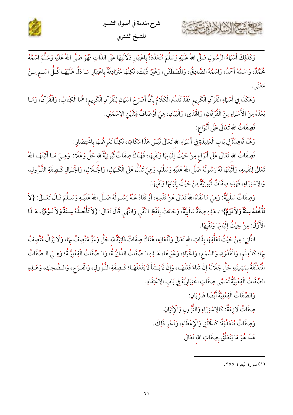



وَكَذَلِكَ أَسْهَاءُ الرَّسُولِ صَلَّى اللهُ عَلَيْهِ وَسَلَّمَ مُتَعَدِّدَةٌ بِاعْتِبَارِ دَلَالَتِهَا عَلَى الذَّاتِ فَهُوَ صَلَّى اللهُ عَلَيْهِ وَسَلَّمَ اسْمُهُ مُهَدِّ، وَاسْمُهُ أَحْمَدُ، وَاسْمُهُ الصَّادِقُ، وَالْمُصْطَفَى، وَغَيْرُ ذَلِكَ، لَكِنَّهَا مُتَرَادِفَةٌ بِاعْتِبَارِ مَـا دَلَّ عَلَيْهَـا كُـلُّ اسْـم مِـنْ بره <sup>م</sup>حمد .

وَهَكَذَا فِي أَسْهَاءِ الْقُرْآنِ الْكَرِيم فَقَدْ تَقَدَّمَ الْكَلَامُ بِأَنَّ أَصْرَحَ اسْهَانِ لِلْقُرْآنِ الْكَرِيم؛ هُمَا الْكِتَابُ، وَالْقُرْآنُ، وَمَـا بَعْدَهُ مِنَ الْأَسْهَاءِ مِنَ الْفُرْقَانِ، وَالْهُدَى، وَالْبَيَانِ، هِيَ أَوْصَافٌ لِهَذَيْنِ الإسْمَيْنِ.

فَصِفَاتُ الله تَعَالَى عَلَى أَنْوَاع:

حشيهم الشاهاين

وَهُنَا قَاعِدَةٌ فِي بَابِ الْعَقِيدَةِ فِي أَسْهَاءِ الله تَعَالَى لَيْسَ هَذَا مَكَانَهَا، لَكِنَّنَا نَعْرِضُهَا بِاخْتِصَارِ :

فَصِفَاتُ الله تَعَالَى عَلَى أَنْوَاعٍ مِنْ حَيْثُ إِثْبَاتِهَا وَنَفْيِهَا؛ فَهُنَاكَ صِفَاتٌ ثُبُوتِيَّةٌ لله جَلَّ وَعَلَا: ۚ وَهِـيَ مَـا أَثْبَتَهَـا اللهُ تَعَالَى لِنَفْسِهِ، وَأَثْبَتَهَا لَهُ رَسُولُهُ صَلَّى اللهُ عَلَيْهِ وَسَلَّمَ، وَهِيَ تَدُلُّ عَلَى الْكَـمَالِ، وَالْجَـرَالِ، وَالْجَـمَالِ كَـصِفَةِ النُّـزُولِ، وَالِإِسْتِوَاءِ، فَهَذِهِ صِفَاتٌ ثُبُوتِيَّةٌ مِنْ حَيْثُ إِثْبَاتِهَا وَنَفْيِهَا.

وَصِفَاتٌ سَلْبِيَّةٌ: وَهِيَ مَا نَفَاهُ اللهُ تَعَالَى عَنْ نَفْسِهِ، أَوْ نَفَاهُ عَنْهُ رَسُـولُهُ صَـلَّى اللهُ عَلَيْـهِ وَسَـلَّمَ قَـالَ تَعَـالَى: {لاَ تَأْخُذُهُ سِنَةٌ وَلاَ نَوْمٌ}'')، هَذِهِ صِفَةٌ سَلْبِيَّةٌ، وَجَاءَتْ بِلَفْظِ النَّفْيِ وَالنَّهْيِ قَالَ تَعَالَى: {لاَ تَأْخُذُهُ سِنةٌ وَلاَ نَـوْمٌ}، هَـذَا الْأَوَّلُ: مِنْ حِيْثُ إِثْبَاتِهَا وَنَفْيهَا.

الثَّانِي: مِنْ حَيْثُ تَعَلَّقِهَا بِذَاتِ الله تَعَالَى وَأَفْعَالِهِ، هُنَاكَ صِفَاتٌ ذَاتِيَّةٌ لله جَلَّ وَعَزَّ مُتَّصِفٌ بِهَا، وَلَا يَزَالُ مُتَّصِفٌ بِهَا؛ كَالْعِلْمِ، وَالْقُدْرَةِ، وَالسَّمْعِ، وَالْحَيَاةِ، وَغَيْرِهَا، هَـلِهِ الـصِّفَاتُ الذَّاتِيَّـةُ، وَالـصِّفَاتُ الْفِعْلِيَّـةُ؛ وَهِـيَ الـصِّفَاتُ الْمَعَلَّقَةُ بِمَشِيئَتِهِ جَلَّ جَلَالَهُ إِنْ شَاءَ فَعَلَهَـا، وَإِنْ لَمْ يَـشَأْ لَمْ يَفْعَلْهَـا؛ كَـصِفَةِ النُّـزُولِ، وَالْفَـرَح، وَالـضَّحِكِ، وَهَـذِهِ الصِّفَاتُ الْفِعْلِيَّةُ تُسَمَّى صِفَاتٍ اخْتِيَارِيَّةً فِي بَابِ الِاعْتِقَادِ.

> وَالصِّفَاتُ الْفِعْلِيَّةُ أَيْضًا ضَرْبَانِ: صِفَاتٌ لَازِمَةٌ: كَالِإِسْتِوَاءِ وَالنُّزُولِ وَالْإِتْيَانِ. وَصِفَاتٌ مُتَعَدِّيَةٌ: كَالْخَلْقِ وَالْإِعْطَاءِ، وَنَحْوِ ذَلِكَ. هَذَا هُوَ مَا يَتَعَلَّقُ بِصِفَاتِ الله تَعَالَى.

> > (١) سورة البقرة: ٢٥٥.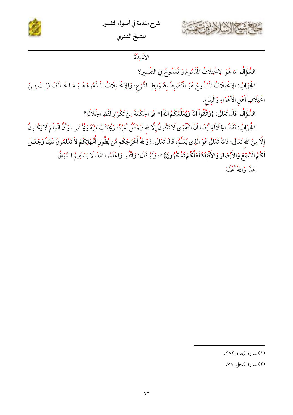



## الأثناية

السُّؤَالُ: مَا هُوَ الِإِخْتِلَافُ الْمُذْمُومُ وَالْمُدُوحُ فِي التَّفْسِيرِ؟

الْجُوَابُ: الِإخْتِلَافُ الْمُدُوحُ هُوَ الْمُنْضَبِطُ بِضَوَابِطِ الشَّرْعِ، وَالِإخْتِلَافُ الْمَذْمُومُ هُـوَ مَـا خَـالَفَ ذَلِكَ مِـنَ اخْتِلَافِ أَهْلِ الْأَهْوَاءِ وَالْبِدَعِ.

السُّؤَالُ: قَالَ تَعَالَى: {وَاتَّقُواْ اللهَ وَيُعَلِّمُكُمُ اللهُ}'' فَمَا الْحِكْمَةُ مِنْ تَكْرَارِ لَفْظِ الْجَلَالَةِ؟

الْجُوَابُ: لَفْظُ الجَلَالَةِ أَيْضًا أَنَّ التَّقْوَى لَا تَكُونُ إِلَّا لله فَيُمْتَثَلُ أَمْرُهُ، وَيُجْتَنَبُ نَهْيُهُ وَيُخْشَى، وَأَنَّ الْعِلْمَ لَا يَكُـونُ إِلَّا مِنَ الله تَعَالَى؛ فَاللهُ تَعَالَى هُوَ الَّذِي يُعَلِّمُ، قَالَ تَعَالَى: {وَاللهُ أَخْرَجَكُم مِّن بُطُونِ أُمَّهَاتِكُمْ لاَ تَعْلَمُونَ شَيْئاً وَجَعَـلَ لَكُمُ الْسَّمْعَ وَالأَبْصَارَ وَالأَفْئِدَةَ لَعَلَّكُمْ تَشْكُرُونَ}"، وَلَوْ قَالَ: وَاتَّقُوا وَاعْلَمُوا اللهَ، لَا يَسْتَقِيمُ السِّيَاقُ.

هَذَا وَاللَّهُ أَعْلَمُ.

<sup>(</sup>١) سورة البقرة: ٢٨٢.

<sup>(</sup>٢) سورة النحل: ٧٨.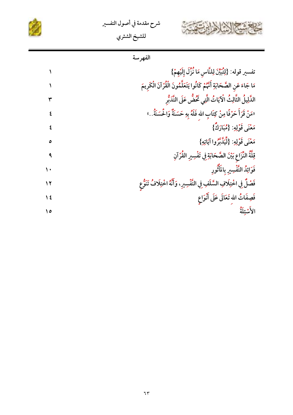





|                  | الفهرسة                                                                            |
|------------------|------------------------------------------------------------------------------------|
|                  | تفسير قوله: {لِتُبَيِّنَ لِلنَّاسِ مَا نُزَّلَ إِلَيْهِمْ}                         |
|                  | مَا جَاءَ عَنِ الصَّحَابَةِ أَنَّهُمْ كَانُوا يَتَعَلَّمُونَ الْقُرْآنَ الْكَرِيمَ |
|                  | الدَّلِيلُ الثَّالِثُ الْآيَاتُ الَّتِي تَحُضُّ عَلَى التَّدَبُّرِ                 |
| ٤                | «مَنْ قَرَأَ حَرْفًا مِنْ كِتَابِ الله فَلَهُ بِهِ حَسَنَةٌ وَالْحُسَنَةُ . »      |
|                  | مَعْنَى قَوْلِهِ: {مُبَارَكٌ}                                                      |
| ٥                | مَعْنَى قَوْلِهِ: {لِّيَدَّبَّرُوا آيَاتِهِ}                                       |
| ٩                | قِلَّةُ النَّزَاعِ بَيْنَ الصَّحَابَةِ فِي تَفْسِيرِ القُرْآنِ                     |
| $\mathbf{\cdot}$ | فَوَائِدُ التَّفْسِيرِ بِالمَأْثُورِ                                               |
| ۱۲               | فَصْلٌ فِي اخْتِلَافِ السَّلَفِ فِي التَّفْسِيرِ ، وَأَنَّهُ اخْتِلَافُ تَنَوُّع   |
| ١٤               | فَصِفَاتُ الله تَعَالَى عَلَى أَنْوَاع                                             |
| ه ۱              | الأشئلة                                                                            |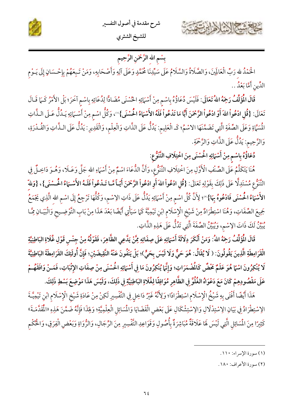



## بِسْم الله الرَّحْمَنِ الرَّحِيم

الْحَمْدُ للهِ رَبِّ الْعَالَمِينَ، وَالصَّلَاةُ وَالسَّلَامُ عَلَى سَيِّدِنَا مُحَمَّدٍ وَعَلَى آلِهِ وَأَصْحَابِهِ، وَمَنْ تَـبِعَهُمْ بِإِحْسَانٍ إِلَى يَـوْمِ الدِّينِ أَمَّا بَعْدُ ..

قَالَ الْمُؤَلِّفُ رَجَمُهُ اللهُ تَعَالَى: فَلَيْسَ دُعَاؤُهُ بِاسْمٍ مِنْ أَسْبَائِهِ الْحُسْنَى مُضَادًّا لِدُعَائِهِ بِاسْمِ آخَرَ؛ بَلْ الأَمْرُ كَــَمَا قَـالَ تَعَالَى: {قُلِ ادْعُواْ اللهَ أَوْ ادْعُواْ الرَّحْمَنَ أَيًّا مَا تَدْعُواْ فَلَهُ الأَسْهَاءُ الحُسْنَى}'''، وَكُلُّ اسْمٍ مِنْ أَسْهَائِهِ يَـدُلُّ عَـلَى الـذَّاتِ الْمُسَّ]ةِ وَعَلَى الصِّفَةِ الَّتِي تَضَمَّنَهَا الاسْمُ؛ كَـ الْعَلِيمِ: يَدُلُّ عَلَى الذَّاتِ وَالْعِلْمِ، وَالْقَدِيرِ : يَدُلُّ عَلَى الـذَّاتِ وَالقُـدْرَةِ، وَالزَّحِيم: يَدُلُّ عَلَى الذَّاتِ وَالزَّحْمَةِ.

دْعَاؤُهُ بِاسْمِ مِنْ أَسْمَائِهِ الْحُسْنَى مِنَ اخْتِلَافِ التَّنَوُّعِ:

هُنَا يَتَكَلَّمُ عَلَى الصِّنْفِ الْأَوَّلِ مِنَ اخْتِلَافِ التَّنَوُّعِ، وَأَنَّ الدُّعَاءَ اسْمٌ مِنْ أَسْهَاءِ الله جَلَّ وَعَـلَا، وَهُـوَ دَاخِـلٌ فِي التَّنَوُّعِ مُسْتَدِلًّا عَلَى ذَلِكَ بِقَوْلِهِ تَعَالَى: {قُلِ ادْعُواْ اللَّهَ أَوِ ادْعُواْ الرَّحْمَنَ أَيّاً مَّا تَـدْعُواْ فَلَـهُ الأَسْــَاءُ الْحَـسْنَى}، {وَللهّ الأَسْمَاءُ الْحُسْنَى فَادْعُوهُ بِهَا}'"؛ لِأَنَّ كُلَّ اسْمٍ مِنْ أَسْهَائِهِ يَدُلُّ عَلَى ذَاتِ الِاسْمِ، وَكُلُّهَا تَرْجِعُ إِلَى اسْمِ الله الَّذِي يَجْمَعُ جَمِيعَ الصِّفَاتِ، وَهُنَا اسْتِطْرَادٌ مِنْ شَيْخِ الْإِسْلَامِ ابْنِ تَيْمِيَّةَ كَمَا سَيَأْتِي أَيْضًا بَعْدَ هَذَا مِنْ بَابِ التَّوْضِـيحِ وَالْبَيَـانِ مِمَّـا مِعِ ۚ لَكَ ذَاتَ الِإِسْم، وَيُبَيِّنُ الصِّفَةَ الَّتِي تَدُلُّ عَلَى هَذِهِ الذَّاتِ.

قَالَ الْمُؤَلِّفُ رَجَهُ اللهُ: وَمَنْ أَنْكَرَ دِلَالَةَ أَسْمَائِهِ عَلَى صِفَاتِهِ مِمَّنْ يَدَّعِي الظَّاهِرَ، فَقَوْلُهُ مِنْ جِنْسِ قَوْلِ غُلَاةِ البَاطِنِيَّةِ الْقَرَامِطَةِ الَّذِينَ يَقُولُونَ: ( لَا يُقَالُ: هُوَ حَيٌّ وَلَا لَيْسَ بِحَيٍّ)؛ بَلْ يَنْفُونَ عَنْهُ النَّقِيضَيْنِ؛ فَإِنَّ أُولَئِكَ القَرَامِطَةَ البَاطِنِيَّةَ لَا يُنْكِرُونَ اسْمًا هُوَ عَلَمٌ مَخْضٌ كَالْمَضْمَرَاتِ؛ وَإِنَّمَا يُنْكِرُونَ مَا فِي أَسْمَائِهِ الْحُسْنَى مِنْ صِفَاتِ الإِثْبَاتِ، فَمَـنْ وَافَقَهُـمْ عَلَى مَقْصُودِهِمْ كَانَ مَعَ دَعْوَاهُ الغُلُوَّ فِي الظَّاهِرِ مُوَافِقًا لِغُلَاةِ البَاطِنِيَّةِ فِي ذَلِكَ، وَلَيْسَ هَذَا مَوْضِعَ بَسْطِ ذَلِكَ.

هَذَا أَيْضًا أَفْتَى بِهِ شَيْخُ الْإِسْلَامِ اسْتِطْرَادًا؛ وَلِأَنَّهُ غَيْرُ دَاخِلٍ فِي التَّفْسِيرِ لَكِنْ مِنْ عَادَةِ شَيْخِ الْإِسْلَامِ ابْنِ تَيْمِيَّـةَ الِاسْتِطْرَادُ فِي بَيَانِ الِاسْتِدْلَالِ وَالِاسْتِشْكَالِ عَلَى بَعْضِ الْقَضَايَا وَالْمَسَائِلِ الْعِلْمِيَّةِ؛ وَلِهَذَا فَإِنَّهُ ضَمَّنَ هَذِهِ «الْمُقَدَّمَـةَ» كَثِيرًا مِنَ المُسَائِلِ الَّتِي لَيْسَ لَهَا عَلَاقَةٌ مُبَاشِرَةٌ بِأُصُولِ وَقَوَاعِدِ التَّفْسِيرِ مِنَ الرِّجَالِ، وَالرُّوَاةِ وَبَعْضِ الْفِرَقِ، وَالْحُكْمِ

(٢) سورة الأعراف: ١٨٠.

<sup>(</sup>١) سورة الإسراء: ١١٠.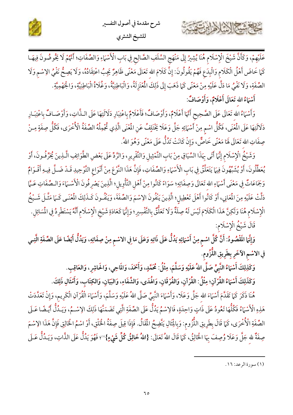



عَلَيْهِمْ، وَكَأَنَّ شَيْخَ الْإِسْلَامِ هُنَا يُشِيرُ إِلَى مَنْهَجِ السَّلَفِ الصَّالِحِ فِي بَابِ الْأَسْهَاءِ وَالصِّفَاتِ؛ أَمَّهُمْ لَا يَخُوضُونَ فِيهَـا كَمَا خَاضَ أَهْلُ الْكَلَام وَالْبِدَعِ فَهُمْ يَقُولُونَ: إِنَّ كَلَامَ الله تَعَالَى مَعْنًى ظَاهِرٌ يَجِبُ اعْتِقَادُهُ، وَلَا يَصِحُّ نَفْيُ الِاسْمِ وَلَا الصِّفَةِ، وَلَا نَفْيُ مَا دَلَّ عَلَيْهِ مِنْ مَعْنًى كَمَا ذَهَبَ إِلَى ذَلِكَ الْمُعْتَزِلَةُ، وَالْبَاطِنِيَّةُ، وَغُلَاةُ الْبَاطِنِيَّةِ، وَالْجَهْمِيَّةِ.

أَسْمَاءُ الله تَعَالَى أَعْلَامٌ، وَأَوْصَافٌ:

كالمشتر الشاهاس

وَأَسْهَاءُ الله تَعَالَى عَلَى الصَّحِيحِ أَنَّهَا أَعْلَامٌ، وَأَوْصَافٌ؛ فَأَعْلَامٌ بِاعْتِبَارِ دَلَالَتِهَا عَلَى الـذَّاتِ، وَأَوْصَـافٌ بِاعْتِبَـارِ دَلَالَتِهَا عَلَى الْمُنْي، فَكُلُّ اسْمٍ مِنْ أَسْهَائِهِ جَلَّ وَعَلَا يَخْتَلِفُ عَنِ الْمُنْي الَّذِي تُجْمِلُهُ الصِّفَةُ الْأُخْرَى، فَكُلُّ صِفَةٍ مِـنْ صِفَاتِ الله تَعَالَى هَا مَعْنًى خَاصٌّ، وَإِنْ كَانَتْ تَدُلُّ عَلَى مَعْنًى وَهُوَ اللهُ.

وَشَيْخُ الْإِسْلَامِ إِنَّهَا أَتَى بِهَذَا السِّيَاقِ مِنْ بَابِ التَّمْثِيلِ وَالتَّقْرِيرِ، وَالرَّدِّ عَلَى بَعْضِ الطَّوَائِفِ الَّـذِينَ يُحَرِّفُونَ، أَوْ يُعَطِّلُونَ، أَوْ يُشَبِّهُونَ فِيهَا يَتَعَلَّقُ فِي بَابِ الْأَسْهَاءِ وَالصِّفَاتِ، فَإِنَّ هَذَا النَّوْعَ مِنْ أَنْوَاعِ التَّوْحِيدِ قَـدْ ضَـلَّ فِيـهِ أَقْـوَامٌ وَجَمَاعَاتٌ فِي مَعْنَى أَسْهَاءِ الله تَعَالَى وَصِفَاتِهِ؛ سَوَاءً كَانُوا مِنْ أَهْلِ التَّأْوِيلِ؛ الَّذِينَ يَصْرِفُونَ الْأَسْــمَاءَ وَالـصِّفَاتِ عَــمَّا دَلَّتْ عَلَيْهِ مِنَ الْمَعَانِي، أَوْ كَانُوا أَهْلَ تَعْطِيلِ؛ الَّذِينَ يَنْفُونَ الِاسْمَ وَالصِّفَةَ، وَيَنْفُونَ كَـذَلِكَ الْمُعْنَى كَـمَا مَثَّـلَ شَـيْخُ الْإِسْلَام هُنَا وَلَكِنَّ هَذَا الْكَلَامَ لَيْسَ لَهُ صِلَةٌ وَلَا تَعَلُّقُ بِالتَّفْسِيرِ؛ وَإِنَّهَا كَعَادَةِ شَيْخِ الْإِسْلَامِ أَنَّهُ يَسْتَطْرِدُ فِي الْمَسَائِلِ. قَالَ شَيْخُ الْإِسْلَام:

وَإِنَّهَا الَمَّصُودُ: أَنَّ كُلَّ اسْمٍ مِنْ أَسْمَائِهِ يَدُلُّ عَلَى ذَاتِهِ وَعَلَى مَا فِي الاسْمِ مِنْ صِفَاتِهِ، وَيَدُلُّ أَيْضًا عَلَى الصِّفَةِ الَّتِـي في الاسْم الآخَرِ بِطَرِيقِ اللَّزُومِ.

وَكَذِلِكَ أَسْمَاءُ النَّبِيِّ صَلَّى اللهُ عَلَيْهِ وَسَلَّمَ، مِثْلُ: مُحَمَّدٍ، وَأَحْمَدَ، وَالمَاضِرِ، وَالعَاقِبِ.

وَكَذَلِكَ أَسْمَاءُ القُرْآنِ؛ مِثْلُ: القُرْآنِ، وَالفُرْقَانِ، وَالْهُدَى، وَالشِّفَاءِ، وَالبَيَانِ، وَالكِتَابِ، وَأَمْثَالِ ذَلِكَ.

هُنَا ذَكَرَ كَمَا تَقَلَّمَ أَسْمَاءَ الله جَلَّ وَعَلَا، وَأَسْمَاءَ النَّبِيِّ صَلَّى اللهُ عَلَيْهِ وَسَلَّمَ، وَأَسْمَاءَ الْقُرْآنِ الْكَرِيمِ، وَإِنْ تَعَلَّادَتْ هَذِهِ الْأَسْهَاءُ فَكُلُّهَا تَعُودُ عَلَى ذَاتٍ وَاحِدَةٍ، فَالِاسْمُ يَدُلُّ عَلَى الصِّفَةِ الَّتِي تَضَمَنَّهَا ذَلِكَ الِاسْمُ، وَيَـدُلُّ أَيْـضًا عَـلَى الصِّفَةِ الْأُخْرَى، كَمَا قَالَ بِطَرِيقِ اللُّزُومِ: وَبِالِْثَالِ يَتَّضِحُ الْمَقَالُ. فَإِذَا قِيلَ صِفَةُ الْخَلْقِ، أَوْ اسْمُ الْخَالِقِ فَإِنَّ هَذَا الِاسْمَ صِفَةٌ لله جَلَّ وَعَلَا وُصِفَ بِهَا الْخَالِقُ، كَمَا قَالَ اللهُ تَعَالَى: {اللهُ خَا**لِقُ كُلِّ شَيْءٍ}**"؛ فَهُوَ يَدُلُّ عَلَى الذَّاتِ، وَيَـدُلُّ عَـلَى

<sup>(</sup>١) سورة الرعد: ١٦.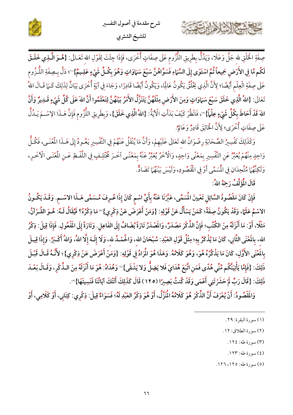

صِفَةِ الْحَلْقِ لله جَلَّ وَعَلَا، وَيَدُلُّ بِطَرِيقِ اللُّزُومِ عَلَى صِفَاتٍ أُخْرَى، فَإِذَا جِئْتَ لِقَوْلِ الله تَعَـالَى: {هُـمَوَ الَّــٰذِي خَمَلَـقَ لَكُم مَّا فِي الأَرْضِ جَمِيعاً ثُمَّ اسْتَوَى إِلَى السَّمَاءِ فَسَوَّاهُنَّ سَبْعَ سَمَاوَاتٍ وَهُوَ بِكُـلِّ شَيْءٍ عَلِـيمٌ}''؛ دَلَّ بِـصِفَةِ اللُّـزُوم عَلَى صِفَةِ الْعِلْمِ أَيْضًا؛ لِأَنَّ الَّذِي يَخْلُقُ يَكُونُ عَالِمًا، وَيَكُونُ أَيْضًا قَادِرًا، وَجَاءَ فِي آيَةٍ أُخْرَى بَيَانٌ لِذَلِكَ كَــَمَا قَـالَ اللهُ تَعَالَى: {اللهُ الَّذِي خَلَقَ سَبْعَ سَمَاوَاتٍ وَمِنَ الأَرْضِ مِثْلَهُنَّ يَتَنَزَّلُ الأَمْرُ بَيْنَهُنَّ لِتَعْلَمُوا أَنَّ اللهَ عَلَى كُلِّ شَيْءٍ قَـلِايرٌ وَأَنَّ اللهَ قَدْ أَحَاطَ بِكُلِّ شَيْءٍ عِلْماً}"، فَانْظُرْ كَيْفَ بَدَأَتِ الْآيَةُ: {اللهُ الَّذِي خَلَقَ}، وَبِطَرِيقِ اللَّزُوم فَإِنَّ هَـذَا الِاسْـمَ يَـدُلُّ عَلَى صِفَاتٍ أُخْرَى؛ لِأَنَّ الْخَالِقَ قَادِرٌ وَعَالِمٌ.

وَكَذَلِكَ تَفْسِيرُ الصَّحَابَةِ رِضْوَانُ الله تَعَالَى عَلَيْهِمْ، وَأَنَّ مَا يُنْقَلُ عَنْهُمْ فِي التَّفْسِيرِ يَعُـودُ إِلَى هَــذَا المُعْنَـى، فَكُـلُّ وَاحِدٍ مِنْهُمْ يُعَبِّرُ عَنِ التَّفْسِيرِ بِمَعْنًى وَاحِدٍ، وَالْأَخَرُ يُعَبِّرُ عَنْهُ بِمَعْنًى آخَرَ عُخَّلِفٍ فِي اللَّفْظِ عَـنِ الْمُغْنَى الْأَخَرِ، وَلَكِنَّهُمَا مُتَّحِدَانِ فِي الْمُسَمَّى أَوْ فِي الْمُقْصُودِ، وَلَيْسَ بَيْنَهُمَا تَضَادٌّ.

قَالَ الْمُؤَلِّفُ رَجَهُ اللهُ:

حشي الشاهايت

فَإِنْ كَانَ مَقْصُودُ السَّائِلِ تَعْيينَ الْمُسَمَّى، عَبَّرْنَا عَنْهُ بِأَيِّ اسْمِ كَانَ إِذَا عُرِفَ مُسَمًّى هَـذَا الاسْـمِ. وَقَـدْ يَكُـونُ الاسْمُ عَلَمًا، وَقَدْ يَكُونُ صِفَةً؛ كَمَنْ يَسْأَلُ عَنْ قَوْلِهِ: {وَمَنْ أَعْرَضَ عَنْ ذِكْرِي}'" مَا ذِكْرُهُ؟ فَيُقَالُ لَـهُ: هُـوَ القُـرْآنُ، مَثَلًا، أَوْ: مَا أَنْزَلَهُ مِنَ الكُتُبِ؛ فَإِنَّ الذِّكْرَ مَصْدَرٌ، وَالَصْدَرُ تَارَةً يُضَافُ إِلَى الفَاعِلِ. وَتَارَةً إِلَى الفَعْولِ. فَإِذَا قِيلَ: ذِكْرُ الله، بِالمَعْنَى الثَّانِي، كَانَ مَا يُذْكَرُ بِهِ؛ مِثْلُ قَوْلِ العَبْدِ: سُبْحَانَ الله، وَالْحُمْـدُ لله، وَلَا إِلَـهَ إِلَّا اللهُ، وَاللهُ أَكْـبَرُ. وَإِذَا قِيـلَ بِالَمْنَى الأَوَّلِ، كَانَ مَا يَذْكُرُهُ هُوَ، وَهُوَ كَلَامُهُ. وَهَذَا هُوَ الْمَرَادُ فِي قَوْلِهِ: {وَمَنْ أَعْرَضَ عَنْ ذِكْرِي}؛ لأَنَّـهُ قَـالَ قَبْـلَ ذَلِكَ: {فَإِمَّا يَأْتِيَنَّكُم مِّنِّي هُدًى فَمَنِ اتَّبَعَ هُدَايَ فَلا يَضِلُّ وَلا يَشْقَى}'' وَهُدَاهُ: هُوَ مَا أَنْزَلَهُ مِنَ الـذِّكْرِ، وَقَـالَ بَعْـدَ ذَلِكَ: {قَالَ رَبِّ لَمْ حَشَرْتَنِي أَعْمَى وَقَدْ كُنتُ بَصِيرًا (١٢٥) قَالَ كَذَلِكَ أَتَتْكَ آيَاتُنَا فَنَسِيتَهَا} ۚ.

وَالَمَّصُودُ: أَنْ يُعْرَفَ أَنَّ الذِّكْرَ هُوَ كَلَامُهُ الْمُزَّلُ، أَوْ هُوَ ذِكْرُ العَبْدِ لَهُ؛ فَسَوَاءٌ قِيلَ: ذِكْرِي: كِتَابِي، أَوْ كَلَامِي، أَوْ

- (٢) سورة الطلاق: ١٢.
- (٣) سورة طه: ١٢٤.
- (٤) سورة طه: ١٢٣.
- (٥) سورة طه: ١٢٥، ١٢٦.

<sup>(</sup>١) سورة البقرة: ٢٩.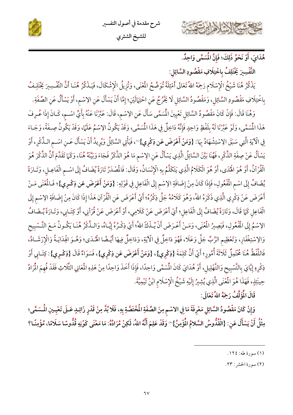



هُدَايَ، أَوْ نَحْوُ ذَلِكَ؛ فَإِنَّ الْمُسَمَّى وَاحِدٌ.

حشيح الأثياها

التَّفْسِيرَ يَخْتَلِفُ باخْتِلَافِ مَقْصُودِ السَّائِل:

يَذْكُرُ هُنَا شَيْخُ الْإِسْلَام رَحِمَهُ اللهُ تَعَالَى أَمْثِلَةً تُوَضِّحُ الْمُغْنَى، وَتُزِيلُ الْإِشْكَالَ، فَيَـذْكُرُ هُنَـا أَنَّ التَّفْسِيرَ يَخْتَلِـفُ بِاخْتِلَافِ مَقْصُودِ السَّائِلِ، وَمَقْصُودُ السَّائِلِ لَا يَخْرُجُ عَنِ احْتِهَالَيْنِ؛ إِمَّا أَنْ يَسْأَلَ عَنِ الإسْمِ، أَوْ يَسْأَلُ عَنِ الصِّفَةِ.

وَهُنَا قَالَ: فَإِنْ كَانَ مَقْصُودُ السَّائِلِ تَعْيِينَ الْمُسَمَّى سَأَلَ عَنِ الِاسْمِ، قَالَ: عَبَّرْنَا عَنْهُ بِأَيِّ اسْـم، كَـانَ إِذَا عُـرِفَ هَذَا الْمُسَمَّى، وَلَوْ عَبَّرْنَا لَهُ بِلَفْظٍ وَاحِدٍ فَإِنَّهُ دَاخِلٌ فِي هَذَا الْمُسَمَّى، وَقَدْ يَكُونُ الِإِسْمُ عَلَمًا، وَقَدْ يَكُونُ صِـفَةً، وَجَـاءَ ِفِي الْآيَةِ الَّتِي سَبَقَ الِاسْتِشْهَادُ بِمَا: {وَمَنْ أَعْرَضَ عَن ذِكْرِي}"، فَيَأْتِي السَّائِلُ وَيُرِيدُ أَنْ يَسْأَلَ عَـنِ اسْـم الـذِّكْرِ، أَوْ يَسْاَلُ عَنْ صِفَةِ الذِّكْرِ، فَهُنَا بَيَّنَ السَّائِلُ الَّذِي يَسْأَلُ عَنِ الِاسْمِ مَا هُوَ الذَّكَرُ فَجَاءَ وَبَيَّنَهُ هُنَا، وَكَمَا تَقَدَّمَ أَنَّ الذِّكْرَ هُوَ الْقُرْآنُ، أَوْ هُوَ اهْْدَى، أَوْ هُوَ الْكَلَامُ الَّذِي يَتَكَلَّمُ بِهِ الْإِنْسَانُ، وَقَالَ: فَالْمُمْدَرُ تَارَةً يُضَافُ إِلَى اسْمِ الْفَاعِـلِ، وَتَـارَةً يُضَافُ إِلَى اسْمِ الْمُفْولِ، فَإِذَا كَانَ مِنْ إِضَافَةِ الِاسْمِ إِلَى الْفَاعِلِ فِي قَوْلِهِ: {وَمَنْ أَعْرَضَ عَن فِكْرِي}؛ فَـالْمُنَى مَـنْ أَعْرَضَ عَنْ ذِكْرِي الَّذِي ذَكَرَهُ اللهُ، وَهُوَ كَلَامُهُ جَلَّ ذِكْرُهُ؛ أَيْ أَعْرَضَ عَنِ الْقُرْآنِ هَذَا إِذَا كَانَ مِنْ إِضَافَةِ الإسْمِ إِلَى الْفَاعِلِ كَمَا قَالَ، وَتَارَةً يُضَافُ إِلَى الْفَاعِلِ؛ أَيْ أَعْرَضَ عَنْ كَلَامِي، أَوْ أَعْرَضَ عَنْ قُرْآنِي، أَوْ كِتَـابِي، وَتَـارَةً يُـضَافُ الِإِسْمُ إِلَى الْمُفْعُولِ، فَيَصِيرُ الْمُنْي، وَمَـنْ أَعْـرَضَ أَنْ يُـذْكَ اللهُ؛ أَيْ ذِكْـرُهُ إِيَّـاهُ، وَالـذِّكْرُ هُنَـا يَكُـونُ مَـعَ التَّـسْبِيح وَالِإِسْتِغْفَارِ، وَتَعْظِيم الرَّبِّ جَلَّ وَعَلَا، فَهُوَ دَاخِلٌ فِي الْآيَةِ، وَدَاخِلٌ فِيهَا أَيْـضًا الْهُـدَى؛ وَهُـوَ الْهِدَايَـةُ وَالْإِرْشَـادُ، فَاللَّفْظُ هُنَا مُحْتَمِلٌ ثَلَاثَةَ أُمُورٍ؛ أَيْ أَنَّ كَلِمَةَ {ذِكْرِي}، {وَمَنْ أَعْرَضَ عَن ذِكْرِي}، فَسَوَاءٌ قَالَ {ذِكْرِي}: كِتَـابِي أَوْ ذِكْرِهِ إِيَّايَ بِالتَّسْبِيحِ وَالتَّهْلِيلِ، أَوْ هُدَايَ كَانَ المُسَمَّى وَاحِدًا، فَإِذَا أَخَذَ وَاحِدًا مِنْ هَذِهِ الْمَحَانِي الثَّلَاثِ فَقَدْ فُهِمَ الْمَرَادُ حِينَئِذٍ، فَهَذَا هُوَ الْمُغْنَى الَّذِي يُشِيرُ إِلَيْهِ شَيْخُ الْإِسْلَامِ ابْنُ تَيْمِيَّةَ.

قَالَ الْمُؤَلِّفُ رَحِمَهُ اللهُ تَعَالَى:

وَإِنْ كَانَ مَقْصُودُ السَّائِلِ مَعْرِفَةَ مَا فِي الاسْمِ مِنَ الصِّفَةِ الْمُخْتَصَّةِ بِهِ، فَلَا بُدَّ مِنْ قَدْرِ زَائِدٍ عَـلَى تَعْيـينِ الْمَسَمَّى؛ مِثْلُ أَنْ يَسْأَلَ عَنِ: {الْقُدُّوسُ السَّلامُ الْمُؤْمِنُ} `` وَقَدْ عَلِمَ أَنَّهُ اللهُ، لَكِنْ مُرَادُهُ: مَا مَعْنَى كَوْنِهِ قُدُّوسًا سَلَامًا، مُؤْمِنًا؟

(٢) سورة الحشر : ٢٣.

<sup>(</sup>١) سورة طه: ١٢٤.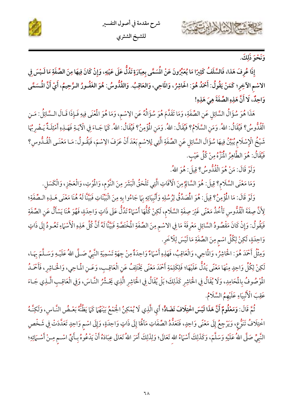





وَنَحْوَ ذَلِكَ.

إِذَا عُرِفَ هَذا، فَالسَّلَفُ كَثِيرًا مَا يُعَبِّرُونَ عَنْ الْمَسَمَّى بِعِبَارَةٍ تَدُلُّ عَلَى عَيْنِهِ، وَإِنْ كَانَ فِيهَا مِنَ الصِّفَةِ مَا لَـيْسَ فِي الاسْم الآخِرِ؛ كَمَنْ يَقُولُ: أَحْمَدُ هُوَ: الحَاشِرُ، وَالمَاحِي، وَالعَاقِبُ. وَالقُدُّوسُ: هُوَ الغَفُورُ الرَّحِيمُ، أَيْ أَنَّ المُسَمَّى وَاحِدٌ، لَا أَنَّ هَذِهِ الصِّفَةَ هِيَ هَذِهِ!

هَذَا هُوَ سُؤَالُ السَّائِل عَنِ الصِّفَةِ، وَمَا تَقَلَّمَ هُوَ سُؤَالُهُ عَنِ الِاسْمِ، وَمَا هُوَ الْمُنَى فِيهِ فَـإِذَا قَـالَ الـسَّائِلُ: مَـنِ الْقُدُّوسُ؟ فَيُقَالُ: اللهُ. وَمَنِ السَّلَامُ؟ فَيُقَالُ: اللهُ. وَمَنِ الْمُؤْمِنُ؟ فَيُقَالُ: اللهُ. كَمَا جَـاءَ فِي الْآيَـةِ فَهَـٰذِهِ أَمْثِلَـةٌ يَـضْرِجُهَا شَيْخُ الْإِسْلَامِ يُبَيِّنُ فِيهَا سُؤَالَ السَّائِلِ عَنِ الصِّفَةِ الَّتِي لِلاسْمِ بَعْدَ أَنْ عَرَفَ الِاسْمَ، فَيَقُـولُ: مَـا مَعْنَـى الْقُـدُّوسِ؟ فَيُقَالُ: هُوَ الطَّاهِرُ الْمُتَّوَّ مِنْ كُلِّ عَيْبٍ.

وَلَوْ قَالَ: مَنْ هُوَ الْقُدُّوسُ؟ قِيلَ: هُوَ اللهُ.

وَمَا مَعْنَى السَّلَام؟ قِيلَ: هُوَ السَّالِمُ مِنَ الْأَفَاتِ الَّتِي تَلْحَقُّ الْبَشَرَ مِنَ النَّوْم، وَالْمُوتِ، وَالْعَجْزِ، وَالْكَسَلِ.

وَلَوْ قَالَ: مَا الْمُؤْمِنُ؟ قِيلَ: هُوَ الْمُصَدِّقُ لِرُسُلِهِ وَأَنْبِيَائِهِ بِمَا جَاءُوا بِهِ مِنَ الْبَيِّنَاتِ فَبَيّنّا لَهُ هُنَا مَعْنَى هَـلِهِ الـصِّفَةِ؛ لِأَنَّ صِفَةَ الْقُدُّوسِ تَأْخُذُ مَعْنًى غَيْرَ صِفَةِ السَّلَامِ، لَكِنْ كُلُّهَا أَسْهَاءٌ تَدُلُّ عَلَى ذَاتٍ وَاحِدَةٍ، فَهُوَ هُنَا يَسْأَلُ عَنِ الصِّفَةِ فَيَقُولُ: وَإِنْ كَانَ مَقْصُودُ السَّائِلِ مَعْرِفَةَ مَا فِي الاسْمِ مِنَ الصِّفَةِ الْمُخْتَصَّةِ فَبَيَّنَّا لَهُ أَنَّ كُلّ هَذِهِ الْأَسْهَاءِ تَعُـودُ إِلَى ذَاتٍ وَاحِدَةٍ، لَكِنْ لِكُلِّ اسْمٍ مِنَ الصِّفَةِ مَا لَيْسَ لِلْأَخَرِ.

وَمِثْلُ أَحْمَدَ هُوَ: الْحَاشِرُ، وَالْمَاحِي، وَالْعَاقِبُ، فَهَذِهِ أَسْهَاءٌ وَاحِدَةٌ مِنْ جِهَةِ تَسْمِيَةِ النَّبِيِّ صَـلَّى اللهُ عَلَيْـهِ وَسَـلَّمَ بِهَـا، لَكِنْ لِكُلٍّ وَاحِدٍ مِنْهَا مَعْنًى يَدُلُّ عَلَيْهَا؛ فَلِكَلِمَةِ أَحْمَدَ مَعْنًى يَخْتَلِفُ عَنِ الْعَاقِبِ، وَعَـنِ الْمَاحِي، وَالْحَـاشِرِ، فَأَحْمَدُ المُوْصُوفُ بِالْمَحَامِدِ، وَلَا يُقَالُ فِي الْحَاشِرِ كَذَلِكَ؛ بَلْ يُقَالُ فِي الْحَاشِرِ الَّذِي يَحْشُرُ النَّاسَ، وَفِي الْعَاقِبِ الَّذِي جَماءَ عَقِبَ الْأَنْبِيَاءِ عَلَيْهِمُ السَّلَامُ.

ثُمَّ قَالَ: وَمَعْلُومٌ أَنَّ هَذَا لَيْسَ اخْتِلَافَ تَضَادٌّ؛ أَيِ الَّذِي لَا يُمْكِنُ الْجَمْعُ بَيْنَهُمَا كَمَا يَظُنُّهُ بَعْـضُ النَّـاسِ، وَلَكِنَّـهُ اخْتِلَافْ نَنَوُّع، وَيَرْجِعُ إِلَى مَعْنًى وَاحِدٍ، فَتَعَدُّدُ الصِّفَاتِ مَآلَٰهَا إِلَى ذَاتٍ وَاحِدَةٍ، وَإِلَى اسْمِ وَاحِدٍ تَعَدَّدَتْ فِي شَخْصِ النَّبِيِّ صَلَّى اللهُ عَلَيْهِ وَسَلَّمَ، وَكَذَلِكَ أَسْمَاءُ الله تَعَالَى؛ وَلِذَلِكَ أَمَرَ اللهُ تَعَالَى عِبَادَهُ أَنْ يَدْعُوهُ بِـأَيِّ اسْـمٍ مِـنْ أَسْـمَائِهِ؛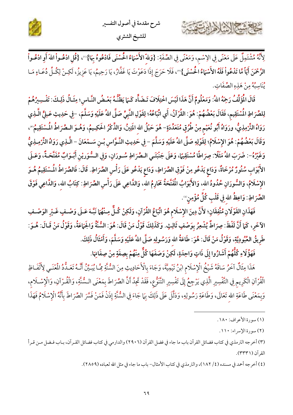



لِأَنَّهُ مُشْتَمِلٌ عَلَى مَعْنًى فِي الِاسْم، وَمَعْنًى فِي الصِّفَةِ: {وَللّه الأَسْمَاءُ الْحُسْنَى فَادْعُوهُ بِهَا}''، {قُلِ ادْعُـواْ اللهَ أَوِ ادْعُـواْ ا**لرَّحْمَنَ أَيّاً مَّا تَدْعُواْ فَلَهُ الأَسْمَاءُ الْحُسْنَى}**"، فَلَا حَرَجَ إِذَا دَعَوْتَ يَا غَفَّارُ، يَا رَحِيمُ، يَا عَزِيزُ، لَكِـنْ لِكُـلِّ دُعَـاءٍ مَـا يُنَاسِبُهُ مِنْ هَذِهِ الصِّفَاتِ.

قَالَ الْمُؤَلِّفُ رَحِمَهُ اللهُ: وَمَعْلُومٌ أَنَّ هَذَا لَيْسَ اخْتِلَافَ تَـضَأِّد كَـَ) يَظُنُّـهُ بَعْـضُ النَّـاسِ؛ مِثَـالُ ذَلِـكَ: تَفْـسِيرُهُمْ لِلصِّرَاطِ الْمُسْتَقِيم، فَقَالَ بَعْضُهُمْ: هُوَ: القُرْآنُ، أَي اتِّبَاعُهُ؛ لِقَوْلِ النَّبِيِّ صَلَّى اللهُ عَلَيْهِ وَسَلَّمَ، -فِي حَدِيثِ عَـلِيٍّ الَّـذِي رَوَاهُ التِّرْمِذِيُّ، ورَوَاهُ أَبُو نُعَيْمٍ مِنْ طُرُقٍ مُتَعَدِّدَةٍ- هُوَ حَبْلُ الله المَتِينُ، وَالذِّكْرُ الحَكِـيمُ، وَهُـوَ الـصِّرَاطُ الْمُسْتَقِيمُ"، وَقَالَ بَعْضُهُمْ: هُوَ الإِسْلَامُ؛ لِقَوْلِهِ صَلَّى اللهُ عَلَيْهِ وَسَلَّمَ – فِي حَدِيثِ النَّوَّاسِ بْـنِ سَـمْعَانَ – الَّـذِي رَوَاهُ التِّرْمِـذِيُّ وَغَيْرُهُ-: ضَرَبَ اللهُ مَثَلًا: صِرَاطًا مُسْتَقِيًا، وَعَلَى جَنْبَتَـي الـصِّرَاطِ سُـورَانِ، وَفِي الـسُّوَريْنِ أَبْـوَابٌ مُفَتَّحَـةٌ، وَعَـلَى الأَبْوَابِ سُتُورٌ مُرْخَاةٌ، وَدَاعِ يَدْعُو مِنْ فَوْقِ الصِّرَاطِ، وَدَاعِ يَدْعُو عَلَى رَأْسِ الصِّرَاطِ. قَالَ: فَالصِّرَاطُ الْمُسْتَقِيمُ هُـوَ الإِسْلَامُ، وَالسُّورَانِ حُدُودُ الله، وَالأَبْوَابُ الْمُقَتَّحَةُ مَحَارِمُ الله، وَالذَّاعِي عَلَى رَأْسِ الصِّرَاطِ: كِتَابُ الله، وَالذَّاعِي فَوْقَ الصِّرَاطِ: وَاعِظُ الله فِي قَلْبِ كُلِّ مُؤْمِنٍ ۚ.

فَهَذَانِ القَوْلَانِ مُتَّفِقَانِ؛ لأَنَّ دِينَ الإِسْلَامِ هُوَ اتِّبَاعُ القُرْآنِ، وَلَكِنْ كُـلٌّ مِـنْهُمَا نَبَّـهَ عَـلَى وَصْـفٍ غَـيْرِ الوَصْـفِ الآخَرِ، كَمَا أَنَّ لَفْظَ: صِرَاطٌ يُشْعِرُ بِوَصْفٍ ثَالِثٍ. وَكَذَلِكَ قَوْلُ مَنْ قَالَ: هُوَ: السُّنَّةُ وَالجَمَاعَةُ، وَقَوْلُ مَنْ قَـالَ: هُـوَ: طَرِيقُ العُبُودِيَّةِ، وَقَوْلُ مَنْ قَالَ: هُوَ: طَاعَةُ الله وَرَسُولِهِ صَلَّى اللهُ عَلَيْهِ وَسَلَّمَ، وَأَمْثَالُ ذَلِكَ.

فَهَؤُلَاءِ كُلُّهُمْ أَشَارُوا إِلَى ذَاتٍ وَاحِدَةٍ، لَكِنْ وَصَفَهَا كُلٌّ مِنْهُمْ بِصِفَةٍ مِنْ صِفَاتِهَا.

هَذَا مِثَالٌ آخَرُ سَاقَهُ شَيْخُ الْإِسْلَام ابْنُ تَيْمِيَّةَ، وَجَاءَ بِالْأَحَادِيثِ مِنَ السُّنَّةِ مِمَّا يُبَيِّنُ أَنَّهُ تَعَـدُّدُ الْمُنْـي لِأَلْفَـاظِ الْقُرْآنِ الْكَرِيمِ فِي التَّفْسِيرِ الَّذِي يَرْجِعُ إِلَى تَفْسِيرِ التَّنَوُّعِ، فَقَدْ تَجِدُ أَنَّ الصِّرَاطَ بِمَعْنَى السُّنَّةِ، وَالْقُـرْآنِ، وَالْإِسْـلَامِ، وَبِمَعْنَى طَاعَةِ الله تَعَالَى، وَطَاعَةِ رَسُولِهِ، وَدَلَّلَ عَلَى ذَلِكَ بِمَا جَاءَ فِي السُّنَّةِ إِذَنْ فَمَنْ فَسَّرَ الصِّرَاطَ بِأَنَّهُ الْإِسْلَامُ فَهَذَا

A NA

(٤) أخرجه أحمد في مسنده (٤/ ١٨٢)، والترمذي في كتاب الأمثال– باب ما جاء في مثل الله لعباده (٢٨٥٩).

<sup>(</sup>١) سورة الأعراف: ١٨٠.

<sup>(</sup>٢) سورة الإسراء: ١١٠.

<sup>(</sup>٣) أخرجه الترمذي في كتاب فضائل القرآن باب ما جاء في فضل القرآن (٢٩٠٦) والدارمي في كتاب فضائل القـرآن، بـاب فـضل مـن قـرأ القرآن (٣٣٣١).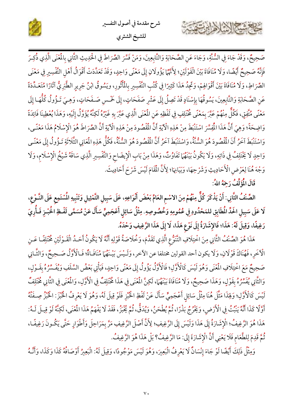



صَحِيحٌ، وَقَدْ جَاءَ فِي السُّنَّةِ، وَجَاءَ عَنِ الصَّحَابَةِ وَالتَّابِعِينَ، وَمَنْ فَسَّرَ الصِّرَاطَ فِي الحُدِيثِ الثَّانِي بِالْمُنَى الَّذِي ذُكِرَ فَإِنَّهُ صَحِيحٌ أَيْضًا، وَلَا مُنَافَاةَ بَيْنَ الْقَوْلَيْنِ؛ لِأَنَّهُمَا يَؤُولَانِ إِلَى مَعْنًى وَاحِدٍ، وَقَدْ تَعَدَّدَتْ أَقْوَالُ أَهْلِ التَّفْسِيرِ فِي مَعْنَى الصِّرَاطِ، وَلَا مُنَافَاةَ بَيْنَ أَقْوَالِهِمْ، وَتَجِدُ هَذَا كَثِيرًا فِي كُتُبِ التَّفْسِيرِ بِالْمُأْثُورِ، ويَسُوقُ ابْنُ جَرِيرِ الطَّبَرِيُّ آثَارًا مُتَعَـدِّدَةً عَنِ الصَّحَابَةِ وَالتَّابِعِينَ، يَسُوقُهَا بِإِسْنَادٍ قَدْ تَصِلُ إِلَى عَشْرِ صَفَحَاتٍ، إِلَى خَمْسِ صَفَحَاتٍ، وَهِيَ تَـؤُولُ كُلُّهَـا إِلَى مَعْنًى مُتَّفِقٍ، فَكُلٌّ مِنْهُمْ عَبَّرَ بِمَعْنًى مُخْتَلِفٍ فِي لَفْظِهِ عَنِ الْمُعْنَى الَّذِي عَبَّرَ بِهِ غَيْرُهُ لَكِنَّهُ يُؤَوَّلُ إِلَيْهِ، وَهَذَا يُعْطِينَا فَائِدَةً وَاضِحَةً؛ وَهِيَ أَنَّ هَذَا الْمُفِسَّرَ اسْتَنْبَطَ مِنْ هَذِهِ الْآيَةِ أَنَّ الْمُقْصُودَ مِنْ هَذِهِ الْآيَةِ أَنَّ الصِّرَاطَ هُوَ الْإِسْلَامُ هَذَا مَعْنًـى، وَاسْتَنْبَطَ آخَرُ أَنَ الْمُقْصُودَ هُوَ السُّنَّةُ، وَاسْتَنْبَطَ آخَرُ أَنَّ الْمُقْصُودَ هُوَ السُّنَّةُ، فَكُلُّ هَذِهِ الْمَانِي الثَّلَاثَةِ تَـؤُولُ إِلَى مَعْنًـى وَاحِدٍ لَا يَخْتَلِفُ فِي ذَاتِهِ، وَلَا يَكُونُ بَيْنَهُمَا تَفَاوُتٌ، وَهَذَا مِنْ بَابِ الْإِيضَاحِ وَالتَّفْسِيرِ الَّذِي سَاقَهُ شَيْخُ الْإِسْلَامِ، وَلَا وَجْهَ هُنَا لِعَرْضِ الْأَحَادِيثِ وَشَرْحِهَا، وَبَيَانِهَا؛ لِأَنَّ الْمَقَامَ لَيْسَ شَرْحَ أَحَادِيثَ.

قَالَ الْمُؤَلِّفُ رَحِمَهُ اللهُ:

SE EX

الصِّنْفُ الثَّانِي: أَنْ يَذْكَرَ كُلٌّ مِنْهُمْ مِنَ الاسْمِ العَامِّ بَعْضَ أَنْوَاعِهِ، عَلَى سَبِيلِ التَّمْثِيلِ وَتَنْبِيهِ الْمُسْتَمِعِ عَلَى النَّـوْعِ، لَا عَلَى سَبِيلِ الحَدِّ الْمطَابِقِ للمَحْدُودِ فِي عُمُومِهِ وَخُصُوصِهِ. مِثْلُ سَائِلٍ أَعْجَمِيٍّ سَأَلَ عَنْ مُسَمَّى لَفْـظِ الْحُبْـزِ فَـأُرِيَ رَغِيفًا، وَقِيلَ لَهُ: هَذَا؛ فَالإِشَارَةُ إِلَى نَوْعِ هَذَا، لَا إِلَى هَذَا الرَّغِيفِ وَحْدَهُ.

هَذَا هُوَ الصِّنْفُ الثَّانِي مِنَ اخْتِلَافِ التَّنَوُّعِ الَّذِي تَقَدَّمَ، وَخُلَاصَةُ قَوْلِهِ أَنَّهُ لَا يَكُونُ أَحَـدُ الْقَـوْلَيْنِ مُخْتَلِفًـا عَـنِ الْآخَرِ، فَهُنَاكَ قَوْلَانِ، وَلَا يكون أحد القولين مختلفا عن الآخر، وَلَـيْسَ بَيْـنَهُمَا مُنَافَاةٌ؛ فَـالْأَوَّلُ صَـحِيمٌ، وَالثَّـانِي صَحِيحٌ مَعَ اخْتِلَافِ الْمُنْي وَهُوَ لَيْسَ كَالْأَوَّلِ؛ فَالْأَوَّلُ يَؤُولُ إِلَى مَعْنًى وَاحِدٍ، فَيَأْتِي بَعْضُ السَّلَفِ وَيُفَسِّرُهُ بِقَـوْلٍ، وَالثَّانِي يُفَسِّرُهُ بِقَوْلٍ، وَهَذَا صَحِيحٌ، وَلَا مُنَافَاةَ بَيْنَهُمَا، لَكِنَّ الْمُغْنَى فِي هَذَا مُخْتَلِفٌ فِي الْأَوَّلِ، وَالْمُنَى فِي الثَّانِي مُخْتَلِفٌ لَيْسَ كَالْأَوَّلِ؛ وَلِهَذَا مَثَّلَ هُنَا مِثْلُ سَائِلٍ أَعْجَمِيٍّ سَأَلَ عَنْ لَفْظِ الْخُبْزِ فَلَوْ قِيلَ لَهُ، وَهُوَ لَا يَعْرِفُ الْخُبْزَ: الْخُبْزُ صِـفَتُهُ أَوَّلًا كَذَا أَنَّهُ يَنْبُتُ فِي الْأَرْضِ، وَيَخْرُجُ بَذْرًا، ثُمَّ يُطْحَنُ، وَيُدَقُّ، ثُمَّ يُخْبَزُ، فَقَدْ لَا يَفْهَمُ هَذَا الْمُنْي، لَكِنَّهُ لَوْ قِيـلَ لَـهُ: هَذَا هُوَ الرَّغِيفُ؛ الْإِشَارَةُ إِلَى هَذَا وَلَيْسَ إِلَى الرَّغِيفِ؛ لِأَنَّ أَصْلَ الرَّغِيفِ مَرَّ بِمَرَاحِلَ وَأَطْوَارِ حَتَّى يَكُونَ رَغِيفًـا، ثُمَّ قَدِمَ لِلطَّعَامِ فَلَا يَعْنِي أَنَّ الْإِشَارَةَ إِلَى: مَا الرَّغِيفُ؟ بَلْ هَذَا هُوَ الرَّغِيفُ.

وَمِثْلُ ذَلِكَ أَيْضًا لَوْ جَاءَ إِنْسَانٌ لَا يَعْرِفُ الْبَعِيرَ، وَهُوَ لَيْسَ مَوْجُودًا، وَقِيلَ لَهُ: الْبَعِيرُ أَوْصَافُهُ كَذَا وَكَذَا، وَأَنَّـهُ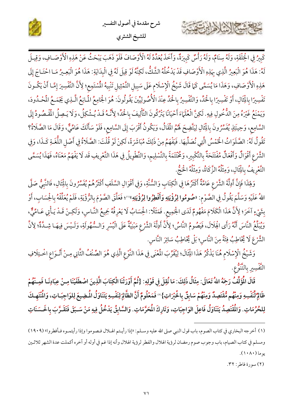



كَبِيرُ فِي الْخِلْقَةِ، وَلَهُ سِنَامٌ، وَلَهُ رَأْسٌ كَبِيرَةٌ، وَأَخَذَ يُعَدِّدُكَهُ الْأَوْصَافَ فَلَوْ ذَهَبَ يَبْحَثُ عَنْ هَذِهِ الْأَوْصَـافِ، وَقِيـلَ لَهُ: هَذَا هُوَ الْبَعِيرُ الَّذِي بِهَذِهِ الْأَوْصَافِ قَدْ يَدْخُلُهُ الشَّكُّ، لَكِنَّهُ لَوْ قِيلَ لَهُ فِي الْبِدَايَةِ: هَذَا هُوَ الْبَعِيرُ مَـا احْتَـاجَ إِلَى هَذِهِ الْأَوْصَافِ، وَهَذَا مَا يُسَمَّى كَمَا قَالَ شَيْخُ الْإِسْلَام عَلَى سَبِيلِ التَّمْثِيلِ تَنْبِيهُ المُسْتَمِع؛ لِأَنَّ التَّفْسِيرَ إِمَّـا أَنْ يَكُـونَ تَفْسِيرًا بِالْخَالِ، أَوْ تَفْسِيرًا بِالْحَدِّ، وَالتَّفْسِيرُ بِالْحَدِّ عِنْدَ الْأُصُولِيِّينَ يَقُولُونَ: هُوَ الْجَامِعُ الْمَانِعُ الَّـٰذِي يَجْمَـعُ الْمُحْـدُودَ، وَيَمْنَعُ غَيْرَهُ مِنَ الدُّخُولِ فِيهِ. لَكِنَّ الْعُلَمَاءَ أَحْيَانًا يَتْرُكُونَ التَّأْلِيفَ بِالْحَدِّ؛ لِأَنَّـهُ قَـدْ يُـشْكِلُ، وَلَا يَـصِلُ الْمُقْصُودُ إِلَى السَّامِعِ، وَحِينَئِذٍ يُفَسِّرُونَ بِالْثَالِ لِيَتَّضِحَ لَهُمُ الْمَقَالُ، وَيَكُونُ أَقْرَبَ إِلَى السَّامِعِ، فَلَوْ سَأَلَكَ عَامِّيٌّ، وَقَالَ مَا الصَّلَاةُ؟ تَقُولُ لَهُ: الصَّلَوَاتُ الْخَمْسُ الَّتِي نُصَلِّيهَا. فَيَفْهَمُ مِنْ ذَلِكَ مُبَاشَرَةً، لَكِنْ لَوْ قُلْتَ: الصَّلَاةُ فِي أَصْلِ اللُّغَـةِ كَـذَا، وَفِي الشَّرْعِ أَقْوَالٌ وَأَفْعَالٌ مُفْتَتَحَةٌ بِالتَّكْبِيرِ، وَمُخْتَتَمَةً بِالتَّسْلِيمِ، وَالتَّطْوِيلُ فِي هَذَا التَّعْرِيفِ قَد لَا يَفْهَمُ مَعْنَاهُ، فَهَذَا يُسَمَّى التَّعْرِيفُ بِالْثَالِ، وَمِثْلُهُ الزَّكَاةُ، وَمِثْلُهُ الْحَجّْ.

وَلِهَذَا فَإِنَّ أَدِلَّةَ الشَّرْعِ عَامَّةٌ أَكْثَرُهَا فِي الْكِتَابِ وَالسُّنَّةِ، وَفِي أَقْوَالِ السَّلَفِ أَكْثَرُهُمْ يُفَسِّرُونَ بِالْثَالِ، فَالنَّبِيُّ صَلَّى اللهُ عَلَيْهِ وَسَلَّمَ يَقُولُ فِي الصَّوْم: «صُومُوا لِرُؤْيَتِهِ وَأَفْطِرُوا لِرُؤْيَتِهِ»''؛ فَعَلَّقَ الصَّوْمَ بِالرُّؤْيَةِ، فَلَمْ يُعَلِّقُهُ بِالْحِسَابِ، أَوْ بِشَيْءٍ آخَرَ؛ لِأَنَّ هَذَا الْكَلَامَ مَفْهُومٌ لَدَى الْجَمِيعِ. فَمَثَلًا: الْحِسَابُ لَا يَعْرِفُهُ جَمِيعُ النَّـاسِ، وَلَكِـنْ قَـدْ يَـأْتِي عَـامِّيٌّ، وَيُبَلِّعُ النَّاسَ أَنَّهُ رَأَى الْهِلَالَ، فَيَصُومُ النَّاسُ؛ لِأَنَّ أَدِلَّةَ الشَّرْعِ مَبْنِيَّةٌ عَلَى الْيُسْرِ وَالسُّهُولَةِ، وَلَـيْسَ فِيهَـا شِـدَّةٌ؛ لِأَنَّ الشَّرْعَ لَا يُخَاطِبُ فِئَةً مِنَ النَّاسِ؛ بَلْ يُخَاطِبُ سَائِرَ النَّاسِ.

وَشَيْخُ الْإِسْلَامِ هُنَا يَذْكُرُ هَذَا الْثِاَلَ؛ لِيُقَرِّبَ الْمُنَى فِي هَذَا النَّوْعِ الَّذِي هُوَ الصِّنْفُ الثَّانِي مِـنْ أَنْـوَاعِ اخْـتِلَافِ التَّفْسِيرِ بِالتَّنَوُّعِ.

قَالَ الْمُؤَلِّفُ رَجِمًهُ اللهُ تَعَالَى: مِثَالُ ذَلِكَ: مَا نُقِلَ فِي قَوْلِهِ: {ثُمَّ أَوْرَثْنَا الْكِتَابَ الَّذِينَ اصْطَفَيْنَا مِـنْ عِبَادِنَـا فَمِـنْهُمْ ظَالِمٌ لِّنَفْسِهِ وَمِنْهُم مُّقْتَصِدٌ وَمِنْهُمْ سَابِقٌ بِالْخَيْرَاتِ}" فَمَعْلُومٌ أَنَّ الظَّالِمَ لِنَفْسِهِ يَتَنَاوَلُ الْمَضِيعَ لِلوَاجِبَـاتِ، وَالْمُنْتَهِـكَ لِلحُرُمَاتِ. وَالْمُقْتَصِدُ يَتَنَاوَلُ فَاعِلَ الوَاجِبَاتِ، وَتَارِكَ الْمَحَرَّمَاتِ. وَالسَّابِقُ يَدْخُلُ فِيهِ مَنْ سَبَقَ فَتَقَرَّبَ بِالحَسَنَاتِ

كاحشة الشاهامين

<sup>(</sup>١) أخرجه البخاري في كتاب الصوم، باب قول النبي صلى الله عليه وسـلم: «إذا رأيـتم الهـلال فـصوموا وإذا رأيتمـوه فـأفطروا» (١٩٠٩) ومسلم في كتاب الصيام، باب وجوب صوم رمضان لرؤية الهلال والفطر لرؤية الهلال وأنه إذا غم في أوله أو آخره أكملت عدة الشهر ثلاثين يوما (١٠٨٠).

<sup>(</sup>٢) سورة فاطر: ٣٢.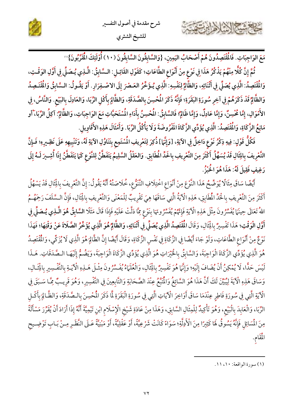



مَعَ الوَاجِبَاتِ. فَالْمُقْتَصِدُونَ هُمْ أَصْحَابُ اليَمِينِ، {وَالسَّابِقُونَ السَّابِقُونَ (١٠) أُوْلَئِكَ الْمُتَرَّبُونَ}"

ثُمَّ إِنَّ كُلًّا مِنْهُمْ يَذْكُرُ هَذَا فِي نَوْعٍ مِنْ أَنْوَاعِ الطَّاعَاتِ؛ كَقَوْلِ القَائِـلِ: الـسَّابِقُ: الَّـذِي يُـصَلِّي فِي أَوَّلِ الوَقْـتِ، وَالْمُقْتَصِدُ: الَّذِي يُصَلِّي فِي أَثْنَائِهِ، وَالظَّالِمُ لِنَفْسِهِ: الَّذِي يُـؤَخِّرُ العَـصْرَ إِلَى الاصْـفِرَارِ. أَوْ يَقُـولُ: السَّابِقُ وَالْمُقْـَصِدُ وَالظَّالِمُ قَدْ ذَكَرَهُمْ فِي آخِرِ سُورَةِ البَقَرَةِ؛ فَإِنَّهُ ذَكَرَ الْمُحْسِنَ بِالصَّدَقَةِ، وَالظَّالِمَ بِأَكْلِ الرِّبَا، وَالعَادِلَ بِالبَيْعِ. وَالنَّاسُ، فِي الأَمْوَالِ، إِمَّا مُحْسِنٌ، وَإِمَّا عَادِلٌ، وَإِمَّا ظَالِمٌ؟ فَالسَّابِقُ: الْمُحْسِنُ بِأَدَاءِ الْمُسْتَحَبَّاتِ مَعَ الوَاجِبَاتِ، وَالظَّالِمُ: آكِلُ الرِّبَا، ْأَو مَانِعُ الزَّكَاةِ، وَالْمُقْتَصِدُ: الَّذِي يُؤَدِّي الزَّكَاةَ الَفْرُوضَةَ وَلَا يَأْكُلُ الرِّبَا. وَأَمْثَالَ هَذِهِ الأَقَاوِيلِ.

فَكُلٌّ قَوْلٍ: فِيهِ ذِكْرُ نَوْعِ دَاخِلٌ فِي الآيَةِ، [وَإِنَّهَا] ذُكِرَ لِتَعْرِيفِ الْمُسْتَمِعِ بِتَنَاوُلِ الآيَةِ لَهُ، وَتَنْبِيهِهِ عَلَى نَظِـيرِهِ؛ فَإِنَّ التَّعْرِيفَ بِالِثَالِ قَدْ يُسَهِّلُ أَكْثَرَ مِنَ التَّعْرِيفِ بِالحَدِّ الْمطَابِقِ. وَالعَقْلُ السَّلِيمُ يَتَفَطَّنُ لِلنَّوْعِ كَمَا يَتَفَطَّنُ إِذَا أُشِيرَ لَـهُ إِلَى رَغِيفٍ فَقِيلَ لَهُ: هَذَا هُوَ الْخُبْزُ.

أَيْضًا سَاقَ مِثَالًا يُوَضِّحُ هَذَا النَّوْعَ مِنْ أَنْوَاعِ اخْتِلَافِ التَّنَوُّعِ، خُلَاصَتُهُ أَنَّهُ يَقُولُ: إِنَّ التَّعْرِيفَ بِالِْثَالِ قَدْ يَسْهُلُ أَكْثَرَ مِنَ التَّعْرِيفِ بِالْحَدِّ الْمُطَابِقِ، هَذِهِ الْآيَةُ الَّتِي سَاقَهَا هِيَ تَقْرِيبٌ لِلْمَعْنَى وَالتَّعْرِيفِ بِالِْثَالِ، فَإِنَّ السَّلَفَ رَحِمَهُمُ اللهُ تَعَالَى حِينَهَا يُفَسِّرُونَ مِثْلَ هَذِهِ الْآيَةِ فَإِنَّهُمْ يُفَسِّرُونَهَا بِنَوْعِ مِمَّا دَلَّتْ عَلَيْهِ فَإِذَا قَالَ مَثَلًا السَّابِقُ هُوَ الَّـٰذِي يُـصَلِّي فِي أَوَّلِ الْوَقْتِ؛ هَذَا تَفْسِيرٌ بِالْثَالِ، وَقَالَ الْمُقْتَصِدُ الَّذِي يُصَلِّّ فِي أَتْنَائِهِ، وَالظَّالِمُ هُوَ الَّذِي يُؤَخِّرُ الصَّلَاةَ عَنْ وَقْتِهَا؛ فَهَذَا نَوْعٌ مِنْ أَنْوَاعِ الطَّاعَاتِ، وَلَوْ جَاءَ أَيْضًا فِي الزَّكَاةِ فِي نَفْسِ الزَّكَاةِ، وَقَالَ أَيْضًا إِنَّ الظَّالِمَ هُوَ الَّذِي لَا يُزَكِّي، وَالْمُقْتَصِدُ هُوَ الَّذِي يُؤَدِّي الزَّكَاةَ الْوَاجِبَةَ، وَالسَّابِقُ بِالْخَيْرَاتِ هُوَ الَّذِي يُؤَدِّي الزَّكَاةَ الْوَاجِبَةَ، وَيَضُمُّ إِلَيْهَا الصَّدَقَاتِ. هَـذَا لَيْسَ حَدًّا، لَا يُمْكِنُ أَنْ يُضَافَ إِلَيْهِ؛ وَإِنَّهَا هُوَ تَفْسِيرٌ بِالِْثَالِ، وَالْعُلَهَاءُ يُفَسِّرُونَ مِثْلَ هَـذِهِ الْآيَـةِ بِالتَّفْسِيرِ بِالِْثَـالِ، وَسَاقَ هَذِهِ الْآيَةَ لِيُبَيِّنَ لَكَ أَنَّ هَذَا هُوَ السَّائِعُ وَالْمَبَعُ عِنْدَ الصَّحَابَةِ وَالتَّابِعِينَ فِي التَّفْسِيرِ، وَهُوَ قَرِيبٌ مِمَّا سَبَقَ فِي الْآيَةِ الَّتِي فِي سُورَةِ فَاطِرٍ عِنْدَمَا سَاقَ أَوَاخِرَ الْآيَاتِ الَّتِي فِي سُورَةِ الْبَقَرَةِ لَمَا ذَكَرَ الْمُحْسِنَ بِالـصَّدَقَةِ، وَالظَّـالِمَ بِأَكْـلِ الرِّبَا، وَالْعَابِدَ بِالْبَيْعِ، وَهُوَ تَأْكِيدٌ لِلْمِثَالِ السَّابِقِ، وَهَذَا مِنْ عَادَةِ شَيْخِ الْإِسْلَام ابْنِ تَيْمِيَّةَ أَنَّهُ إِذَا أَرَادَ أَنْ يُقَرِّرَ مَسْأَلَةً مِنَ الْمَسَائِلِ فَإِنَّهُ يَسُوقُ لَهَا كَثِيرًا مِنَ الْأَدِلَّةِ؛ سَوَاءً كَانَتْ شَرْعِيَّةً، أَوْ عَقْلِيَّةً، أَوْ مَبْنِيَّةً عَـلَى النَّظَـرِ مِـنْ بَـابِ تَوْضِـيح الْمَقَامِ.

(١) سورة الواقعة: ١١، ١١.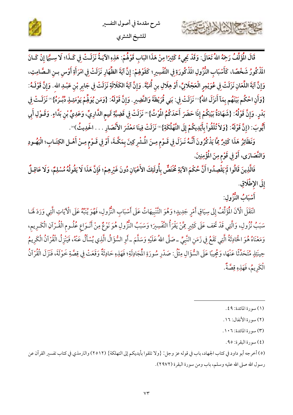

قَالَ الْمُؤَلِّفُ رَجَهُ اللهُ تَعَالَى: وَقَدْ يَجِيءُ كَثِيرًا مِنْ هَذَا البَابِ قَوْلُهُمْ: هَذِهِ الآيَـةُ نَزَلَـتْ فِي كَـذَا؛ لَا سِـيًّا إِنْ كَـانَ المَّذْكُورُ شَخْصًا، كَأَسْبَابِ النُّزُولِ المَّذْكُورَةِ فِي التَّفْسِيرِ؛ كَقَوْهِمْ: إِنَّ آيَةَ الظِّهَارِ نَزَلَتْ فِي امْرَأَةِ أَوْس بـن الـصَّامِتِ، وَإِنَّ آيَةَ اللِّعَانِ نَزَلَتْ فِي عُوَيْمِرِ الْعَجْلَانِيِّ، أَوْ هِلَالِ بنِ أُمَيَّةَ. وَإِنَّ آيَةَ الكَلَالَةِ نَزَلَتْ فِي جَابِرِ بْنِ عَبْـدِ الله . وَإِنَّ قَوْلَـهُ: {وَأَنِ احْكُم بَيْنَهُم بِمَآ أَنزَلَ اللهُ}'' نَزَلَتْ فِي: بَنِي قُرَيْظَةَ وَالنَّضِيرِ. وَإِنَّ قَوْلَهُ: {وَمَن يُوَلِّحٍمْ يَوْمَئِـذٍ دُبُـرَهُ}''' نَزَلَـتْ فِي بَدْرٍ. وَإِنَّ قَوْلُهُ: {شَهَادَةُ بَيْنِكُمْ إِذَا حَضَرَ أَحَدَكُمُ الْمُوْتُ}'" نَزَلَتْ فِي قَضِيَّةِ تَمِيمِ الدَّارِيِّ، وَعَدِيٍّ بْنِ بَدَّاءٍ. وَقَـوْلِ أَبِي أَيُّوبَ: (إِنَّ قَوْلَهُ: {وَلاَ تُلْقُواْ بِأَيْدِيكُمْ إِلَى التَّهْلُكَةِ}" نَزَلَتْ فِينَا مَعْشَرَ الأَنْصَارِ . . . الحَدِيثُ)".

وَنَظَائِرُ هَذَا كَثِيرٌ مِمَّا يَذْكُرُونَ أَنَّـهُ نَـزَلَ فِي قَـوْمٍ مِـنَ الْمُشْرِكِينَ بِمَكَّـةَ، أَوْ فِي قَـوْمٍ مِـنْ أَهْـل الكِتَـابِ؛ الْيَهُـودِ وَالنَّصَارَى، أَوْ فِي قَوْمٍ مِنَ الْمُؤْمِنِينَ.

فَالَّذِينَ قَالُوا لَمْ يَقْصِدُوا أَنَّ حُكْمَ الآيَةِ مُخْتَصٌّ بِأُولَئِكَ الأَعْيَانِ دُونَ غَيْرِهِمْ؛ فَإِنَّ هَذَا لَا يَقُولُهُ مُسْلِمٌ، وَلَا عَاقِـلٌ إِلَى الإطْلَاقِ.

أَسْبَابُ النُّزُولِ:

13 23 13 14

انْتَقَلَ الْأَنَ الْمُؤَلِّفُ إِلَى سِيَاقِ أَمْرِ جَدِيدٍ؛ وَهُوَ التَّنْبِيهَاتُ عَلَى أَسْبَابِ النُّزُولِ، فَهُوَ يُنَبِّهُ عَلَى الْآيَاتِ الَّتِي وَرَدَ لَهَـا سَبَبُ نُزُولِ، وَالَّتِي قَدْ تَخف عَلَى كَثِيرٍ مِمَّنْ يَقْرَأُ التَّفْسِيرَ؛ وَسَبَبُ النُّزُولِ هُوَ نَوْعٌ مِنْ أَنْـوَاعِ عُلُـومِ الْقُـرْآنِ الْكَـرِيمِ، وَمَعْنَاهُ هُوَ الْحَادِثَةُ الَّتِي تَفَعُ فِي زَمَنِ النَّبِيِّ ـ صَلَّى اللهُ عَلَيْهِ وَسَلَّمَ ـ أَوِ السُّؤَالُ الَّذِي يُسْأَلُ عَنْهُ، فَيَنْزِلُ الْقُرْآنُ الْكَرِيمُ حِينَئِذٍ مُتَحَدِّثًا عَنْهَا، وَمُجِيبًا عَلَى السُّؤَالِ مِثْلُ: صَدْرِ سُورَةِ الْمَجَادِلَةِ؛ فَهَذِهِ حَادِثَةٌ وَقَعَتْ فِي قِصَّةِ خَوْلَةَ، فَنَزَلَ الْقُرْآنُ الْكَرِيمُ، فَهَذِهِ قِصَّةٌ.

(٤) سورة البقرة: ٩٥.

<sup>(</sup>١) سورة المائدة: ٤٩.

<sup>(</sup>٢) سورة الأنفال: ١٦.

<sup>(</sup>٣) سورة المائدة: ١٠٦.

<sup>(</sup>٥) أخرجه أبو داود في كتاب الجهاد، باب في قوله عز وجل: {ولا تلقوا بأيديكم إلى التهلكة} (٢٥١٢) والترمذي في كتاب تفسير القرآن عن رسول الله صلى الله عليه وسلم، باب ومن سورة البقرة (٢٩٧٢).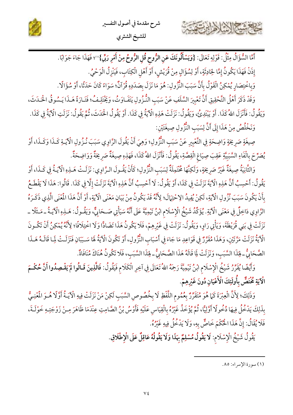



للشيخ الشثرى

أَمَّا السُّؤَالُ مِثْلُ: قَوْلِهِ تَعَالَى: {وَيَسْأَلُونَكَ عَنِ الرُّوحِ قُلِ الرُّوحُ مِنْ أَمْرِ رَبِّي}'''؛ فَهَذَا جَاءَ جَوَابًا. إِذَنْ فَهَذَا يَكُونُ إِمَّا لِحَادِثَةٍ، أَوْ لِسُؤَالٍ مِنْ قُرَيْشٍ، أَوْ أَهْلِ الْكِتَابِ، فَيَنْزِلُ الْوَحْيُ.

وَبِاخْتِصَارِ يُمْكِنُ الْقَوْلُ بِأَنَّ سَبَبَ النُّزُولِ: هُوَ مَا نَزَلَ بِصَدَدِهِ قُرْآنٌ؛ سَوَاءً كَانَ حَدَثًا، أَوْ سُؤَالًا.

وَقَدْ ذَكَرَ أَهْلُ التَّحْقِيقِ أَنَّ تَعْبِيرَ السَّلَفِ عَنْ سَبَبِ النُّـزُولِ يَتَفَـاوَتُ، وَيَخْتَلِـفُ؛ فَتَـارَةً هَـذَا يَـسُوقُ الْحَـدَثَ، وَيَقُولُ: فَأَنْزَلَ اللهُ كَذَا. أَوْ يَبْتَدِئُ، وَيَقُولُ: نَزَلَتْ هَذِهِ الْآيَةُ فِي كَذَا. أَوْ يَقُولُ الْحَدَثَ، ثُمَّ يَقُولُ: نَزَلَتِ الْآيَةُ فِي كَذَا.

وَنَخْلُصُ مِنْ هَذَا إِلَى أَنَّ لِسَبَبِ النُّرُولِ صِيغَتَيْنِ:

كالحشيخ الشاهايرت

صِيغَةٍ صَرِيحَةٍ وَاضِحَةٍ فِي التَّعْبِيرِ عَنْ سَبَبِ النُّزُولِ؛ وَهِيَ أَنْ يَقُولَ الرَّاوِي سَبَبَ نُـزُولِ الْآيَـةِ كَـذَا وَكَـذَا، أَوْ يُصَرِّحَ بِالْفَاءِ السَّبَبِيَّةِ عَقِبَ صِيَاغِ الْقِصَّةِ، يَقُولُ: فَأَنْزَلَ اللهُ كَذَا، فَهَذِهِ صِيغَةٌ صَرِيحَةٌ وَوَاضِحَةٌ.

وَالثَّانِيَةُ صِيغَةٌ غَيْرُ صَرِيحَةٍ، وَلَكِنَّهَا مُخْتَمِلَةٌ لِسَبَبِ النُّزُولِ؛ كَأَنْ يَقُـولَ الـرَّاوِي: نَزَلَـتْ هَــنِوِ الْآيَـةُ فِي كَــذَا، أَوْ يَقُولُ: أَحْسِبُ أَنَّ هَذِهِ الْآيَةَ نَزَلَتْ فِي كَذَا، أَوْ يَقُولُ: لَا أَحْسِبُ أَنَّ هَذِهِ الْآيَةَ نَزَلَتْ إِلَّا فِي كَذَا. قَالُوا: هَذَا لَا يَقْطَعُ بِأَنْ يَكُونَ سَبَبَ نُزُولِ الْآيَةِ، لَكِنْ يُفِيدُ الِإِحْتِمَالَ؛ لِأَنَّهُ قَدْ يَكُونُ مِنْ بَيَانِ مَعْنَى الْآيَةِ، أَوْ أَنَّ هَذَا الْمُنْي الَّذِي ذَكَـرَهُ الرَّاوِي دَاخِلٌ فِي مَعْنَى الْآيَةِ. يُؤَكِّدُ شَيْخُ الْإِسْلَامِ ابْنُ تَيْمِيَّةَ عَلَى أَنَّهُ سَيَأْتِي صَـحَابِيٌّ، وَيَقُـولُ: هَـذِهِ الْآيَـةُ ـ مَـثَلًا ـ نَزَلَتْ فِي بَنِي قُرَيْظَةَ، وَيَأْتِي رَاوِ، وَيَقُولُ: نَزَلَتْ فِي غَيْرِهِمْ، فَلَا يَكُونُ هَذَا تَضَادًّا وَلَا اخْتِلَافًا؛ لِأَنَّهُ يُمْكِنُ أَنْ تَكُـونَ الْآيَةُ نَزَلَتْ مَرَّتَيْنِ، وَهَذَا مُقَرَّرٌ فِي قَوَاعِدِ مَا جَاءَ فِي أَسْبَابِ النُّزُولِ، أَوْ تَكُونَ الْآيَةُ لَهَا سَـبَبَانِ فَنَزَلَـتْ لِمَا قَالَـهُ هَـذَا الصَّحَابِيُّ ـ فِئَذَا السَّبَبِ، وَنَزَلَتْ لِمَا قَالَهُ هَذَا الصَّحَابِيُّ ـ فِئَذَا السَّبَبِ، فَلَا تكُونُ هُنَاكَ مُنَافَاةٌ.

وَأَيْضًا يُقَرِّرُ شَيْخُ الْإِسْلَام ابْنُ تَيْمِيَّةَ رَحِمُهُ اللهُ تَعَالَى فِي آخِرِ الْكَلَام فَيَقُولُ: فَالَّذِينَ قَـالُوا لَمْ يَقْصِدُوا أَنَّ حُكْـمَ الْآيَةِ مُخْتَصٌّ بِأُولَئِكَ الْأَعْيَانِ دُونَ غَيْرِهِمْ.

وَذَلِكَ؛ لِأَنَّ الْعِبْرَةَ كَمَا هُوَ مُتَقَرِّرٌ بِعُمُومِ اللَّفْظِ لَا بِخُصُوصِ السَّبَبِ لَكِنْ مَنْ نَزَلَتْ فِيهِ الْآيَـةُ أَوَّلًا هُـوَ الْمُخِـيُّ بِذَلِكَ يَدْخُلُ فِيهَا دُخُولًا أَوَّلِيًّا، ثُمَّ يُؤْخَذُ غَيْرُهُ بِالْقِيَاسِ عَلَيْهِ فَأَوْسُ بْنُ الصَّامِتِ عِنْدَمَا ظَاهَرَ مِـنْ زَوْجَتِـهِ خَوْلَـةَ، فَلَا يُقَالُ: إنَّ هَذَا الْحُكْمَ خَاصٌّ بِهِ، وَلَا يَدْخُلُ فِيهِ غَيْرُهُ.

يَقُولُ شَيْخُ الْإِسْلَام: لَا يَقُولُ مُسْلِمٌ بِهَذَا وَلَا يَقُولُهُ عَاقِلٌ عَلَى الْإِطْلَاقِ.

<sup>(</sup>١) سورة الإسراء: ٨٥.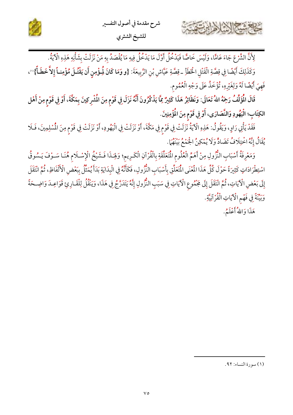



لِأَنَّ الشَّرْعَ جَاءَ عَامًّا، وَلَيْسَ خَاصًّا فَيَدْخُلُ أَوَّلَ مَا يَدْخُلُ فِيهِ مَا يُقْصَدُ بِهِ مَنْ نَزَلَتْ بِشَأْنِهِ هَذِهِ الْآيَةُ.

وَكَذَلِكَ أَيْضًا فِي قِصَّةِ الْقَتْلِ الْخَطَأِ ـ قِصَّةِ عَيَّاشٍ بْنِ الرَّبِيعَةَ: {و وَمَا كَانَ لُمِؤْمِنٍ أَن يَقْتُلَ مُؤْمِنـاً إِلاَّ خَطَأً}'')، فَهِيَ أَيْضًا لَهُ وَلِغَيْرِهِ، تُؤْخَذُ عَلَى وَجْهِ الْعُمُوم.

قَالَ الْمُؤَلِّفُ رَجَهُ اللهُ تَعَالَى: وَنَظَائِرُ هَذَا كَثِيرٌ مِمَّا يَذْكُرُونَ أَنَّهُ نَزَلَ فِي قَوْمٍ مِنَ الْمُشْرِكِينَ بِمَكَّةَ، أَوْ فِي قَوْمٍ مِنْ أَهْل الكِتَاب؛ الْيَهُودِ وَالنَّصَارَى، أَوْ فِي قَوْمٍ مِنَ الْمُؤْمِنِينَ.

فَقَدْ يَأْتِي رَاوٍ، وَيَقُولُ: هَذِهِ الْآيَةُ نَزَلَتْ فِي قَوْمٍ فِي مَكَّةَ، أَوْ نَزَلَتْ فِي الْيَهُودِ، أَوْ نَزَلَتْ فِي قَوْمٍ مِنَ الْمُسْلِمِينَ، فَلَا يُقَالُ إِنَّهُ اخْتِلَافُ تَضَادٍّ وَلَا يُمْكِنُ الْجُمْعُ بَيْنَهُمَا.

وَمَعْرِفَةُ أَسْبَابِ النُّزُولِ مِنْ أَهَمِّ الْعُلُومِ الْمَتَعَلَّقَةِ بِالْقُرْآنِ الْكَرِيمِ؛ وَلِهَـذَا فَـشَيْخُ الْإِسْـلَامِ هُنَـا سَـوْفَ يَـسُوقُ اسْتِطْرَادَاتٍ كَثِيرَةً حَوْلَ كُلِّ هَذَا الْمُنْي الْمَعَلِّقِ بِأَسْبَابِ النُّزُولِ، فَكَأَنَّهُ فِي الْبِدَايَةِ بَدَأَ يُمَثِّلُ بِبَعْضِ الْأَلْفَاظِ، ثُمَّ انْتَقَلَ إِلَى بَعْضِ الْآيَاتِ، ثُمَّ انْتَقَلَ إِلَى مَجْمُوعِ الْآيَاتِ فِي سَبَبِ النُّزُولِ إِنَّهُ يَتَدَرَّجُ فِي هَذَا، وَيَنْقُلُ لِلْقَـارِئِ قَوَاعِـدَ وَاضِـحَةً وَبِيِّنَةً فِي فَهْمِ الْآيَاتِ الْقُرْآنِيَّةِ.

هَذَا وَاللهُ أَعْلَمُ.

<sup>(</sup>١) سورة النساء: ٩٢.